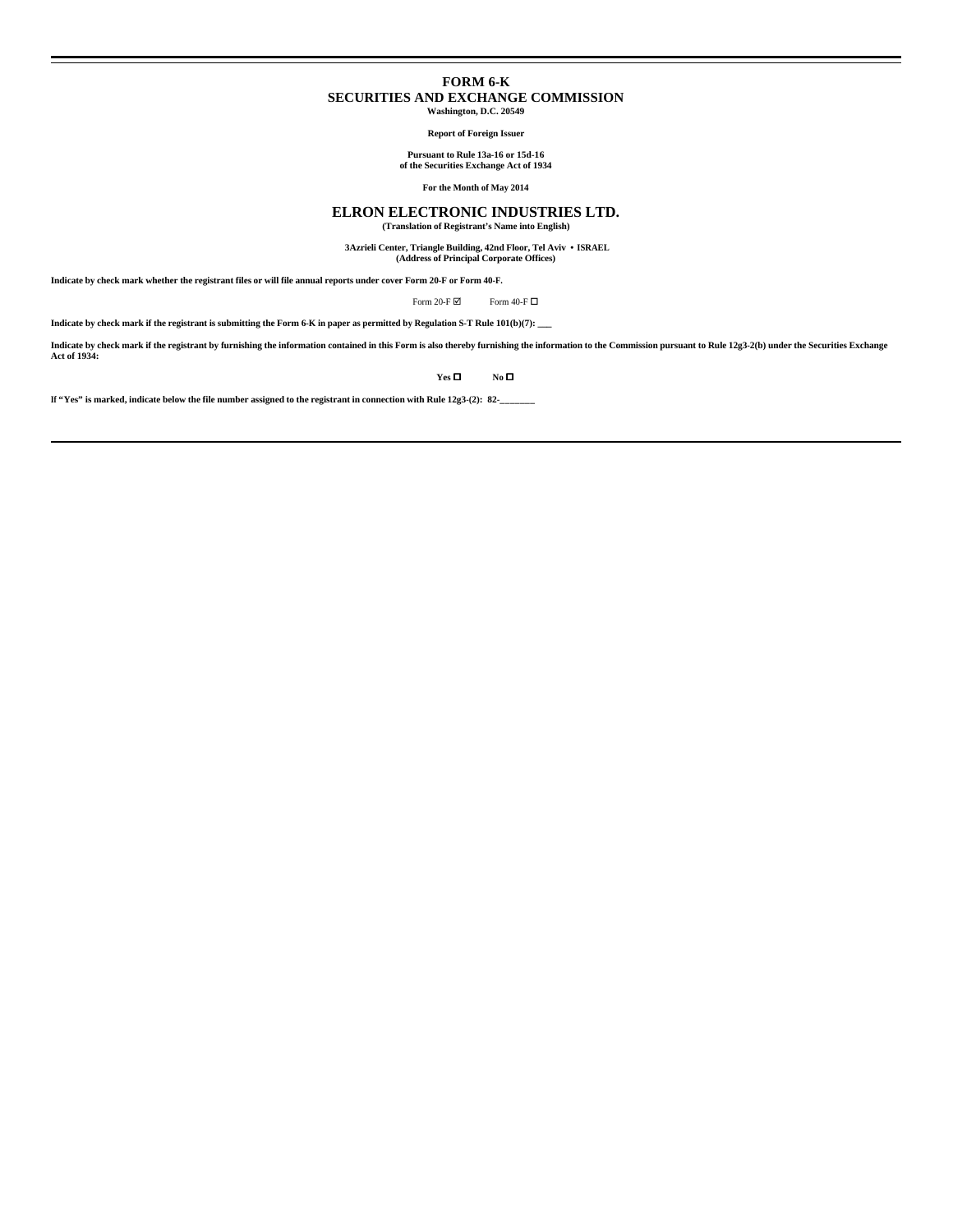# **FORM 6-K SECURITIES AND EXCHANGE COMMISSION**

**Washington, D.C. 20549**

**Report of Foreign Issuer**

**Pursuant to Rule 13a-16 or 15d-16 of the Securities Exchange Act of 1934**

**For the Month of May 2014**

# **ELRON ELECTRONIC INDUSTRIES LTD. (Translation of Registrant's Name into English)**

 **3Azrieli Center, Triangle Building, 42nd Floor, Tel Aviv • ISRAEL**

**(Address of Principal Corporate Offices)**

**Indicate by check mark whether the registrant files or will file annual reports under cover Form 20-F or Form 40-F.**

Form 20-F  $\boxtimes$  Form 40-F  $\Box$ 

**Indicate by check mark if the registrant is submitting the Form 6-K in paper as permitted by Regulation S-T Rule 101(b)(7): \_\_\_**

Indicate by check mark if the registrant by furnishing the information contained in this Form is also thereby furnishing the information to the Commission pursuant to Rule 12g3-2(b) under the Securities Exchange<br>Act of 193

 $Yes \Box$  **No**  $\Box$ 

**If "Yes" is marked, indicate below the file number assigned to the registrant in connection with Rule 12g3-(2): 82-\_\_\_\_\_\_\_**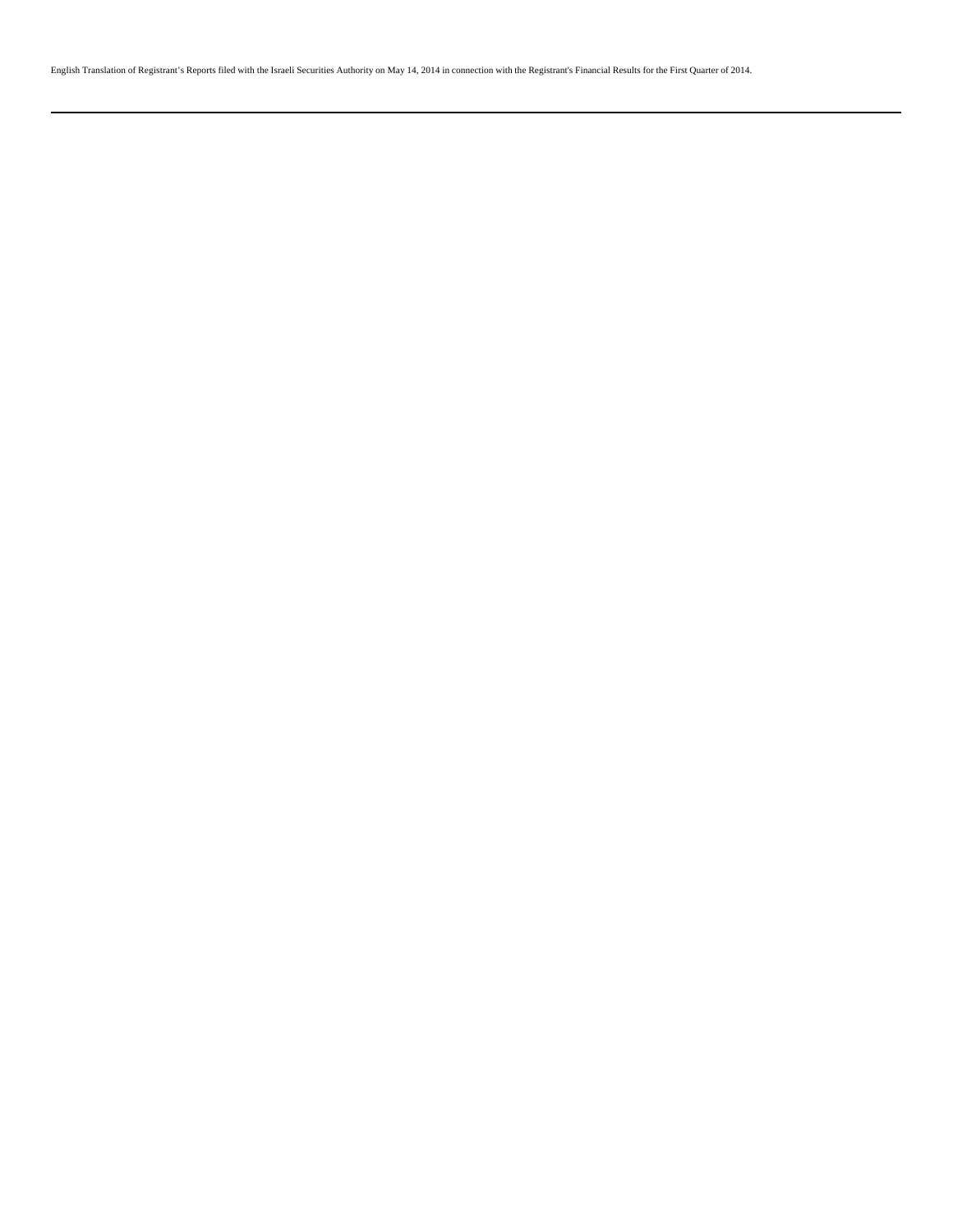English Translation of Registrant's Reports filed with the Israeli Securities Authority on May 14, 2014 in connection with the Registrant's Financial Results for the First Quarter of 2014.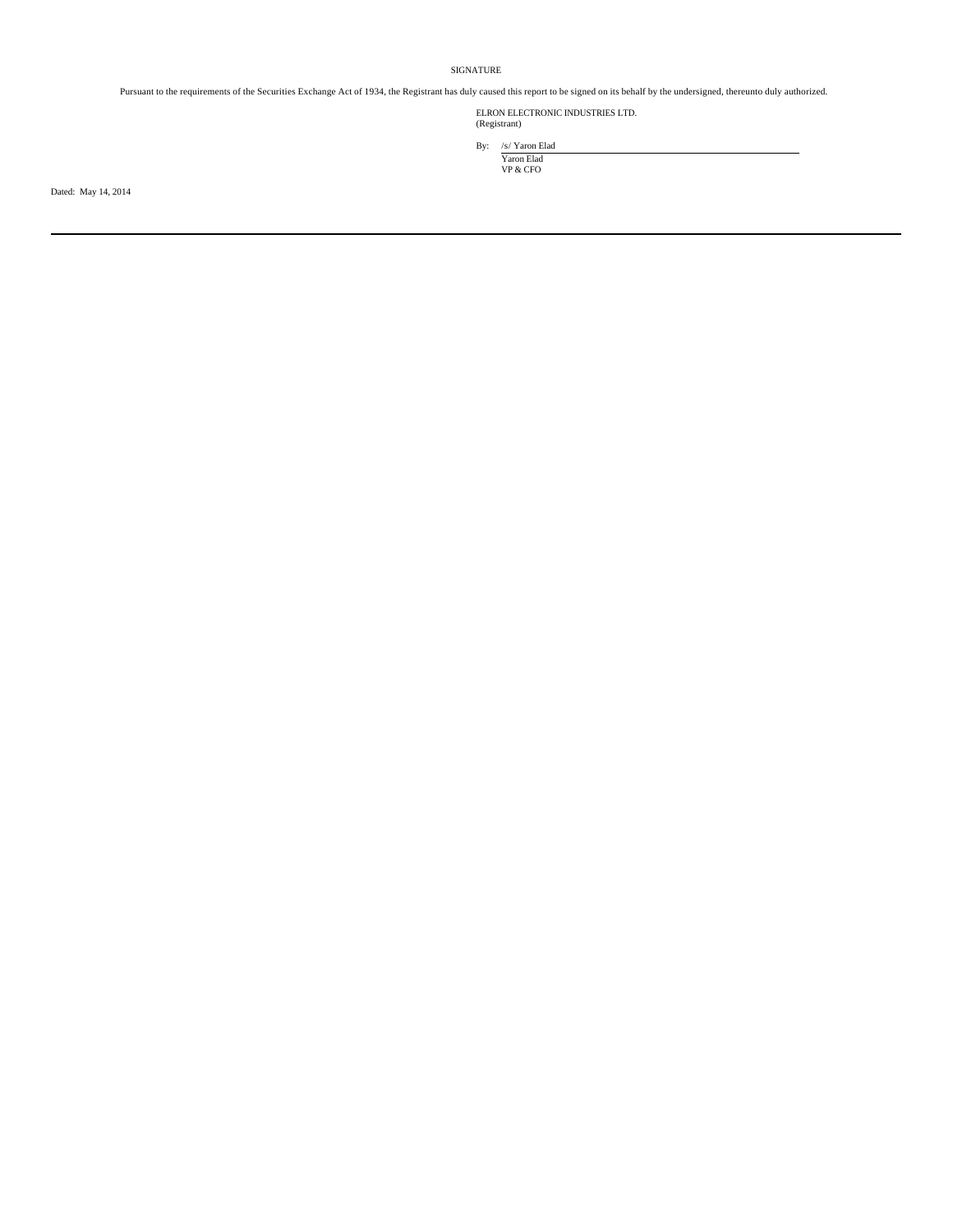# SIGNATURE

Pursuant to the requirements of the Securities Exchange Act of 1934, the Registrant has duly caused this report to be signed on its behalf by the undersigned, thereunto duly authorized.

ELRON ELECTRONIC INDUSTRIES LTD. (Registrant)

By: /s/ Yaron Elad Yaron Elad<br>VP & CFO

Dated: May 14, 2014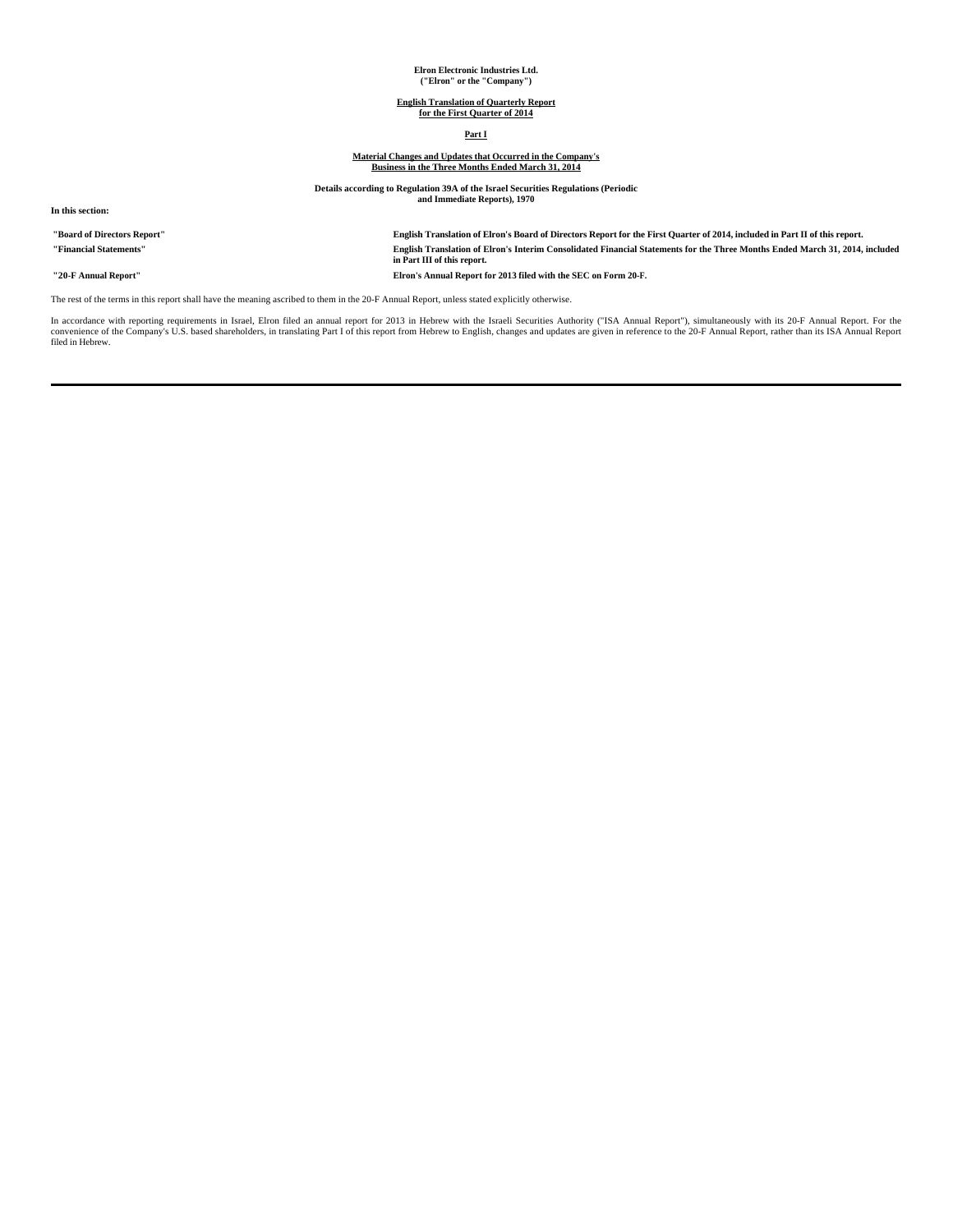# **Elron Electronic Industries Ltd. ("Elron" or the "Company")**

# **English Translation of Quarterly Report for the First Quarter of 2014**

# **Part I**

# **Material Changes and Updates that Occurred in the Company's Business in the Three Months Ended March 31, 2014**

**Details according to Regulation 39A of the Israel Securities Regulations (Periodic and Immediate Reports), 1970**

**In this section:**

**"Board of Directors Report" English Translation of Elron's Board of Directors Report for the First Quarter of 2014, included in Part II of this report. "Financial Statements" English Translation of Elron's Interim Consolidated Financial Statements for the Three Months Ended March 31, 2014, included in Part III of this report. "20-F Annual Report" Elron's Annual Report for 2013 filed with the SEC on Form 20-F.**

The rest of the terms in this report shall have the meaning ascribed to them in the 20-F Annual Report, unless stated explicitly otherwise.

In accordance with reporting requirements in Israel, Elron filed an annual report for 2013 in Hebrew with the Israeli Securities Authority ("ISA Annual Report"), simultaneously with its 20-F Annual Report. For the<br>convenie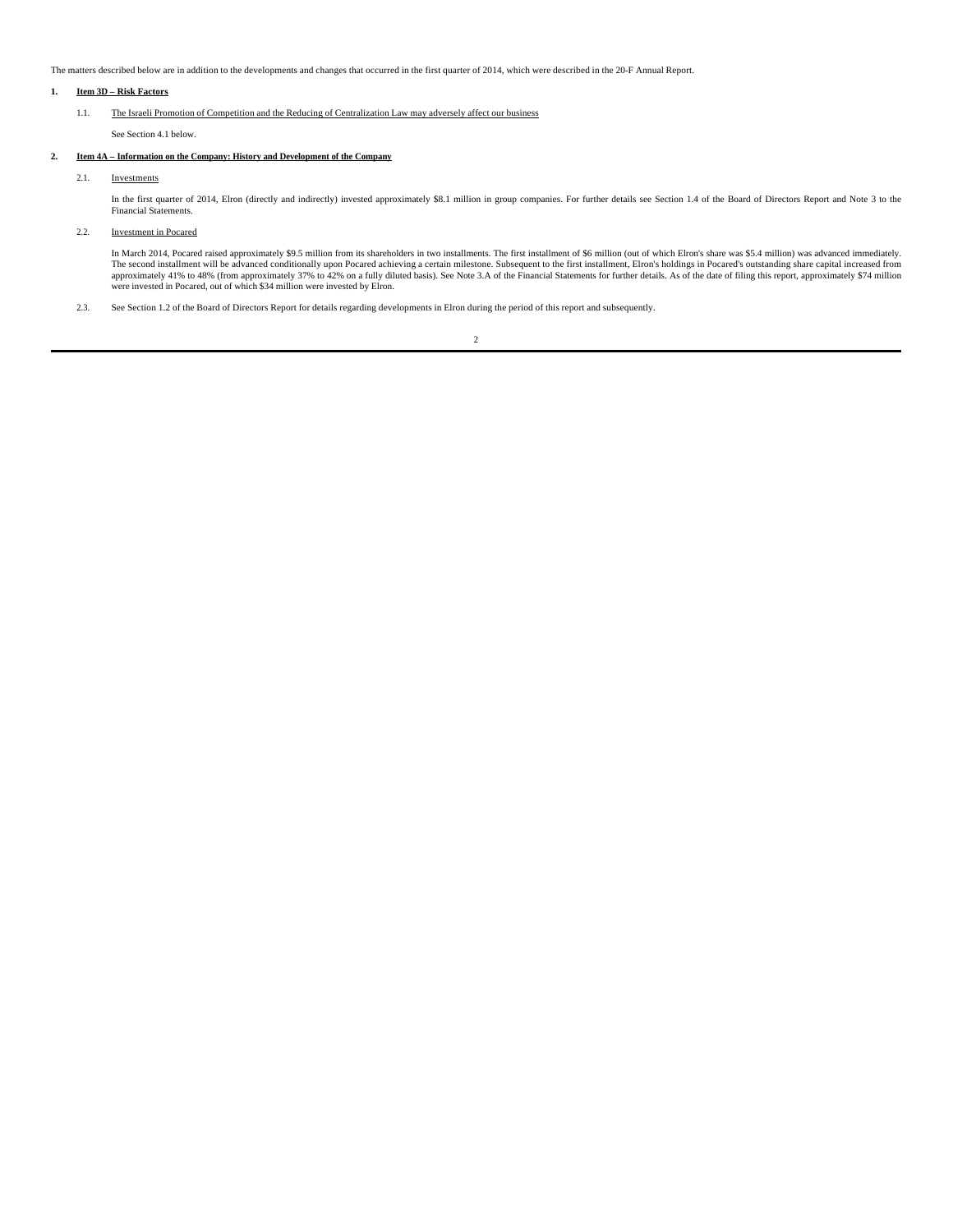The matters described below are in addition to the developments and changes that occurred in the first quarter of 2014, which were described in the 20-F Annual Report.

# **1. Item 3D – Risk Factors**

# 1.1. The Israeli Promotion of Competition and the Reducing of Centralization Law may adversely affect our business

See Section 4.1 below.

# **2. Item 4A – Information on the Company: History and Development of the Company**

# 2.1. Investments

In the first quarter of 2014, Elron (directly and indirectly) invested approximately \$8.1 million in group companies. For further details see Section 1.4 of the Board of Directors Report and Note 3 to the<br>Financial Stateme

# 2.2. Investment in Pocared

In March 2014, Pocared raised approximately \$9.5 million from its shareholders in two installments. The first installment of \$6 million (out of which Elron's share was \$5.4 million) was advanced immediately.<br>The second ins

2.3. See Section 1.2 of the Board of Directors Report for details regarding developments in Elron during the period of this report and subsequently.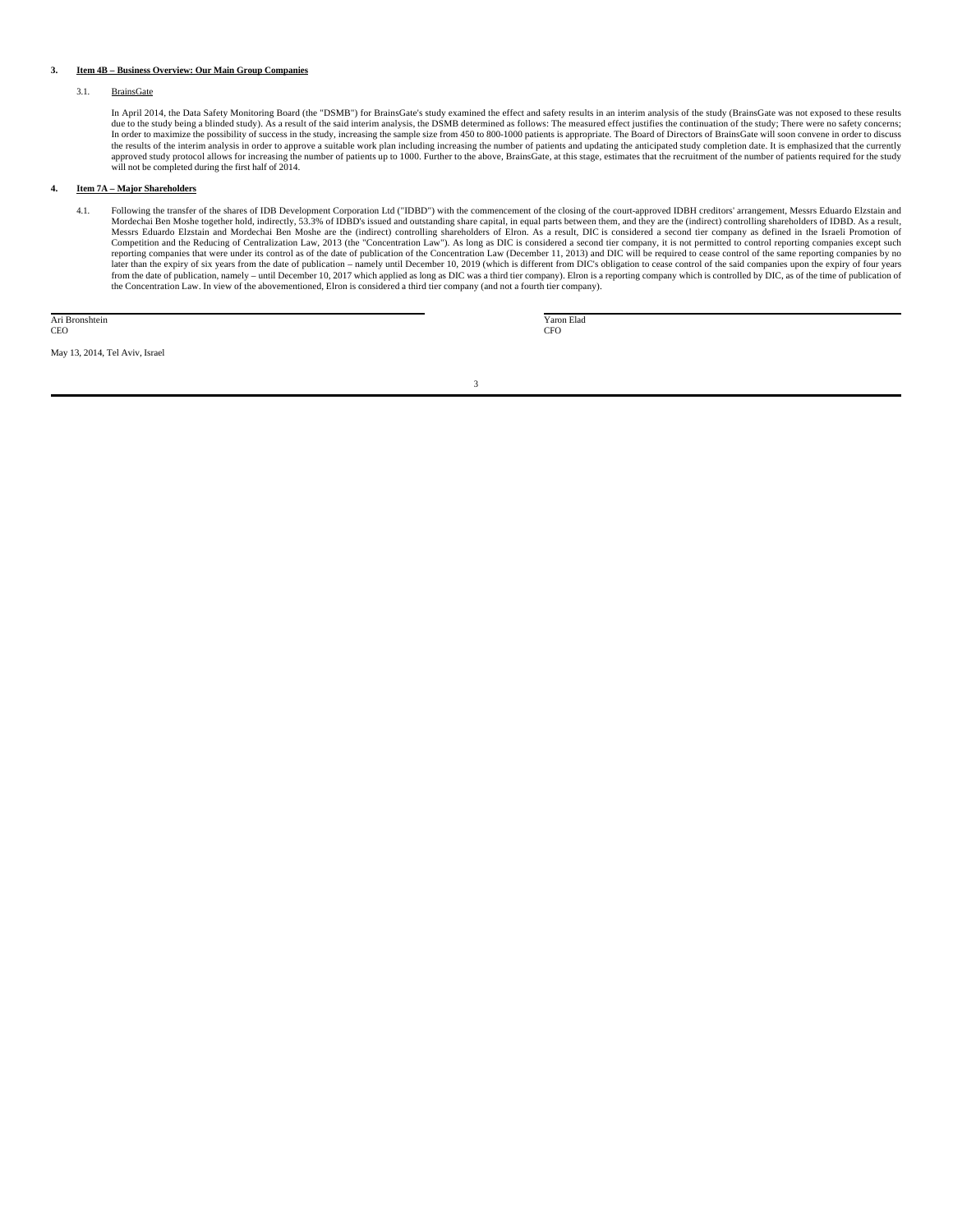# **3. Item 4B – Business Overview: Our Main Group Companies**

# 3.1. BrainsGate

In April 2014, the Data Safety Monitoring Board (the "DSMB") for BrainsGate's study examined the effect and safety results in an interim analysis of the study (BrainsGate was not exposed to these results<br>due to the study b In order to maximize the possibility of success in the study, increasing the sample size from 450 to 800-1000 patients is appropriate. The Board of Directors of BrainsGate will soon convene in order to discuss the results of the interim analysis in order to approve a suitable work plan including increasing the number of patients and updating the anticipated study completion date. It is emphasized that the currently approved stud will not be completed during the first half of 2014.

# **4. Item 7A – Major Shareholders**

4.1. Following the transfer of the shares of IDB Development Corporation Ltd ("IDBD") with the commencement of the closing of the court-approved IDBH creditors' arrangement, Messrs Eduardo Elzstain and Mordechai Ben Moshe together hold, indirectly, 53.3% of IDBD's issued and outstanding share capital, in equal parts between them, and they are the (indirect) controlling shareholders of IDBD. As a result, Messrs Eduardo Elzstain and Mordechai Ben Moshe are the (indirect) controlling shareholders of Elron. As a result, DIC is considered a second tier company as defined in the Israeli Promotion of<br>Competition and the Reducing reporting companies that were under its control as of the date of publication of the Concentration Law (December 11, 2013) and DIC will be required to cease control of the same reporting companies by no<br>later than the expi from the date of publication, namely – until December 10, 2017 which applied as long as DIC was a third tier company). Elron is a reporting company which is controlled by DIC, as of the time of publication of the Concentration Law. In view of the abovementioned, Elron is considered a third tier company (and not a fourth tier company).

Ari Bronshtein CEO

 Yaron Elad CFO

May 13, 2014, Tel Aviv, Israel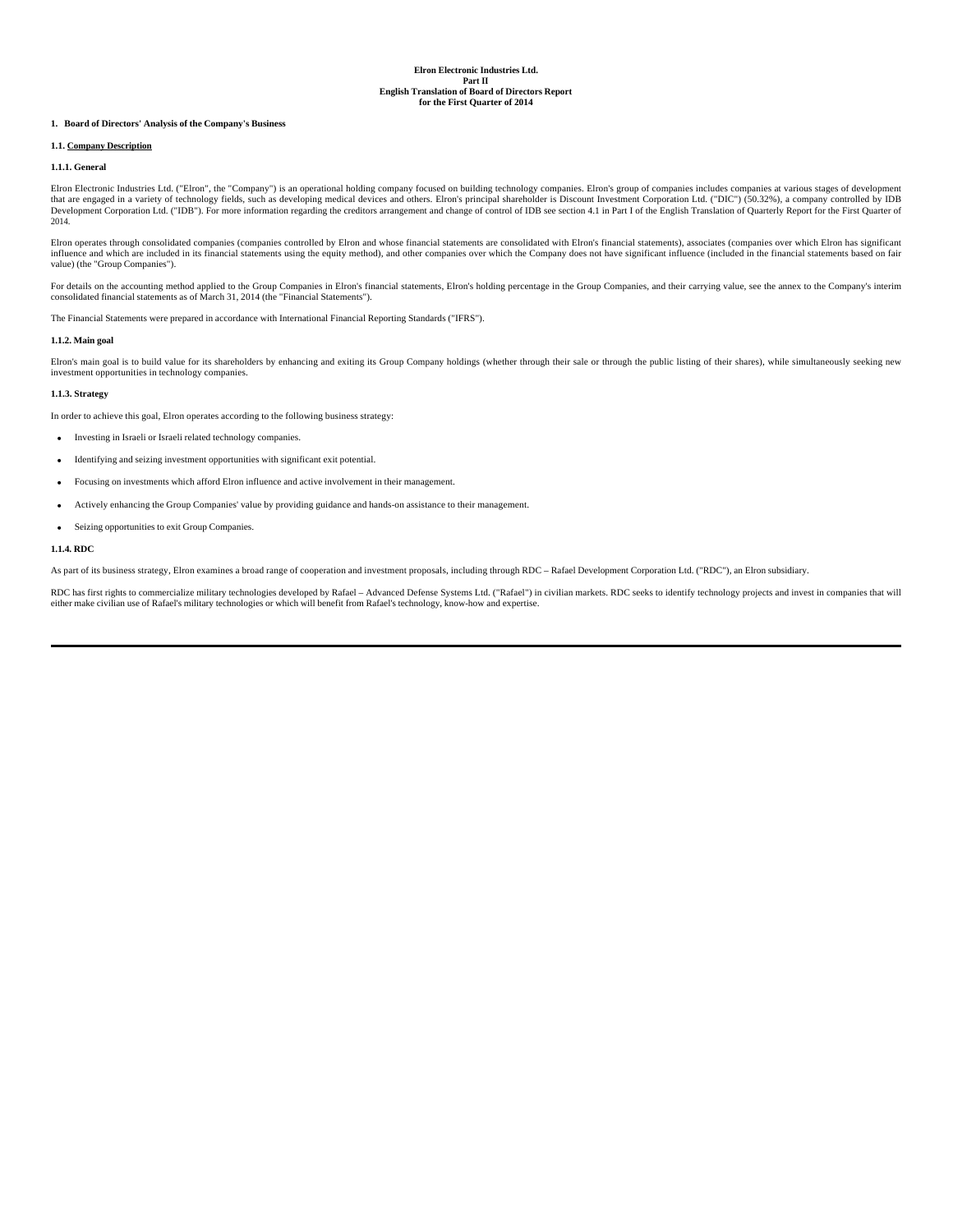# **1. Board of Directors' Analysis of the Company's Business**

# **1.1. Company Description**

#### **1.1.1. General**

Elron Electronic Industries Ltd. ("Elron", the "Company") is an operational holding company focused on building technology companies. Elron's group of companies includes companies at various stages of development that are engaged in a variety of technology fields, such as developing medical devices and others. Elron's principal shareholder is Discount Investment Corporation Ltd. ("DIC") (50.32%), a company controlled by IDB<br>Develop 2014.

Elron operates through consolidated companies (companies controlled by Elron and whose financial statements are consolidated with Elron's financial statements), associates (companies over which Elron has significant influence and which are included in its financial statements using the equity method), and other companies over which the Company does not have significant influence (included in the financial statements based on fair value) (the "Group Companies").

For details on the accounting method applied to the Group Companies in Elron's financial statements, Elron's holding percentage in the Group Companies, and their carrying value, see the annex to the Company's interim<br>conso

The Financial Statements were prepared in accordance with International Financial Reporting Standards ("IFRS").

# **1.1.2. Main goal**

Elron's main goal is to build value for its shareholders by enhancing and exiting its Group Company holdings (whether through their sale or through the public listing of their shares), while simultaneously seeking new investment opportunities in technology companies.

# **1.1.3. Strategy**

In order to achieve this goal, Elron operates according to the following business strategy:

- Investing in Israeli or Israeli related technology companies.
- Identifying and seizing investment opportunities with significant exit potential.
- Focusing on investments which afford Elron influence and active involvement in their management.
- Actively enhancing the Group Companies' value by providing guidance and hands-on assistance to their management.
- Seizing opportunities to exit Group Companies.

#### **1.1.4. RDC**

As part of its business strategy, Elron examines a broad range of cooperation and investment proposals, including through RDC – Rafael Development Corporation Ltd. ("RDC"), an Elron subsidiary.

RDC has first rights to commercialize military technologies developed by Rafael – Advanced Defense Systems Ltd. ("Rafael") in civilian markets. RDC seeks to identify technology projects and invest in companies that will<br>ei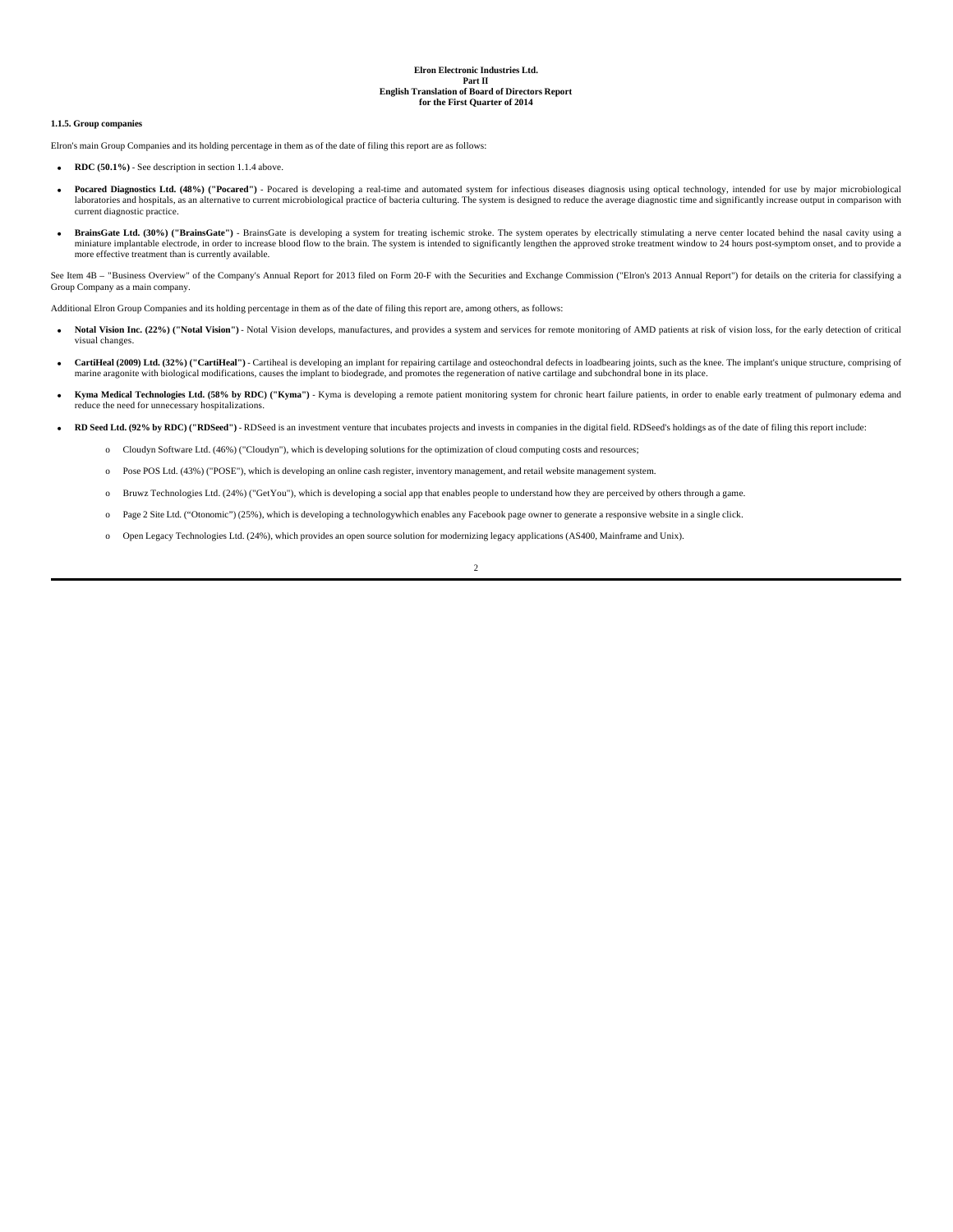#### **1.1.5. Group companies**

Elron's main Group Companies and its holding percentage in them as of the date of filing this report are as follows:

- **RDC (50.1%)** See description in section 1.1.4 above.
- Pocared Diagnostics Ltd. (48%) ("Pocared") Pocared is developing a real-time and automated system for infectious diseases diagnosis using optical technology, intended for use by major microbiological laboratories and hospitals, as an alternative to current microbiological practice of bacteria culturing. The system is designed to reduce the average diagnostic time and significantly increase output in comparison with current diagnostic practice.
- BrainsGate Ltd. (30%) ("BrainsGate") BrainsGate is developing a system for treating ischemic stroke. The system operates by electrically stimulating a nerve center located behind the nasal cavity using a miniature implantable electrode, in order to increase blood flow to the brain. The system is intended to significantly lengthen the approved stroke treatment window to 24 hours post-symptom onset, and to provide a manager in prainter effective treatment than is currently available.

See Item 4B - "Business Overview" of the Company's Annual Report for 2013 filed on Form 20-F with the Securities and Exchange Commission ("Elron's 2013 Annual Report") for details on the criteria for classifying a Group Company as a main company.

Additional Elron Group Companies and its holding percentage in them as of the date of filing this report are, among others, as follows:

- **Notal Vision Inc. (22%) ("Notal Vision")** Notal Vision develops, manufactures, and provides a system and services for remote monitoring of AMD patients at risk of vision loss, for the early detection of critical visual changes.
- **CartiHeal (2009) Ltd. (32%) ("CartiHeal")** Cartiheal is developing an implant for repairing cartilage and osteochondral defects in loadbearing joints, such as the knee. The implant's unique structure, comprising of marine aragonite with biological modifications, causes the implant to biodegrade, and promotes the regeneration of native cartilage and subchondral bone in its place.
- **Kyma Medical Technologies Ltd. (58% by RDC) ("Kyma")** Kyma is developing a remote patient monitoring system for chronic heart failure patients, in order to enable early treatment of pulmonary edema and reduce the need for unnecessary hospitalizations.
- **RD Seed Ltd. (92% by RDC) ("RDSeed")** RDSeed is an investment venture that incubates projects and invests in companies in the digital field. RDSeed's holdings as of the date of filing this report include:
	- o Cloudyn Software Ltd. (46%) ("Cloudyn"), which is developing solutions for the optimization of cloud computing costs and resources;
	- o Pose POS Ltd. (43%) ("POSE"), which is developing an online cash register, inventory management, and retail website management system.
	- o Bruwz Technologies Ltd. (24%) ("GetYou"), which is developing a social app that enables people to understand how they are perceived by others through a game.
- o Page 2 Site Ltd. ("Otonomic") (25%), which is developing a technologywhich enables any Facebook page owner to generate a responsive website in a single click.
	- o Open Legacy Technologies Ltd. (24%), which provides an open source solution for modernizing legacy applications (AS400, Mainframe and Unix).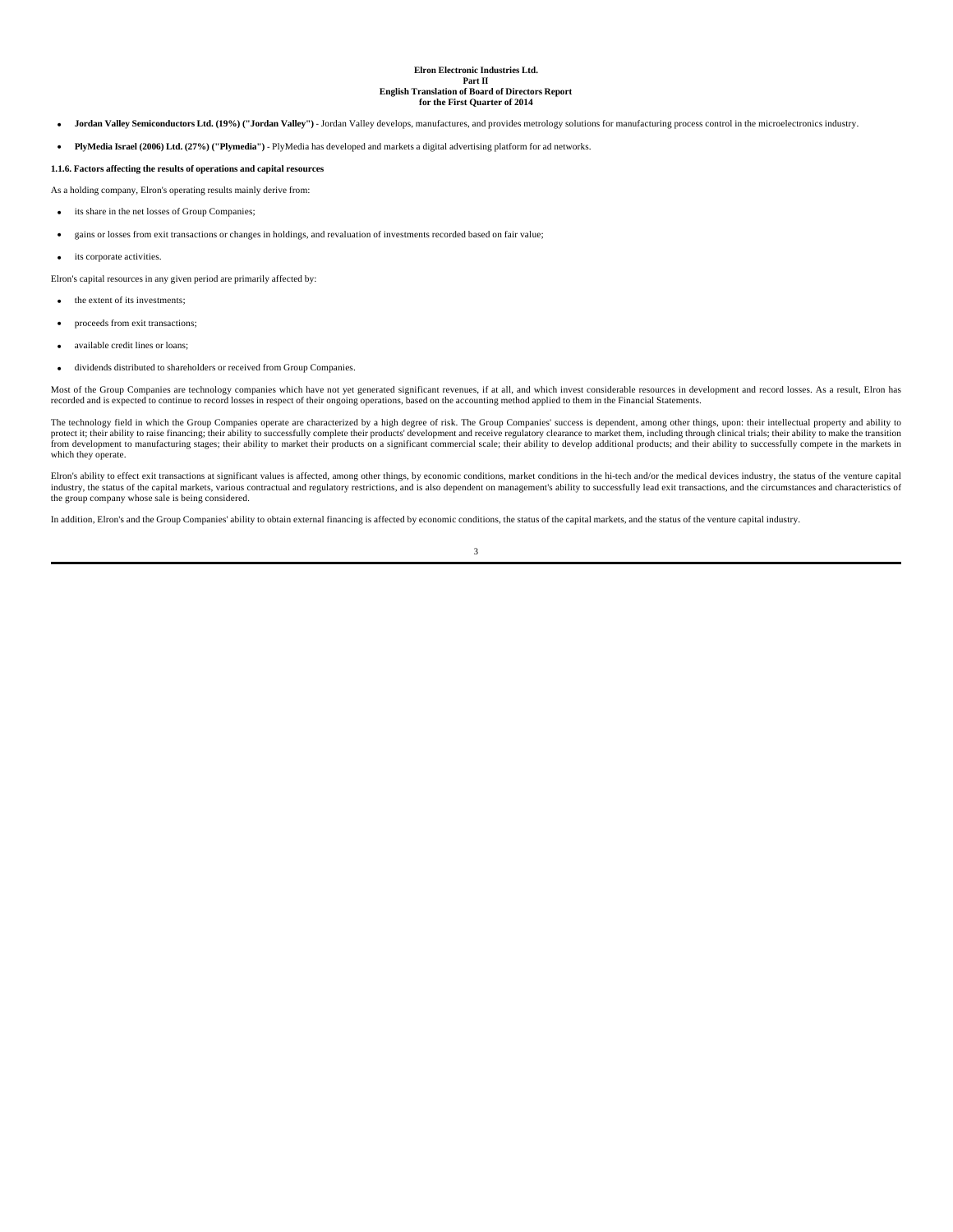- **Jordan Valley Semiconductors Ltd. (19%) ("Jordan Valley")** Jordan Valley develops, manufactures, and provides metrology solutions for manufacturing process control in the microelectronics industry.
- **PlyMedia Israel (2006) Ltd. (27%) ("Plymedia")**  PlyMedia has developed and markets a digital advertising platform for ad networks.

# **1.1.6. Factors affecting the results of operations and capital resources**

As a holding company, Elron's operating results mainly derive from:

- its share in the net losses of Group Companies:
- gains or losses from exit transactions or changes in holdings, and revaluation of investments recorded based on fair value;
- its corporate activities.
- Elron's capital resources in any given period are primarily affected by:

• the extent of its investments;

- proceeds from exit transactions;
- available credit lines or loans;
- dividends distributed to shareholders or received from Group Companies.

Most of the Group Companies are technology companies which have not yet generated significant revenues, if at all, and which invest considerable resources in development and record losses. As a result, Elron has recorded and is expected to continue to record losses in respect of their ongoing operations, based on the accounting method applied to them in the Financial Statements.

The technology field in which the Group Companies operate are characterized by a high degree of risk. The Group Companies' success is dependent, among other things, upon: their intellectual property and ability to protect it; their ability to raise financing; their ability to successfully complete their products' development and receive regulatory clearance to market them, including through clinical trials; their ability to make the which they operate.

Elron's ability to effect exit transactions at significant values is affected, among other things, by economic conditions, market conditions in the hi-tech and/or the medical devices industry, the status of the venture cap industry, the status of the capital markets, various contractual and regulatory restrictions, and is also dependent on management's ability to successfully lead exit transactions, and the circumstances and characteristics of the group company whose sale is being considered.

In addition, Elron's and the Group Companies' ability to obtain external financing is affected by economic conditions, the status of the capital markets, and the status of the venture capital industry.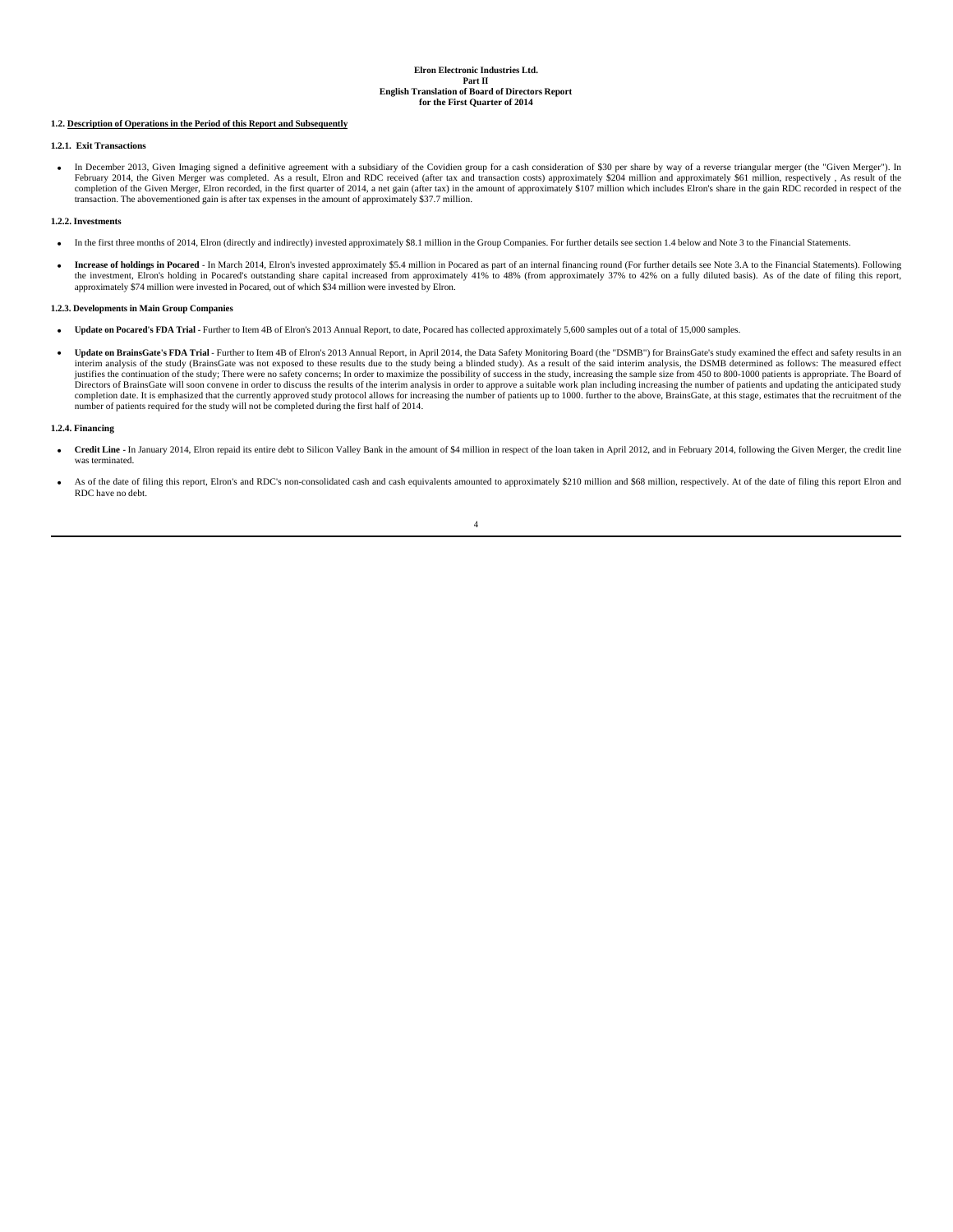### **1.2. Description of Operations in the Period of this Report and Subsequently**

# **1.2.1. Exit Transactions**

• In December 2013, Given Imaging signed a definitive agreement with a subsidiary of the Covidien group for a cash consideration of \$30 per share by way of a reverse triangular merger (the "Given Merger"). In February 2014 completion of the Given Merger, Elron recorded, in the first quarter of 2014, a net gain (after tax) in the amount of approximately \$107 million which includes Elron's share in the gain RDC recorded in respect of the transaction. The abovementioned gain is after tax expenses in the amount of approximately \$37.7 million.

# **1.2.2. Investments**

- In the first three months of 2014, Elron (directly and indirectly) invested approximately \$8.1 million in the Group Companies. For further details see section 1.4 below and Note 3 to the Financial Statements.
- Increase of holdings in Pocared In March 2014, Elron's invested approximately \$5.4 million in Pocared as part of an internal financing round (For further details see Note 3.A to the Financial Statements). Following the approximately \$74 million were invested in Pocared, out of which \$34 million were invested by Elron.

# **1.2.3. Developments in Main Group Companies**

- Update on Pocared's FDA Trial Further to Item 4B of Elron's 2013 Annual Report, to date, Pocared has collected approximately 5,600 samples out of a total of 15,000 samples.
- **Update on BrainsGate's FDA Trial** Further to Item 4B of Elron's 2013 Annual Report, in April 2014, the Data Safety Monitoring Board (the "DSMB") for BrainsGate's study examined the effect and safety results in an interim analysis of the study (BrainsGate was not exposed to these results due to the study being a blinded study). As a result of the said interim analysis, the DSMB determined as follows: The measured effect<br>justifies th Directors of BrainsGate will soon convene in order to discuss the results of the interim analysis in order to approve a suitable work plan including increasing the number of patients and updating the anticipated study completion date. It is emphasized that the currently approved study protocol allows for increasing the number of patients up to 1000. further to the above, BrainsGate, at this stage, estimates that the recruitment of the n

### **1.2.4. Financing**

- Credit Line In January 2014, Elron repaid its entire debt to Silicon Valley Bank in the amount of \$4 million in respect of the loan taken in April 2012, and in February 2014, following the Given Merger, the credit line
- As of the date of filing this report, Elron's and RDC's non-consolidated cash and cash equivalents amounted to approximately \$210 million and \$68 million, respectively. At of the date of filing this report Elron and RDC have no debt.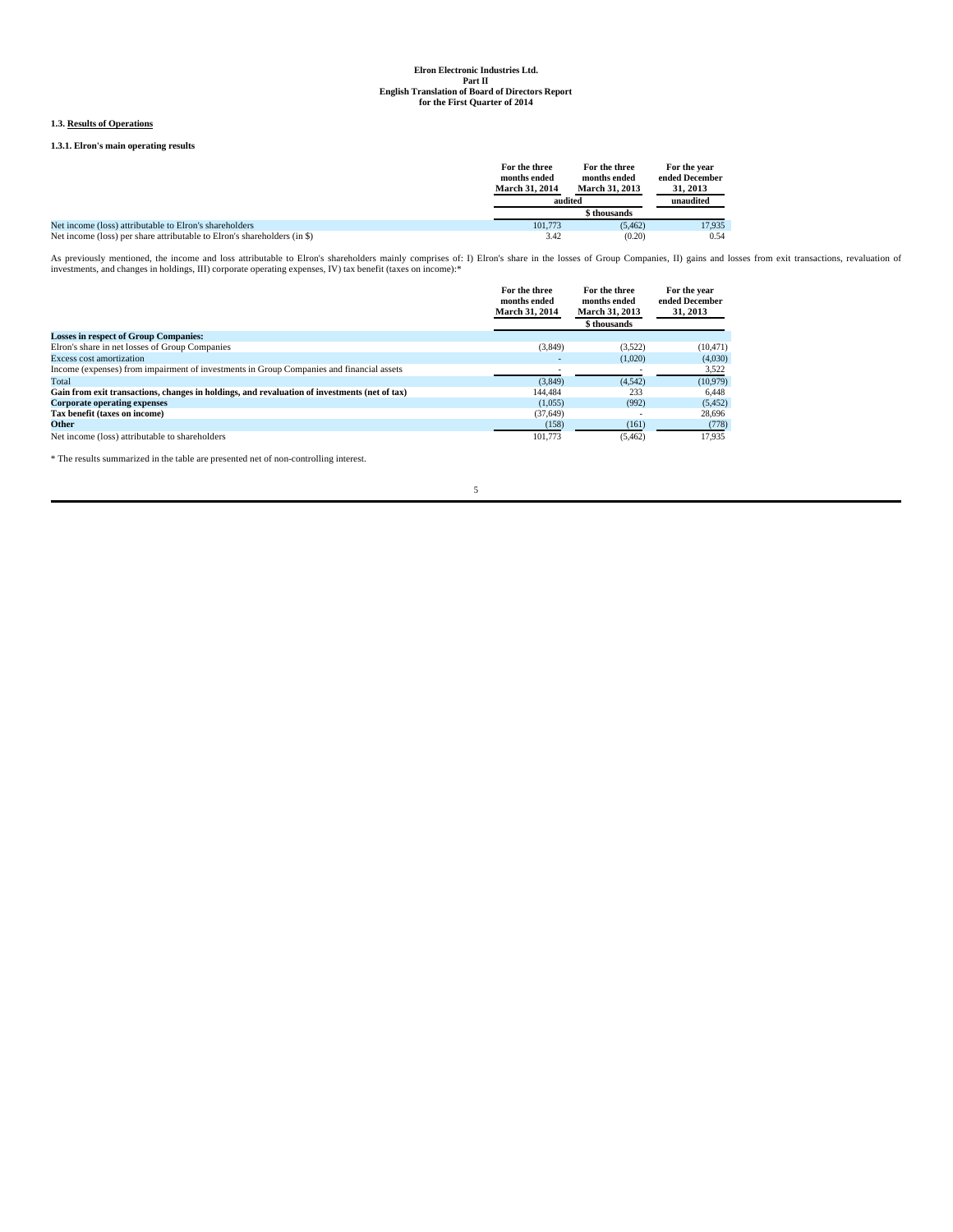# **1.3. Results of Operations**

# **1.3.1. Elron's main operating results**

|                                                                          | For the three<br>months ended<br><b>March 31, 2014</b><br>audited | For the three<br>months ended<br><b>March 31, 2013</b> | For the year<br>ended December<br>31, 2013<br>unaudited |
|--------------------------------------------------------------------------|-------------------------------------------------------------------|--------------------------------------------------------|---------------------------------------------------------|
|                                                                          |                                                                   | \$ thousands                                           |                                                         |
| Net income (loss) attributable to Elron's shareholders                   | 101,773                                                           | (5.462)                                                | 17.935                                                  |
| Net income (loss) per share attributable to Elron's shareholders (in \$) | 3.42                                                              | (0.20)                                                 | 0.54                                                    |

As previously mentioned, the income and loss attributable to Elron's shareholders mainly comprises of: I) Elron's share in the losses of Group Companies, II) gains and losses from exit transactions, revaluation of investme

|                                                                                               | For the three<br>months ended<br>March 31, 2014 | For the three<br>months ended<br><b>March 31, 2013</b> | For the year<br>ended December<br>31, 2013 |
|-----------------------------------------------------------------------------------------------|-------------------------------------------------|--------------------------------------------------------|--------------------------------------------|
|                                                                                               |                                                 | \$ thousands                                           |                                            |
| <b>Losses in respect of Group Companies:</b>                                                  |                                                 |                                                        |                                            |
| Elron's share in net losses of Group Companies                                                | (3,849)                                         | (3.522)                                                | (10, 471)                                  |
| Excess cost amortization                                                                      |                                                 | (1.020)                                                | (4,030)                                    |
| Income (expenses) from impairment of investments in Group Companies and financial assets      |                                                 |                                                        | 3,522                                      |
| Total                                                                                         | (3.849)                                         | (4.542)                                                | (10, 979)                                  |
| Gain from exit transactions, changes in holdings, and revaluation of investments (net of tax) | 144,484                                         | 233                                                    | 6.448                                      |
| <b>Corporate operating expenses</b>                                                           | (1.055)                                         | (992)                                                  | (5, 452)                                   |
| Tax benefit (taxes on income)                                                                 | (37,649)                                        |                                                        | 28.696                                     |
| Other                                                                                         | (158)                                           | (161)                                                  | (778)                                      |
| Net income (loss) attributable to shareholders                                                | 101.773                                         | (5.462)                                                | 17.935                                     |

 $^\ast$  The results summarized in the table are presented net of non-controlling interest.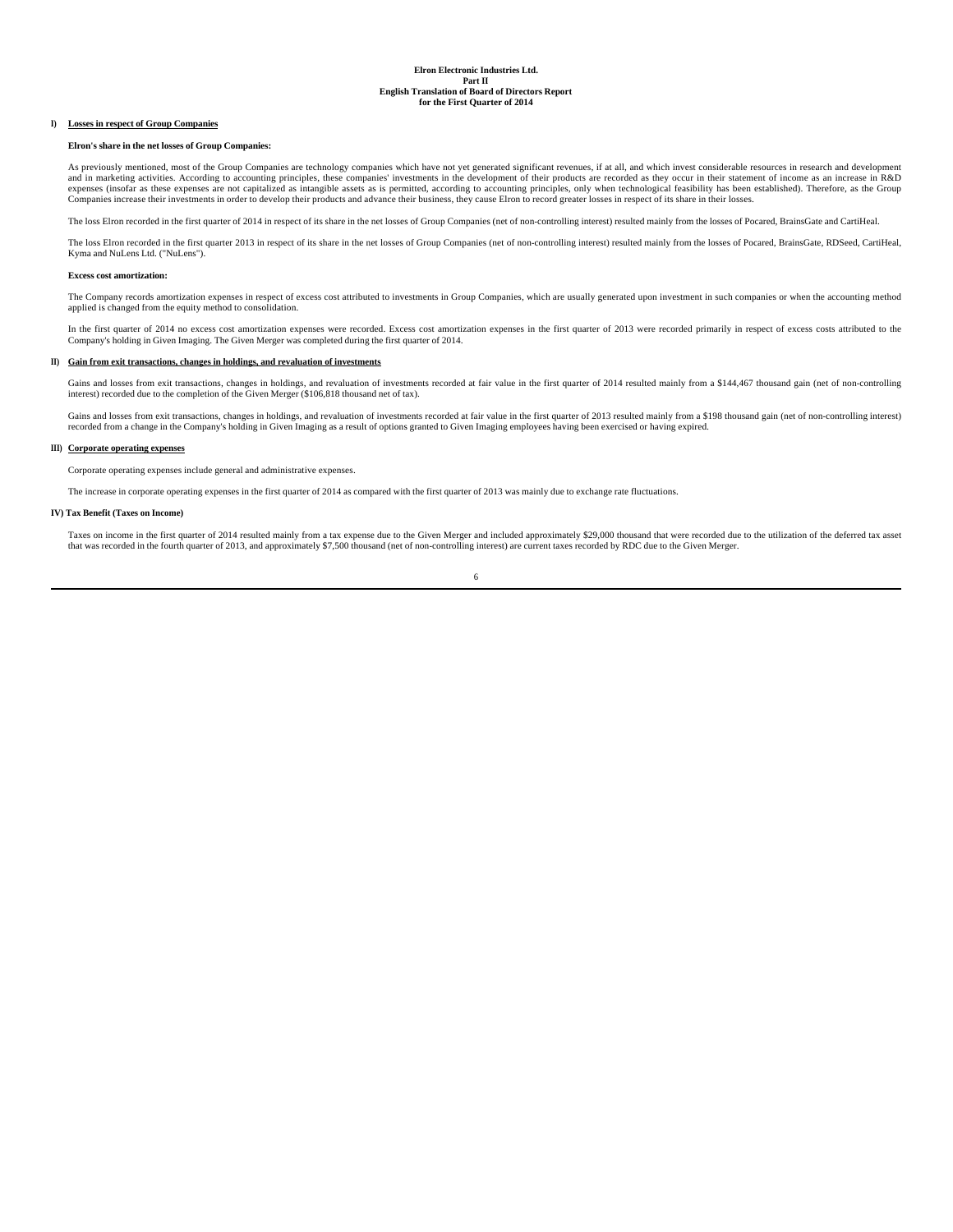# **I) Losses in respect of Group Companies**

#### **Elron's share in the net losses of Group Companies:**

As previously mentioned, most of the Group Companies are technology companies which have not yet generated significant revenues, if at all, and which invest considerable resources in research and development<br>and in marketi expenses (insofar as these expenses are not capitalized as intangible assets as is permitted, according to accounting principles, only when technological feasibility has been established). Therefore, as the Group Companies increase their investments in order to develop their products and advance their business, they cause Elron to record greater losses in respect of its share in their losses.

The loss Elron recorded in the first quarter of 2014 in respect of its share in the net losses of Group Companies (net of non-controlling interest) resulted mainly from the losses of Pocared, BrainsGate and CartiHeal.

The loss Elron recorded in the first quarter 2013 in respect of its share in the net losses of Group Companies (net of non-controlling interest) resulted mainly from the losses of Pocared, BrainsGate, RDSeed, CartiHeal, Kyma and NuLens Ltd. ("NuLens").

### **Excess cost amortization:**

The Company records amortization expenses in respect of excess cost attributed to investments in Group Companies, which are usually generated upon investment in such companies or when the accounting method applied is changed from the equity method to consolidation.

In the first quarter of 2014 no excess cost amortization expenses were recorded. Excess cost amortization expenses in the first quarter of 2013 were recorded primarily in respect of excess costs attributed to the Company's holding in Given Imaging. The Given Merger was completed during the first quarter of 2014.

# **II) Gain from exit transactions, changes in holdings, and revaluation of investments**

Gains and losses from exit transactions, changes in holdings, and revaluation of investments recorded at fair value in the first quarter of 2014 resulted mainly from a \$144,467 thousand gain (net of non-controlling interest) recorded due to the completion of the Given Merger (\$106,818 thousand net of tax).

Gains and losses from exit transactions, changes in holdings, and revaluation of investments recorded at fair value in the first quarter of 2013 resulted mainly from a \$198 thousand gain (net of non-controlling interest) recorded from a change in the Company's holding in Given Imaging as a result of options granted to Given Imaging employees having been exercised or having expired.

#### **III) Corporate operating expenses**

Corporate operating expenses include general and administrative expenses.

The increase in corporate operating expenses in the first quarter of 2014 as compared with the first quarter of 2013 was mainly due to exchange rate fluctuations.

#### **IV) Tax Benefit (Taxes on Income)**

Taxes on income in the first quarter of 2014 resulted mainly from a tax expense due to the Given Merger and included approximately \$29,000 thousand that were recorded due to the utilization of the deferred tax asset that was recorded in the fourth quarter of 2013, and approximately \$7,500 thousand (net of non-controlling interest) are current taxes recorded by RDC due to the Given Merger.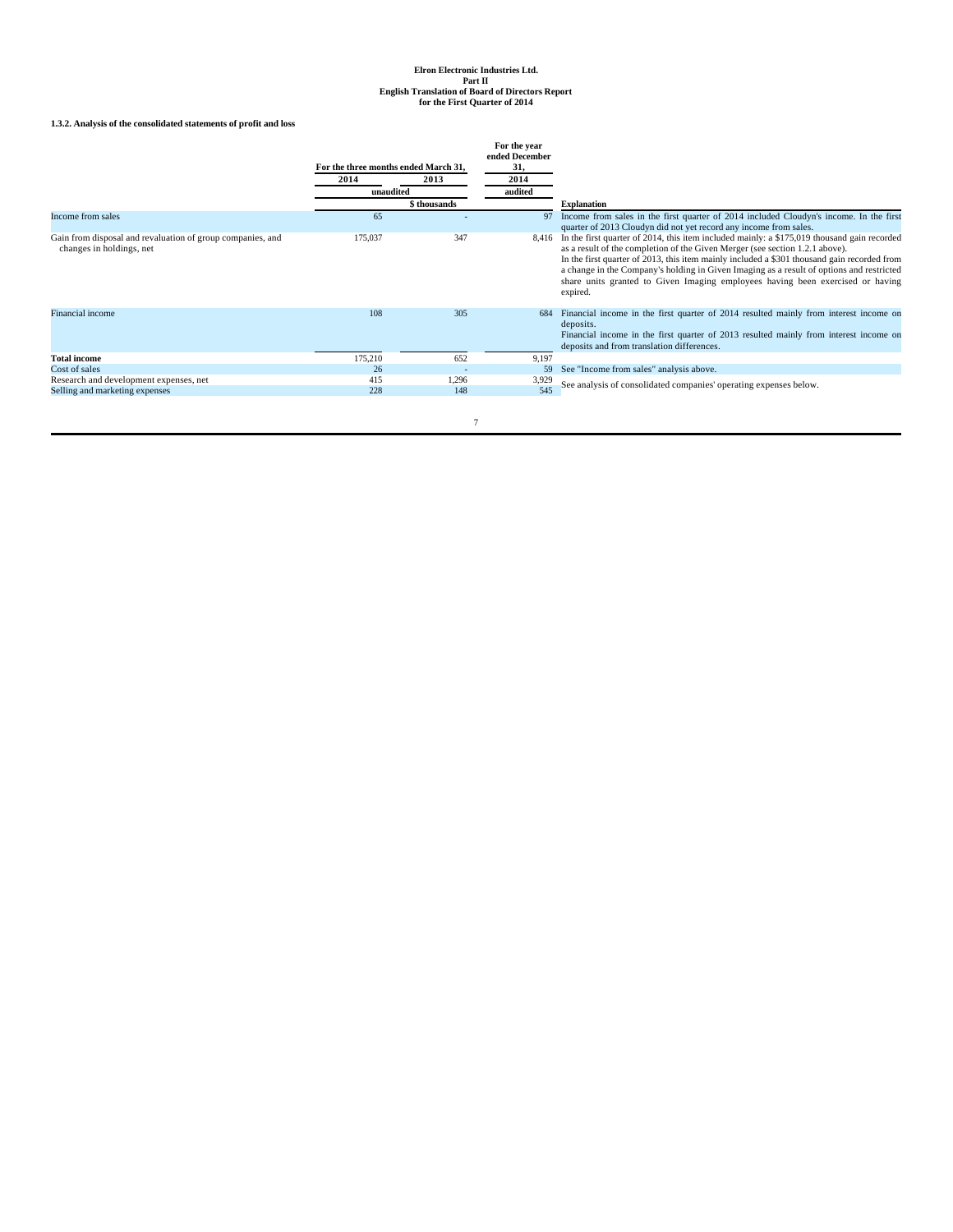# **1.3.2. Analysis of the consolidated statements of profit and loss**

|                                                                                        | For the three months ended March 31,<br>2014 | 2013         | For the year<br>ended December<br>31,<br>2014 |                                                                                                                                                                                                                                                                                                                                                                                                                                                                      |
|----------------------------------------------------------------------------------------|----------------------------------------------|--------------|-----------------------------------------------|----------------------------------------------------------------------------------------------------------------------------------------------------------------------------------------------------------------------------------------------------------------------------------------------------------------------------------------------------------------------------------------------------------------------------------------------------------------------|
|                                                                                        | unaudited                                    |              | audited                                       |                                                                                                                                                                                                                                                                                                                                                                                                                                                                      |
|                                                                                        |                                              | \$ thousands |                                               | <b>Explanation</b>                                                                                                                                                                                                                                                                                                                                                                                                                                                   |
| Income from sales                                                                      | 65                                           |              |                                               | Income from sales in the first quarter of 2014 included Cloudyn's income. In the first<br>quarter of 2013 Cloudyn did not yet record any income from sales.                                                                                                                                                                                                                                                                                                          |
| Gain from disposal and revaluation of group companies, and<br>changes in holdings, net | 175,037                                      | 347          | 8.416                                         | In the first quarter of 2014, this item included mainly: a \$175,019 thousand gain recorded<br>as a result of the completion of the Given Merger (see section 1.2.1 above).<br>In the first quarter of 2013, this item mainly included a \$301 thousand gain recorded from<br>a change in the Company's holding in Given Imaging as a result of options and restricted<br>share units granted to Given Imaging employees having been exercised or having<br>expired. |
| Financial income                                                                       | 108                                          | 305          | 684                                           | Financial income in the first quarter of 2014 resulted mainly from interest income on<br>deposits.<br>Financial income in the first quarter of 2013 resulted mainly from interest income on<br>deposits and from translation differences.                                                                                                                                                                                                                            |
| <b>Total income</b>                                                                    | 175,210                                      | 652          | 9,197                                         |                                                                                                                                                                                                                                                                                                                                                                                                                                                                      |
| Cost of sales                                                                          | 26                                           |              | 59                                            | See "Income from sales" analysis above.                                                                                                                                                                                                                                                                                                                                                                                                                              |
| Research and development expenses, net<br>Selling and marketing expenses               | 415<br>228                                   | 1,296<br>148 | 3,929<br>545                                  | See analysis of consolidated companies' operating expenses below.                                                                                                                                                                                                                                                                                                                                                                                                    |
|                                                                                        |                                              |              |                                               |                                                                                                                                                                                                                                                                                                                                                                                                                                                                      |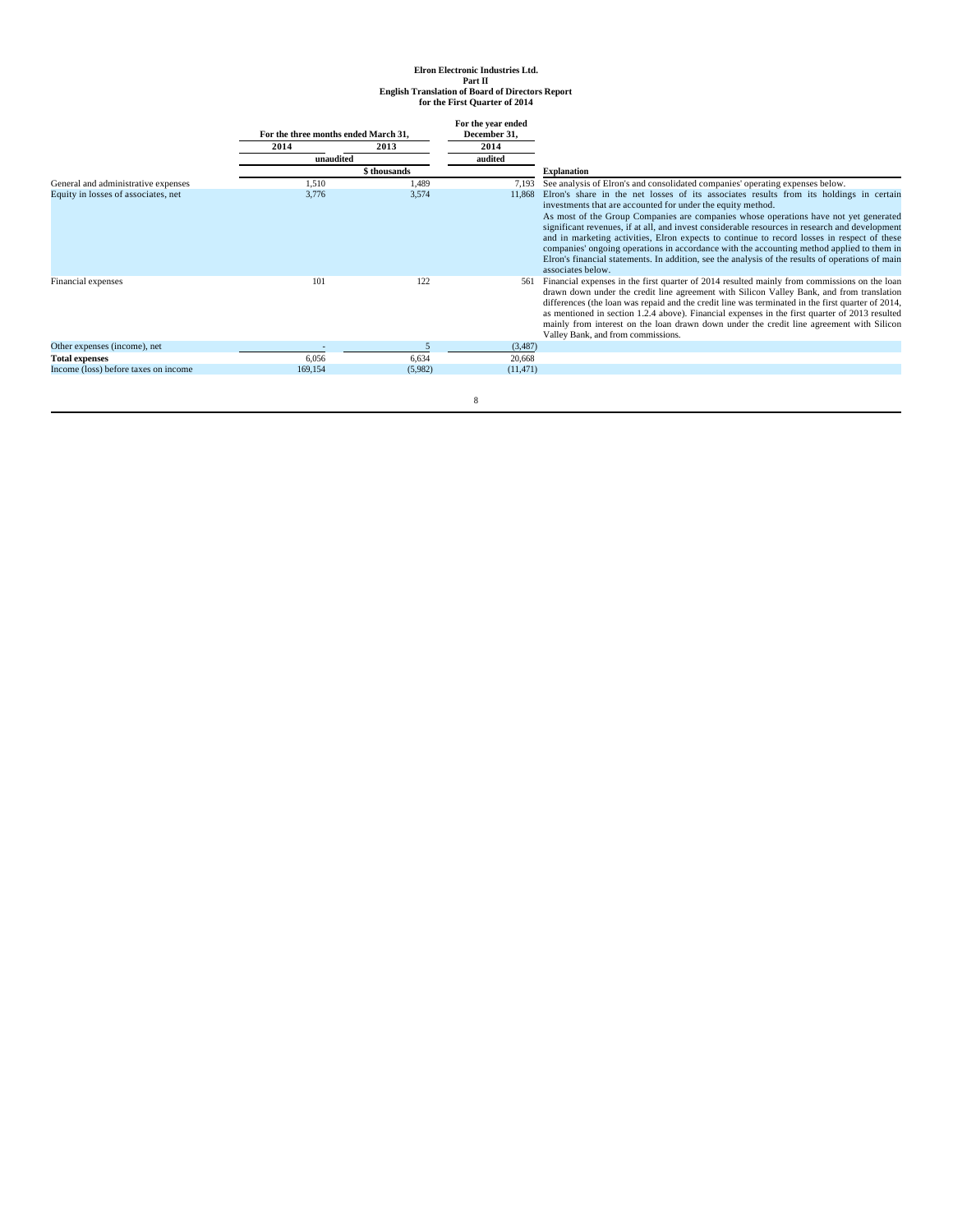|                                      | For the three months ended March 31. |              | For the year ended<br>December 31, |                                                                                                                                                                                                |
|--------------------------------------|--------------------------------------|--------------|------------------------------------|------------------------------------------------------------------------------------------------------------------------------------------------------------------------------------------------|
|                                      | 2014                                 | 2013         | 2014                               |                                                                                                                                                                                                |
|                                      | unaudited                            |              | audited                            |                                                                                                                                                                                                |
|                                      |                                      | \$ thousands |                                    | <b>Explanation</b>                                                                                                                                                                             |
| General and administrative expenses  | 1.510                                | 1.489        |                                    | 7,193 See analysis of Elron's and consolidated companies' operating expenses below.                                                                                                            |
| Equity in losses of associates, net  | 3,776                                | 3,574        | 11,868                             | Elron's share in the net losses of its associates results from its holdings in certain                                                                                                         |
|                                      |                                      |              |                                    | investments that are accounted for under the equity method.                                                                                                                                    |
|                                      |                                      |              |                                    | As most of the Group Companies are companies whose operations have not yet generated                                                                                                           |
|                                      |                                      |              |                                    | significant revenues, if at all, and invest considerable resources in research and development                                                                                                 |
|                                      |                                      |              |                                    | and in marketing activities, Elron expects to continue to record losses in respect of these                                                                                                    |
|                                      |                                      |              |                                    | companies' ongoing operations in accordance with the accounting method applied to them in                                                                                                      |
|                                      |                                      |              |                                    | Elron's financial statements. In addition, see the analysis of the results of operations of main                                                                                               |
|                                      |                                      | 122          |                                    | associates below.                                                                                                                                                                              |
| Financial expenses                   | 101                                  |              | 561                                | Financial expenses in the first quarter of 2014 resulted mainly from commissions on the loan                                                                                                   |
|                                      |                                      |              |                                    | drawn down under the credit line agreement with Silicon Valley Bank, and from translation<br>differences (the loan was repaid and the credit line was terminated in the first quarter of 2014, |
|                                      |                                      |              |                                    | as mentioned in section 1.2.4 above). Financial expenses in the first quarter of 2013 resulted                                                                                                 |
|                                      |                                      |              |                                    | mainly from interest on the loan drawn down under the credit line agreement with Silicon                                                                                                       |
|                                      |                                      |              |                                    | Valley Bank, and from commissions.                                                                                                                                                             |
| Other expenses (income), net         |                                      |              | (3,487)                            |                                                                                                                                                                                                |
| <b>Total expenses</b>                | 6,056                                | 6,634        | 20,668                             |                                                                                                                                                                                                |
| Income (loss) before taxes on income | 169,154                              | (5,982)      | (11, 471)                          |                                                                                                                                                                                                |
|                                      |                                      |              |                                    |                                                                                                                                                                                                |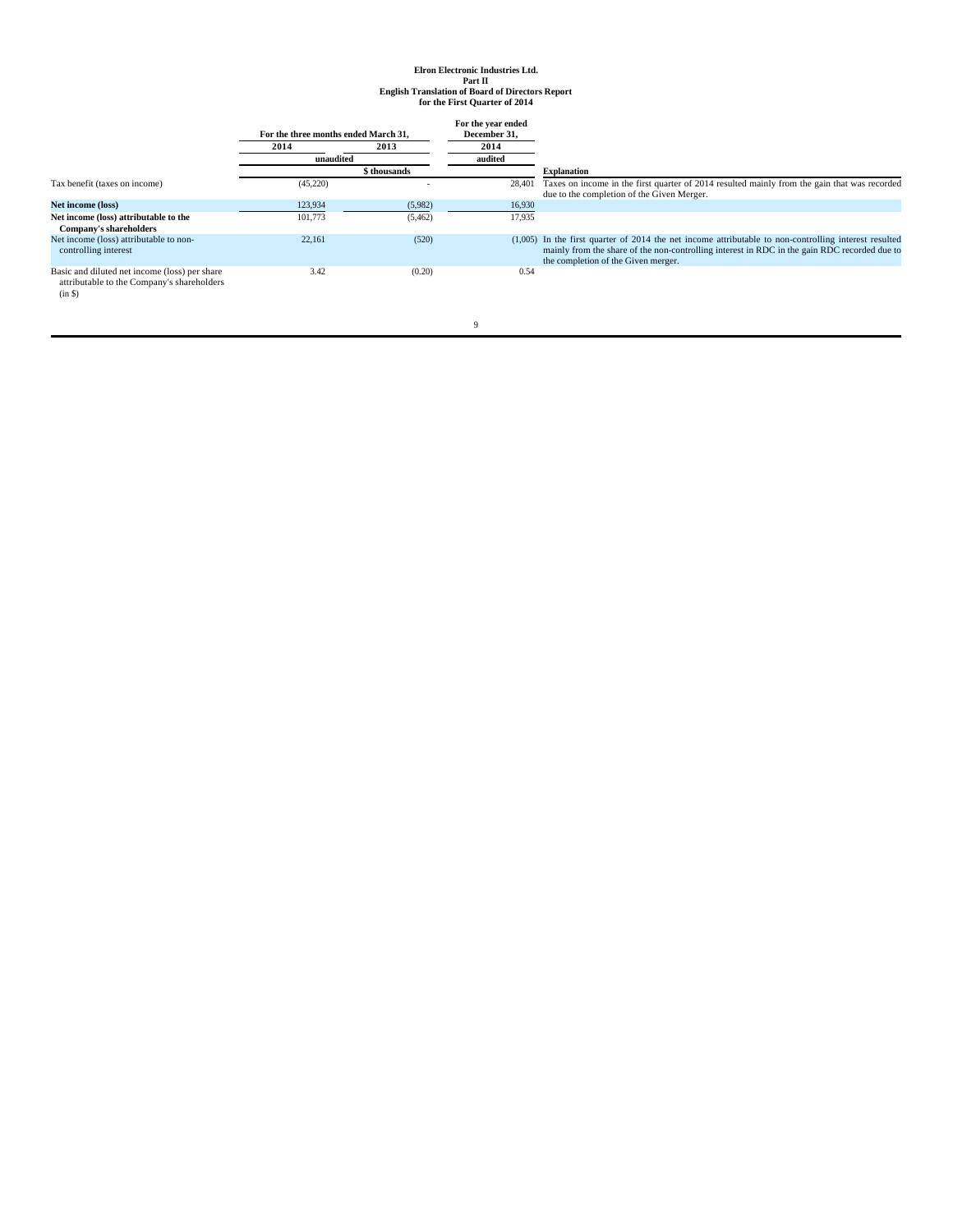|                                                                                                       | For the three months ended March 31. |              | For the year ended<br>December 31. |                                                                                                                                                                                                                                                |
|-------------------------------------------------------------------------------------------------------|--------------------------------------|--------------|------------------------------------|------------------------------------------------------------------------------------------------------------------------------------------------------------------------------------------------------------------------------------------------|
|                                                                                                       | 2014                                 | 2013         | 2014                               |                                                                                                                                                                                                                                                |
|                                                                                                       | unaudited                            |              | audited                            |                                                                                                                                                                                                                                                |
|                                                                                                       |                                      | \$ thousands |                                    | <b>Explanation</b>                                                                                                                                                                                                                             |
| Tax benefit (taxes on income)                                                                         | (45,220)                             |              | 28,401                             | Taxes on income in the first quarter of 2014 resulted mainly from the gain that was recorded<br>due to the completion of the Given Merger.                                                                                                     |
| Net income (loss)                                                                                     | 123,934                              | (5,982)      | 16,930                             |                                                                                                                                                                                                                                                |
| Net income (loss) attributable to the<br>Company's shareholders                                       | 101,773                              | (5, 462)     | 17,935                             |                                                                                                                                                                                                                                                |
| Net income (loss) attributable to non-<br>controlling interest                                        | 22.161                               | (520)        |                                    | $(1,005)$ In the first quarter of 2014 the net income attributable to non-controlling interest resulted<br>mainly from the share of the non-controlling interest in RDC in the gain RDC recorded due to<br>the completion of the Given merger. |
| Basic and diluted net income (loss) per share<br>attributable to the Company's shareholders<br>(in S) | 3.42                                 | (0.20)       | 0.54                               |                                                                                                                                                                                                                                                |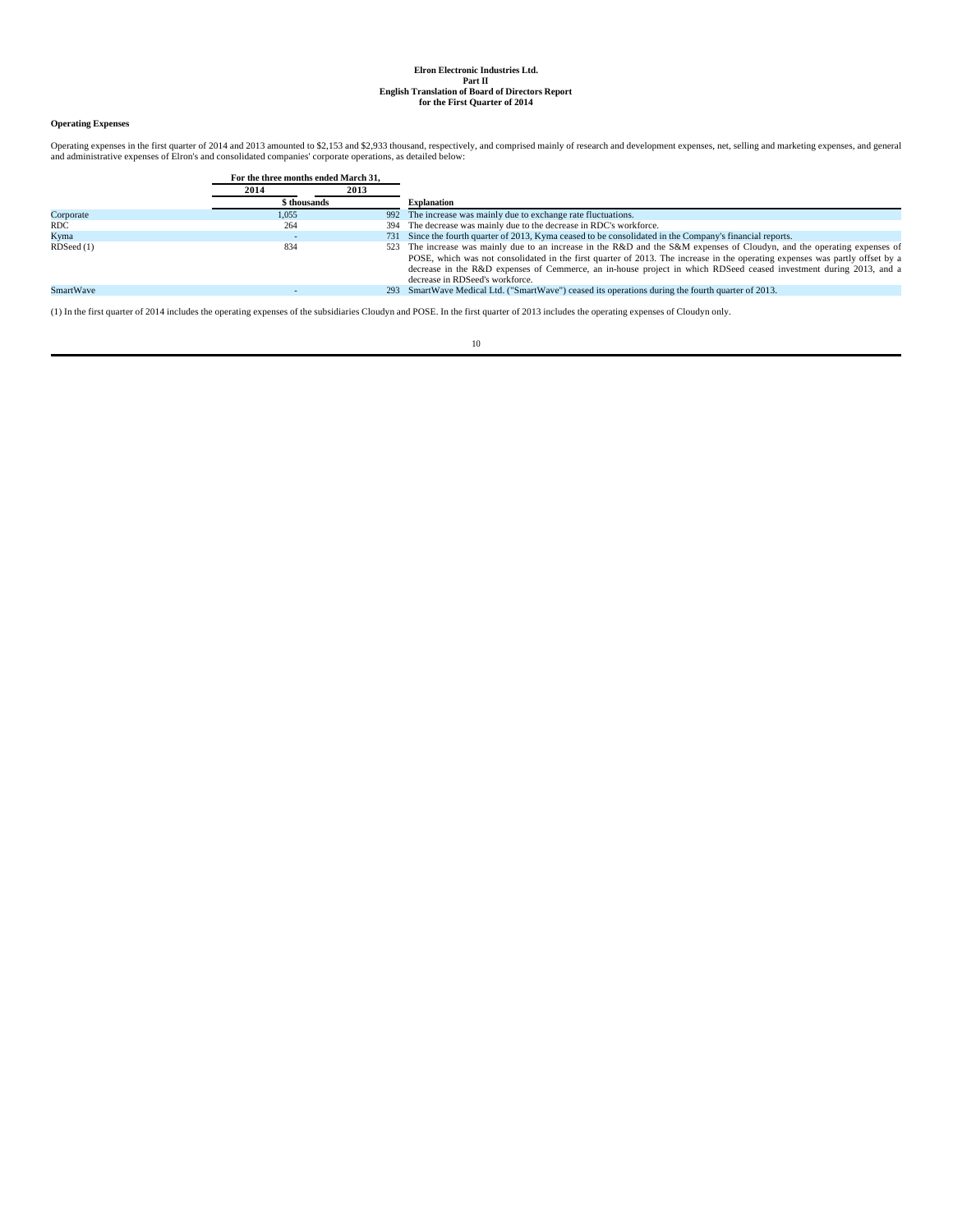# **Operating Expenses**

Operating expenses in the first quarter of 2014 and 2013 amounted to \$2,153 and \$2,933 thousand, respectively, and comprised mainly of research and development expenses, net, selling and marketing expenses, and general and

|                  | For the three months ended March 31. |      |                                                                                                                                                                                                                                                                                                                                                                                                                   |
|------------------|--------------------------------------|------|-------------------------------------------------------------------------------------------------------------------------------------------------------------------------------------------------------------------------------------------------------------------------------------------------------------------------------------------------------------------------------------------------------------------|
|                  | 2014                                 | 2013 |                                                                                                                                                                                                                                                                                                                                                                                                                   |
|                  | \$ thousands                         |      | <b>Explanation</b>                                                                                                                                                                                                                                                                                                                                                                                                |
| Corporate        | 1.055                                |      | 992 The increase was mainly due to exchange rate fluctuations.                                                                                                                                                                                                                                                                                                                                                    |
| RDC              | 264                                  |      | 394 The decrease was mainly due to the decrease in RDC's workforce.                                                                                                                                                                                                                                                                                                                                               |
| Kyma             |                                      |      | 731 Since the fourth quarter of 2013, Kyma ceased to be consolidated in the Company's financial reports.                                                                                                                                                                                                                                                                                                          |
| RDSeed(1)        | 834                                  |      | 523 The increase was mainly due to an increase in the R&D and the S&M expenses of Cloudyn, and the operating expenses of<br>POSE, which was not consolidated in the first quarter of 2013. The increase in the operating expenses was partly offset by a<br>decrease in the R&D expenses of Cemmerce, an in-house project in which RDSeed ceased investment during 2013, and a<br>decrease in RDSeed's workforce. |
| <b>SmartWave</b> |                                      |      | 293 SmartWave Medical Ltd. ("SmartWave") ceased its operations during the fourth quarter of 2013.                                                                                                                                                                                                                                                                                                                 |
|                  |                                      |      |                                                                                                                                                                                                                                                                                                                                                                                                                   |

(1) In the first quarter of 2014 includes the operating expenses of the subsidiaries Cloudyn and POSE. In the first quarter of 2013 includes the operating expenses of Cloudyn only.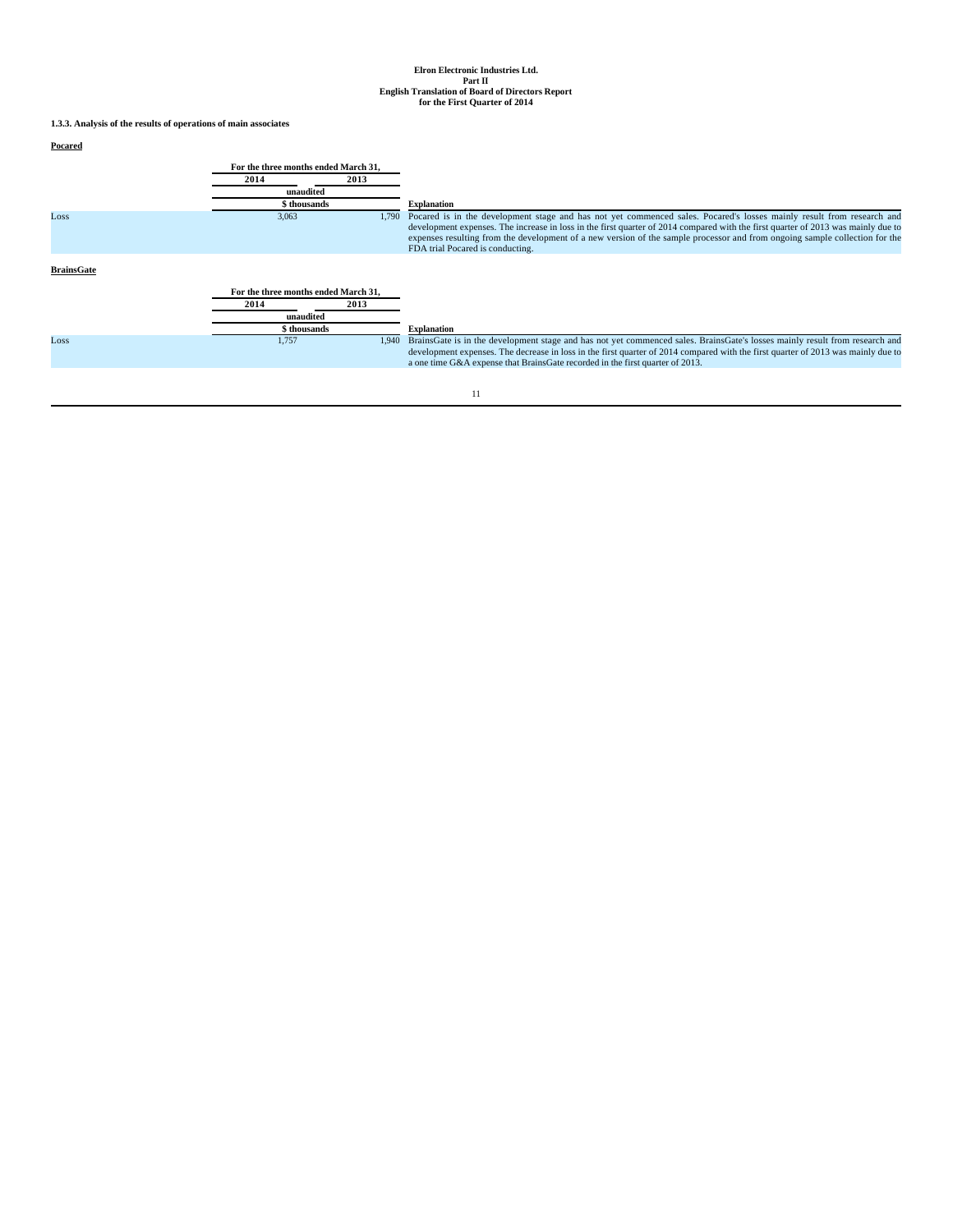**1.3.3. Analysis of the results of operations of main associates**

# **Pocared**

| 2014<br>2013<br>unaudited<br>\$ thousands<br><b>Explanation</b><br>3,063<br>Loss<br>1.790<br>FDA trial Pocared is conducting.<br><b>BrainsGate</b><br>For the three months ended March 31.<br>2013<br>2014<br>unaudited<br>\$ thousands<br><b>Explanation</b><br>1,757<br>Loss<br>1.940<br>a one time G&A expense that BrainsGate recorded in the first quarter of 2013. | For the three months ended March 31, |                                                                                                                                                                                                                                                                                                                                                                                           |
|--------------------------------------------------------------------------------------------------------------------------------------------------------------------------------------------------------------------------------------------------------------------------------------------------------------------------------------------------------------------------|--------------------------------------|-------------------------------------------------------------------------------------------------------------------------------------------------------------------------------------------------------------------------------------------------------------------------------------------------------------------------------------------------------------------------------------------|
|                                                                                                                                                                                                                                                                                                                                                                          |                                      |                                                                                                                                                                                                                                                                                                                                                                                           |
|                                                                                                                                                                                                                                                                                                                                                                          |                                      |                                                                                                                                                                                                                                                                                                                                                                                           |
|                                                                                                                                                                                                                                                                                                                                                                          |                                      |                                                                                                                                                                                                                                                                                                                                                                                           |
|                                                                                                                                                                                                                                                                                                                                                                          |                                      | Pocared is in the development stage and has not yet commenced sales. Pocared's losses mainly result from research and<br>development expenses. The increase in loss in the first quarter of 2014 compared with the first quarter of 2013 was mainly due to<br>expenses resulting from the development of a new version of the sample processor and from ongoing sample collection for the |
|                                                                                                                                                                                                                                                                                                                                                                          |                                      |                                                                                                                                                                                                                                                                                                                                                                                           |
|                                                                                                                                                                                                                                                                                                                                                                          |                                      |                                                                                                                                                                                                                                                                                                                                                                                           |
|                                                                                                                                                                                                                                                                                                                                                                          |                                      |                                                                                                                                                                                                                                                                                                                                                                                           |
|                                                                                                                                                                                                                                                                                                                                                                          |                                      |                                                                                                                                                                                                                                                                                                                                                                                           |
|                                                                                                                                                                                                                                                                                                                                                                          |                                      |                                                                                                                                                                                                                                                                                                                                                                                           |
|                                                                                                                                                                                                                                                                                                                                                                          |                                      | BrainsGate is in the development stage and has not yet commenced sales. BrainsGate's losses mainly result from research and<br>development expenses. The decrease in loss in the first quarter of 2014 compared with the first quarter of 2013 was mainly due to                                                                                                                          |
|                                                                                                                                                                                                                                                                                                                                                                          |                                      |                                                                                                                                                                                                                                                                                                                                                                                           |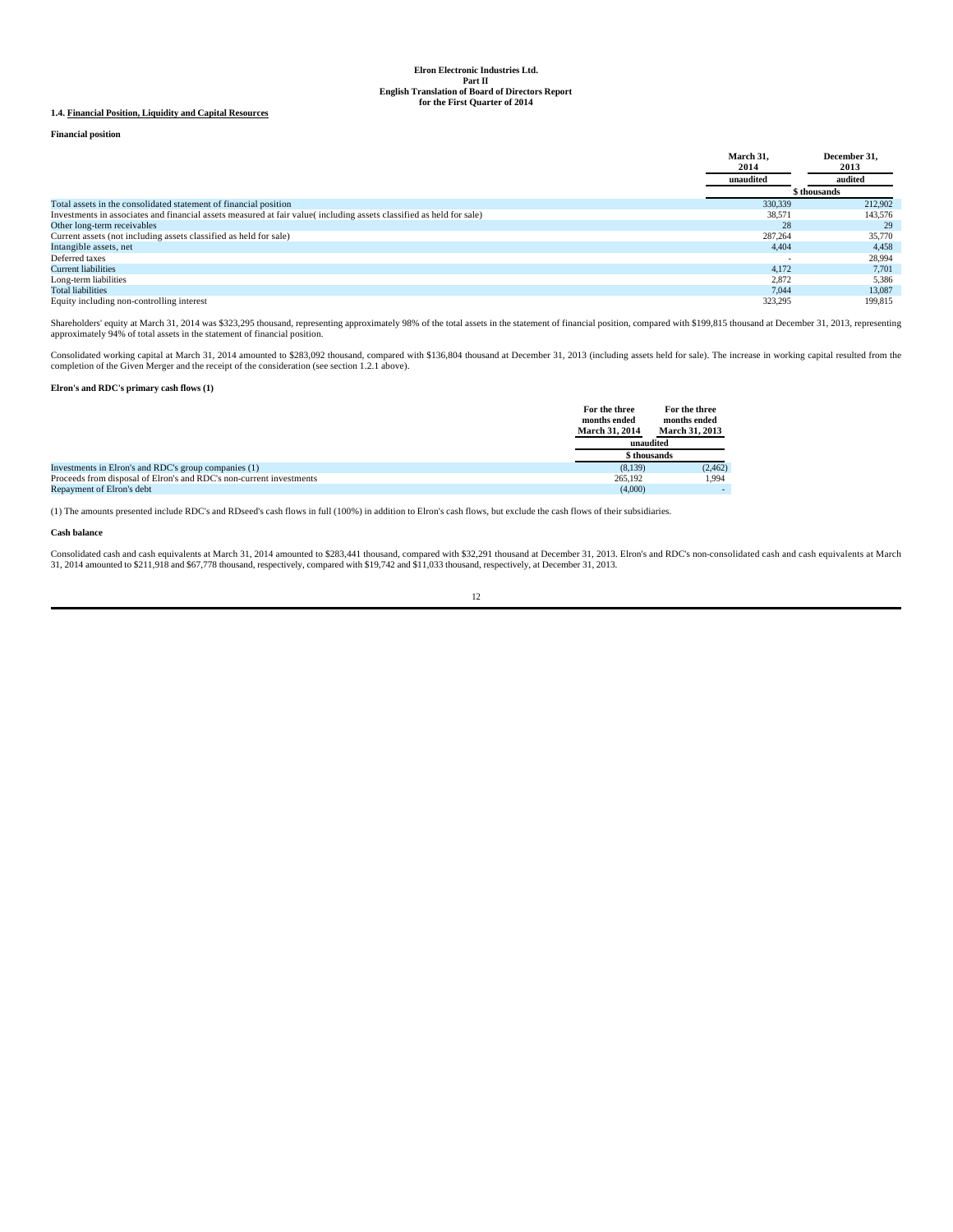# **1.4. Financial Position, Liquidity and Capital Resources**

# **Financial position**

|                                                                                                                     | March 31.<br>2014 | December 31.<br>2013 |
|---------------------------------------------------------------------------------------------------------------------|-------------------|----------------------|
|                                                                                                                     | unaudited         | audited              |
|                                                                                                                     |                   | \$ thousands         |
| Total assets in the consolidated statement of financial position                                                    | 330,339           | 212,902              |
| Investments in associates and financial assets measured at fair value(including assets classified as held for sale) | 38,571            | 143,576              |
| Other long-term receivables                                                                                         | 28                | 29                   |
| Current assets (not including assets classified as held for sale)                                                   | 287,264           | 35,770               |
| Intangible assets, net                                                                                              | 4,404             | 4,458                |
| Deferred taxes                                                                                                      |                   | 28,994               |
| <b>Current liabilities</b>                                                                                          | 4.172             | 7.701                |
| Long-term liabilities                                                                                               | 2,872             | 5,386                |
| <b>Total liabilities</b>                                                                                            | 7.044             | 13,087               |
| Equity including non-controlling interest                                                                           | 323.295           | 199.815              |

Shareholders' equity at March 31, 2014 was \$323,295 thousand, representing approximately 98% of the total assets in the statement of financial position, compared with \$199,815 thousand at December 31, 2013, representing<br>ap

Consolidated working capital at March 31, 2014 amounted to \$283,092 thousand, compared with \$136,804 thousand at December 31, 2013 (including assets held for sale). The increase in working capital resulted from the complet

# **Elron's and RDC's primary cash flows (1)**

|                                                                     | For the three<br>months ended<br><b>March 31, 2014</b> | For the three<br>months ended<br><b>March 31, 2013</b> |
|---------------------------------------------------------------------|--------------------------------------------------------|--------------------------------------------------------|
|                                                                     |                                                        | unaudited                                              |
|                                                                     |                                                        | \$ thousands                                           |
| Investments in Elron's and RDC's group companies (1)                | (8,139)                                                | (2, 462)                                               |
| Proceeds from disposal of Elron's and RDC's non-current investments | 265.192                                                | 1.994                                                  |
| Repayment of Elron's debt                                           | (4.000)                                                |                                                        |

(1) The amounts presented include RDC's and RDseed's cash flows in full (100%) in addition to Elron's cash flows, but exclude the cash flows of their subsidiaries.

# **Cash balance**

Consolidated cash and cash equivalents at March 31, 2014 amounted to \$283,441 thousand, compared with \$32,291 thousand at December 31, 2013. Elron's and RDC's non-consolidated cash and cash equivalents at March<br>31, 2014 am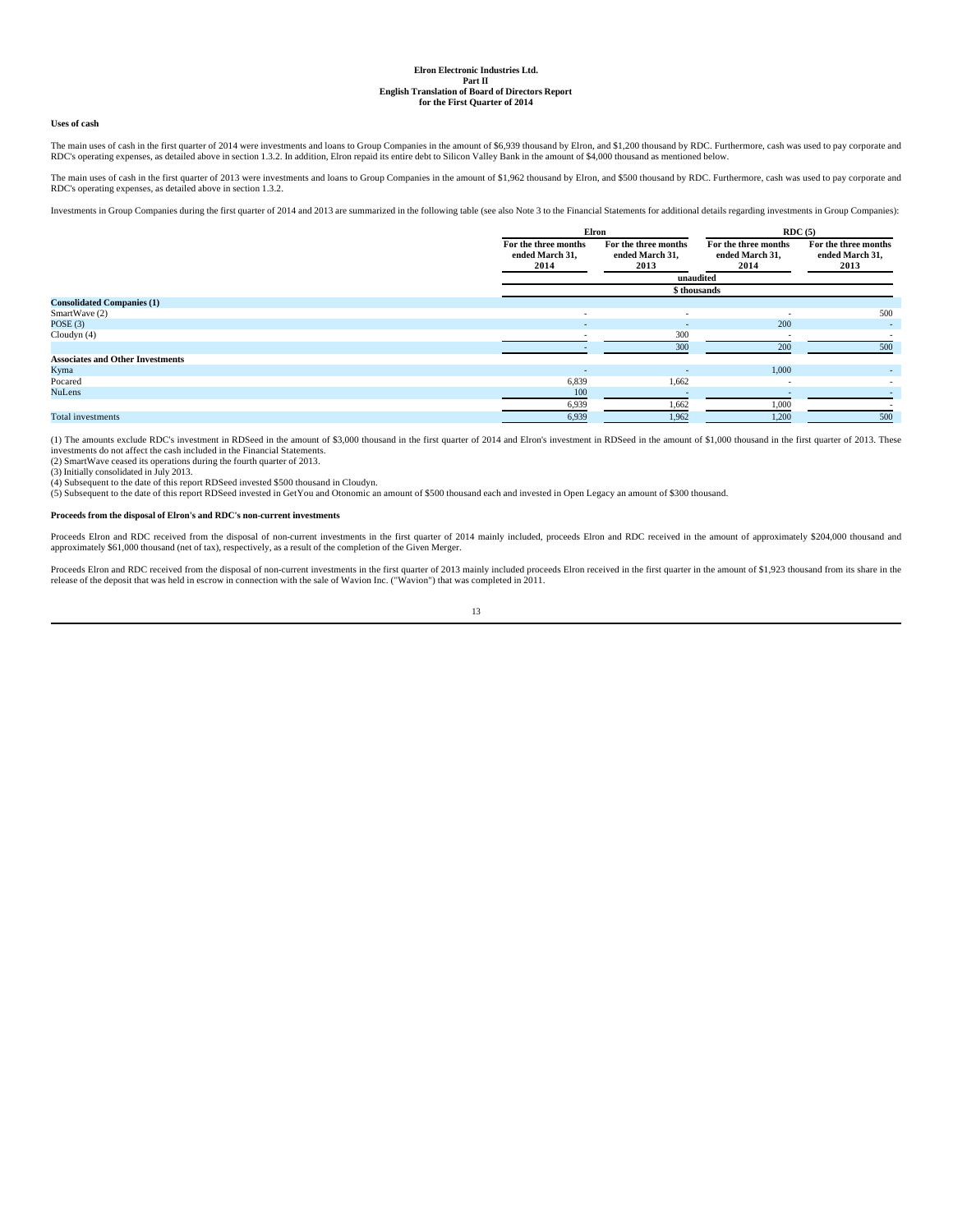# **Uses of cash**

The main uses of cash in the first quarter of 2014 were investments and loans to Group Companies in the amount of \$6,939 thousand by Elron, and \$1,200 thousand by RDC. Furthermore, cash was used to pay corporate and<br>RDC's

The main uses of cash in the first quarter of 2013 were investments and loans to Group Companies in the amount of \$1,962 thousand by Elron, and \$500 thousand by RDC. Furthermore, cash was used to pay corporate and RDC's operating expenses, as detailed above in section 1.3.2.

Investments in Group Companies during the first quarter of 2014 and 2013 are summarized in the following table (see also Note 3 to the Financial Statements for additional details regarding investments in Group Companies):

|                                         |                                                 | Elron                                           |                                                 | RDC(5)                                          |  |
|-----------------------------------------|-------------------------------------------------|-------------------------------------------------|-------------------------------------------------|-------------------------------------------------|--|
|                                         | For the three months<br>ended March 31,<br>2014 | For the three months<br>ended March 31,<br>2013 | For the three months<br>ended March 31,<br>2014 | For the three months<br>ended March 31,<br>2013 |  |
|                                         |                                                 | unaudited                                       |                                                 |                                                 |  |
|                                         |                                                 | \$ thousands                                    |                                                 |                                                 |  |
| <b>Consolidated Companies (1)</b>       |                                                 |                                                 |                                                 |                                                 |  |
| SmartWave (2)                           | ٠                                               | $\sim$                                          | $\sim$                                          | 500                                             |  |
| POSE $(3)$                              |                                                 | $\overline{\phantom{a}}$                        | 200                                             |                                                 |  |
| Cloudyn $(4)$                           |                                                 | 300                                             |                                                 |                                                 |  |
|                                         |                                                 | 300                                             | 200                                             | 500                                             |  |
| <b>Associates and Other Investments</b> |                                                 |                                                 |                                                 |                                                 |  |
| Kyma                                    | $\overline{\phantom{a}}$                        | $\overline{\phantom{a}}$                        | 1,000                                           | ۰.                                              |  |
| Pocared                                 | 6,839                                           | 1,662                                           | $\sim$                                          |                                                 |  |
| <b>NuLens</b>                           | 100                                             |                                                 |                                                 |                                                 |  |
|                                         | 6,939                                           | 1,662                                           | 1,000                                           |                                                 |  |
| <b>Total investments</b>                | 6,939                                           | 1,962                                           | 1,200                                           | 500                                             |  |

(1) The amounts exclude RDC's investment in RDSeed in the amount of \$3,000 thousand in the first quarter of 2014 and Elron's investment in RDSeed in the amount of \$1,000 thousand in the first quarter of 2013. These investments do not affect the cash included in the Financial Statements.

(2) SmartWave ceased its operations during the fourth quarter of 2013.

(3) Initially consolidated in July 2013.

(4) Subsequent to the date of this report RDSeed invested \$500 thousand in Cloudyn.<br>(5) Subsequent to the date of this report RDSeed invested in GetYou and Otonomic an amount of \$500 thousand each and invested in Open Lega

# **Proceeds from the disposal of Elron's and RDC's non-current investments**

Proceeds Elron and RDC received from the disposal of non-current investments in the first quarter of 2014 mainly included, proceeds Elron and RDC received in the amount of approximately \$204,000 thousand and approximately \$61,000 thousand (net of tax), respectively, as a result of the completion of the Given Merger.

Proceeds Elron and RDC received from the disposal of non-current investments in the first quarter of 2013 mainly included proceeds Elron received in the first quarter in the amount of \$1,923 thousand from its share in the

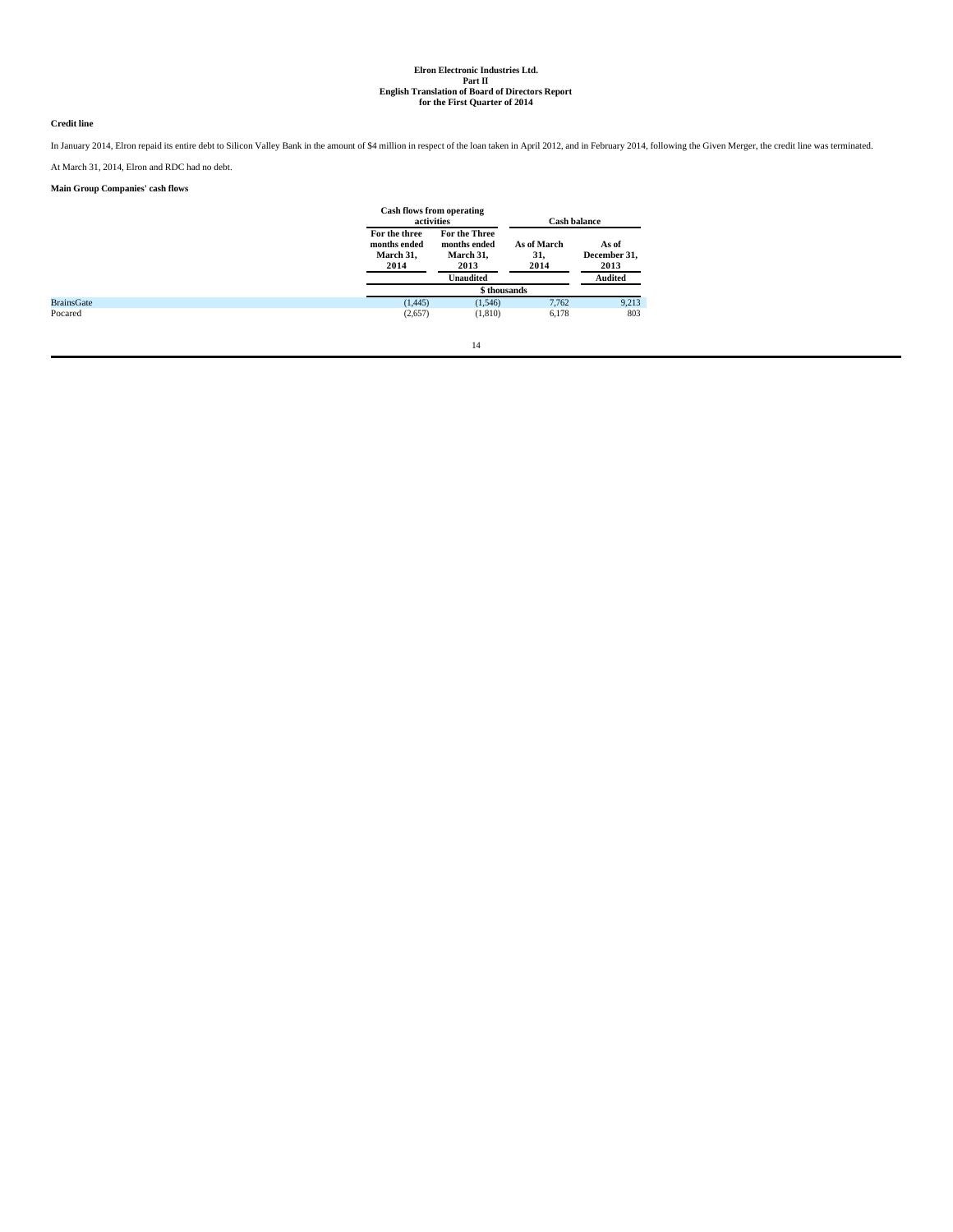# **Credit line**

In January 2014, Elron repaid its entire debt to Silicon Valley Bank in the amount of \$4 million in respect of the loan taken in April 2012, and in February 2014, following the Given Merger, the credit line was terminated. At March 31, 2014, Elron and RDC had no debt.

# **Main Group Companies' cash flows**

|                   | <b>Cash flows from operating</b><br>activities     |                                                    |                            | <b>Cash balance</b>           |
|-------------------|----------------------------------------------------|----------------------------------------------------|----------------------------|-------------------------------|
|                   | For the three<br>months ended<br>March 31,<br>2014 | For the Three<br>months ended<br>March 31,<br>2013 | As of March<br>31,<br>2014 | As of<br>December 31,<br>2013 |
|                   |                                                    | <b>Unaudited</b>                                   |                            | <b>Audited</b>                |
|                   |                                                    | \$ thousands                                       |                            |                               |
| <b>BrainsGate</b> | (1, 445)                                           | (1,546)                                            | 7.762                      | 9,213                         |
| Pocared           | (2,657)                                            | (1,810)                                            | 6,178                      | 803                           |
|                   |                                                    | 14                                                 |                            |                               |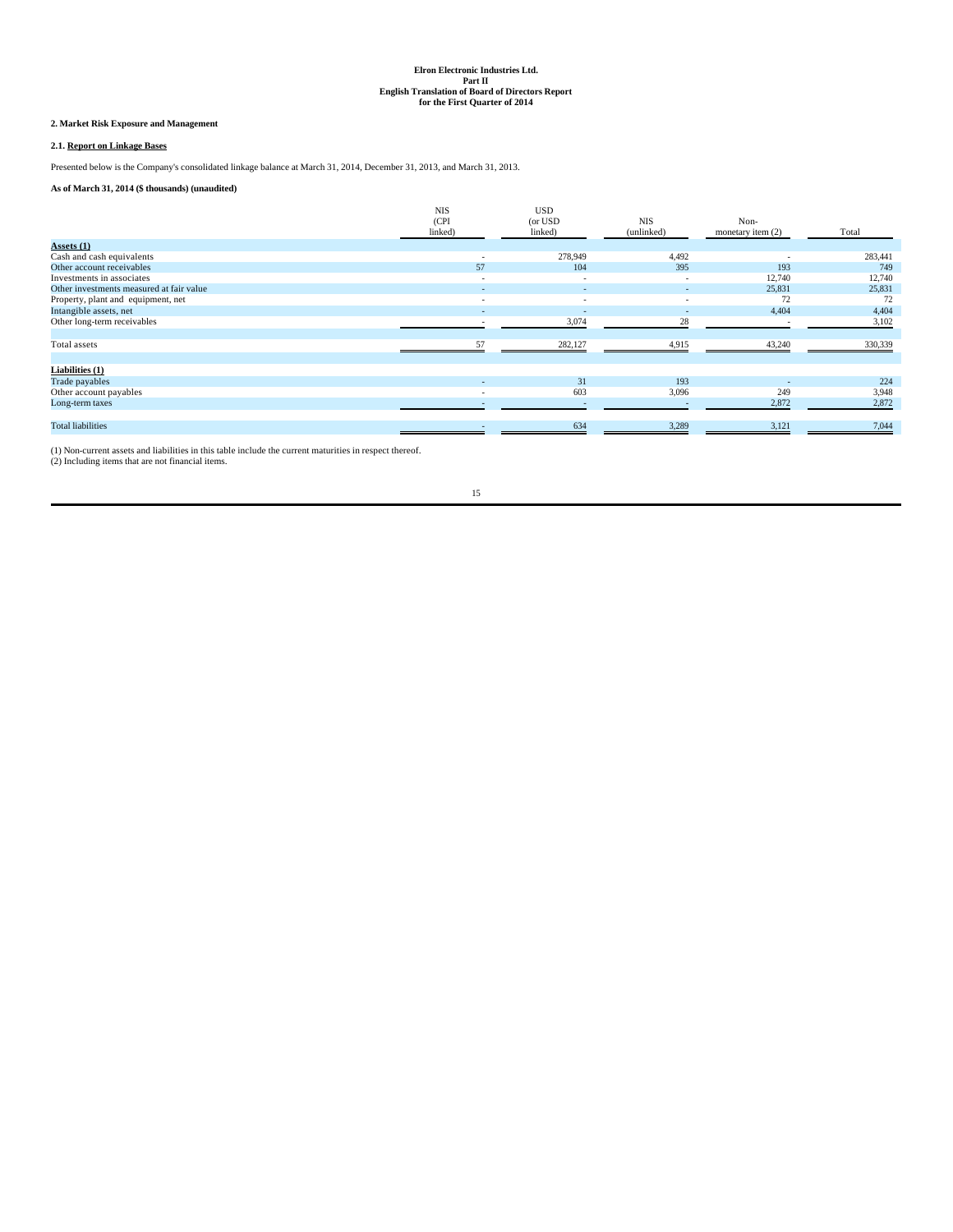# **2. Market Risk Exposure and Management**

# **2.1. Report on Linkage Bases**

Presented below is the Company's consolidated linkage balance at March 31, 2014, December 31, 2013, and March 31, 2013.

# **As of March 31, 2014 (\$ thousands) (unaudited)**

|                                          | <b>NIS</b><br>(CPI)<br>linked) | <b>USD</b><br>(or USD)<br>linked) | <b>NIS</b><br>(unlinked) | Non-<br>monetary item $(2)$ | Total   |
|------------------------------------------|--------------------------------|-----------------------------------|--------------------------|-----------------------------|---------|
| $\textbf{Assets}(\mathbf{1})$            |                                |                                   |                          |                             |         |
| Cash and cash equivalents                | $\sim$                         | 278,949                           | 4,492                    | $\overline{\phantom{a}}$    | 283,441 |
| Other account receivables                | 57                             | 104                               | 395                      | 193                         | 749     |
| Investments in associates                | $\sim$                         | $\overline{\phantom{a}}$          | $\overline{\phantom{a}}$ | 12,740                      | 12,740  |
| Other investments measured at fair value |                                |                                   |                          | 25,831                      | 25,831  |
| Property, plant and equipment, net       | $\sim$                         | $\overline{\phantom{a}}$          | $\sim$                   | 72                          | 72      |
| Intangible assets, net                   | ٠                              | $\sim$                            | $\sim$                   | 4,404                       | 4,404   |
| Other long-term receivables              |                                | 3,074                             | 28                       |                             | 3,102   |
|                                          |                                |                                   |                          |                             |         |
| Total assets                             | 57                             | 282,127                           | 4,915                    | 43,240                      | 330,339 |
|                                          |                                |                                   |                          |                             |         |
| Liabilities (1)                          |                                |                                   |                          |                             |         |
| Trade payables                           |                                | 31                                | 193                      | $\overline{\phantom{a}}$    | 224     |
| Other account payables                   | $\sim$                         | 603                               | 3,096                    | 249                         | 3,948   |
| Long-term taxes                          |                                |                                   |                          | 2,872                       | 2,872   |
|                                          |                                |                                   |                          |                             |         |
| <b>Total liabilities</b>                 |                                | 634                               | 3,289                    | 3,121                       | 7,044   |
|                                          |                                |                                   |                          |                             |         |

(1) Non-current assets and liabilities in this table include the current maturities in respect thereof. (2) Including items that are not financial items.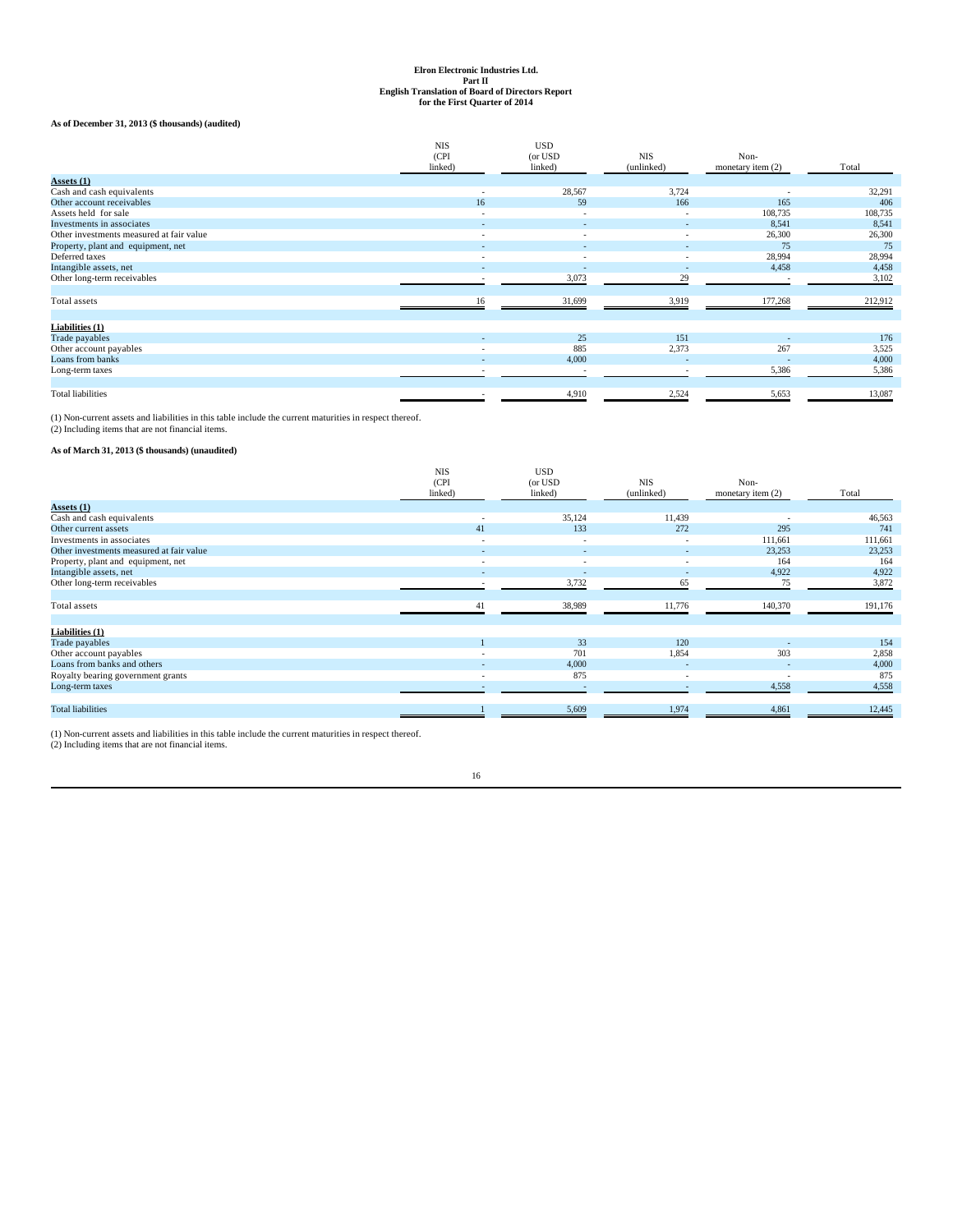# **As of December 31, 2013 (\$ thousands) (audited)**

|                                          | <b>NIS</b> | <b>USD</b>               |                          |                          |         |
|------------------------------------------|------------|--------------------------|--------------------------|--------------------------|---------|
|                                          | (CPI       | (or USD                  | <b>NIS</b>               | Non-                     |         |
|                                          | linked)    | linked)                  | (unlinked)               | monetary item (2)        | Total   |
| $\text{Assets}(\mathbf{1})$              |            |                          |                          |                          |         |
| Cash and cash equivalents                | ٠          | 28,567                   | 3,724                    | $\overline{\phantom{a}}$ | 32,291  |
| Other account receivables                | 16         | 59                       | 166                      | 165                      | 406     |
| Assets held for sale                     | ۰          | $\overline{\phantom{a}}$ | $\overline{\phantom{0}}$ | 108,735                  | 108,735 |
| Investments in associates                |            |                          |                          | 8,541                    | 8,541   |
| Other investments measured at fair value | ۰          |                          | $\overline{\phantom{a}}$ | 26,300                   | 26,300  |
| Property, plant and equipment, net       |            |                          |                          | 75                       | 75      |
| Deferred taxes                           |            |                          |                          | 28,994                   | 28,994  |
| Intangible assets, net                   |            |                          |                          | 4,458                    | 4,458   |
| Other long-term receivables              | ٠          | 3,073                    | 29                       | <b>1999</b>              | 3,102   |
|                                          |            |                          |                          |                          |         |
| Total assets                             | 16         | 31,699                   | 3,919                    | 177,268                  | 212,912 |
|                                          |            |                          |                          |                          |         |
| Liabilities (1)                          |            |                          |                          |                          |         |
| Trade payables                           |            | 25                       | 151                      |                          | 176     |
| Other account payables                   |            | 885                      | 2,373                    | 267                      | 3,525   |
| Loans from banks                         |            | 4,000                    |                          | ÷                        | 4,000   |
| Long-term taxes                          |            |                          |                          | 5,386                    | 5,386   |
|                                          |            |                          |                          |                          |         |
| <b>Total liabilities</b>                 |            | 4,910                    | 2,524                    | 5,653                    | 13,087  |

(1) Non-current assets and liabilities in this table include the current maturities in respect thereof. (2) Including items that are not financial items.

# **As of March 31, 2013 (\$ thousands) (unaudited)**

|                                          | <b>NIS</b><br>(CPI)<br>linked) | <b>USD</b><br>(or USD<br>linked) | <b>NIS</b><br>(unlinked) | Non-<br>monetary item $(2)$ | Total   |
|------------------------------------------|--------------------------------|----------------------------------|--------------------------|-----------------------------|---------|
| Assets (1)                               |                                |                                  |                          |                             |         |
| Cash and cash equivalents                |                                | 35,124                           | 11,439                   |                             | 46,563  |
| Other current assets                     | 41                             | 133                              | 272                      | 295                         | 741     |
| Investments in associates                | $\sim$                         | $\overline{\phantom{a}}$         | $\sim$                   | 111,661                     | 111,661 |
| Other investments measured at fair value | $\sim$                         | $\overline{\phantom{a}}$         | ۰.                       | 23,253                      | 23,253  |
| Property, plant and equipment, net       | $\sim$                         | $\sim$                           | $\sim$                   | 164                         | 164     |
| Intangible assets, net                   |                                |                                  | $\sim$                   | 4,922                       | 4,922   |
| Other long-term receivables              |                                | 3,732                            | 65                       | 75                          | 3,872   |
|                                          |                                |                                  |                          |                             |         |
| Total assets                             | 41                             | 38,989                           | 11,776                   | 140,370                     | 191,176 |
|                                          |                                |                                  |                          |                             |         |
| Liabilities (1)                          |                                |                                  |                          |                             |         |
| Trade payables                           |                                | 33                               | 120                      |                             | 154     |
| Other account payables                   | $\overline{a}$                 | 701                              | 1,854                    | 303                         | 2,858   |
| Loans from banks and others              | $\sim$                         | 4,000                            | $\sim$                   | $\overline{\phantom{a}}$    | 4,000   |
| Royalty bearing government grants        | $\overline{a}$                 | 875                              | $\sim$                   | $\overline{\phantom{a}}$    | 875     |
| Long-term taxes                          |                                | $\overline{\phantom{a}}$         | $\sim$                   | 4,558                       | 4,558   |
|                                          |                                |                                  |                          |                             |         |
| <b>Total liabilities</b>                 |                                | 5,609                            | 1,974                    | 4,861                       | 12,445  |
|                                          |                                |                                  |                          |                             |         |

(1) Non-current assets and liabilities in this table include the current maturities in respect thereof. (2) Including items that are not financial items.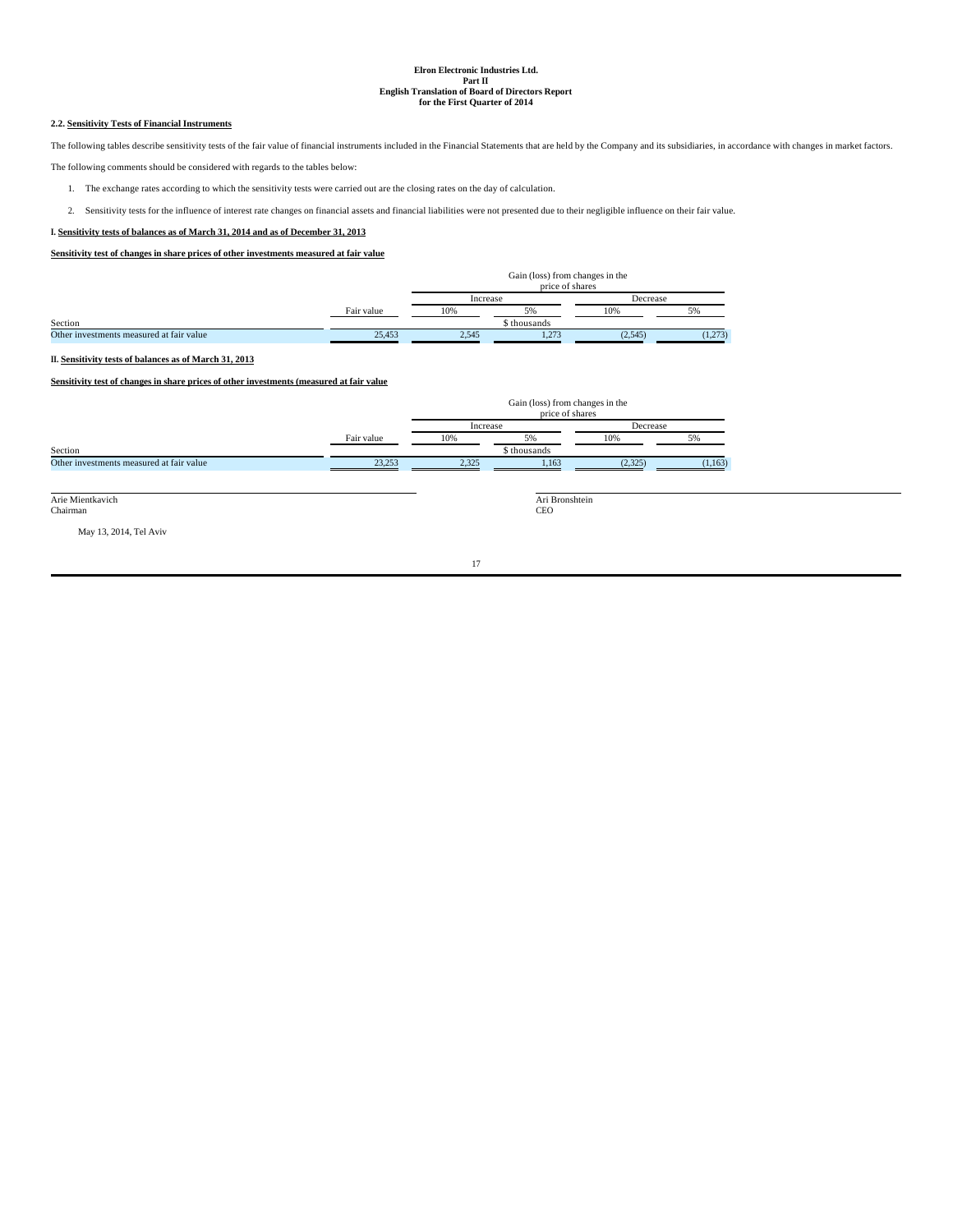# **2.2. Sensitivity Tests of Financial Instruments**

The following tables describe sensitivity tests of the fair value of financial instruments included in the Financial Statements that are held by the Company and its subsidiaries, in accordance with changes in market factors.

The following comments should be considered with regards to the tables below:

- 1. The exchange rates according to which the sensitivity tests were carried out are the closing rates on the day of calculation.
- 2. Sensitivity tests for the influence of interest rate changes on financial assets and financial liabilities were not presented due to their negligible influence on their fair value.

# **I. Sensitivity tests of balances as of March 31, 2014 and as of December 31, 2013**

**Sensitivity test of changes in share prices of other investments measured at fair value**

|                                          |            | Gain (loss) from changes in the<br>price of shares |              |          |         |  |
|------------------------------------------|------------|----------------------------------------------------|--------------|----------|---------|--|
|                                          |            | Increase                                           |              | Decrease |         |  |
|                                          | Fair value | 10%                                                | 5%           | 10%      | $5\%$   |  |
| Section                                  |            |                                                    | \$ thousands |          |         |  |
| Other investments measured at fair value | 25.453     | 2.545                                              | 1.273        | (2,545)  | (1,273) |  |

# **II. Sensitivity tests of balances as of March 31, 2013**

**Sensitivity test of changes in share prices of other investments (measured at fair value**

|                                          |            | Gain (loss) from changes in the<br>price of shares |              |          |          |  |
|------------------------------------------|------------|----------------------------------------------------|--------------|----------|----------|--|
|                                          |            | Increase                                           |              | Decrease |          |  |
|                                          | Fair value | 10%<br>5%                                          |              | 10%      | 5%       |  |
| Section                                  |            |                                                    | \$ thousands |          |          |  |
| Other investments measured at fair value | 23,253     | 2.325                                              | 1.163        | (2.325)  | (1, 163) |  |

Arie Mientkavich Chairman

Ari Bronshtein CEO

May 13, 2014, Tel Aviv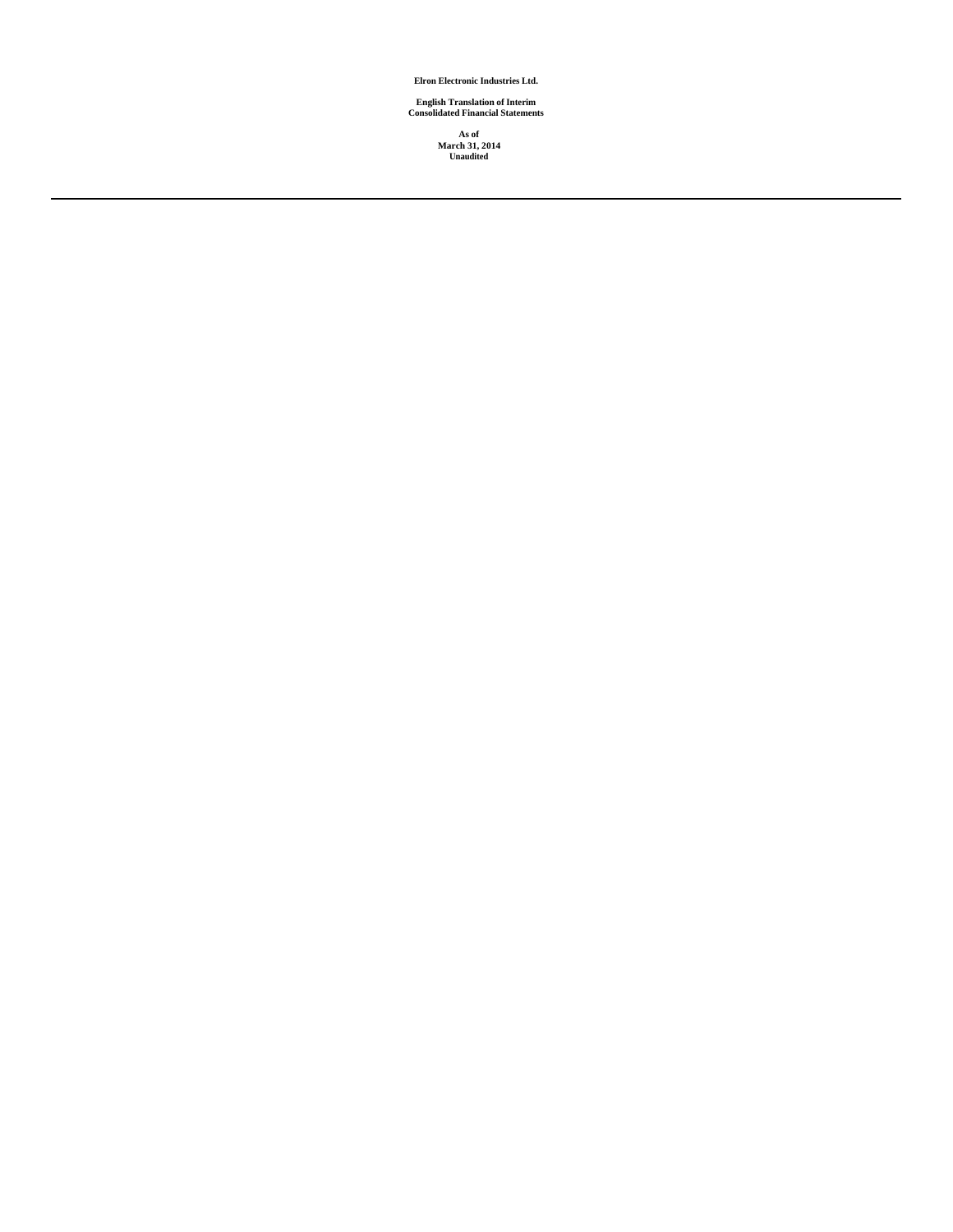**Elron Electronic Industries Ltd.**

**English Translation of Interim Consolidated Financial Statements**

**As of March 31, 2014 Unaudited**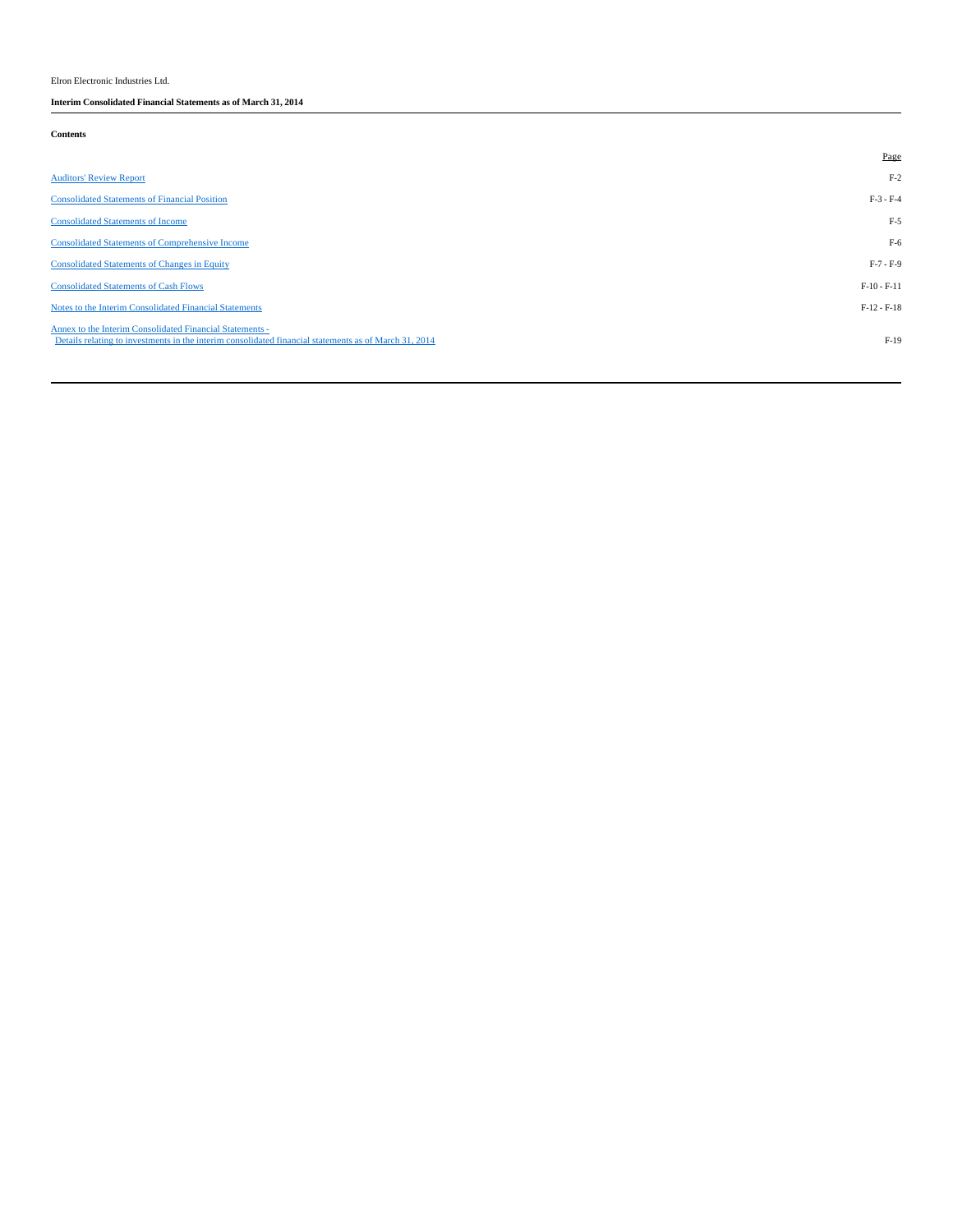Elron Electronic Industries Ltd.

**Interim Consolidated Financial Statements as of March 31, 2014** 

# **Contents**

|                                                                                                                                                                   | Page          |
|-------------------------------------------------------------------------------------------------------------------------------------------------------------------|---------------|
| <b>Auditors' Review Report</b>                                                                                                                                    | $F-2$         |
| <b>Consolidated Statements of Financial Position</b>                                                                                                              | $F-3 - F-4$   |
| <b>Consolidated Statements of Income</b>                                                                                                                          | $F-5$         |
| <b>Consolidated Statements of Comprehensive Income</b>                                                                                                            | $F-6$         |
| <b>Consolidated Statements of Changes in Equity</b>                                                                                                               | $F-7 - F-9$   |
| <b>Consolidated Statements of Cash Flows</b>                                                                                                                      | $F-10 - F-11$ |
| Notes to the Interim Consolidated Financial Statements                                                                                                            | $F-12 - F-18$ |
| Annex to the Interim Consolidated Financial Statements -<br>Details relating to investments in the interim consolidated financial statements as of March 31, 2014 | $F-19$        |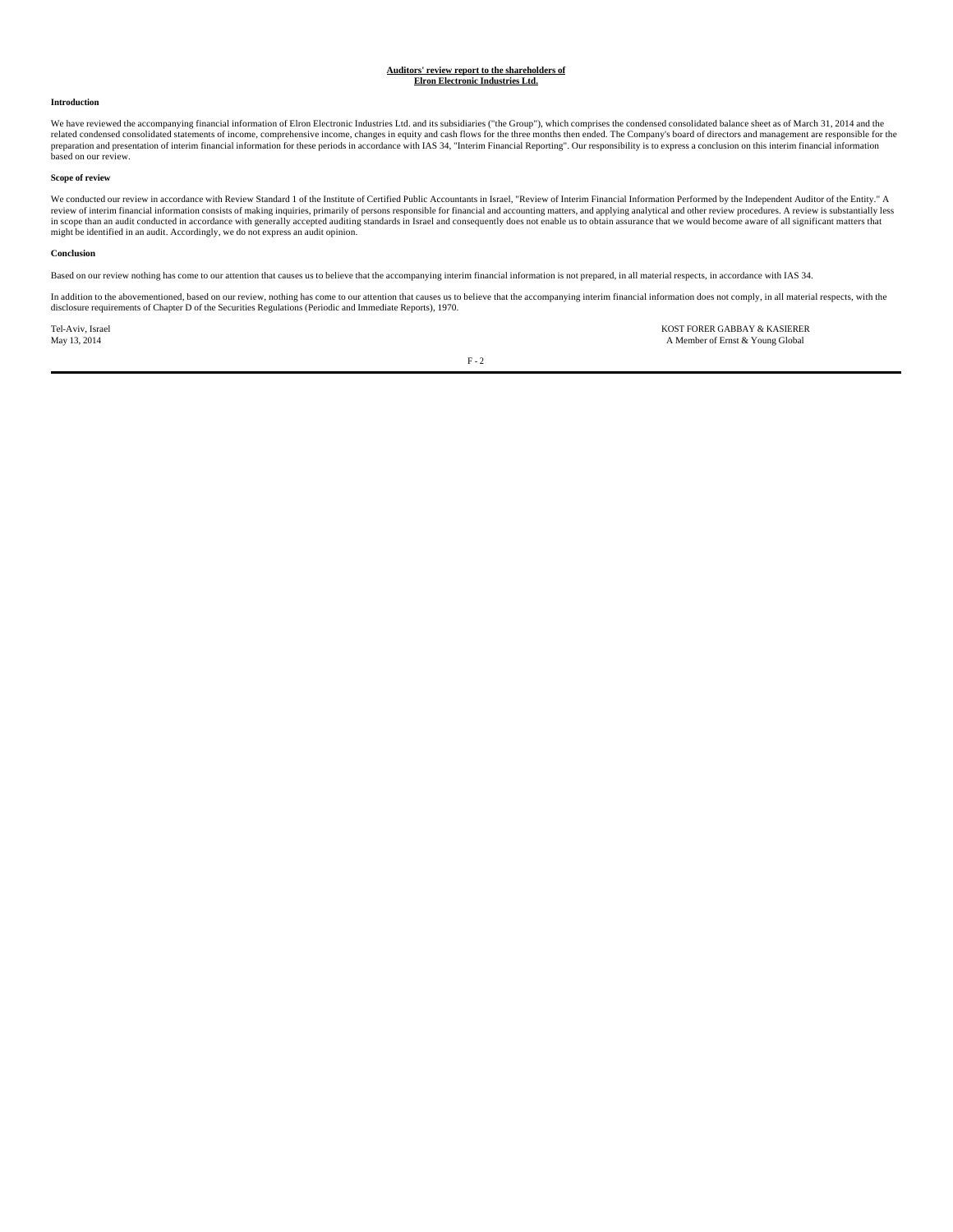#### **Auditors' review report to the shareholders of Elron Electronic Industries Ltd.**

#### **Introduction**

We have reviewed the accompanying financial information of Elron Electronic Industries Ltd. and its subsidiaries ("the Group"), which comprises the condensed consolidated balance sheet as of March 31, 2014 and the related condensed consolidated statements of income, comprehensive income, changes in equity and cash flows for the three months then ended. The Company's board of directors and management are responsible for the preparation and presentation of interim financial information for these periods in accordance with IAS 34, "Interim Financial Reporting". Our responsibility is to express a conclusion on this interim financial information<br>

# **Scope of review**

We conducted our review in accordance with Review Standard 1 of the Institute of Certified Public Accountants in Israel, "Review of Interim Financial Information Performed by the Independent Auditor of the Entity." A<br>revie might be identified in an audit. Accordingly, we do not express an audit opinion.

#### **Conclusion**

Based on our review nothing has come to our attention that causes us to believe that the accompanying interim financial information is not prepared, in all material respects, in accordance with IAS 34.

In addition to the abovementioned, based on our review, nothing has come to our attention that causes us to believe that the accompanying interim financial information does not comply, in all material respects, with the disclosure requirements of Chapter D of the Securities Regulations (Periodic and Immediate Reports), 1970.

Tel-Aviv, Israel KOST FORER GABBAY & KASIERER A Member of Ernst & Young Global

 $\rm F$  -  $2$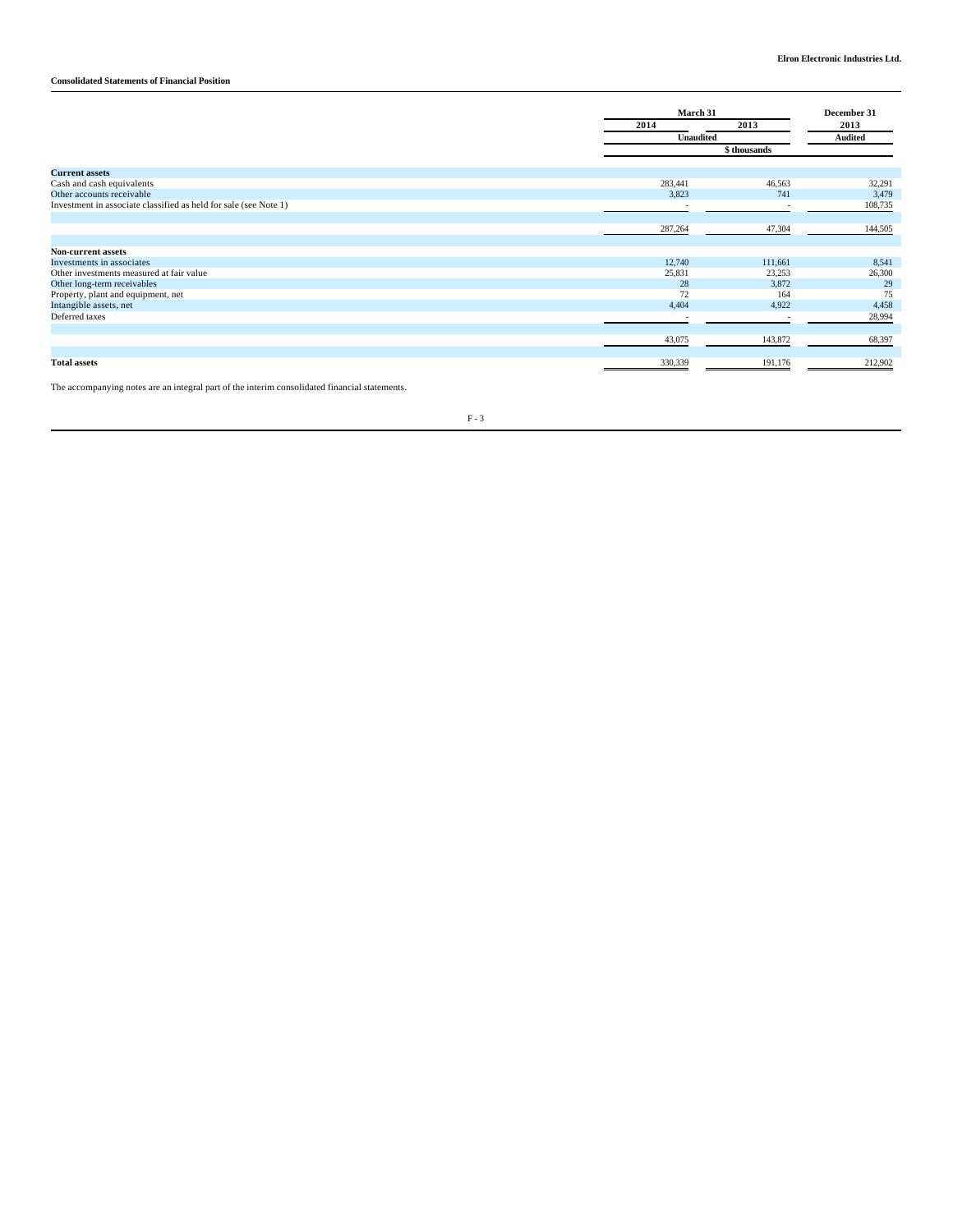# **Consolidated Statements of Financial Position**

|                                                                  |                  | March 31                 |                |  |
|------------------------------------------------------------------|------------------|--------------------------|----------------|--|
|                                                                  | 2014             | 2013                     | 2013           |  |
|                                                                  | <b>Unaudited</b> |                          | <b>Audited</b> |  |
|                                                                  |                  | \$ thousands             |                |  |
| <b>Current assets</b>                                            |                  |                          |                |  |
| Cash and cash equivalents                                        | 283,441          | 46,563                   | 32,291         |  |
| Other accounts receivable                                        | 3,823            | 741                      | 3,479          |  |
| Investment in associate classified as held for sale (see Note 1) |                  |                          | 108,735        |  |
|                                                                  |                  |                          |                |  |
|                                                                  | 287,264          | 47,304                   | 144,505        |  |
|                                                                  |                  |                          |                |  |
| <b>Non-current assets</b>                                        |                  |                          |                |  |
| Investments in associates                                        | 12,740           | 111,661                  | 8,541          |  |
| Other investments measured at fair value                         | 25,831           | 23,253                   | 26,300         |  |
| Other long-term receivables                                      | 28               | 3,872                    | 29             |  |
| Property, plant and equipment, net                               | 72               | 164                      | 75             |  |
| Intangible assets, net                                           | 4,404            | 4,922                    | 4,458          |  |
| Deferred taxes                                                   | $\sim$           | $\overline{\phantom{a}}$ | 28,994         |  |
|                                                                  |                  |                          |                |  |
|                                                                  | 43,075           | 143,872                  | 68,397         |  |
|                                                                  |                  |                          |                |  |
| <b>Total assets</b>                                              | 330,339          | 191,176                  | 212,902        |  |
|                                                                  |                  |                          |                |  |

The accompanying notes are an integral part of the interim consolidated financial statements.

 $\rm F$  -  $3$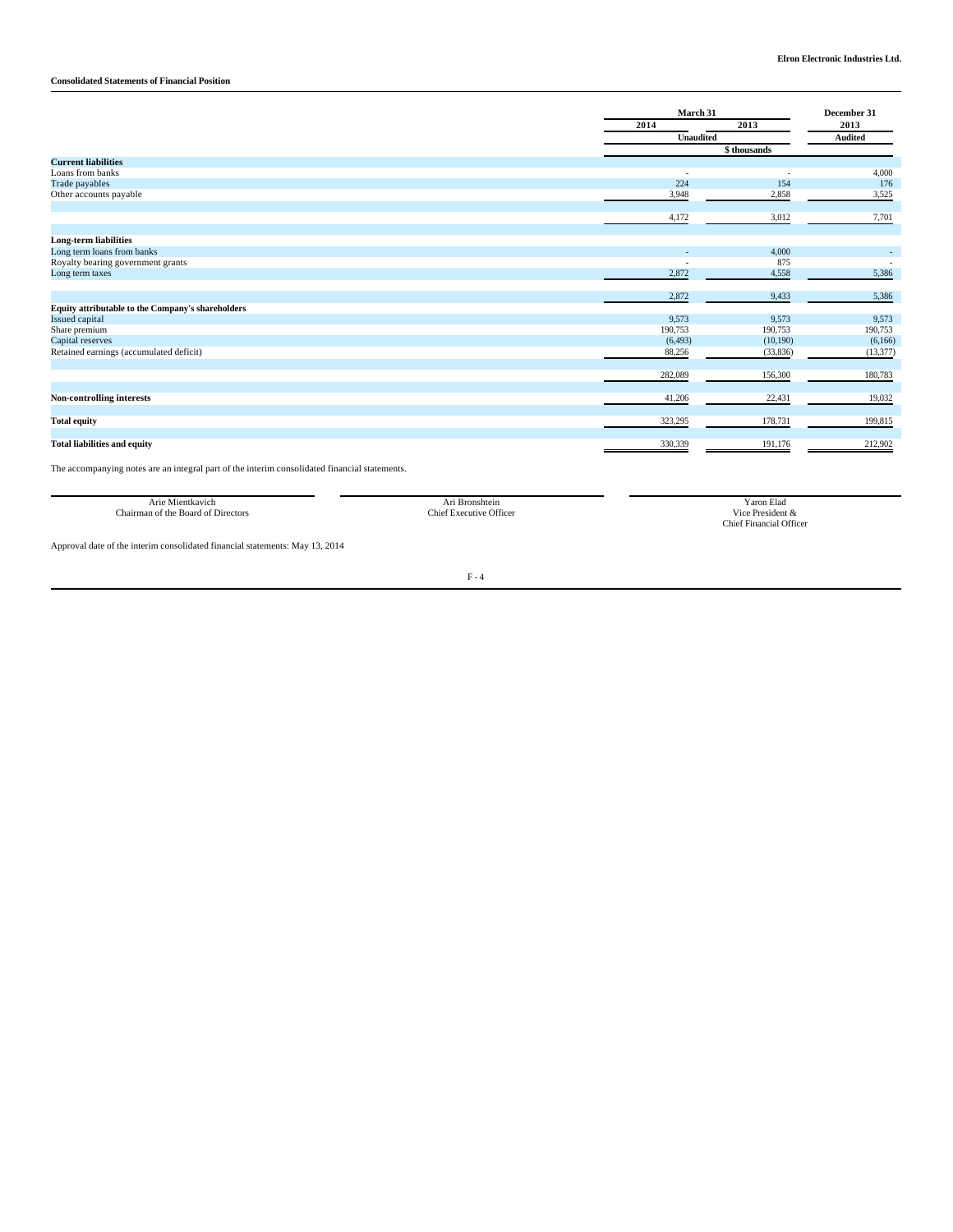# **Consolidated Statements of Financial Position**

|                                                   |                          | March 31     |                        |  |
|---------------------------------------------------|--------------------------|--------------|------------------------|--|
|                                                   | 2014                     | 2013         | 2013<br><b>Audited</b> |  |
|                                                   | <b>Unaudited</b>         |              |                        |  |
|                                                   |                          | \$ thousands |                        |  |
| <b>Current liabilities</b>                        |                          |              |                        |  |
| Loans from banks                                  | $\overline{\phantom{a}}$ |              | 4,000                  |  |
| Trade payables                                    | 224                      | 154          | 176                    |  |
| Other accounts payable                            | 3,948                    | 2,858        | 3,525                  |  |
|                                                   | 4,172                    | 3,012        | 7,701                  |  |
| <b>Long-term liabilities</b>                      |                          |              |                        |  |
| Long term loans from banks                        |                          | 4,000        |                        |  |
| Royalty bearing government grants                 |                          | 875          |                        |  |
| Long term taxes                                   | 2,872                    | 4,558        | 5,386                  |  |
|                                                   | 2,872                    | 9,433        | 5,386                  |  |
| Equity attributable to the Company's shareholders |                          |              |                        |  |
| <b>Issued capital</b>                             | 9,573                    | 9,573        | 9,573                  |  |
| Share premium                                     | 190,753                  | 190,753      | 190,753                |  |
| Capital reserves                                  | (6, 493)                 | (10,190)     | (6,166)                |  |
| Retained earnings (accumulated deficit)           | 88,256                   | (33,836)     | (13, 377)              |  |
|                                                   | 282,089                  | 156,300      | 180,783                |  |
|                                                   |                          |              |                        |  |
| <b>Non-controlling interests</b>                  | 41,206                   | 22,431       | 19,032                 |  |
| <b>Total equity</b>                               | 323,295                  | 178,731      | 199,815                |  |
|                                                   |                          |              |                        |  |
| <b>Total liabilities and equity</b>               | 330,339                  | 191,176      | 212,902                |  |

The accompanying notes are an integral part of the interim consolidated financial statements.

| orre Juan L<br>116                                   | Bronshtein       | ∖aron Elad                                     |
|------------------------------------------------------|------------------|------------------------------------------------|
| $\sim$<br>e Board -<br>∵the<br>Directors<br>:hairmar | : Office<br>:h16 | $10^{\circ}$<br>.                              |
|                                                      |                  | Qffice<br>:hie<br><b>Lunanaral</b><br>,,,,,,,, |

Approval date of the interim consolidated financial statements: May 13, 2014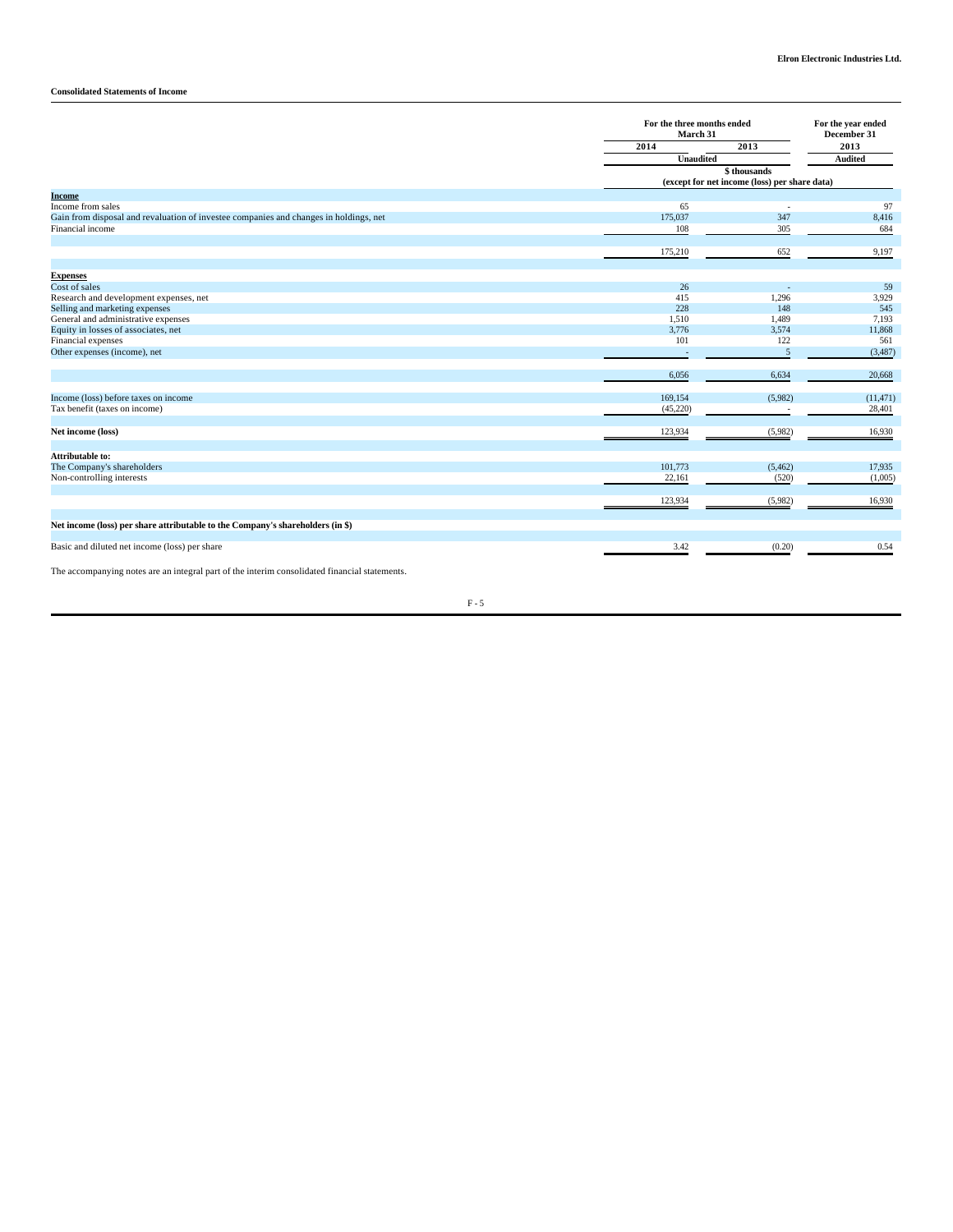# **Consolidated Statements of Income**

|                                                                                       | For the three months ended<br>March 31 |                                                              | For the year ended<br>December 31 |  |
|---------------------------------------------------------------------------------------|----------------------------------------|--------------------------------------------------------------|-----------------------------------|--|
|                                                                                       | 2014                                   | 2013                                                         |                                   |  |
|                                                                                       | Unaudited                              |                                                              | Audited                           |  |
|                                                                                       |                                        | \$thousands<br>(except for net income (loss) per share data) |                                   |  |
| <b>Income</b>                                                                         |                                        |                                                              |                                   |  |
| Income from sales                                                                     | 65                                     |                                                              | 97                                |  |
| Gain from disposal and revaluation of investee companies and changes in holdings, net | 175,037                                | 347                                                          | 8,416                             |  |
| Financial income                                                                      | 108                                    | 305                                                          | 684                               |  |
|                                                                                       |                                        |                                                              |                                   |  |
|                                                                                       | 175,210                                | 652                                                          | 9,197                             |  |
| <b>Expenses</b>                                                                       |                                        |                                                              |                                   |  |
| Cost of sales                                                                         | 26                                     |                                                              | 59                                |  |
| Research and development expenses, net                                                | 415                                    | 1,296                                                        | 3,929                             |  |
| Selling and marketing expenses                                                        | 228                                    | 148                                                          | 545                               |  |
| General and administrative expenses                                                   | 1,510                                  | 1,489                                                        | 7,193                             |  |
| Equity in losses of associates, net                                                   | 3,776                                  | 3,574                                                        | 11,868                            |  |
| Financial expenses                                                                    | 101                                    | 122                                                          | 561                               |  |
| Other expenses (income), net                                                          |                                        | 5                                                            | (3,487)                           |  |
|                                                                                       |                                        |                                                              |                                   |  |
|                                                                                       | 6,056                                  | 6,634                                                        | 20,668                            |  |
| Income (loss) before taxes on income                                                  | 169,154                                | (5,982)                                                      | (11, 471)                         |  |
| Tax benefit (taxes on income)                                                         | (45,220)                               |                                                              | 28,401                            |  |
|                                                                                       |                                        |                                                              |                                   |  |
| Net income (loss)                                                                     | 123,934                                | (5,982)                                                      | 16,930                            |  |
|                                                                                       |                                        |                                                              |                                   |  |
| <b>Attributable to:</b>                                                               |                                        |                                                              |                                   |  |
| The Company's shareholders                                                            | 101,773                                | (5, 462)                                                     | 17,935                            |  |
| Non-controlling interests                                                             | 22,161                                 | (520)                                                        | (1,005)                           |  |
|                                                                                       | 123,934                                | (5,982)                                                      | 16,930                            |  |
|                                                                                       |                                        |                                                              |                                   |  |
| Net income (loss) per share attributable to the Company's shareholders (in \$)        |                                        |                                                              |                                   |  |
| Basic and diluted net income (loss) per share                                         | 3.42                                   | (0.20)                                                       | 0.54                              |  |

The accompanying notes are an integral part of the interim consolidated financial statements.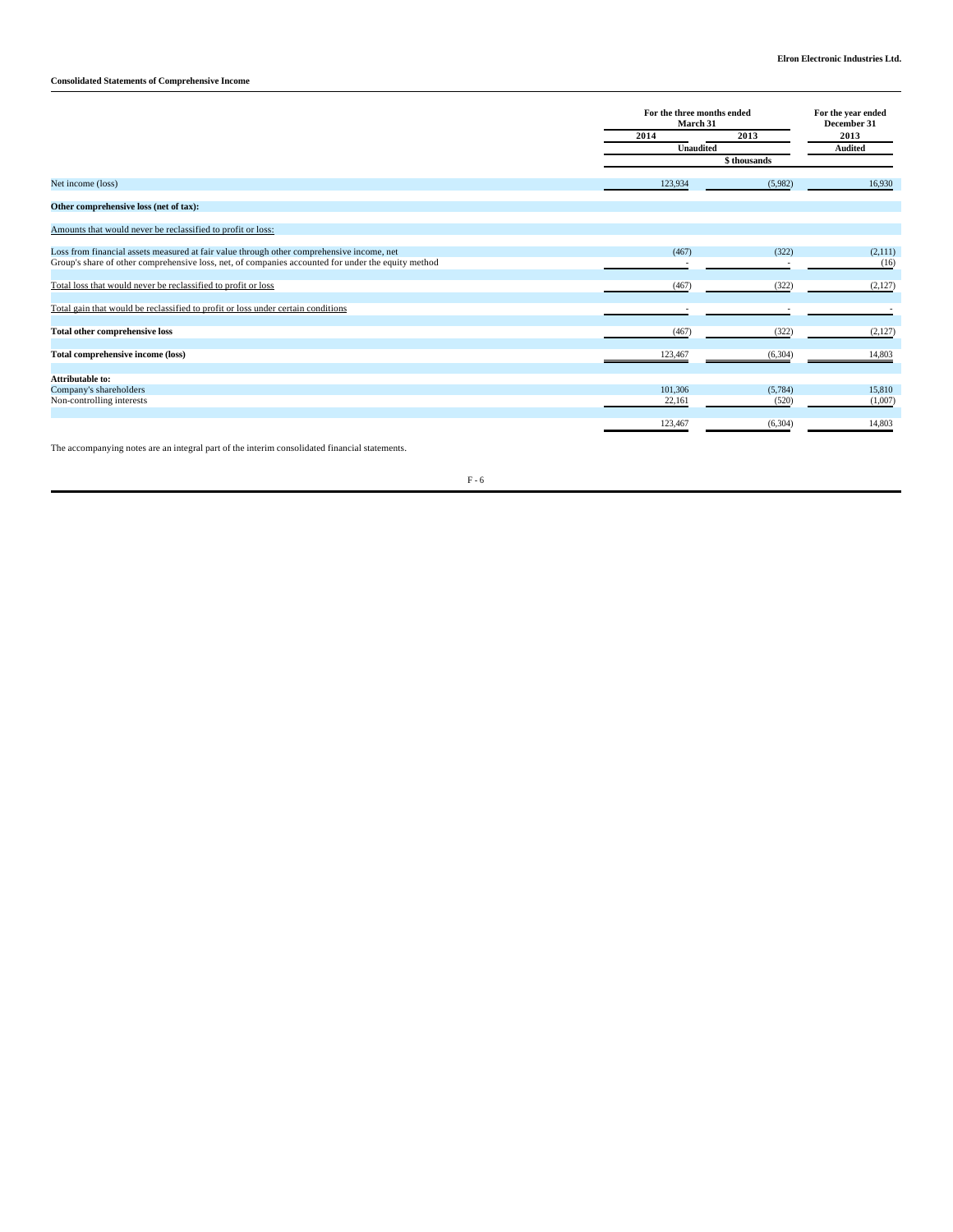**Consolidated Statements of Comprehensive Income** 

|                                                                                                    | For the three months ended<br>March 31 |              | For the year ended<br>December 31<br>2013<br><b>Audited</b> |  |
|----------------------------------------------------------------------------------------------------|----------------------------------------|--------------|-------------------------------------------------------------|--|
|                                                                                                    | 2014                                   | 2013         |                                                             |  |
|                                                                                                    | <b>Unaudited</b>                       |              |                                                             |  |
|                                                                                                    |                                        | \$ thousands |                                                             |  |
| Net income (loss)                                                                                  | 123,934                                | (5,982)      | 16,930                                                      |  |
| Other comprehensive loss (net of tax):                                                             |                                        |              |                                                             |  |
| Amounts that would never be reclassified to profit or loss:                                        |                                        |              |                                                             |  |
| Loss from financial assets measured at fair value through other comprehensive income, net          | (467)                                  | (322)        | (2,111)                                                     |  |
| Group's share of other comprehensive loss, net, of companies accounted for under the equity method |                                        |              | (16)                                                        |  |
| Total loss that would never be reclassified to profit or loss                                      | (467)                                  | (322)        | (2,127)                                                     |  |
| Total gain that would be reclassified to profit or loss under certain conditions                   |                                        |              |                                                             |  |
| <b>Total other comprehensive loss</b>                                                              | (467)                                  | (322)        | (2,127)                                                     |  |
| Total comprehensive income (loss)                                                                  | 123,467                                | (6,304)      | 14,803                                                      |  |
| <b>Attributable to:</b>                                                                            |                                        |              |                                                             |  |
| Company's shareholders                                                                             | 101,306                                | (5,784)      | 15,810                                                      |  |
| Non-controlling interests                                                                          | 22,161                                 | (520)        | (1,007)                                                     |  |
|                                                                                                    | 123,467                                | (6,304)      | 14,803                                                      |  |

The accompanying notes are an integral part of the interim consolidated financial statements.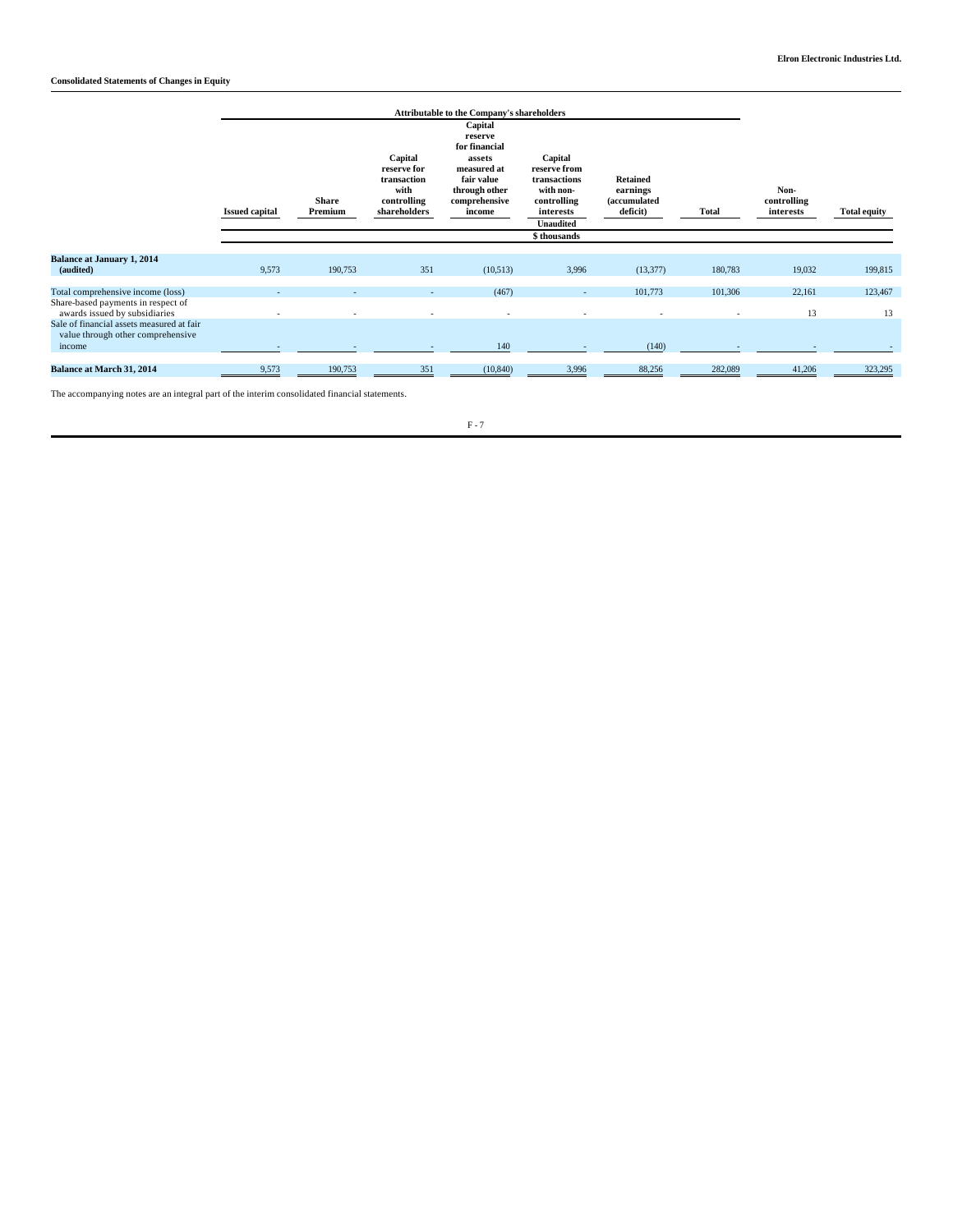|                                                                                                                  |                       | <b>Attributable to the Company's shareholders</b> |                                                                              |                                                                                                                        |                                                                                                                      |                                                         |              |                                  |                     |
|------------------------------------------------------------------------------------------------------------------|-----------------------|---------------------------------------------------|------------------------------------------------------------------------------|------------------------------------------------------------------------------------------------------------------------|----------------------------------------------------------------------------------------------------------------------|---------------------------------------------------------|--------------|----------------------------------|---------------------|
|                                                                                                                  | <b>Issued capital</b> | <b>Share</b><br>Premium                           | Capital<br>reserve for<br>transaction<br>with<br>controlling<br>shareholders | Capital<br>reserve<br>for financial<br>assets<br>measured at<br>fair value<br>through other<br>comprehensive<br>income | Capital<br>reserve from<br>transactions<br>with non-<br>controlling<br>interests<br><b>Unaudited</b><br>\$ thousands | <b>Retained</b><br>earnings<br>(accumulated<br>deficit) | <b>Total</b> | Non-<br>controlling<br>interests | <b>Total equity</b> |
|                                                                                                                  |                       |                                                   |                                                                              |                                                                                                                        |                                                                                                                      |                                                         |              |                                  |                     |
| <b>Balance at January 1, 2014</b><br>(audited)                                                                   | 9,573                 | 190,753                                           | 351                                                                          | (10,513)                                                                                                               | 3,996                                                                                                                | (13, 377)                                               | 180,783      | 19,032                           | 199,815             |
| Total comprehensive income (loss)                                                                                |                       |                                                   |                                                                              | (467)                                                                                                                  | ٠                                                                                                                    | 101,773                                                 | 101,306      | 22,161                           | 123,467             |
| Share-based payments in respect of<br>awards issued by subsidiaries<br>Sale of financial assets measured at fair |                       |                                                   |                                                                              |                                                                                                                        |                                                                                                                      |                                                         | ٠            | 13                               | 13                  |
| value through other comprehensive<br>income                                                                      |                       |                                                   |                                                                              | 140                                                                                                                    |                                                                                                                      | (140)                                                   |              |                                  |                     |
| <b>Balance at March 31, 2014</b>                                                                                 | 9,573                 | 190,753                                           | 351                                                                          | (10, 840)                                                                                                              | 3,996                                                                                                                | 88,256                                                  | 282,089      | 41,206                           | 323,295             |

The accompanying notes are an integral part of the interim consolidated financial statements.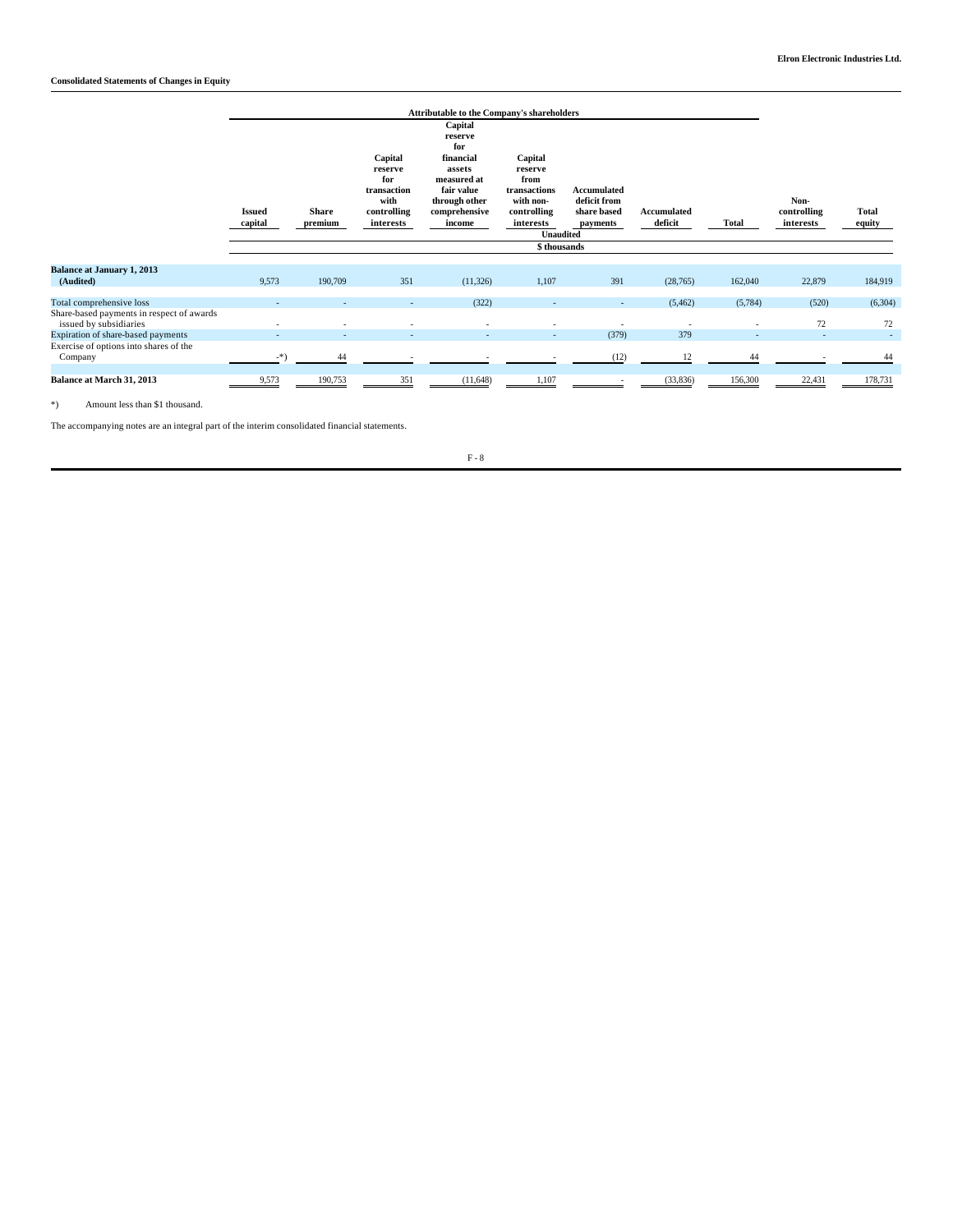|                                                                     | <b>Attributable to the Company's shareholders</b> |                         |                                                                              |                                                                                                                           |                                                                                                         |                                                        |                        |              |                                  |                        |
|---------------------------------------------------------------------|---------------------------------------------------|-------------------------|------------------------------------------------------------------------------|---------------------------------------------------------------------------------------------------------------------------|---------------------------------------------------------------------------------------------------------|--------------------------------------------------------|------------------------|--------------|----------------------------------|------------------------|
|                                                                     | <b>Issued</b><br>capital                          | <b>Share</b><br>premium | Capital<br>reserve<br>for<br>transaction<br>with<br>controlling<br>interests | Capital<br>reserve<br>for<br>financial<br>assets<br>measured at<br>fair value<br>through other<br>comprehensive<br>income | Capital<br>reserve<br>from<br>transactions<br>with non-<br>controlling<br>interests<br><b>Unaudited</b> | Accumulated<br>deficit from<br>share based<br>payments | Accumulated<br>deficit | <b>Total</b> | Non-<br>controlling<br>interests | <b>Total</b><br>equity |
|                                                                     |                                                   |                         |                                                                              |                                                                                                                           | \$thousands                                                                                             |                                                        |                        |              |                                  |                        |
| <b>Balance at January 1, 2013</b><br>(Audited)                      | 9,573                                             | 190,709                 | 351                                                                          | (11,326)                                                                                                                  | 1,107                                                                                                   | 391                                                    | (28, 765)              | 162,040      | 22,879                           | 184,919                |
| Total comprehensive loss                                            |                                                   |                         |                                                                              | (322)                                                                                                                     |                                                                                                         | ٠                                                      | (5, 462)               | (5,784)      | (520)                            | (6,304)                |
| Share-based payments in respect of awards<br>issued by subsidiaries |                                                   |                         |                                                                              |                                                                                                                           |                                                                                                         |                                                        |                        |              | 72                               | 72                     |
| Expiration of share-based payments                                  |                                                   |                         |                                                                              | $\overline{\phantom{a}}$                                                                                                  | $\overline{\phantom{a}}$                                                                                | (379)                                                  | 379                    | $\sim$       |                                  | $\sim$                 |
| Exercise of options into shares of the<br>Company                   | $-$ *)                                            | 44                      |                                                                              |                                                                                                                           |                                                                                                         | (12)                                                   | 12                     | 44           |                                  | 44                     |
| Balance at March 31, 2013                                           | 9,573                                             | 190,753                 | 351                                                                          | (11,648)                                                                                                                  | 1,107                                                                                                   |                                                        | (33,836)               | 156,300      | 22,431                           | 178,731                |

\*) Amount less than \$1 thousand.

The accompanying notes are an integral part of the interim consolidated financial statements.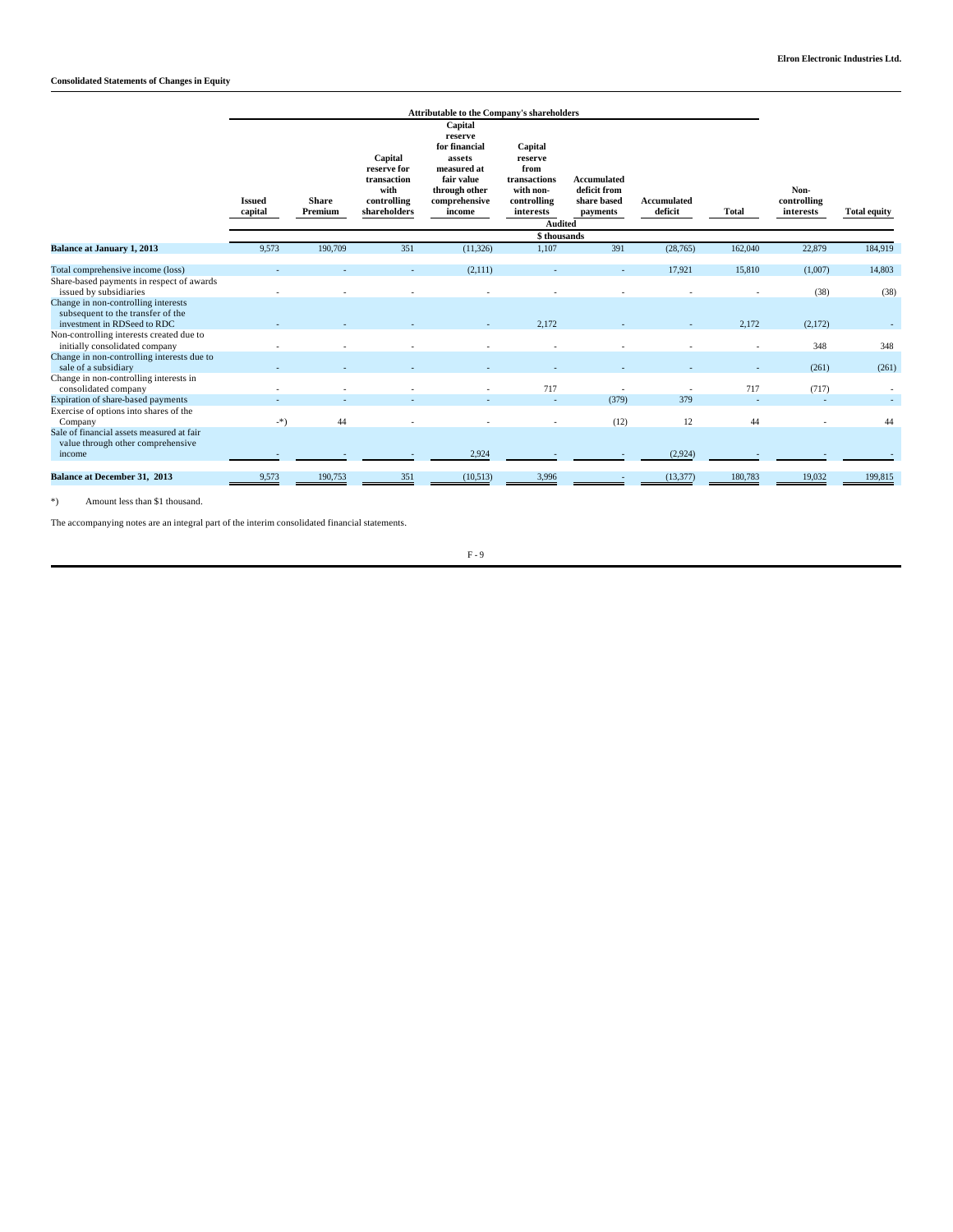|                                                                                                           | <b>Attributable to the Company's shareholders</b> |                         |                                                                              |                                                                                                                        |                                                                                     |                                                        |                        |              |                                  |                     |
|-----------------------------------------------------------------------------------------------------------|---------------------------------------------------|-------------------------|------------------------------------------------------------------------------|------------------------------------------------------------------------------------------------------------------------|-------------------------------------------------------------------------------------|--------------------------------------------------------|------------------------|--------------|----------------------------------|---------------------|
|                                                                                                           | <b>Issued</b><br>capital                          | <b>Share</b><br>Premium | Capital<br>reserve for<br>transaction<br>with<br>controlling<br>shareholders | Capital<br>reserve<br>for financial<br>assets<br>measured at<br>fair value<br>through other<br>comprehensive<br>income | Capital<br>reserve<br>from<br>transactions<br>with non-<br>controlling<br>interests | Accumulated<br>deficit from<br>share based<br>payments | Accumulated<br>deficit | <b>Total</b> | Non-<br>controlling<br>interests | <b>Total equity</b> |
|                                                                                                           | <b>Audited</b><br>\$thousands                     |                         |                                                                              |                                                                                                                        |                                                                                     |                                                        |                        |              |                                  |                     |
| <b>Balance at January 1, 2013</b>                                                                         | 9,573                                             | 190,709                 | 351                                                                          | (11, 326)                                                                                                              | 1,107                                                                               | 391                                                    | (28, 765)              | 162,040      | 22,879                           | 184,919             |
| Total comprehensive income (loss)<br>Share-based payments in respect of awards                            |                                                   |                         |                                                                              | (2,111)                                                                                                                |                                                                                     |                                                        | 17.921                 | 15,810       | (1,007)                          | 14,803              |
| issued by subsidiaries<br>Change in non-controlling interests<br>subsequent to the transfer of the        |                                                   |                         |                                                                              |                                                                                                                        |                                                                                     |                                                        |                        |              | (38)                             | (38)                |
| investment in RDSeed to RDC<br>Non-controlling interests created due to<br>initially consolidated company |                                                   |                         |                                                                              |                                                                                                                        | 2.172                                                                               |                                                        |                        | 2.172        | (2,172)<br>348                   | 348                 |
| Change in non-controlling interests due to<br>sale of a subsidiary                                        |                                                   |                         |                                                                              |                                                                                                                        |                                                                                     |                                                        |                        |              | (261)                            | (261)               |
| Change in non-controlling interests in<br>consolidated company<br>Expiration of share-based payments      |                                                   |                         |                                                                              |                                                                                                                        | 717                                                                                 | $\overline{\phantom{a}}$<br>(379)                      | 379                    | 717          | (717)                            |                     |
| Exercise of options into shares of the<br>Company                                                         | -*)                                               | 44                      |                                                                              |                                                                                                                        |                                                                                     | (12)                                                   | 12                     | 44           |                                  | 44                  |
| Sale of financial assets measured at fair<br>value through other comprehensive<br>income                  |                                                   |                         |                                                                              | 2,924                                                                                                                  |                                                                                     |                                                        | (2,924)                |              |                                  |                     |
| <b>Balance at December 31, 2013</b>                                                                       | 9,573                                             | 190,753                 | 351                                                                          | (10,513)                                                                                                               | 3,996                                                                               | $\overline{\phantom{a}}$                               | (13, 377)              | 180,783      | 19,032                           | 199,815             |

\*) Amount less than \$1 thousand.

The accompanying notes are an integral part of the interim consolidated financial statements.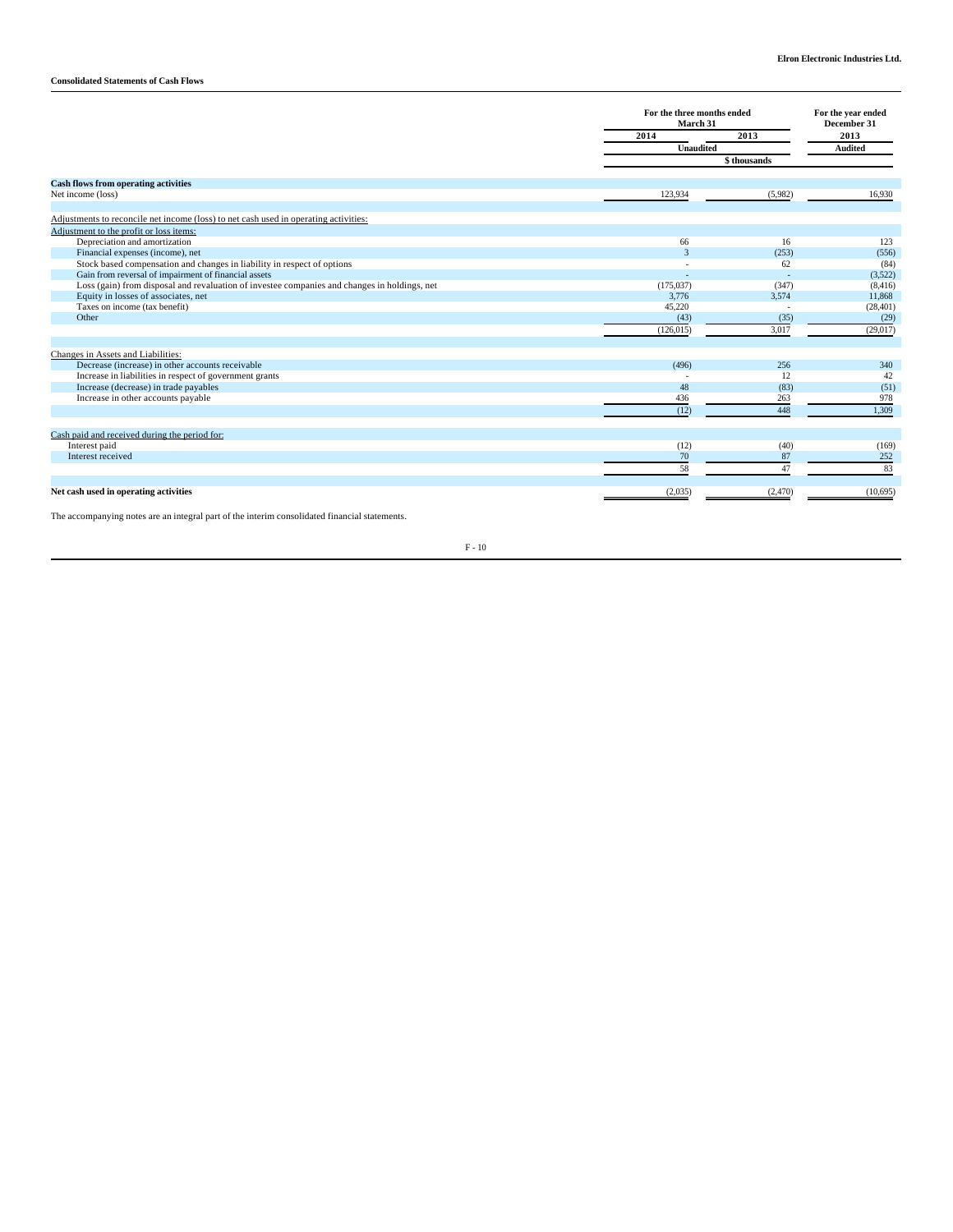# **Consolidated Statements of Cash Flows**

|                                                                                              |                | For the three months ended<br>March 31 |                |  |
|----------------------------------------------------------------------------------------------|----------------|----------------------------------------|----------------|--|
|                                                                                              | 2014           | 2013                                   |                |  |
|                                                                                              | Unaudited      |                                        | <b>Audited</b> |  |
|                                                                                              |                | \$ thousands                           |                |  |
| <b>Cash flows from operating activities</b>                                                  |                |                                        |                |  |
| Net income (loss)                                                                            | 123,934        | (5,982)                                | 16,930         |  |
| Adjustments to reconcile net income (loss) to net cash used in operating activities:         |                |                                        |                |  |
| Adjustment to the profit or loss items:                                                      |                |                                        |                |  |
| Depreciation and amortization                                                                | 66             | 16                                     | 123            |  |
| Financial expenses (income), net                                                             | $\overline{3}$ | (253)                                  | (556)          |  |
| Stock based compensation and changes in liability in respect of options                      |                | 62                                     | (84)           |  |
| Gain from reversal of impairment of financial assets                                         |                | ÷                                      | (3,522)        |  |
| Loss (gain) from disposal and revaluation of investee companies and changes in holdings, net | (175, 037)     | (347)                                  | (8, 416)       |  |
| Equity in losses of associates, net                                                          | 3,776          | 3,574                                  | 11,868         |  |
| Taxes on income (tax benefit)                                                                | 45,220         |                                        | (28, 401)      |  |
| Other                                                                                        | (43)           | (35)                                   | (29)           |  |
|                                                                                              | (126, 015)     | 3,017                                  | (29,017)       |  |
| Changes in Assets and Liabilities:                                                           |                |                                        |                |  |
| Decrease (increase) in other accounts receivable                                             | (496)          | 256                                    | 340            |  |
| Increase in liabilities in respect of government grants                                      |                | 12                                     | 42             |  |
| Increase (decrease) in trade payables                                                        | 48             | (83)                                   | (51)           |  |
| Increase in other accounts payable                                                           | 436            | 263                                    | 978            |  |
|                                                                                              | (12)           | 448                                    | 1.309          |  |
| Cash paid and received during the period for:                                                |                |                                        |                |  |
| Interest paid                                                                                | (12)           | (40)                                   | (169)          |  |
| Interest received                                                                            | 70             | 87                                     | 252            |  |
|                                                                                              | 58             | 47                                     | 83             |  |
| Net cash used in operating activities                                                        | (2,035)        | (2,470)                                | (10,695)       |  |
|                                                                                              |                |                                        |                |  |

The accompanying notes are an integral part of the interim consolidated financial statements.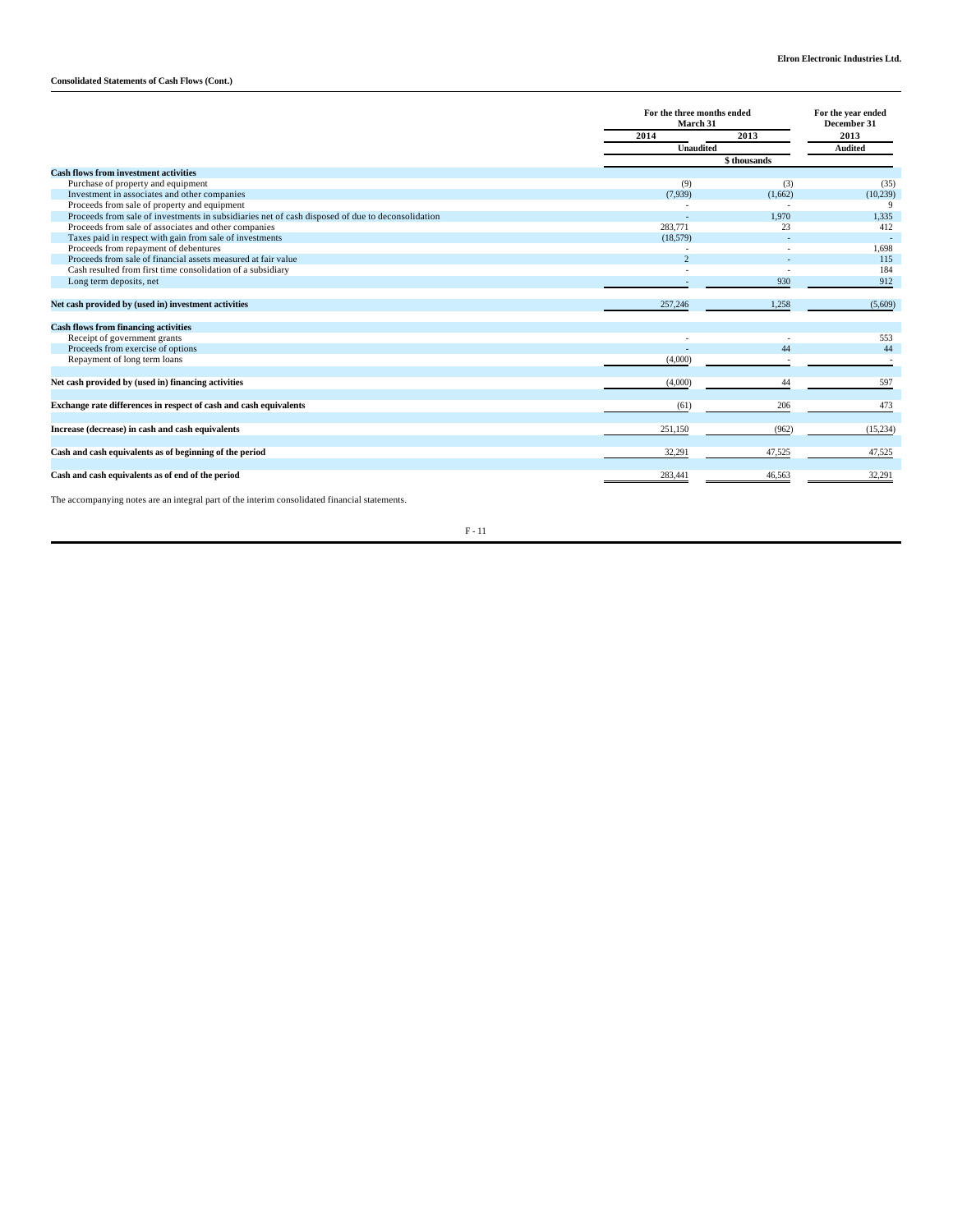# **Consolidated Statements of Cash Flows (Cont.)**

|                                                                                                  | For the three months ended<br>March 31<br>2013<br>2014 |         | For the year ended<br>December 31<br>2013 |  |
|--------------------------------------------------------------------------------------------------|--------------------------------------------------------|---------|-------------------------------------------|--|
|                                                                                                  |                                                        |         |                                           |  |
|                                                                                                  | <b>Unaudited</b>                                       |         | <b>Audited</b>                            |  |
|                                                                                                  |                                                        |         |                                           |  |
| <b>Cash flows from investment activities</b>                                                     |                                                        |         |                                           |  |
| Purchase of property and equipment                                                               | (9)                                                    | (3)     | (35)                                      |  |
| Investment in associates and other companies                                                     | (7,939)                                                | (1,662) | (10, 239)                                 |  |
| Proceeds from sale of property and equipment                                                     |                                                        |         | 9                                         |  |
| Proceeds from sale of investments in subsidiaries net of cash disposed of due to deconsolidation |                                                        | 1.970   | 1,335                                     |  |
| Proceeds from sale of associates and other companies                                             | 283,771                                                | 23      | 412                                       |  |
| Taxes paid in respect with gain from sale of investments                                         | (18,579)                                               |         | $\sim$                                    |  |
| Proceeds from repayment of debentures                                                            |                                                        |         | 1,698                                     |  |
| Proceeds from sale of financial assets measured at fair value                                    | $\mathcal{D}$                                          |         | 115                                       |  |
| Cash resulted from first time consolidation of a subsidiary                                      |                                                        |         | 184                                       |  |
| Long term deposits, net                                                                          |                                                        | 930     | 912                                       |  |
| Net cash provided by (used in) investment activities                                             | 257,246                                                | 1,258   | (5,609)                                   |  |
| <b>Cash flows from financing activities</b>                                                      |                                                        |         |                                           |  |
| Receipt of government grants                                                                     |                                                        |         | 553                                       |  |
| Proceeds from exercise of options                                                                |                                                        | 44      | 44                                        |  |
| Repayment of long term loans                                                                     | (4,000)                                                |         |                                           |  |
| Net cash provided by (used in) financing activities                                              | (4,000)                                                | 44      | 597                                       |  |
|                                                                                                  |                                                        |         |                                           |  |
| Exchange rate differences in respect of cash and cash equivalents                                | (61)                                                   | 206     | 473                                       |  |
| Increase (decrease) in cash and cash equivalents                                                 | 251,150                                                | (962)   | (15,234)                                  |  |
|                                                                                                  |                                                        |         |                                           |  |
| Cash and cash equivalents as of beginning of the period                                          | 32,291                                                 | 47,525  | 47,525                                    |  |
| Cash and cash equivalents as of end of the period                                                | 283,441                                                | 46,563  | 32,291                                    |  |

The accompanying notes are an integral part of the interim consolidated financial statements.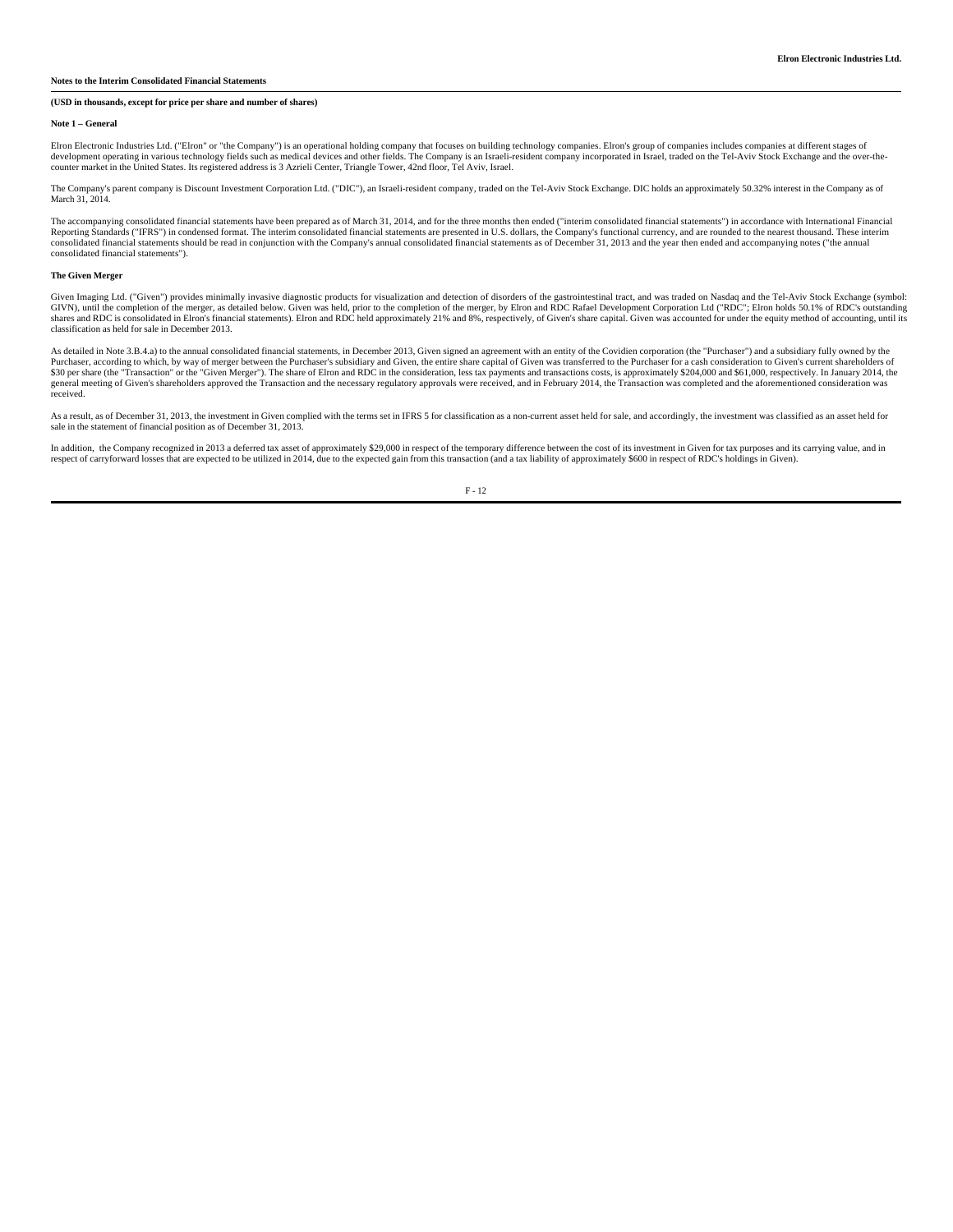# **Notes to the Interim Consolidated Financial Statements**

# **(USD in thousands, except for price per share and number of shares)**

#### **Note 1 – General**

Elron Electronic Industries Ltd. ("Elron" or "the Company") is an operational holding company that focuses on building technology companies. Elron's group of companies includes companies at different stages of<br>development counter market in the United States. Its registered address is 3 Azrieli Center, Triangle Tower, 42nd floor, Tel Aviv, Israel.

The Company's parent company is Discount Investment Corporation Ltd. ("DIC"), an Israeli-resident company, traded on the Tel-Aviv Stock Exchange. DIC holds an approximately 50.32% interest in the Company as of March 31, 2014.

The accompanying consolidated financial statements have been prepared as of March 31, 2014, and for the three months then ended ("interim consolidated financial statements") in accordance with International Financial Reporting Standards ("IFRS") in condensed format. The interim consolidated financial statements are presented in U.S. dollars, the Company's functional currency, and are rounded to the nearest thousand. These interim<br>conso consolidated financial statements").

#### **The Given Merger**

Given Imaging Ltd. ("Given") provides minimally invasive diagnostic products for visualization and detection of disorders of the gastrointestinal tract, and was traded on Nasdaq and the Tel-Aviv Stock Exchange (symbol: GIVN), until the completion of the merger, as detailed below. Given was held, prior to the completion of the merger, by Elron and RDC Rafael Development Corporation Ltd ("RDC"; Elron holds 50.1% of RDC's outstanding shares and RDC is consolidated in Elron's financial statements). Elron and RDC held approximately 21% and 8%, respectively, of Given's share capital. Given was accounted for under the equity method of accounting, until its classification as held for sale in December 2013.

As detailed in Note 3.B.4.a) to the annual consolidated financial statements, in December 2013, Given signed an agreement with an entity of the Covidien corporation (the "Purchaser") and a subsidiary fully owned by the<br>Pur \$30 per share (the "Transaction" or the "Given Merger"). The share of Elron and RDC in the consideration, less tax payments and transactions costs, is approximately \$204,000 and \$61,000, respectively. In January 2014, the<br> received.

As a result, as of December 31, 2013, the investment in Given complied with the terms set in IFRS 5 for classification as a non-current asset held for sale, and accordingly, the investment was classified as an asset held f sale in the statement of financial position as of December 31, 2013.

In addition, the Company recognized in 2013 a deferred tax asset of approximately \$29,000 in respect of the temporary difference between the cost of its investment in Given for tax purposes and its carrying value, and in respect of carryforward losses that are expected to be utilized in 2014, due to the expected gain from this transaction (and a tax liability of approximately \$600 in respect of RDC's holdings in Given).

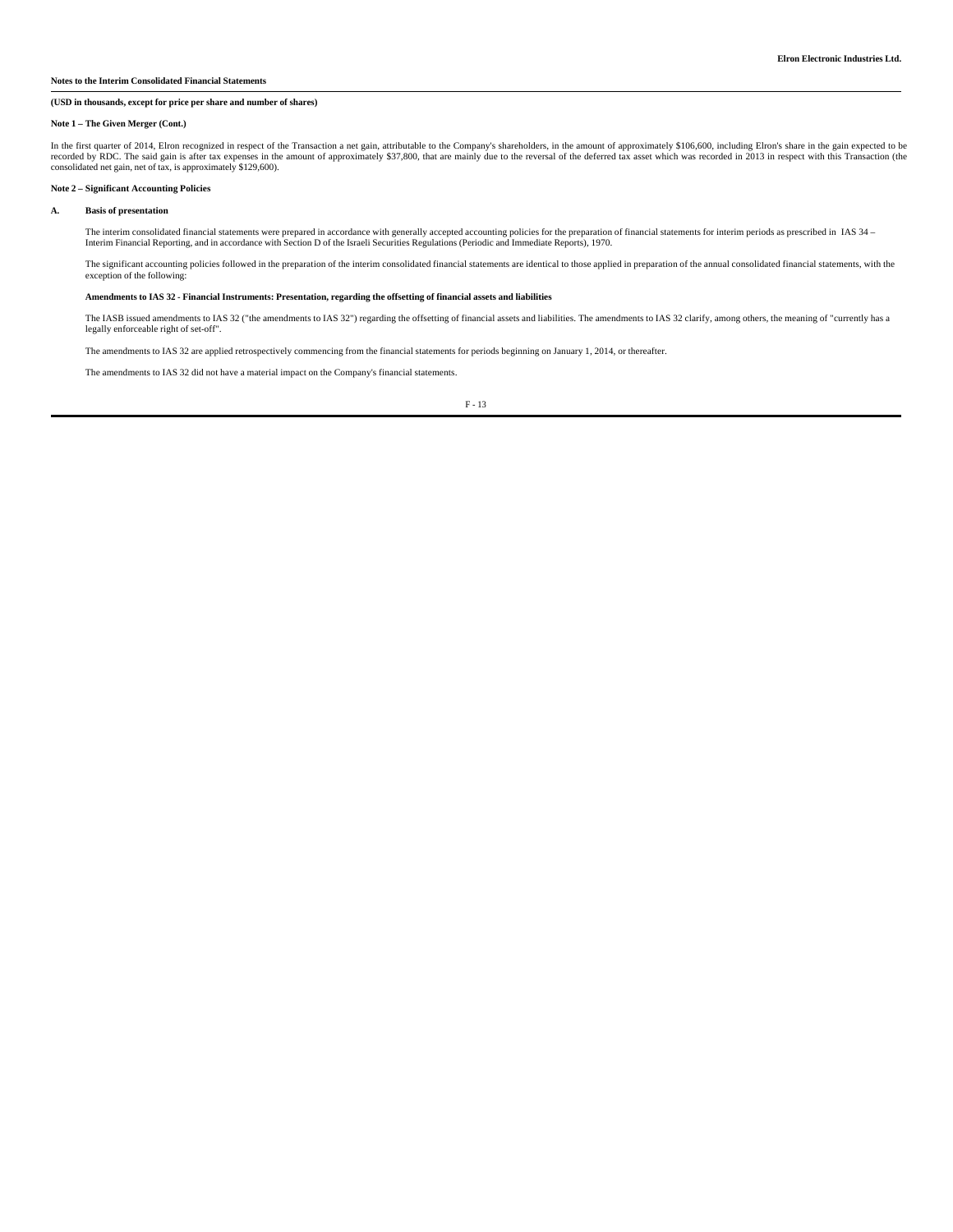#### **Notes to the Interim Consolidated Financial Statements**

## **(USD in thousands, except for price per share and number of shares)**

#### **Note 1 – The Given Merger (Cont.)**

In the first quarter of 2014, Elron recognized in respect of the Transaction a net gain, attributable to the Company's shareholders, in the amount of approximately \$106,600, including Elron's share in the gain expected to

#### **Note 2 – Significant Accounting Policies**

#### **A. Basis of presentation**

The interim consolidated financial statements were prepared in accordance with generally accepted accounting policies for the preparation of financial statements for interim periods as prescribed in IAS 34 –<br>Interim Financ

The significant accounting policies followed in the preparation of the interim consolidated financial statements are identical to those applied in preparation of the annual consolidated financial statements, with the exception of the following:

#### **Amendments to IAS 32 - Financial Instruments: Presentation, regarding the offsetting of financial assets and liabilities**

The IASB issued amendments to IAS 32 ("the amendments to IAS 32") regarding the offsetting of financial assets and liabilities. The amendments to IAS 32 clarify, among others, the meaning of "currently has a<br>legally enforc

The amendments to IAS 32 are applied retrospectively commencing from the financial statements for periods beginning on January 1, 2014, or thereafter.

The amendments to IAS 32 did not have a material impact on the Company's financial statements.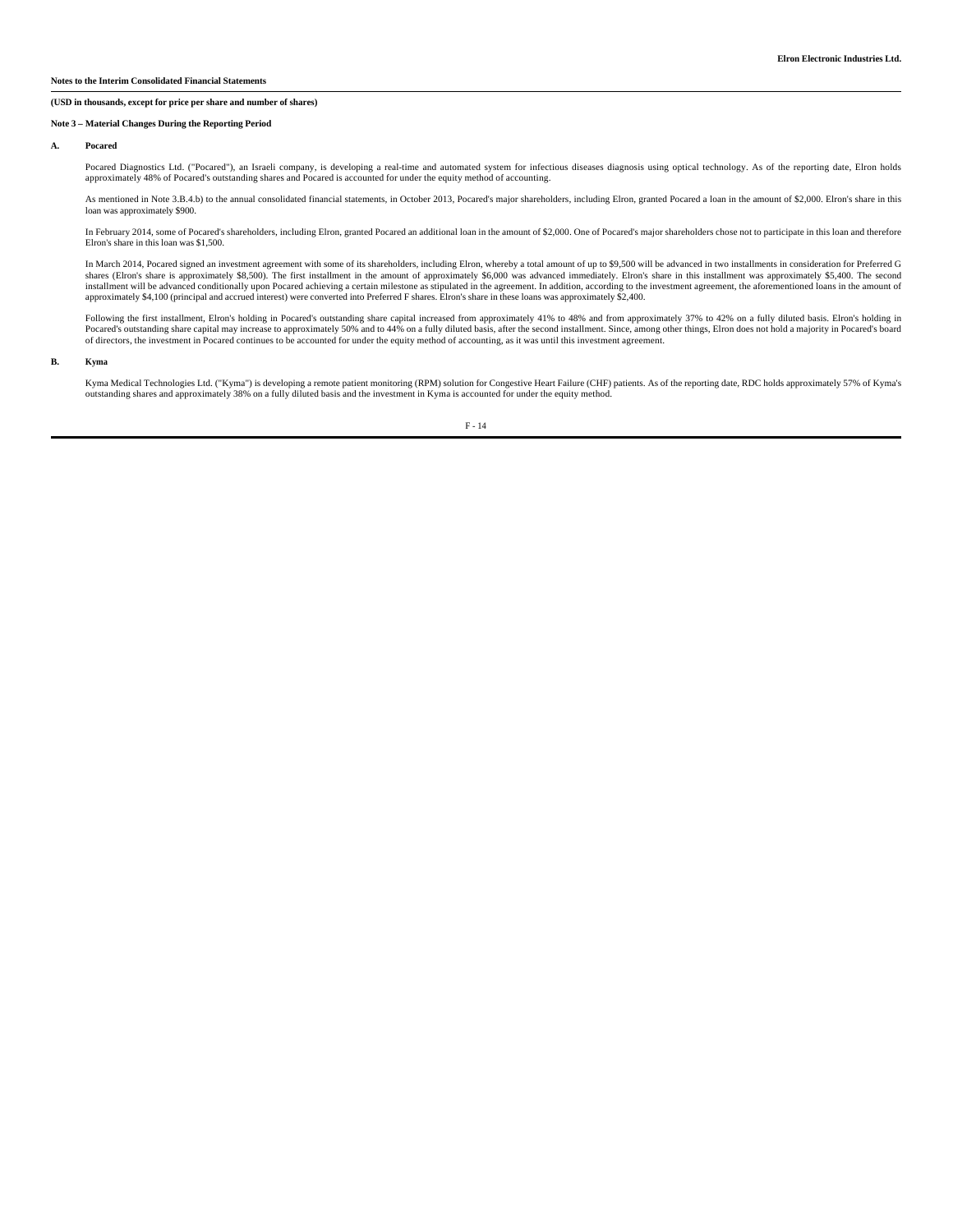#### **Notes to the Interim Consolidated Financial Statements**

## **(USD in thousands, except for price per share and number of shares)**

### **Note 3 – Material Changes During the Reporting Period**

#### **A. Pocared**

Pocared Diagnostics Ltd. ("Pocared"), an Israeli company, is developing a real-time and automated system for infectious diseases diagnosis using optical technology. As of the reporting date, Elron holds<br>approximately 48% o

As mentioned in Note 3.B.4.b) to the annual consolidated financial statements, in October 2013, Pocared's major shareholders, including Elron, granted Pocared a loan in the amount of \$2,000. Elron's share in this loan was approximately \$900.

In February 2014, some of Pocared's shareholders, including Elron, granted Pocared an additional loan in the amount of \$2,000. One of Pocared's major shareholders chose not to participate in this loan and therefore<br>Elron's

In March 2014, Pocared signed an investment agreement with some of its shareholders, including Elron, whereby a total amount of up to \$9,500 will be advanced in two installments in consideration for Preferred G shares (Elron's share is approximately \$8,500). The first installment in the amount of approximately \$6,000 was advanced immediately. Elron's share in this installment was approximately \$5,400. The second installment will be advanced conditionally upon Pocared achieving a certain milestone as stipulated in the agreement. In addition, according to the investment agreement, the aforementioned loans in the amount of<br>approximat

Following the first installment, Elron's holding in Pocared's outstanding share capital increased from approximately 41% to 48% and from approximately 37% to 42% on a fully diluted basis. Elron's holding in<br>Pocared's outst of directors, the investment in Pocared continues to be accounted for under the equity method of accounting, as it was until this investment agreement.

### **B. Kyma**

Kyma Medical Technologies Ltd. ("Kyma") is developing a remote patient monitoring (RPM) solution for Congestive Heart Failure (CHF) patients. As of the reporting date, RDC holds approximately 57% of Kyma's outstanding shares and approximately 38% on a fully diluted basis and the investment in Kyma is accounted for under the equity method.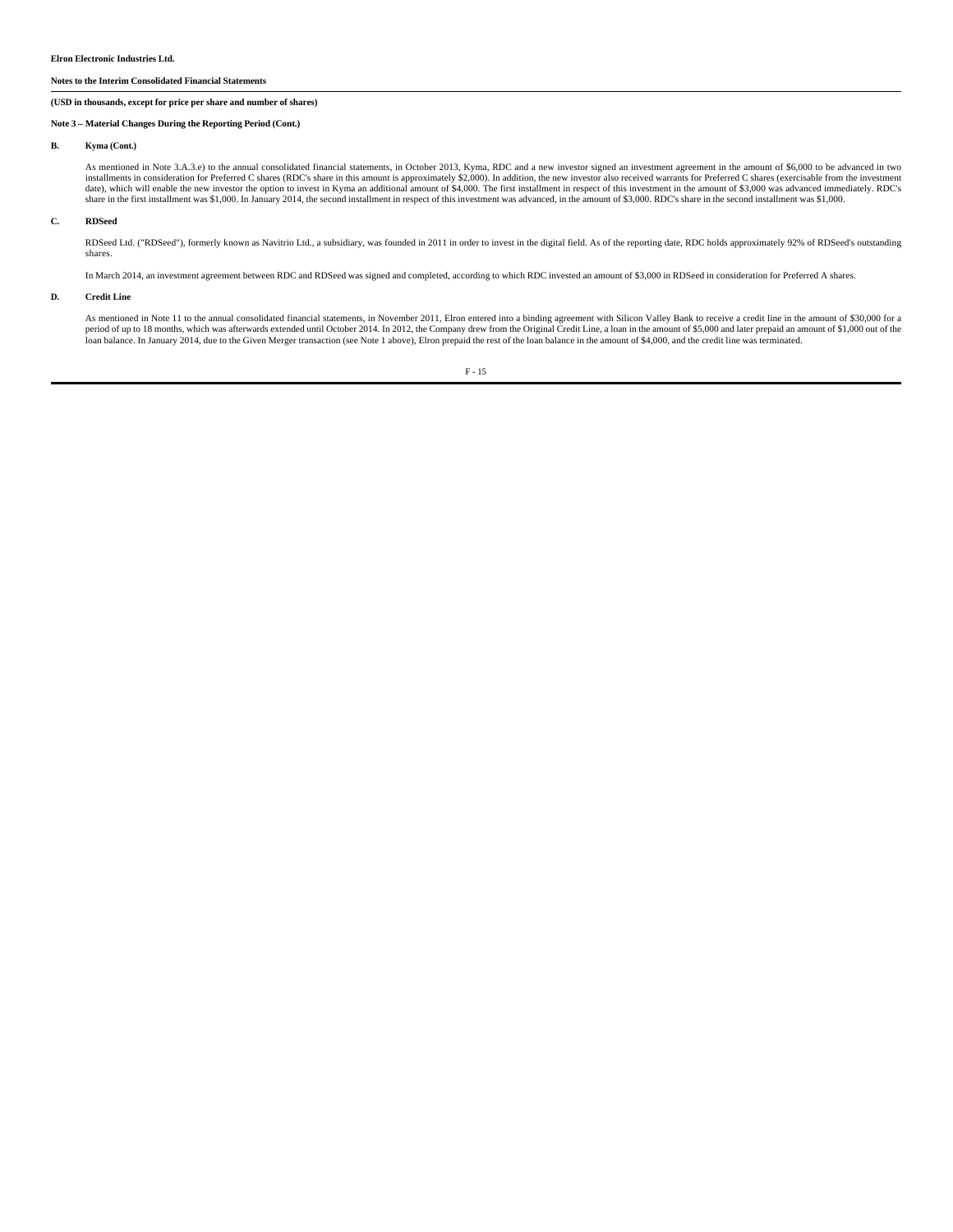#### **Elron Electronic Industries Ltd.**

#### **Notes to the Interim Consolidated Financial Statements**

## **(USD in thousands, except for price per share and number of shares)**

#### **Note 3 – Material Changes During the Reporting Period (Cont.)**

#### **B. Kyma (Cont.)**

As mentioned in Note 3.A.3.e) to the annual consolidated financial statements, in October 2013, Kyma, RDC and a new investor signed an investment agreement in the amount of \$6,000 to be advanced in two installments in cons date), which will enable the new investor the option to invest in Kyma an additional amount of \$4,000. The first installment in respect of this investment in the amount of \$3,000 was advanced immediately. RDC's share in the first installment was \$1,000. In January 2014, the second installment in respect of this investment was advanced, in the amount of \$3,000. RDC's share in the second installment was \$1,000.

#### **C. RDSeed**

RDSeed Ltd. ("RDSeed"), formerly known as Navitrio Ltd., a subsidiary, was founded in 2011 in order to invest in the digital field. As of the reporting date, RDC holds approximately 92% of RDSeed's outstanding shares.

In March 2014, an investment agreement between RDC and RDSeed was signed and completed, according to which RDC invested an amount of \$3,000 in RDSeed in consideration for Preferred A shares.

#### **D. Credit Line**

As mentioned in Note 11 to the annual consolidated financial statements, in November 2011, Elron entered into a binding agreement with Silicon Valley Bank to receive a credit line in the amount of \$30,000 for a<br>period of u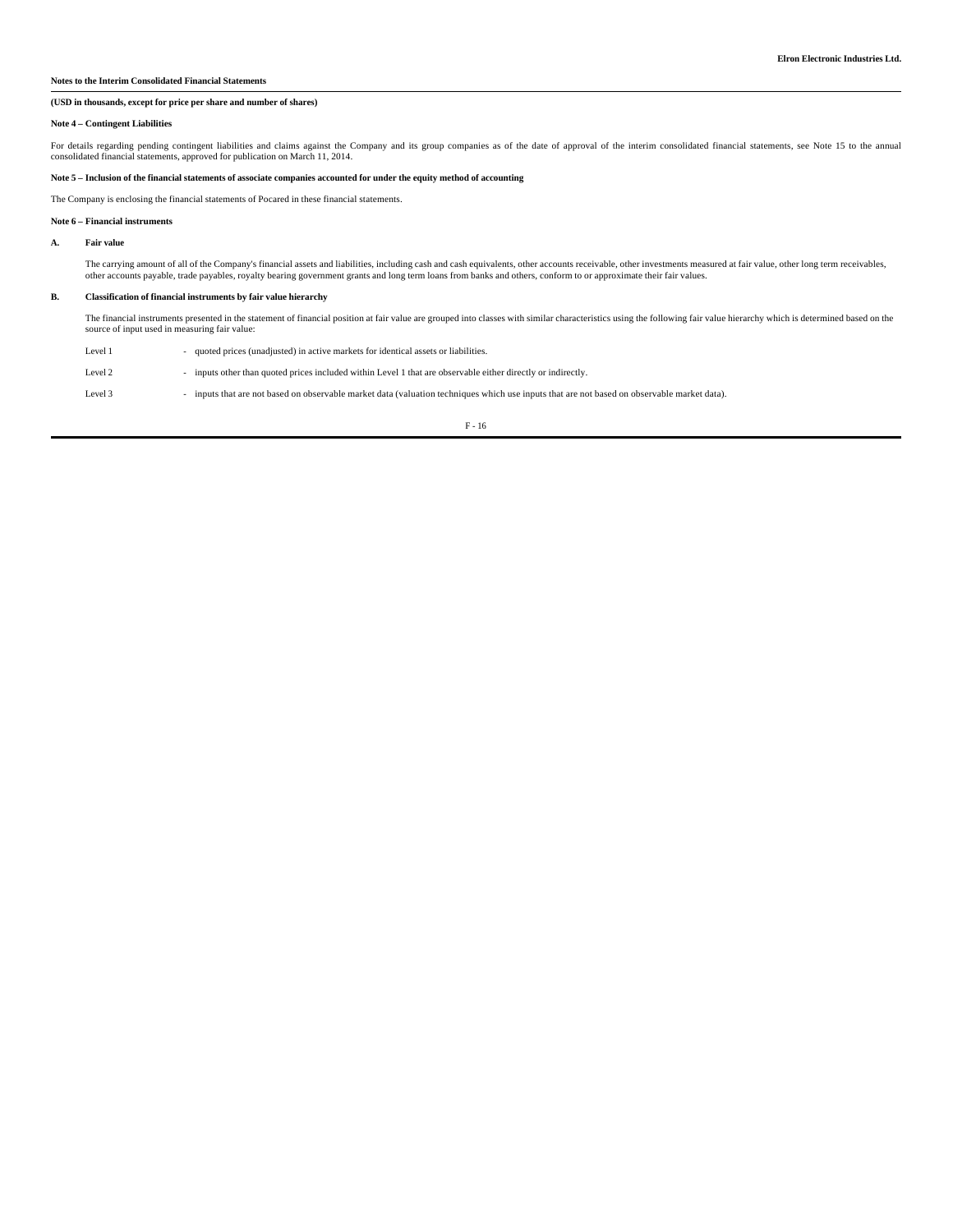## **Notes to the Interim Consolidated Financial Statements**

## **(USD in thousands, except for price per share and number of shares)**

#### **Note 4 – Contingent Liabilities**

For details regarding pending contingent liabilities and claims against the Company and its group companies as of the date of approval of the interim consolidated financial statements, see Note 15 to the annual<br>consolidate

### **Note 5 – Inclusion of the financial statements of associate companies accounted for under the equity method of accounting**

The Company is enclosing the financial statements of Pocared in these financial statements.

## **Note 6 – Financial instruments**

**A. Fair value**

The carrying amount of all of the Company's financial assets and liabilities, including cash and cash equivalents, other accounts receivable, other investments measured at fair value, other long term receivables, other accounts payable, trade payables, royalty bearing government grants and long term loans from banks and others, conform to or approximate their fair values.

#### **B. Classification of financial instruments by fair value hierarchy**

The financial instruments presented in the statement of financial position at fair value are grouped into classes with similar characteristics using the following fair value hierarchy which is determined based on the<br>sourc

| Level 1 | quoted prices (unadjusted) in active markets for identical assets or liabilities.                                                         |
|---------|-------------------------------------------------------------------------------------------------------------------------------------------|
| Level 2 | inputs other than quoted prices included within Level 1 that are observable either directly or indirectly.                                |
| Level 3 | inputs that are not based on observable market data (valuation techniques which use inputs that are not based on observable market data). |

 $\rm F$  -  $16$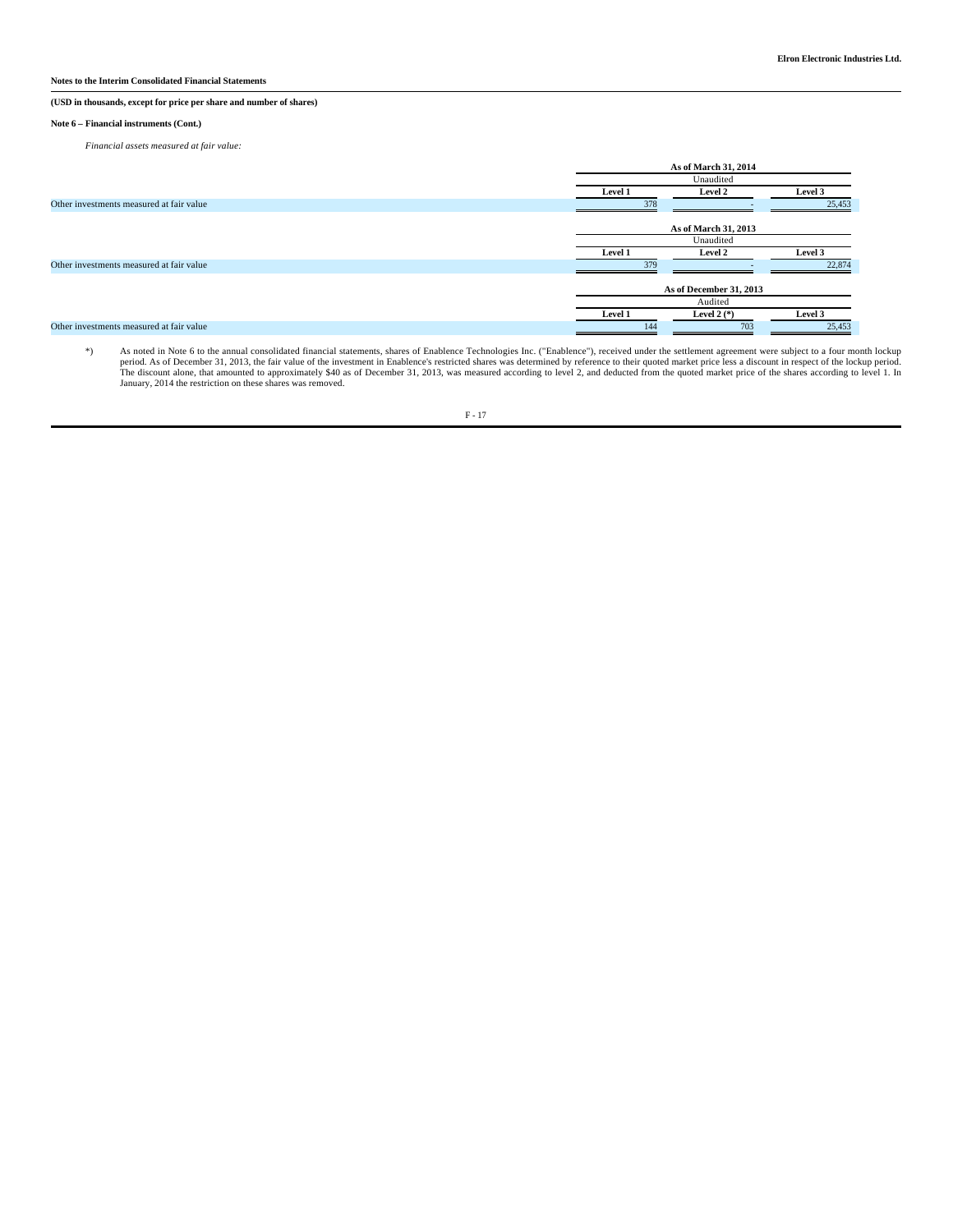## **(USD in thousands, except for price per share and number of shares)**

#### **Note 6 – Financial instruments (Cont.)**

*Financial assets measured at fair value:*

|                                          | As of March 31, 2014 |                         |         |  |  |  |  |
|------------------------------------------|----------------------|-------------------------|---------|--|--|--|--|
|                                          |                      | Unaudited               |         |  |  |  |  |
|                                          | Level 1              | Level 2                 | Level 3 |  |  |  |  |
| Other investments measured at fair value | 378                  |                         | 25,453  |  |  |  |  |
|                                          |                      | As of March 31, 2013    |         |  |  |  |  |
|                                          |                      | Unaudited               |         |  |  |  |  |
|                                          | Level 1              | Level 2                 | Level 3 |  |  |  |  |
| Other investments measured at fair value | 379                  |                         | 22,874  |  |  |  |  |
|                                          |                      | As of December 31, 2013 |         |  |  |  |  |
|                                          |                      | Audited                 |         |  |  |  |  |
|                                          | Level 1              | Level 2 $(*)$           | Level 3 |  |  |  |  |
| Other investments measured at fair value | 144                  | 703                     | 25,453  |  |  |  |  |

\*) As noted in Note 6 to the annual consolidated financial statements, shares of Enablence Technologies Inc. ("Enablence"), received under the settlement agreement were subject to a four month lockup period. As of December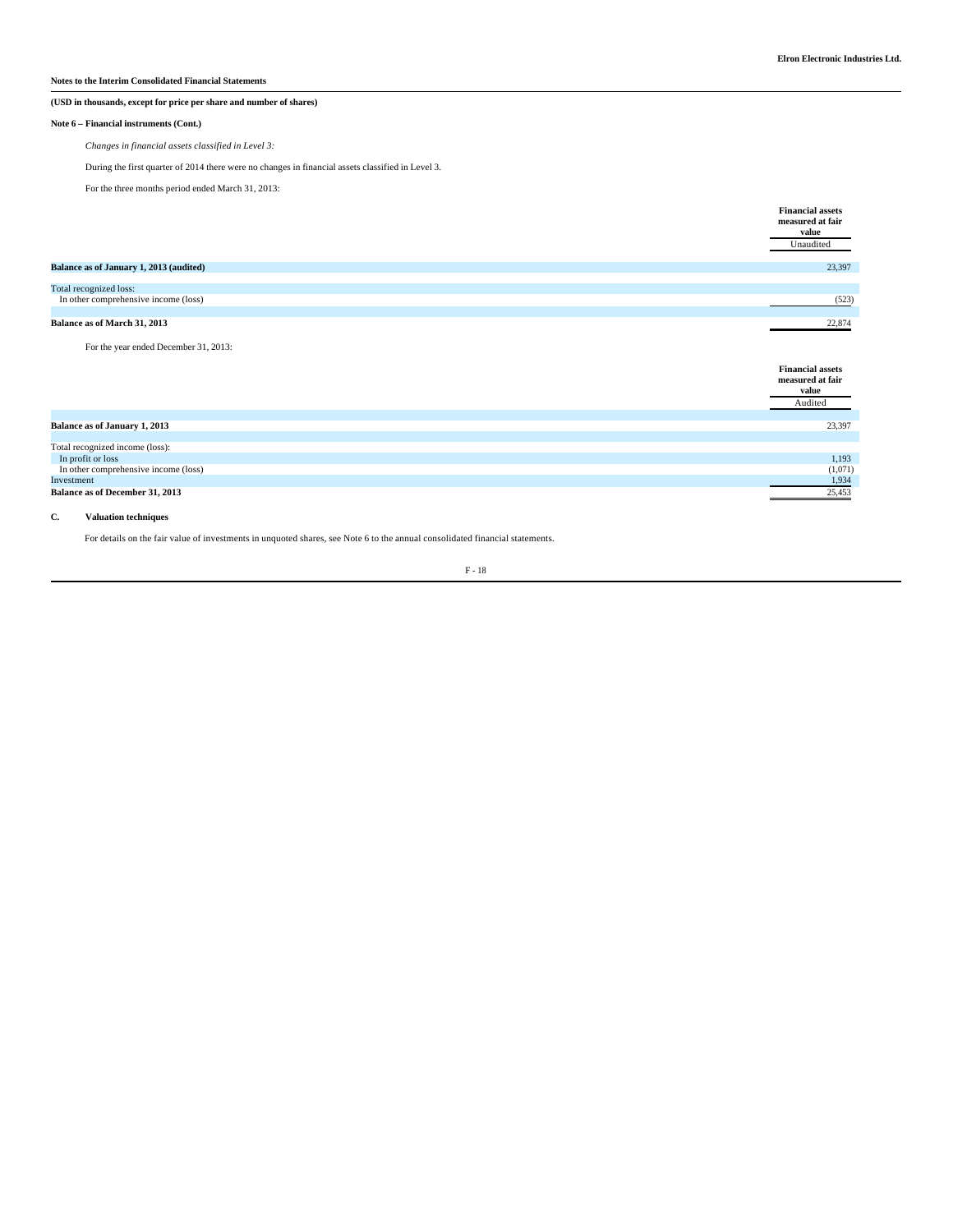# **Notes to the Interim Consolidated Financial Statements**

# **(USD in thousands, except for price per share and number of shares)**

#### **Note 6 – Financial instruments (Cont.)**

*Changes in financial assets classified in Level 3:*

During the first quarter of 2014 there were no changes in financial assets classified in Level 3.

For the three months period ended March 31, 2013:

|                                         | <b>Financial assets</b><br>measured at fair<br>value<br>Unaudited |
|-----------------------------------------|-------------------------------------------------------------------|
| Balance as of January 1, 2013 (audited) | 23,397                                                            |
|                                         |                                                                   |
| Total recognized loss:                  |                                                                   |
| In other comprehensive income (loss)    | (523)                                                             |
|                                         |                                                                   |
| Balance as of March 31, 2013            | 22,874                                                            |

## For the year ended December 31, 2013:

|                                        | <b>Financial assets</b><br>measured at fair<br>value |
|----------------------------------------|------------------------------------------------------|
|                                        | Audited                                              |
|                                        |                                                      |
| Balance as of January 1, 2013          | 23,397                                               |
|                                        |                                                      |
| Total recognized income (loss):        |                                                      |
| In profit or loss                      | 1,193                                                |
| In other comprehensive income (loss)   | (1,071)                                              |
| Investment                             | 1,934                                                |
| <b>Balance as of December 31, 2013</b> | 25,453                                               |
|                                        |                                                      |

## **C. Valuation techniques**

For details on the fair value of investments in unquoted shares, see Note 6 to the annual consolidated financial statements.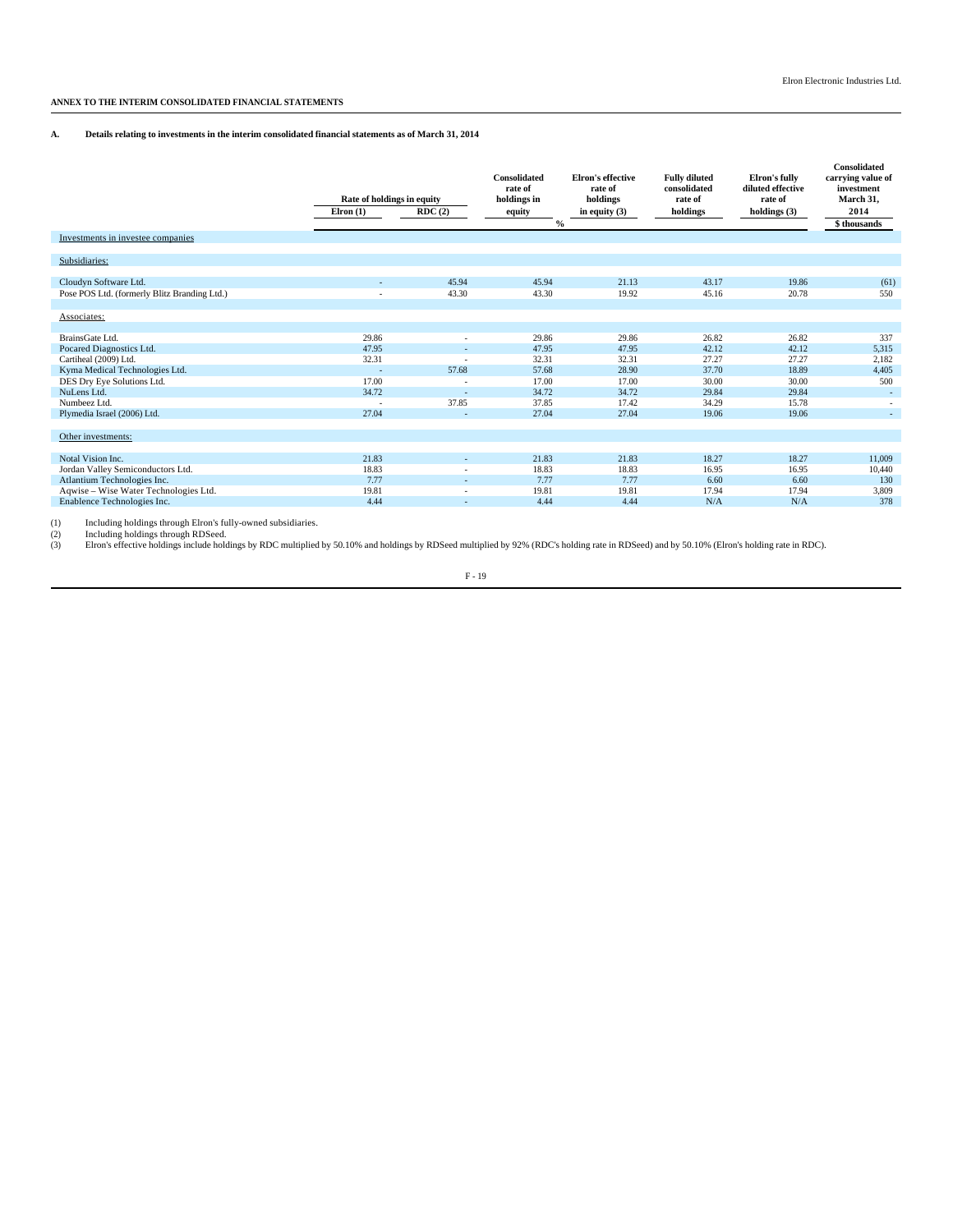# **ANNEX TO THE INTERIM CONSOLIDATED FINANCIAL STATEMENTS**

## **A. Details relating to investments in the interim consolidated financial statements as of March 31, 2014**

| Investments in investee companies            | Rate of holdings in equity<br>$E$ Iron $(1)$ | RDC(2)                   | Consolidated<br>rate of<br>holdings in<br>equity<br>$\frac{0}{0}$ | <b>Elron's effective</b><br>rate of<br>holdings<br>in equity $(3)$ | <b>Fully diluted</b><br>consolidated<br>rate of<br>holdings | Elron's fully<br>diluted effective<br>rate of<br>holdings $(3)$ | Consolidated<br>carrying value of<br>investment<br>March 31.<br>2014<br>\$ thousands |
|----------------------------------------------|----------------------------------------------|--------------------------|-------------------------------------------------------------------|--------------------------------------------------------------------|-------------------------------------------------------------|-----------------------------------------------------------------|--------------------------------------------------------------------------------------|
|                                              |                                              |                          |                                                                   |                                                                    |                                                             |                                                                 |                                                                                      |
| Subsidiaries:                                |                                              |                          |                                                                   |                                                                    |                                                             |                                                                 |                                                                                      |
|                                              |                                              |                          |                                                                   |                                                                    |                                                             |                                                                 |                                                                                      |
| Cloudyn Software Ltd.                        |                                              | 45.94                    | 45.94                                                             | 21.13                                                              | 43.17                                                       | 19.86                                                           | (61)                                                                                 |
| Pose POS Ltd. (formerly Blitz Branding Ltd.) |                                              | 43.30                    | 43.30                                                             | 19.92                                                              | 45.16                                                       | 20.78                                                           | 550                                                                                  |
|                                              |                                              |                          |                                                                   |                                                                    |                                                             |                                                                 |                                                                                      |
| Associates:                                  |                                              |                          |                                                                   |                                                                    |                                                             |                                                                 |                                                                                      |
|                                              |                                              |                          |                                                                   |                                                                    |                                                             |                                                                 |                                                                                      |
| BrainsGate Ltd.                              | 29.86                                        | $\overline{\phantom{a}}$ | 29.86                                                             | 29.86                                                              | 26.82                                                       | 26.82                                                           | 337                                                                                  |
| Pocared Diagnostics Ltd.                     | 47.95                                        | ٠                        | 47.95                                                             | 47.95                                                              | 42.12                                                       | 42.12                                                           | 5,315                                                                                |
| Cartiheal (2009) Ltd.                        | 32.31                                        | $\overline{\phantom{a}}$ | 32.31                                                             | 32.31                                                              | 27.27                                                       | 27.27                                                           | 2,182                                                                                |
| Kyma Medical Technologies Ltd.               | ٠                                            | 57.68                    | 57.68                                                             | 28.90                                                              | 37.70                                                       | 18.89                                                           | 4,405                                                                                |
| DES Dry Eye Solutions Ltd.                   | 17.00                                        |                          | 17.00                                                             | 17.00                                                              | 30.00                                                       | 30.00                                                           | 500                                                                                  |
| NuLens Ltd.                                  | 34.72                                        |                          | 34.72                                                             | 34.72                                                              | 29.84                                                       | 29.84                                                           |                                                                                      |
| Numbeez Ltd.                                 |                                              | 37.85                    | 37.85                                                             | 17.42                                                              | 34.29                                                       | 15.78                                                           |                                                                                      |
| Plymedia Israel (2006) Ltd.                  | 27.04                                        |                          | 27.04                                                             | 27.04                                                              | 19.06                                                       | 19.06                                                           | $\sim$                                                                               |
|                                              |                                              |                          |                                                                   |                                                                    |                                                             |                                                                 |                                                                                      |
| Other investments:                           |                                              |                          |                                                                   |                                                                    |                                                             |                                                                 |                                                                                      |
|                                              |                                              |                          |                                                                   |                                                                    |                                                             |                                                                 |                                                                                      |
| Notal Vision Inc.                            | 21.83                                        |                          | 21.83                                                             | 21.83                                                              | 18.27                                                       | 18.27                                                           | 11.009                                                                               |
| Jordan Valley Semiconductors Ltd.            | 18.83                                        |                          | 18.83                                                             | 18.83                                                              | 16.95                                                       | 16.95                                                           | 10,440                                                                               |
| Atlantium Technologies Inc.                  | 7.77                                         | ÷                        | 7.77                                                              | 7.77                                                               | 6.60                                                        | 6.60                                                            | 130                                                                                  |
| Aqwise - Wise Water Technologies Ltd.        | 19.81                                        | ٠                        | 19.81                                                             | 19.81                                                              | 17.94                                                       | 17.94                                                           | 3,809                                                                                |
| Enablence Technologies Inc.                  | 4.44                                         | ٠                        | 4.44                                                              | 4.44                                                               | N/A                                                         | N/A                                                             | 378                                                                                  |
|                                              |                                              |                          |                                                                   |                                                                    |                                                             |                                                                 |                                                                                      |

(1) Including holdings through Elron's fully-owned subsidiaries.<br>(2) Including holdings through RDSeed.<br>(3) Elron's effective holdings include holdings by RDC multiplied by 50.10% and holdings by RDSeed multiplied by 92% (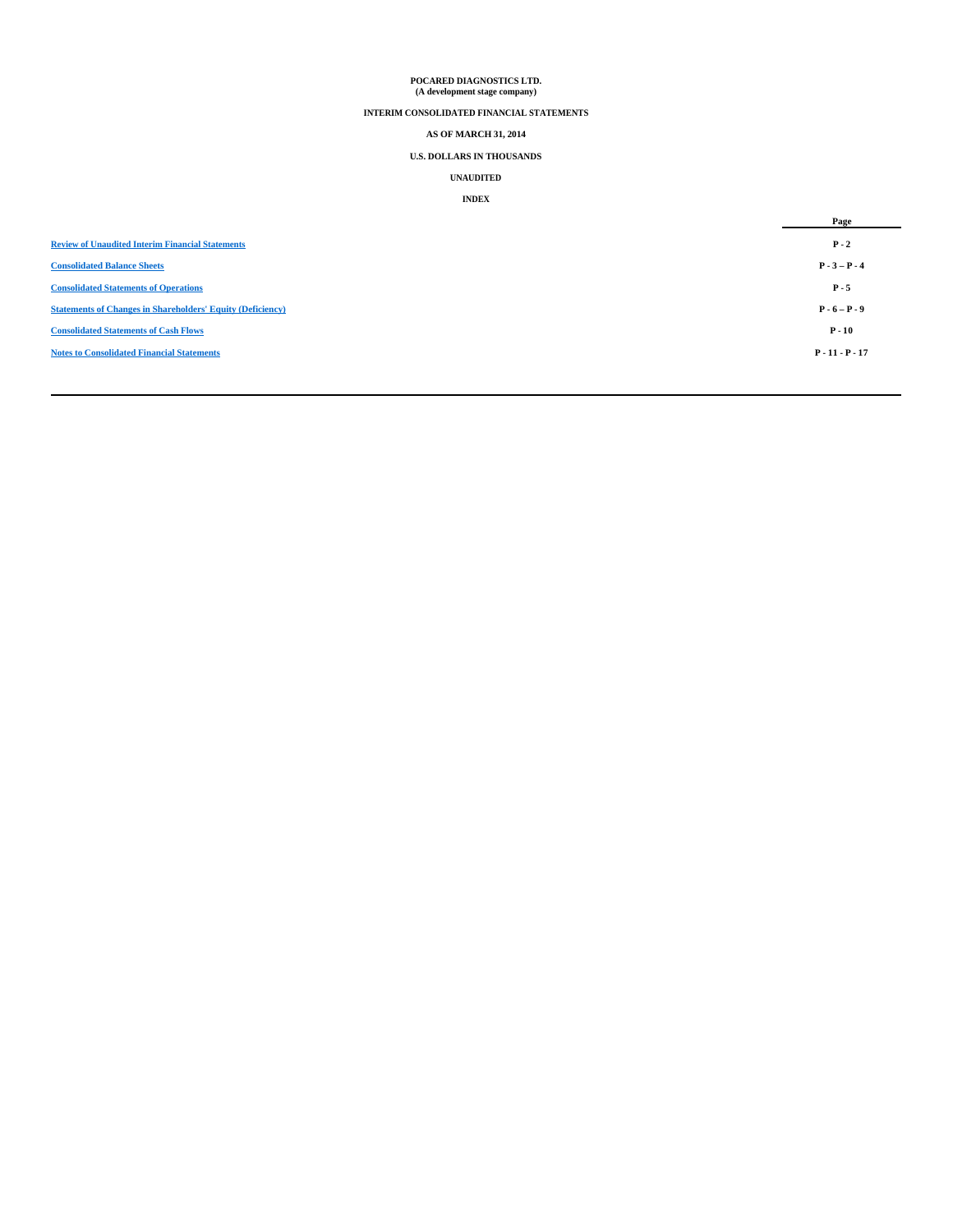# **POCARED DIAGNOSTICS LTD. (A development stage company)**

# **INTERIM CONSOLIDATED FINANCIAL STATEMENTS**

# **AS OF MARCH 31, 2014**

# **U.S. DOLLARS IN THOUSANDS**

# **UNAUDITED**

# **INDEX**

|                                                                   | Page              |
|-------------------------------------------------------------------|-------------------|
| <b>Review of Unaudited Interim Financial Statements</b>           | $P - 2$           |
| <b>Consolidated Balance Sheets</b>                                | $P - 3 - P - 4$   |
| <b>Consolidated Statements of Operations</b>                      | $P - 5$           |
| <b>Statements of Changes in Shareholders' Equity (Deficiency)</b> | $P - 6 - P - 9$   |
| <b>Consolidated Statements of Cash Flows</b>                      | $P - 10$          |
| <b>Notes to Consolidated Financial Statements</b>                 | $P - 11 - P - 17$ |
|                                                                   |                   |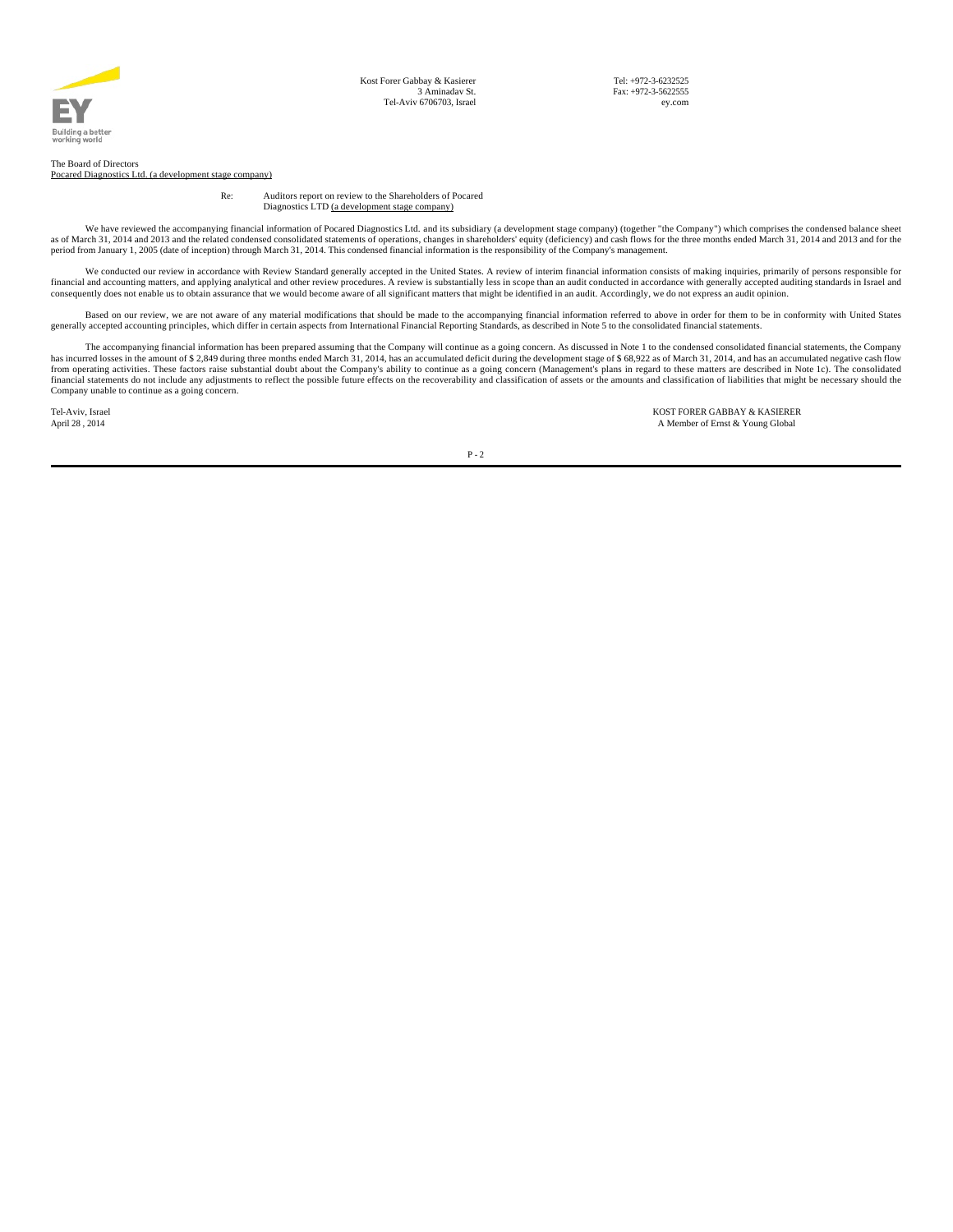

Tel: +972-3-6232525 Fax: +972-3-5622555 ey.com

#### The Board of Directors Pocared Diagnostics Ltd. (a development stage company)

Re: Auditors report on review to the Shareholders of Pocared Diagnostics LTD (a development stage company)

We have reviewed the accompanying financial information of Pocared Diagnostics Ltd. and its subsidiary (a development stage company) (together "the Company") which comprises the condensed balance sheet as of March 31, 2014

We conducted our review in accordance with Review Standard generally accepted in the United States. A review of interim financial information consists of making inquiries, primarily of persons responsible for financial and

Based on our review, we are not aware of any material modifications that should be made to the accompanying financial information referred to above in order for them to be in conformity with United States generally accepte

The accompanying financial information has been prepared assuming that the Company will continue as a going concern. As discussed in Note 1 to the condensed consolidated financial statements, the Company will series in the Company unable to continue as a going concern.

Tel-Aviv, Israel KOST FORER GABBAY & KASIERER A Member of Ernst & Young Global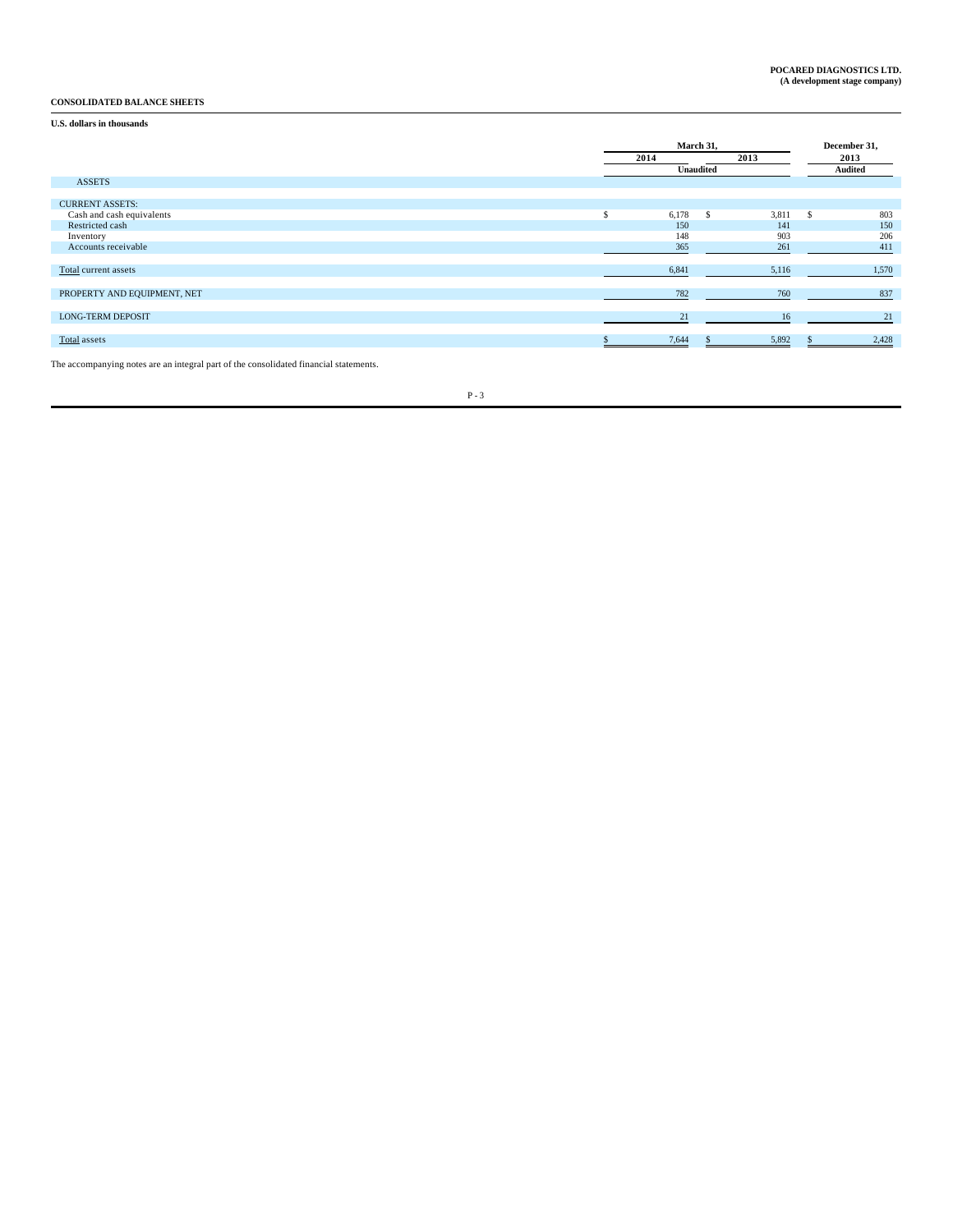# **CONSOLIDATED BALANCE SHEETS**

# **U.S. dollars in thousands**

|                             | March 31,        |              | December 31, |    |         |
|-----------------------------|------------------|--------------|--------------|----|---------|
|                             | 2013<br>2014     |              |              |    | 2013    |
|                             | <b>Unaudited</b> |              |              |    | Audited |
| <b>ASSETS</b>               |                  |              |              |    |         |
|                             |                  |              |              |    |         |
| <b>CURRENT ASSETS:</b>      |                  |              |              |    |         |
| Cash and cash equivalents   | \$<br>6,178      | $\mathbf{s}$ | 3,811        | -S | 803     |
| Restricted cash             | 150              |              | 141          |    | 150     |
| Inventory                   | 148              |              | 903          |    | 206     |
| Accounts receivable         | 365              |              | 261          |    | 411     |
|                             |                  |              |              |    |         |
| Total current assets        | 6,841            |              | 5,116        |    | 1,570   |
|                             |                  |              |              |    |         |
| PROPERTY AND EQUIPMENT, NET | 782              |              | 760          |    | 837     |
|                             |                  |              |              |    |         |
| <b>LONG-TERM DEPOSIT</b>    | 21               |              | 16           |    | 21      |
|                             |                  |              |              |    |         |
| Total assets                | 7,644            |              | 5,892        |    | 2,428   |
|                             |                  |              |              |    |         |

The accompanying notes are an integral part of the consolidated financial statements.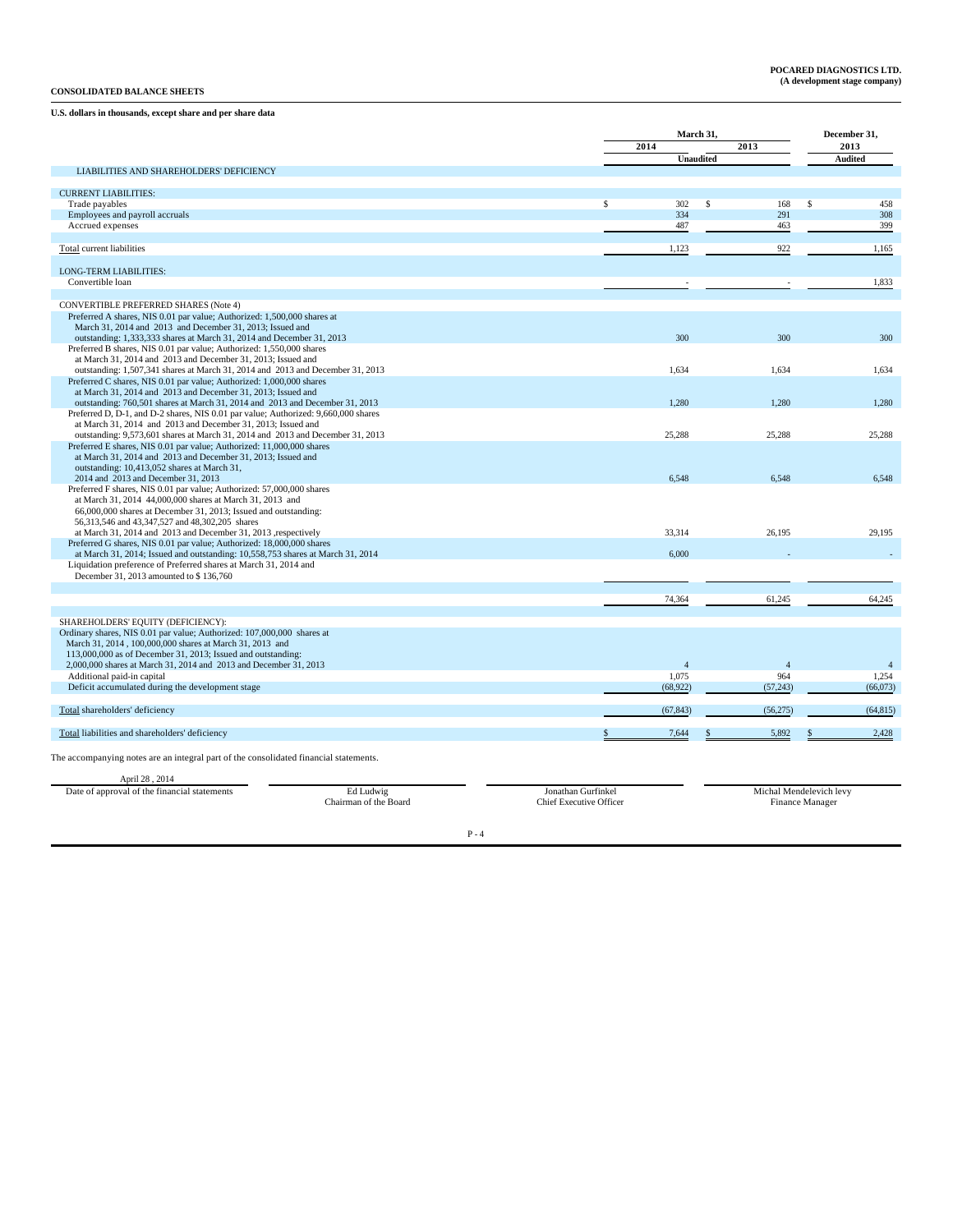## **CONSOLIDATED BALANCE SHEETS**

# **U.S. dollars in thousands, except share and per share data**

|                                                                                                                                                         |                                | March 31,        | December 31, |                         |                |
|---------------------------------------------------------------------------------------------------------------------------------------------------------|--------------------------------|------------------|--------------|-------------------------|----------------|
|                                                                                                                                                         |                                | 2014             |              | 2013                    | 2013           |
|                                                                                                                                                         |                                | <b>Unaudited</b> |              |                         | <b>Audited</b> |
| LIABILITIES AND SHAREHOLDERS' DEFICIENCY                                                                                                                |                                |                  |              |                         |                |
| <b>CURRENT LIABILITIES:</b>                                                                                                                             |                                |                  |              |                         |                |
| Trade payables                                                                                                                                          | \$                             | 302              | s.           | 168                     | S<br>458       |
| Employees and payroll accruals                                                                                                                          |                                | 334              |              | 291                     | 308            |
| Accrued expenses                                                                                                                                        |                                | 487              |              | 463                     | 399            |
| <b>Total</b> current liabilities                                                                                                                        |                                | 1,123            |              | 922                     | 1,165          |
|                                                                                                                                                         |                                |                  |              |                         |                |
| <b>LONG-TERM LIABILITIES:</b>                                                                                                                           |                                |                  |              |                         |                |
| Convertible loan                                                                                                                                        |                                |                  |              |                         | 1,833          |
| CONVERTIBLE PREFERRED SHARES (Note 4)                                                                                                                   |                                |                  |              |                         |                |
| Preferred A shares, NIS 0.01 par value; Authorized: 1,500,000 shares at                                                                                 |                                |                  |              |                         |                |
| March 31, 2014 and 2013 and December 31, 2013; Issued and                                                                                               |                                |                  |              |                         |                |
| outstanding: 1,333,333 shares at March 31, 2014 and December 31, 2013<br>Preferred B shares, NIS 0.01 par value; Authorized: 1,550,000 shares           |                                | 300              |              | 300                     | 300            |
| at March 31, 2014 and 2013 and December 31, 2013; Issued and                                                                                            |                                |                  |              |                         |                |
| outstanding: 1,507,341 shares at March 31, 2014 and 2013 and December 31, 2013                                                                          |                                | 1.634            |              | 1.634                   | 1.634          |
| Preferred C shares, NIS 0.01 par value; Authorized: 1,000,000 shares<br>at March 31, 2014 and 2013 and December 31, 2013; Issued and                    |                                |                  |              |                         |                |
| outstanding: 760,501 shares at March 31, 2014 and 2013 and December 31, 2013                                                                            |                                | 1.280            |              | 1.280                   | 1.280          |
| Preferred D, D-1, and D-2 shares, NIS 0.01 par value; Authorized: 9,660,000 shares                                                                      |                                |                  |              |                         |                |
| at March 31, 2014 and 2013 and December 31, 2013; Issued and                                                                                            |                                |                  |              |                         |                |
| outstanding: 9,573,601 shares at March 31, 2014 and 2013 and December 31, 2013<br>Preferred E shares, NIS 0.01 par value; Authorized: 11,000,000 shares |                                | 25,288           |              | 25,288                  | 25,288         |
| at March 31, 2014 and 2013 and December 31, 2013; Issued and                                                                                            |                                |                  |              |                         |                |
| outstanding: 10,413,052 shares at March 31,                                                                                                             |                                |                  |              |                         |                |
| 2014 and 2013 and December 31, 2013<br>Preferred F shares, NIS 0.01 par value; Authorized: 57,000,000 shares                                            |                                | 6,548            |              | 6,548                   | 6,548          |
| at March 31, 2014 44,000,000 shares at March 31, 2013 and                                                                                               |                                |                  |              |                         |                |
| 66,000,000 shares at December 31, 2013; Issued and outstanding:                                                                                         |                                |                  |              |                         |                |
| 56,313,546 and 43,347,527 and 48,302,205 shares                                                                                                         |                                |                  |              |                         |                |
| at March 31, 2014 and 2013 and December 31, 2013 , respectively<br>Preferred G shares, NIS 0.01 par value; Authorized: 18,000,000 shares                |                                | 33,314           |              | 26,195                  | 29.195         |
| at March 31, 2014; Issued and outstanding: 10,558,753 shares at March 31, 2014                                                                          |                                | 6,000            |              |                         |                |
| Liquidation preference of Preferred shares at March 31, 2014 and                                                                                        |                                |                  |              |                         |                |
| December 31, 2013 amounted to \$136,760                                                                                                                 |                                |                  |              |                         |                |
|                                                                                                                                                         |                                | 74,364           |              | 61,245                  | 64,245         |
|                                                                                                                                                         |                                |                  |              |                         |                |
| SHAREHOLDERS' EQUITY (DEFICIENCY):                                                                                                                      |                                |                  |              |                         |                |
| Ordinary shares, NIS 0.01 par value; Authorized: 107,000,000 shares at<br>March 31, 2014, 100,000,000 shares at March 31, 2013 and                      |                                |                  |              |                         |                |
| 113,000,000 as of December 31, 2013; Issued and outstanding:                                                                                            |                                |                  |              |                         |                |
| 2,000,000 shares at March 31, 2014 and 2013 and December 31, 2013                                                                                       |                                | $\overline{4}$   |              | $\overline{4}$          | $\overline{4}$ |
| Additional paid-in capital                                                                                                                              |                                | 1,075            |              | 964                     | 1,254          |
| Deficit accumulated during the development stage                                                                                                        |                                | (68,922)         |              | (57, 243)               | (66,073)       |
| Total shareholders' deficiency                                                                                                                          |                                | (67, 843)        |              | (56, 275)               | (64, 815)      |
|                                                                                                                                                         |                                |                  |              |                         |                |
| Total liabilities and shareholders' deficiency                                                                                                          |                                | 7,644            |              | 5,892                   | 2,428          |
|                                                                                                                                                         |                                |                  |              |                         |                |
| The accompanying notes are an integral part of the consolidated financial statements.                                                                   |                                |                  |              |                         |                |
| April 28, 2014                                                                                                                                          |                                |                  |              |                         |                |
| Date of approval of the financial statements<br>Ed Ludwig                                                                                               | Jonathan Gurfinkel             |                  |              | Michal Mendelevich levy |                |
| Chairman of the Board                                                                                                                                   | <b>Chief Executive Officer</b> |                  |              | Finance Manager         |                |
|                                                                                                                                                         |                                |                  |              |                         |                |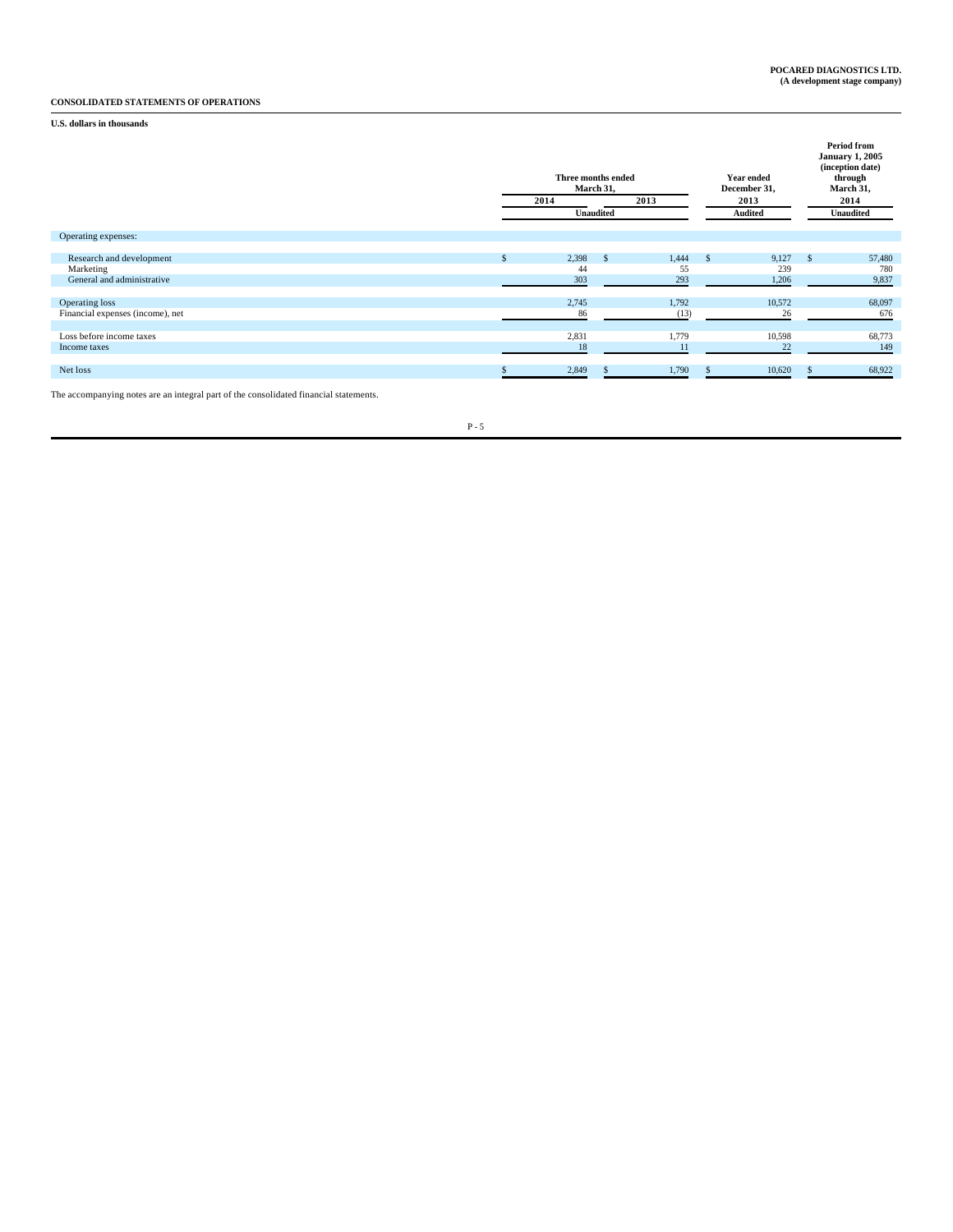# **CONSOLIDATED STATEMENTS OF OPERATIONS**

# **U.S. dollars in thousands**

|                                                                     | Three months ended<br>March 31,<br>2013<br>2014<br>Unaudited |                    |              |                    |      | Year ended<br>December 31,<br>2013<br>Audited | <b>Period from</b><br><b>January 1, 2005</b><br>(inception date)<br>through<br>March 31,<br>2014<br><b>Unaudited</b> |                        |  |
|---------------------------------------------------------------------|--------------------------------------------------------------|--------------------|--------------|--------------------|------|-----------------------------------------------|----------------------------------------------------------------------------------------------------------------------|------------------------|--|
| Operating expenses:                                                 |                                                              |                    |              |                    |      |                                               |                                                                                                                      |                        |  |
| Research and development<br>Marketing<br>General and administrative |                                                              | 2,398<br>44<br>303 | $\mathbf{s}$ | 1,444<br>55<br>293 | - \$ | 9,127<br>239<br>1,206                         | -S                                                                                                                   | 57,480<br>780<br>9,837 |  |
| Operating loss<br>Financial expenses (income), net                  |                                                              | 2,745<br>86        |              | 1,792<br>(13)      |      | 10,572<br>26                                  |                                                                                                                      | 68,097<br>676          |  |
| Loss before income taxes<br>Income taxes                            |                                                              | 2,831<br>18        |              | 1,779<br>11        |      | 10,598<br>22                                  |                                                                                                                      | 68,773<br>149          |  |
| Net loss                                                            |                                                              | 2,849              |              | 1,790              |      | 10,620                                        |                                                                                                                      | 68,922                 |  |

The accompanying notes are an integral part of the consolidated financial statements.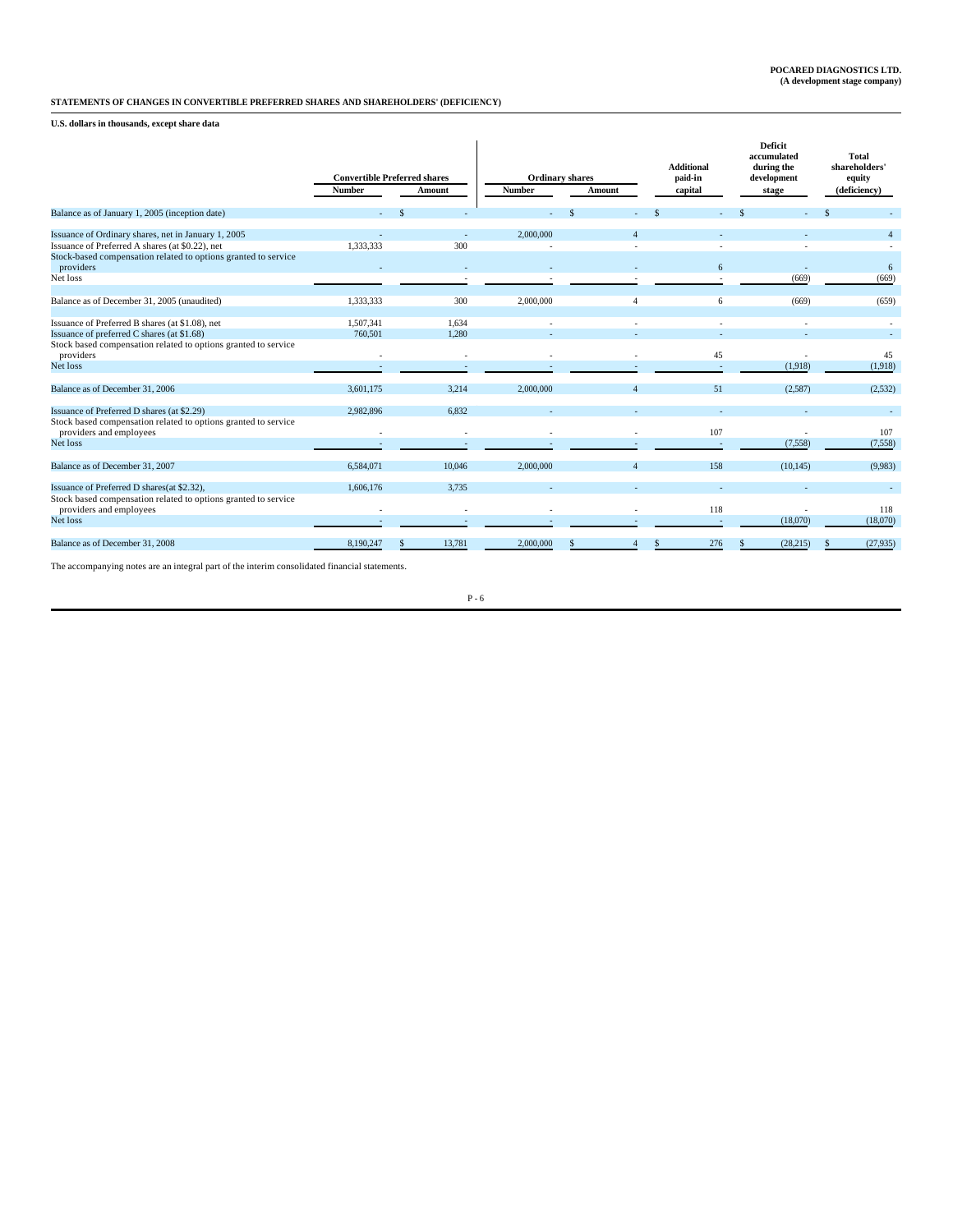# **STATEMENTS OF CHANGES IN CONVERTIBLE PREFERRED SHARES AND SHAREHOLDERS' (DEFICIENCY)**

**U.S. dollars in thousands, except share data**

|                                                                                           | <b>Convertible Preferred shares</b><br><b>Number</b> | Amount | <b>Number</b>            | <b>Ordinary shares</b><br>Amount | <b>Additional</b><br>paid-in<br>capital | Deficit<br>accumulated<br>during the<br>development<br>stage | <b>Total</b><br>shareholders'<br>equity<br>(deficiency) |
|-------------------------------------------------------------------------------------------|------------------------------------------------------|--------|--------------------------|----------------------------------|-----------------------------------------|--------------------------------------------------------------|---------------------------------------------------------|
| Balance as of January 1, 2005 (inception date)                                            |                                                      |        | $\sim$                   | <sup>\$</sup>                    |                                         |                                                              |                                                         |
| Issuance of Ordinary shares, net in January 1, 2005                                       |                                                      |        | 2,000,000<br>$\sim$      | Δ                                |                                         |                                                              |                                                         |
| Issuance of Preferred A shares (at \$0.22), net                                           | 1,333,333                                            | 300    |                          |                                  |                                         |                                                              |                                                         |
| Stock-based compensation related to options granted to service<br>providers               |                                                      |        | $\sim$                   |                                  |                                         | 6                                                            | 6                                                       |
| Net loss                                                                                  |                                                      |        |                          |                                  |                                         |                                                              | (669)<br>(669)                                          |
| Balance as of December 31, 2005 (unaudited)                                               | 1,333,333                                            | 300    | 2,000,000                | 4                                |                                         | 6                                                            | (659)<br>(669)                                          |
| Issuance of Preferred B shares (at \$1.08), net                                           | 1.507.341                                            | 1.634  |                          |                                  |                                         |                                                              |                                                         |
| Issuance of preferred C shares (at \$1.68)                                                | 760,501                                              | 1.280  |                          |                                  |                                         |                                                              |                                                         |
| Stock based compensation related to options granted to service<br>providers               |                                                      |        | $\overline{a}$           |                                  |                                         | 45                                                           | 45                                                      |
| Net loss                                                                                  |                                                      |        | $\sim$                   |                                  |                                         |                                                              | (1,918)<br>(1,918)                                      |
| Balance as of December 31, 2006                                                           | 3,601,175                                            | 3.214  | 2,000,000                | Δ                                |                                         | 51                                                           | (2,587)<br>(2,532)                                      |
| Issuance of Preferred D shares (at \$2.29)                                                | 2,982,896                                            | 6.832  |                          |                                  |                                         |                                                              |                                                         |
| Stock based compensation related to options granted to service<br>providers and employees |                                                      |        | $\overline{\phantom{a}}$ |                                  | 107                                     |                                                              | 107                                                     |
| Net loss                                                                                  |                                                      |        |                          |                                  |                                         |                                                              | (7,558)<br>(7, 558)                                     |
| Balance as of December 31, 2007                                                           | 6,584,071                                            | 10,046 | 2,000,000                | $\overline{A}$                   | 158                                     | (10, 145)                                                    | (9,983)                                                 |
| Issuance of Preferred D shares(at \$2.32),                                                | 1,606,176                                            | 3,735  |                          |                                  |                                         |                                                              |                                                         |
| Stock based compensation related to options granted to service<br>providers and employees |                                                      |        | $\overline{\phantom{a}}$ |                                  |                                         | 118                                                          | 118                                                     |
| Net loss                                                                                  |                                                      |        |                          |                                  |                                         | (18,070)                                                     | (18,070)                                                |
| Balance as of December 31, 2008                                                           | 8,190,247                                            | 13,781 | 2,000,000                |                                  |                                         | 276<br>(28, 215)                                             | (27, 935)                                               |

The accompanying notes are an integral part of the interim consolidated financial statements.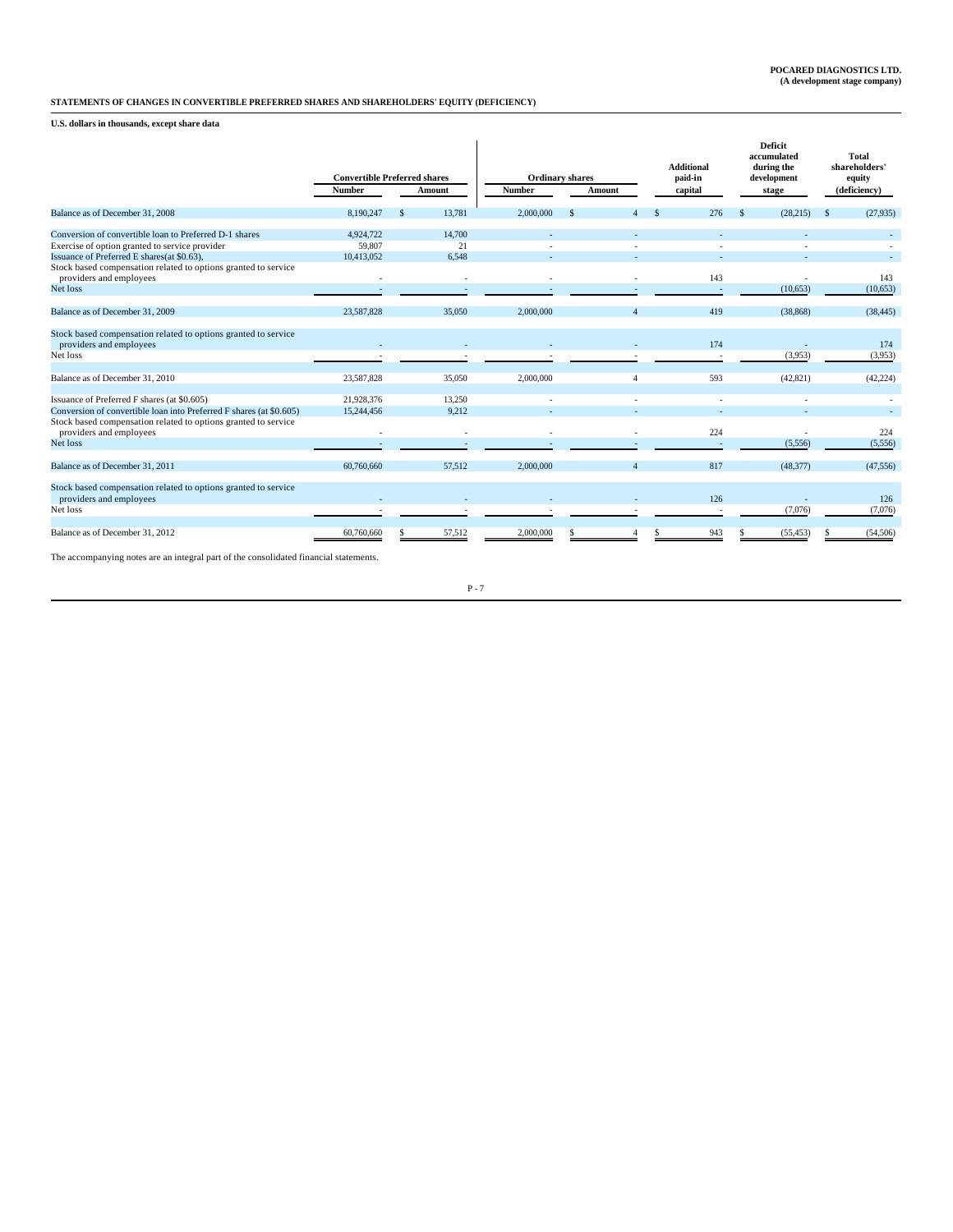# **STATEMENTS OF CHANGES IN CONVERTIBLE PREFERRED SHARES AND SHAREHOLDERS' EQUITY (DEFICIENCY)**

**U.S. dollars in thousands, except share data**

|            |               |                          | <b>Ordinary shares</b><br><b>Number</b><br>Amount |          | <b>Additional</b><br>paid-in |  | <b>Deficit</b><br>accumulated<br>during the<br>development |                       | <b>Total</b><br>shareholders'<br>equity<br>(deficiency) |                  |           |
|------------|---------------|--------------------------|---------------------------------------------------|----------|------------------------------|--|------------------------------------------------------------|-----------------------|---------------------------------------------------------|------------------|-----------|
|            |               |                          |                                                   |          |                              |  |                                                            |                       |                                                         |                  |           |
| 8,190,247  | \$            | 13,781                   | 2,000,000                                         | <b>S</b> |                              |  | 276                                                        | $\mathcal{S}$         | (28, 215)                                               | <sup>\$</sup>    | (27,935)  |
| 4,924,722  |               | 14,700                   |                                                   |          |                              |  |                                                            |                       |                                                         |                  |           |
| 59,807     |               | 21                       |                                                   |          |                              |  |                                                            |                       |                                                         |                  |           |
| 10,413,052 |               | 6.548                    |                                                   |          |                              |  |                                                            |                       |                                                         |                  |           |
|            |               | $\overline{\phantom{a}}$ |                                                   |          |                              |  |                                                            |                       |                                                         |                  | 143       |
|            |               |                          |                                                   |          |                              |  |                                                            |                       | (10, 653)                                               |                  | (10,653)  |
|            |               |                          |                                                   |          |                              |  |                                                            |                       |                                                         |                  |           |
| 23,587,828 |               | 35,050                   | 2,000,000                                         |          |                              |  | 419                                                        |                       | (38, 868)                                               |                  | (38, 445) |
|            |               |                          |                                                   |          |                              |  | 174                                                        |                       |                                                         |                  | 174       |
|            |               |                          |                                                   |          |                              |  |                                                            |                       |                                                         |                  | (3,953)   |
|            |               |                          |                                                   |          |                              |  |                                                            |                       |                                                         |                  |           |
| 23,587,828 |               | 35,050                   | 2,000,000                                         |          | $\overline{4}$               |  | 593                                                        |                       | (42, 821)                                               |                  | (42, 224) |
| 21,928,376 |               | 13,250                   |                                                   |          |                              |  |                                                            |                       |                                                         |                  |           |
| 15,244,456 |               | 9.212                    |                                                   |          |                              |  |                                                            |                       |                                                         |                  |           |
|            |               |                          |                                                   |          |                              |  |                                                            |                       |                                                         |                  | 224       |
|            |               |                          |                                                   |          |                              |  |                                                            |                       | (5, 556)                                                |                  | (5,556)   |
|            |               |                          |                                                   |          |                              |  |                                                            |                       |                                                         |                  |           |
| 60,760,660 |               | 57.512                   | 2,000,000                                         |          | Δ                            |  | 817                                                        |                       | (48, 377)                                               |                  | (47.556)  |
|            |               |                          |                                                   |          |                              |  | 126                                                        |                       |                                                         |                  | 126       |
|            |               |                          |                                                   |          |                              |  |                                                            |                       | (7,076)                                                 |                  | (7,076)   |
| 60,760,660 |               | 57,512                   | 2,000,000                                         |          |                              |  | 943                                                        |                       | (55, 453)                                               |                  | (54, 506) |
|            | <b>Number</b> |                          | <b>Convertible Preferred shares</b><br>Amount     |          |                              |  |                                                            | capital<br>143<br>224 |                                                         | stage<br>(3,953) |           |

The accompanying notes are an integral part of the consolidated financial statements.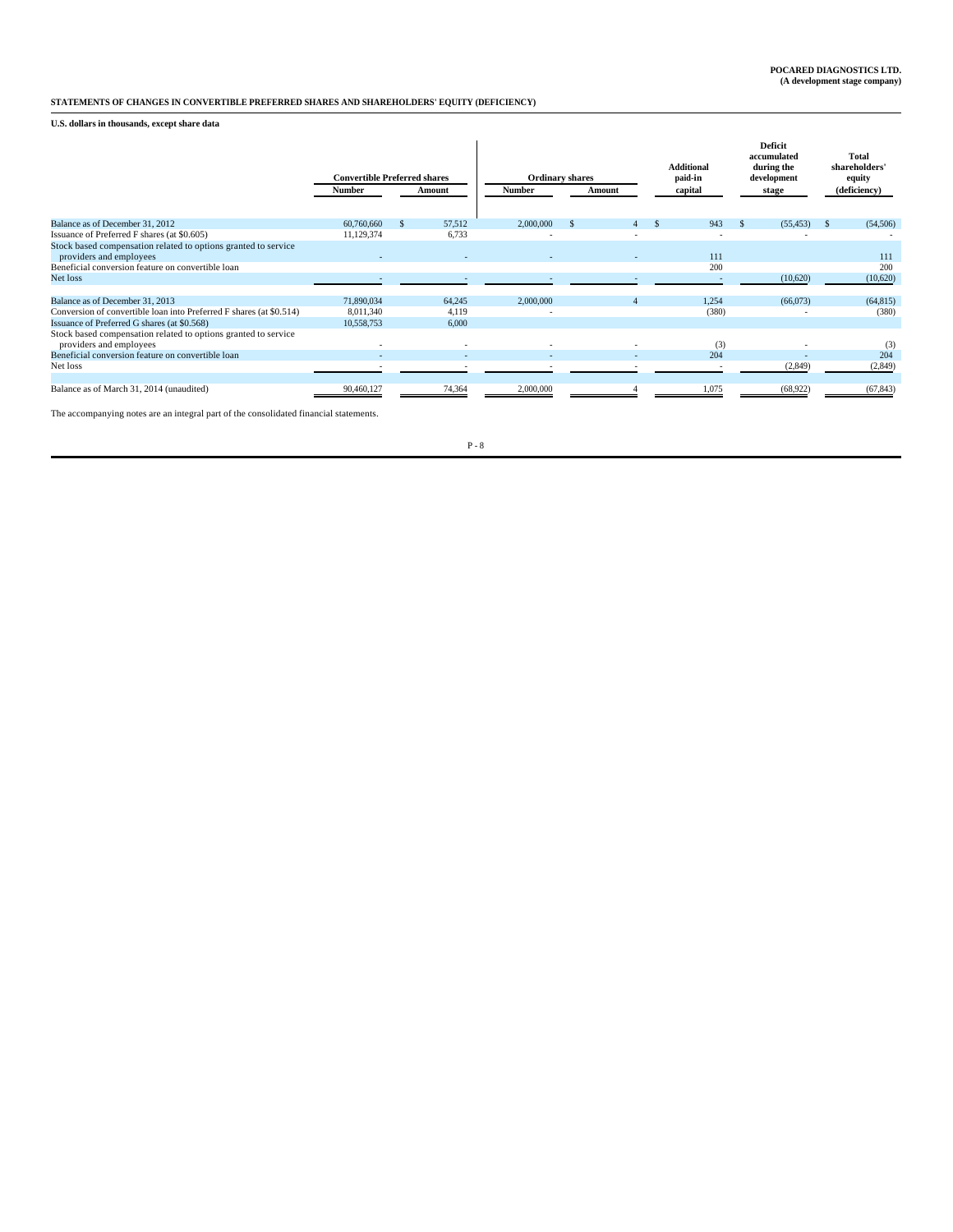# **STATEMENTS OF CHANGES IN CONVERTIBLE PREFERRED SHARES AND SHAREHOLDERS' EQUITY (DEFICIENCY)**

**U.S. dollars in thousands, except share data**

|                                                                                           | <b>Convertible Preferred shares</b><br>Number | Amount                   | <b>Number</b> | <b>Ordinary shares</b><br>Amount |  |       |           | Additional<br>paid-in<br>capital | <b>Deficit</b><br>accumulated<br>during the<br>development<br>stage | Total<br>shareholders'<br>equity<br>(deficiency) |
|-------------------------------------------------------------------------------------------|-----------------------------------------------|--------------------------|---------------|----------------------------------|--|-------|-----------|----------------------------------|---------------------------------------------------------------------|--------------------------------------------------|
| Balance as of December 31, 2012                                                           | 60,760,660                                    | 57,512                   | 2,000,000     |                                  |  | 943   | (55, 453) | (54, 506)                        |                                                                     |                                                  |
| Issuance of Preferred F shares (at \$0.605)                                               | 11,129,374                                    | 6,733                    |               |                                  |  |       |           |                                  |                                                                     |                                                  |
| Stock based compensation related to options granted to service                            |                                               |                          |               |                                  |  |       |           |                                  |                                                                     |                                                  |
| providers and employees                                                                   |                                               | $\overline{\phantom{0}}$ |               |                                  |  | 111   |           | 111                              |                                                                     |                                                  |
| Beneficial conversion feature on convertible loan                                         |                                               |                          |               |                                  |  | 200   |           | 200                              |                                                                     |                                                  |
| Net loss                                                                                  |                                               |                          |               |                                  |  |       | (10,620)  | (10,620)                         |                                                                     |                                                  |
|                                                                                           |                                               |                          |               |                                  |  |       |           |                                  |                                                                     |                                                  |
| Balance as of December 31, 2013                                                           | 71.890.034                                    | 64,245                   | 2,000,000     |                                  |  | 1,254 | (66,073)  | (64, 815)                        |                                                                     |                                                  |
| Conversion of convertible loan into Preferred F shares (at \$0.514)                       | 8,011,340                                     | 4,119                    |               |                                  |  | (380) |           | (380)                            |                                                                     |                                                  |
| Issuance of Preferred G shares (at \$0.568)                                               | 10,558,753                                    | 6,000                    |               |                                  |  |       |           |                                  |                                                                     |                                                  |
| Stock based compensation related to options granted to service<br>providers and employees |                                               | ٠                        |               |                                  |  | (3)   |           | (3)                              |                                                                     |                                                  |
| Beneficial conversion feature on convertible loan                                         |                                               |                          |               |                                  |  | 204   |           | 204                              |                                                                     |                                                  |
| Net loss                                                                                  |                                               |                          |               |                                  |  |       | (2,849)   | (2, 849)                         |                                                                     |                                                  |
|                                                                                           |                                               |                          |               |                                  |  |       |           |                                  |                                                                     |                                                  |
| Balance as of March 31, 2014 (unaudited)                                                  | 90,460,127                                    | 74,364                   | 2,000,000     |                                  |  | 1,075 | (68, 922) | (67, 843)                        |                                                                     |                                                  |

The accompanying notes are an integral part of the consolidated financial statements.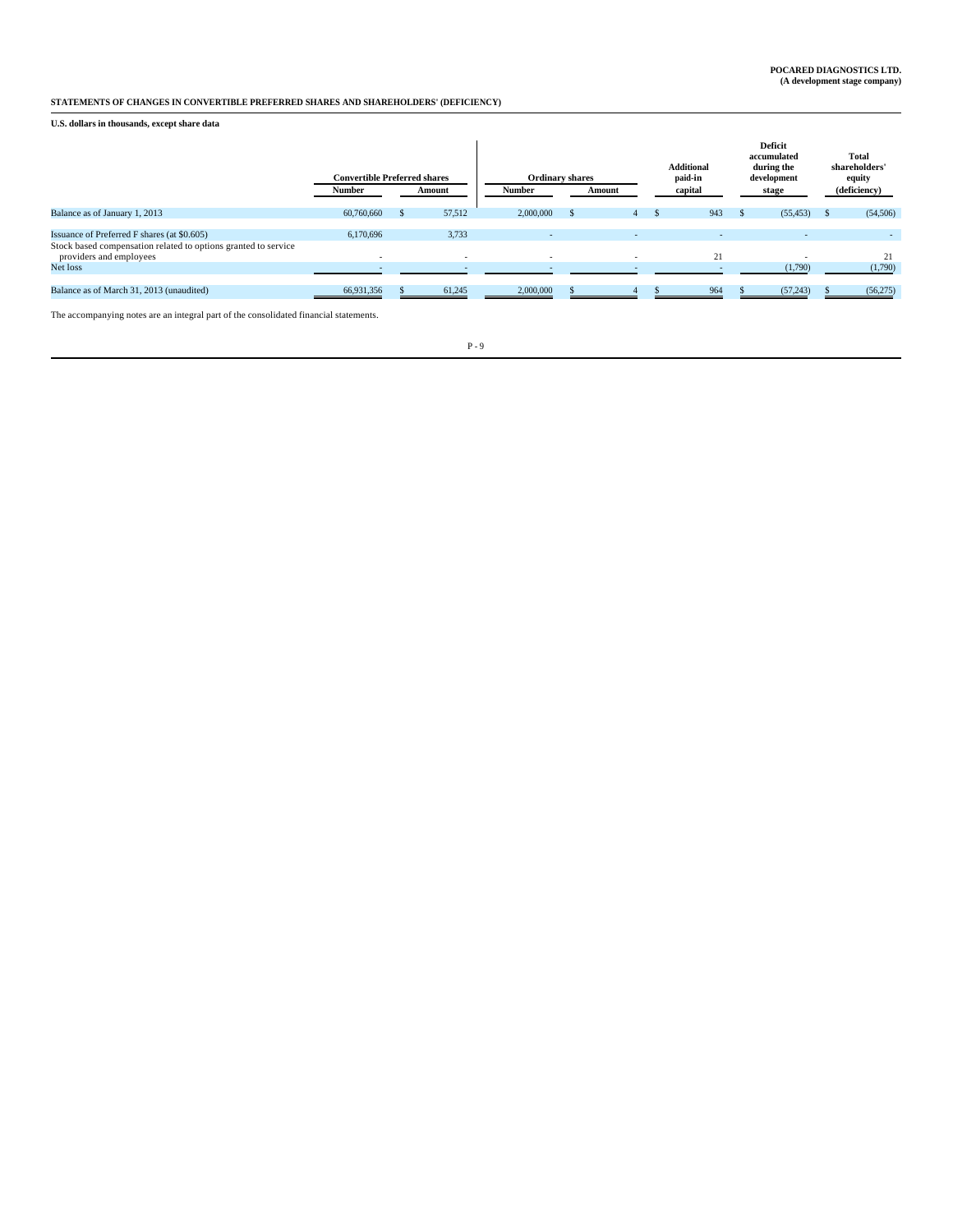# **STATEMENTS OF CHANGES IN CONVERTIBLE PREFERRED SHARES AND SHAREHOLDERS' (DEFICIENCY)**

**U.S. dollars in thousands, except share data**

|                                                                                           | <b>Convertible Preferred shares</b> |                          | <b>Ordinary shares</b> |                          | <b>Additional</b><br>paid-in | Deficit<br>accumulated<br>during the<br>development | <b>Total</b><br>shareholders'<br>equity |              |  |
|-------------------------------------------------------------------------------------------|-------------------------------------|--------------------------|------------------------|--------------------------|------------------------------|-----------------------------------------------------|-----------------------------------------|--------------|--|
|                                                                                           | <b>Number</b>                       | Amount                   | <b>Number</b>          | Amount                   | capital                      | stage                                               |                                         | (deficiency) |  |
| Balance as of January 1, 2013                                                             | 60,760,660                          | 57,512                   | 2,000,000              | 4                        | 943                          | (55, 453)                                           |                                         | (54, 506)    |  |
| Issuance of Preferred F shares (at \$0.605)                                               | 6.170.696                           | 3,733                    |                        | $\overline{\phantom{0}}$ |                              | . .                                                 |                                         | $\sim$       |  |
| Stock based compensation related to options granted to service<br>providers and employees |                                     | $\overline{\phantom{a}}$ |                        | $\overline{\phantom{a}}$ | 21                           |                                                     |                                         | 21           |  |
| Net loss                                                                                  |                                     | $\overline{\phantom{0}}$ |                        |                          |                              | (1,790)                                             |                                         | (1,790)      |  |
| Balance as of March 31, 2013 (unaudited)                                                  | 66,931,356                          | 61,245                   | 2,000,000              |                          | 964                          | (57, 243)                                           |                                         | (56,275)     |  |

The accompanying notes are an integral part of the consolidated financial statements.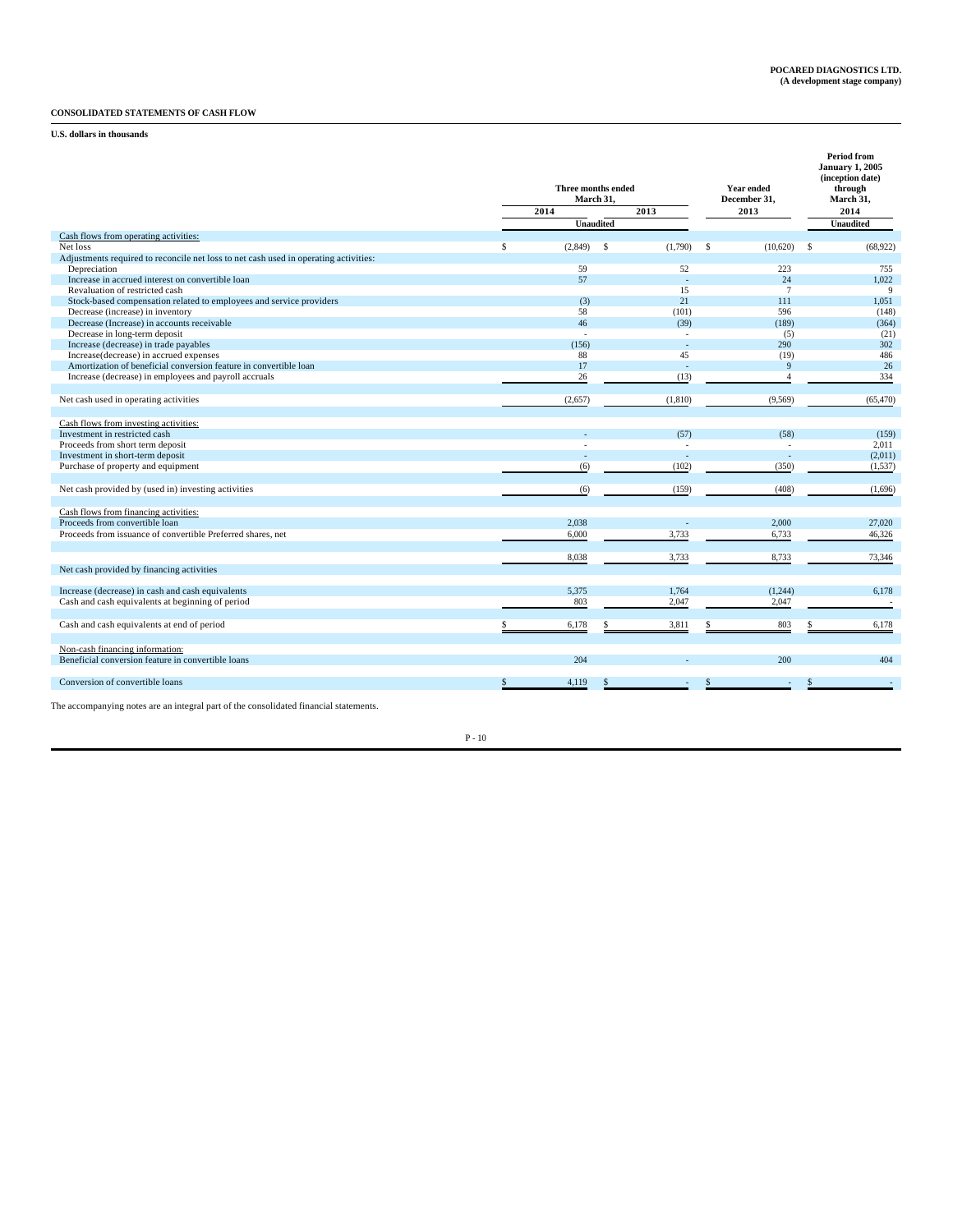# **CONSOLIDATED STATEMENTS OF CASH FLOW**

**U.S. dollars in thousands**

|                                                                                                      |   | Three months ended<br>March 31, |                          |    | Year ended<br>December 31, | <b>Period from</b><br><b>January 1, 2005</b><br>(inception date)<br>through<br>March 31, |
|------------------------------------------------------------------------------------------------------|---|---------------------------------|--------------------------|----|----------------------------|------------------------------------------------------------------------------------------|
|                                                                                                      |   | 2014                            | 2013                     |    | 2013                       | 2014                                                                                     |
|                                                                                                      |   | <b>Unaudited</b>                |                          |    |                            | <b>Unaudited</b>                                                                         |
| Cash flows from operating activities:                                                                |   |                                 |                          |    |                            |                                                                                          |
| Net loss                                                                                             | S | (2,849)                         | (1,790)<br>$\mathcal{S}$ | -S | (10,620)                   | S<br>(68,922)                                                                            |
| Adjustments required to reconcile net loss to net cash used in operating activities:<br>Depreciation |   | 59                              | 52                       |    | 223                        | 755                                                                                      |
| Increase in accrued interest on convertible loan                                                     |   | 57                              |                          |    | 24                         | 1.022                                                                                    |
| Revaluation of restricted cash                                                                       |   |                                 | 15                       |    | 7                          | -9                                                                                       |
| Stock-based compensation related to employees and service providers                                  |   | (3)                             | 21                       |    | 111                        | 1,051                                                                                    |
| Decrease (increase) in inventory                                                                     |   | 58                              | (101)                    |    | 596                        | (148)                                                                                    |
| Decrease (Increase) in accounts receivable                                                           |   | 46                              | (39)                     |    | (189)                      | (364)                                                                                    |
| Decrease in long-term deposit                                                                        |   | $\overline{a}$                  | $\overline{a}$           |    | (5)                        | (21)                                                                                     |
| Increase (decrease) in trade payables                                                                |   | (156)                           | $\overline{a}$           |    | 290                        | 302                                                                                      |
| Increase(decrease) in accrued expenses                                                               |   | 88                              | 45                       |    | (19)                       | 486                                                                                      |
| Amortization of beneficial conversion feature in convertible loan                                    |   | 17                              |                          |    | $\mathbf{Q}$               | 26                                                                                       |
| Increase (decrease) in employees and payroll accruals                                                |   | 26                              | (13)                     |    | $\boldsymbol{\Lambda}$     | 334                                                                                      |
|                                                                                                      |   |                                 |                          |    |                            |                                                                                          |
| Net cash used in operating activities                                                                |   | (2,657)                         | (1, 810)                 |    | (9, 569)                   | (65, 470)                                                                                |
|                                                                                                      |   |                                 |                          |    |                            |                                                                                          |
| Cash flows from investing activities:                                                                |   |                                 |                          |    |                            |                                                                                          |
| Investment in restricted cash                                                                        |   |                                 | (57)                     |    | (58)                       | (159)                                                                                    |
| Proceeds from short term deposit                                                                     |   |                                 |                          |    | ÷,                         | 2,011                                                                                    |
| Investment in short-term deposit                                                                     |   |                                 | ä,                       |    | ä,                         | (2,011)                                                                                  |
| Purchase of property and equipment                                                                   |   | (6)                             | (102)                    |    | (350)                      | (1, 537)                                                                                 |
|                                                                                                      |   |                                 |                          |    |                            |                                                                                          |
| Net cash provided by (used in) investing activities                                                  |   | (6)                             | (159)                    |    | (408)                      | (1,696)                                                                                  |
|                                                                                                      |   |                                 |                          |    |                            |                                                                                          |
| Cash flows from financing activities:                                                                |   |                                 |                          |    |                            |                                                                                          |
| Proceeds from convertible loan                                                                       |   | 2,038                           | L,                       |    | 2,000                      | 27,020                                                                                   |
| Proceeds from issuance of convertible Preferred shares, net                                          |   | 6,000                           | 3,733                    |    | 6,733                      | 46,326                                                                                   |
|                                                                                                      |   |                                 |                          |    |                            |                                                                                          |
|                                                                                                      |   | 8,038                           | 3,733                    |    | 8,733                      | 73,346                                                                                   |
| Net cash provided by financing activities                                                            |   |                                 |                          |    |                            |                                                                                          |
|                                                                                                      |   | 5.375                           | 1,764                    |    |                            |                                                                                          |
| Increase (decrease) in cash and cash equivalents<br>Cash and cash equivalents at beginning of period |   | 803                             | 2,047                    |    | (1,244)<br>2,047           | 6,178<br>$\overline{\phantom{a}}$                                                        |
|                                                                                                      |   |                                 |                          |    |                            |                                                                                          |
| Cash and cash equivalents at end of period                                                           |   | 6,178                           | 3,811                    |    | 803                        | 6,178                                                                                    |
|                                                                                                      |   |                                 |                          |    |                            |                                                                                          |
|                                                                                                      |   |                                 |                          |    |                            |                                                                                          |
| Non-cash financing information:<br>Beneficial conversion feature in convertible loans                |   | 204                             |                          |    | 200                        | 404                                                                                      |
|                                                                                                      |   |                                 |                          |    |                            |                                                                                          |
| Conversion of convertible loans                                                                      |   | 4,119                           | ÷                        |    | ÷                          |                                                                                          |
|                                                                                                      |   |                                 |                          |    |                            |                                                                                          |

The accompanying notes are an integral part of the consolidated financial statements.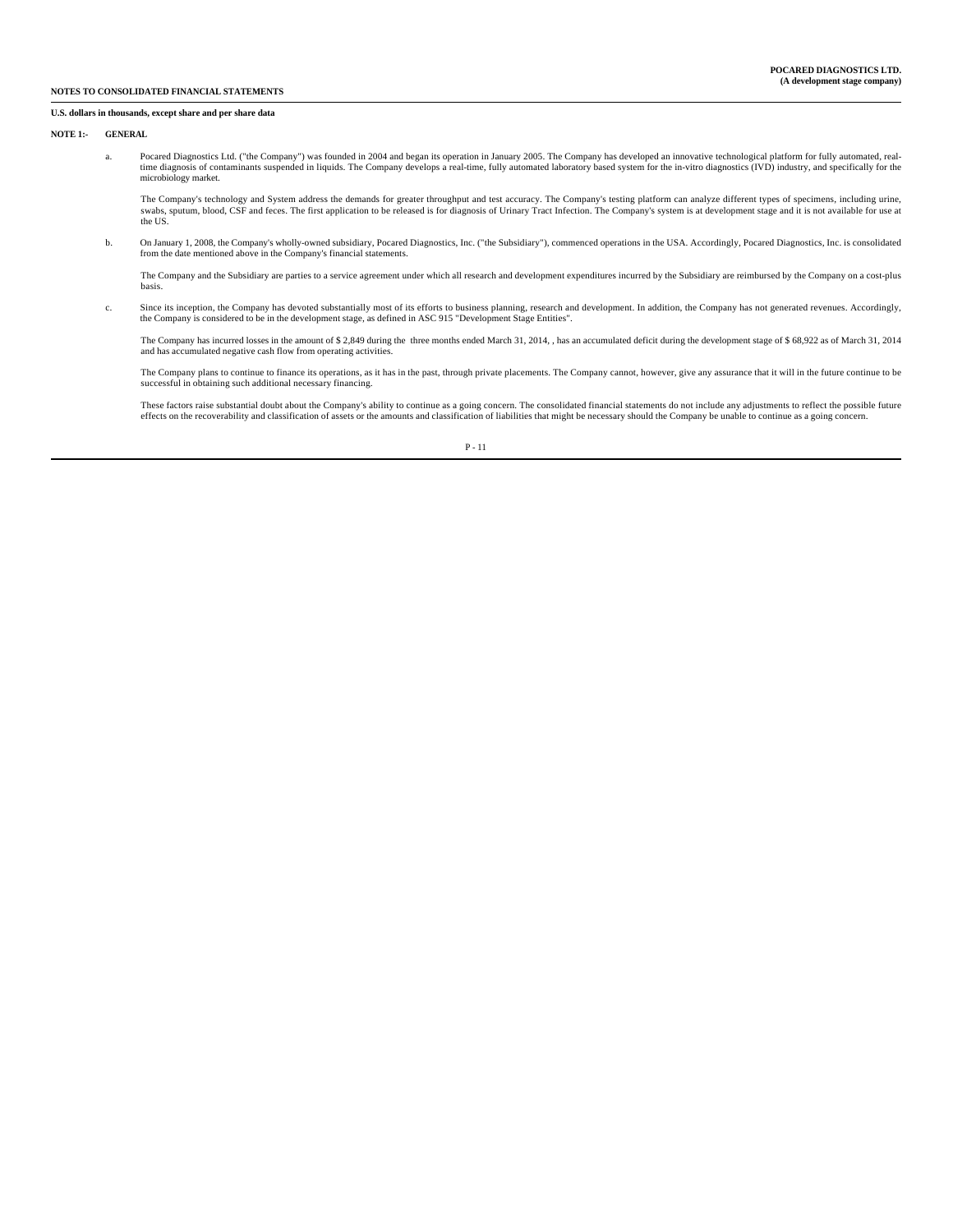### **U.S. dollars in thousands, except share and per share data**

#### **NOTE 1:- GENERAL**

- a. Pocared Diagnostics Ltd. ("the Company") was founded in 2004 and began its operation in January 2005. The Company has developed an innovative technological platform for fully automated, realtime diagnosis of contaminants suspended in liquids. The Company develops a real-time, fully automated laboratory based system for the in-vitro diagnostics (IVD) industry, and specifically for the microbiology market.
- The Company's technology and System address the demands for greater throughput and test accuracy. The Company's testing platform can analyze different types of specimens, including urine,<br>swabs, sputum, blood, CSF and fece the US.
	- b. On January 1, 2008, the Company's wholly-owned subsidiary, Pocared Diagnostics, Inc. ("the Subsidiary"), commenced operations in the USA. Accordingly, Pocared Diagnostics, Inc. is consolidated from the date mentioned above in the Company's financial statements.

 The Company and the Subsidiary are parties to a service agreement under which all research and development expenditures incurred by the Subsidiary are reimbursed by the Company on a cost-plus basis.

 c. Since its inception, the Company has devoted substantially most of its efforts to business planning, research and development. In addition, the Company has not generated revenues. Accordingly, the Company is considered to be in the development stage, as defined in ASC 915 "Development Stage Entities".

The Company has incurred losses in the amount of \$2,849 during the three months ended March 31, 2014, , has an accumulated deficit during the development stage of \$ 68,922 as of March 31, 2014 and has accumulated negative cash flow from operating activities.

The Company plans to continue to finance its operations, as it has in the past, through private placements. The Company cannot, however, give any assurance that it will in the future continue to be<br>successful in obtaining

These factors raise substantial doubt about the Company's ability to continue as a going concern. The consolidated financial statements do not include any adjustments to reflect the possible future<br>effects on the recoverab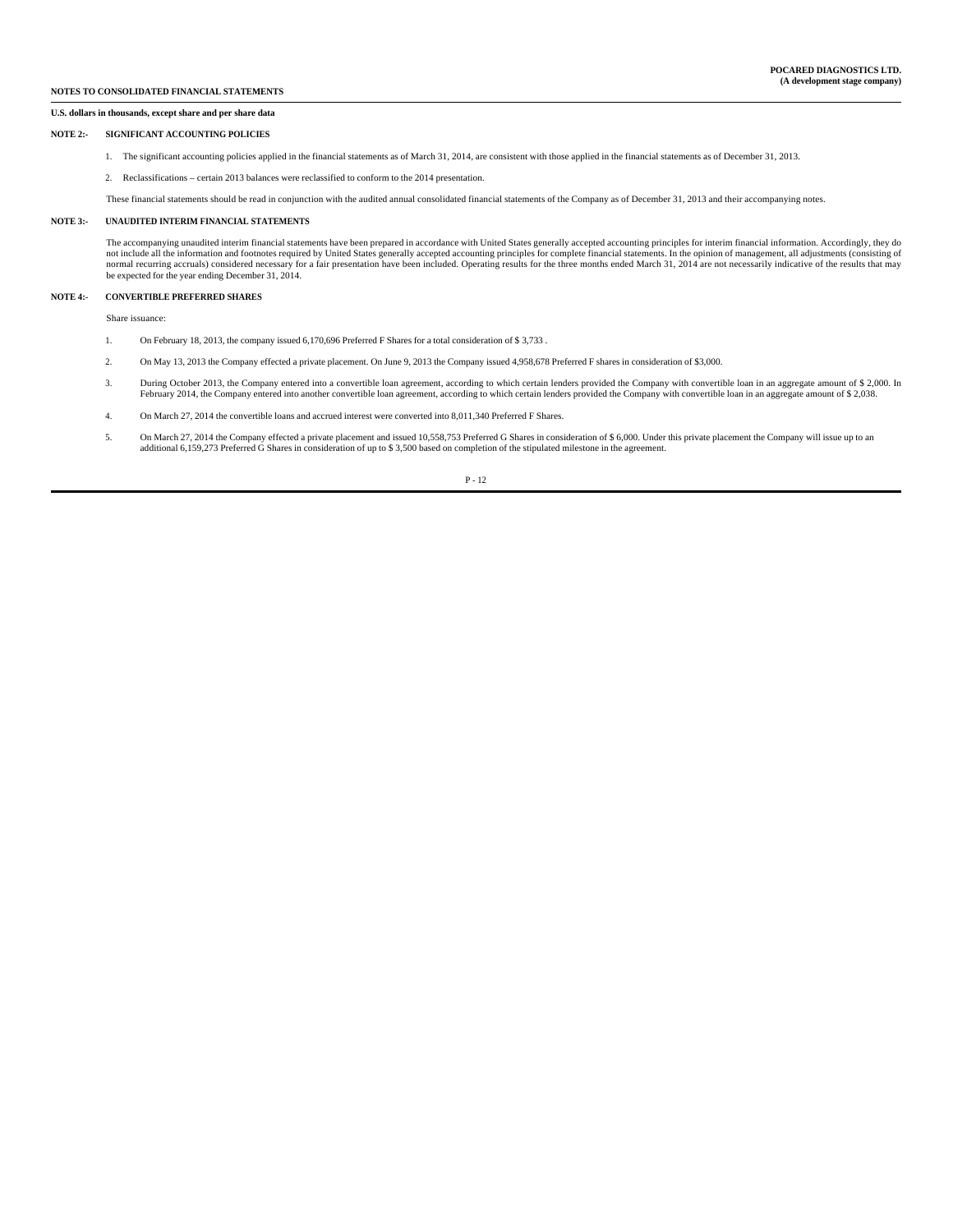## **U.S. dollars in thousands, except share and per share data**

#### **NOTE 2:- SIGNIFICANT ACCOUNTING POLICIES**

- 1. The significant accounting policies applied in the financial statements as of March 31, 2014, are consistent with those applied in the financial statements as of December 31, 2013.
- 2. Reclassifications certain 2013 balances were reclassified to conform to the 2014 presentation.
- These financial statements should be read in conjunction with the audited annual consolidated financial statements of the Company as of December 31, 2013 and their accompanying notes.

#### **NOTE 3:- UNAUDITED INTERIM FINANCIAL STATEMENTS**

 The accompanying unaudited interim financial statements have been prepared in accordance with United States generally accepted accounting principles for interim financial information. Accordingly, they do not include all the information and footnotes required by United States generally accepted accounting principles for complete financial statements. In the opinion of management, all adjustments (consisting of<br>normal recurr be expected for the year ending December 31, 2014.

#### **NOTE 4:- CONVERTIBLE PREFERRED SHARES**

Share issuance:

- 1. On February 18, 2013, the company issued 6,170,696 Preferred F Shares for a total consideration of \$ 3,733 .
- 2. On May 13, 2013 the Company effected a private placement. On June 9, 2013 the Company issued 4,958,678 Preferred F shares in consideration of \$3,000.
- 3. During October 2013, the Company entered into a convertible loan agreement, according to which certain lenders provided the Company with convertible loan in an aggregate amount of \$ 2,000. In February 2014, the Company entered into another convertible loan agreement, according to which certain lenders provided the Company with convertible loan in an aggregate amount of \$ 2,038.
- 4. On March 27, 2014 the convertible loans and accrued interest were converted into 8,011,340 Preferred F Shares.
- 5. On March 27, 2014 the Company effected a private placement and issued 10,558,753 Preferred G Shares in consideration of \$ 6,000. Under this private placement the Company will issue up to an additional 6,159,273 Preferre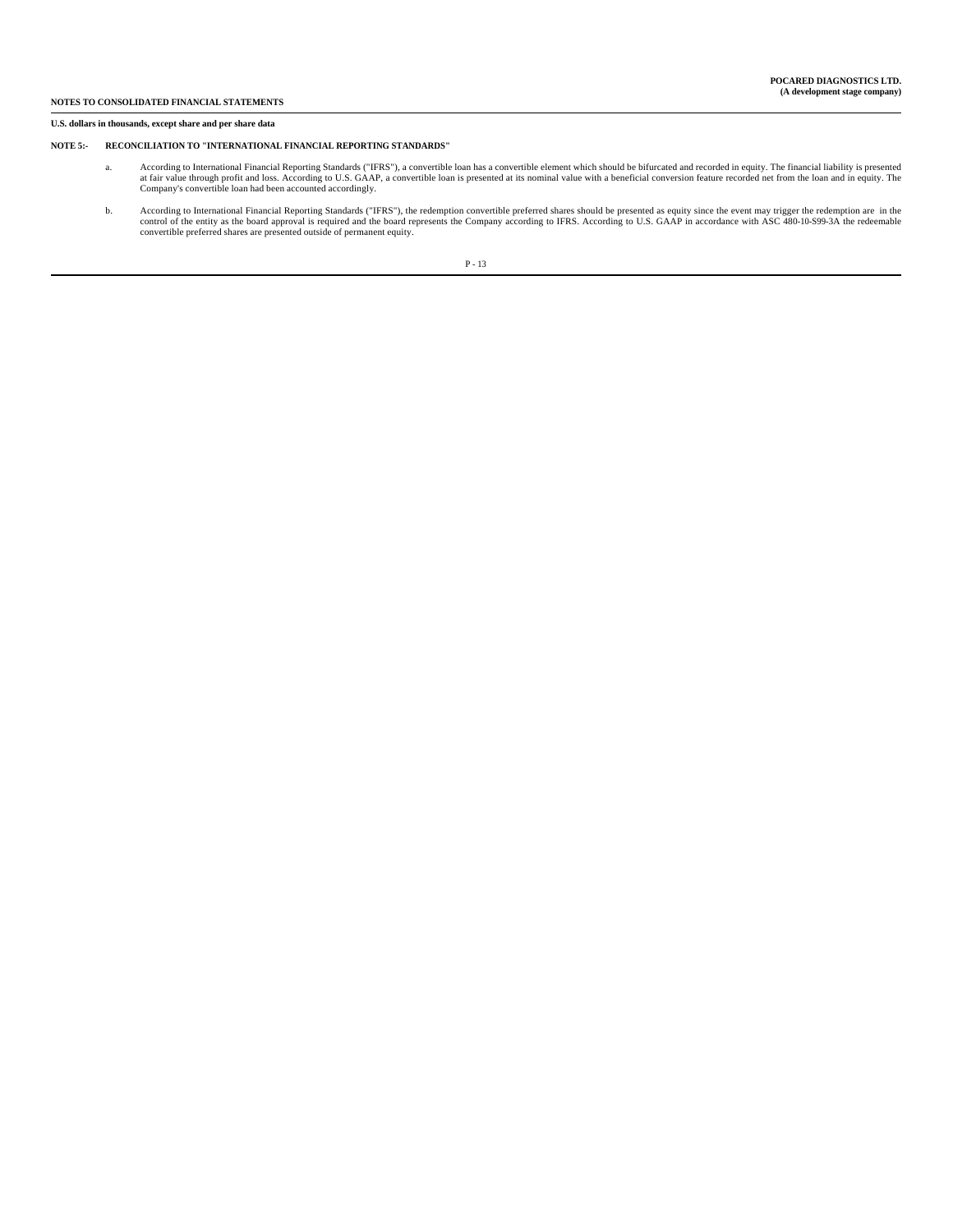#### **U.S. dollars in thousands, except share and per share data**

## **NOTE 5:- RECONCILIATION TO "INTERNATIONAL FINANCIAL REPORTING STANDARDS"**

- a. According to International Financial Reporting Standards ("IFRS"), a convertible loan has a convertible element which should be bifurcated and recorded in equity. The financial liability is presented<br>at fair value throu Company's convertible loan had been accounted accordingly.
- b. According to International Financial Reporting Standards ("IFRS"), the redemption convertible preferred shares should be presented as equity since the event may trigger the redemption are in the control of the entity as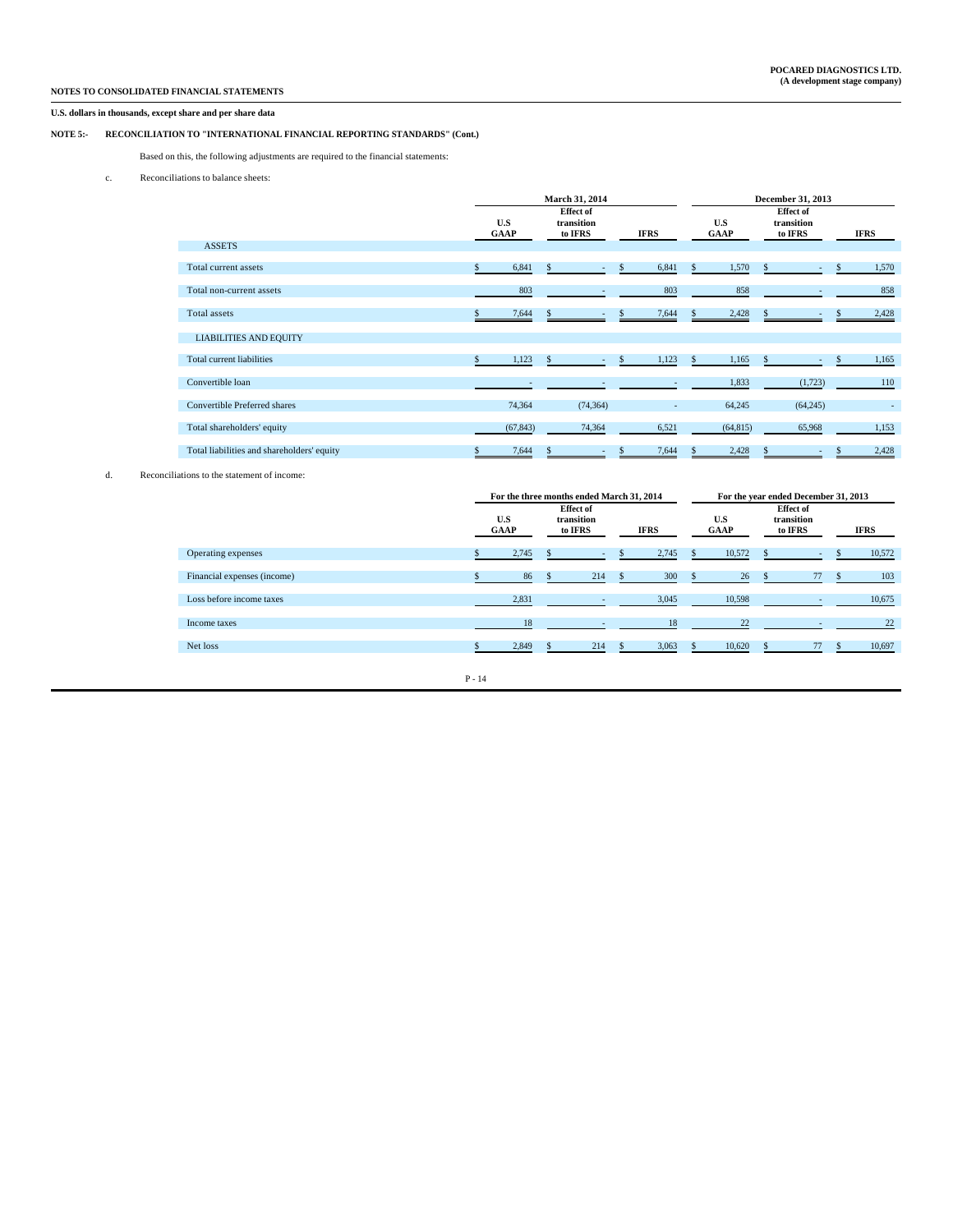# **U.S. dollars in thousands, except share and per share data**

# **NOTE 5:- RECONCILIATION TO "INTERNATIONAL FINANCIAL REPORTING STANDARDS" (Cont.)**

Based on this, the following adjustments are required to the financial statements:

c. Reconciliations to balance sheets:

|                                            |    |             |              | March 31, 2014                            |             | December 31, 2013 |                    |               |                                           |     |        |
|--------------------------------------------|----|-------------|--------------|-------------------------------------------|-------------|-------------------|--------------------|---------------|-------------------------------------------|-----|--------|
|                                            |    | U.S<br>GAAP |              | <b>Effect of</b><br>transition<br>to IFRS | IFRS        |                   | U.S<br><b>GAAP</b> |               | <b>Effect of</b><br>transition<br>to IFRS |     | IFRS   |
| <b>ASSETS</b>                              |    |             |              |                                           |             |                   |                    |               |                                           |     |        |
| Total current assets                       | S. | 6,841       | $\mathbf{s}$ | ٠                                         | \$<br>6,841 | $\mathbf{s}$      | 1,570              | $\mathbf{s}$  | ٠                                         | \$  | 1,570  |
| Total non-current assets                   |    | 803         |              |                                           | 803         |                   | 858                |               |                                           |     | 858    |
| Total assets                               |    | 7,644       |              |                                           | 7,644       | \$.               | 2,428              |               | ٠                                         |     | 2,428  |
| <b>LIABILITIES AND EQUITY</b>              |    |             |              |                                           |             |                   |                    |               |                                           |     |        |
| Total current liabilities                  | S. | 1,123       | $\mathbf{s}$ |                                           | 1,123       | $\mathbf{s}$      | 1,165              | <sup>\$</sup> | ٠                                         | \$. | 1,165  |
| Convertible loan                           |    |             |              |                                           |             |                   | 1,833              |               | (1, 723)                                  |     | 110    |
| Convertible Preferred shares               |    | 74,364      |              | (74, 364)                                 |             |                   | 64,245             |               | (64, 245)                                 |     | $\sim$ |
| Total shareholders' equity                 |    | (67, 843)   |              | 74,364                                    | 6,521       |                   | (64, 815)          |               | 65,968                                    |     | 1,153  |
| Total liabilities and shareholders' equity |    | 7,644       |              |                                           | 7,644       | $\mathcal{L}$     | 2,428              |               |                                           |     | 2,428  |

d. Reconciliations to the statement of income:

|                             | For the three months ended March 31, 2014 |                    |  |                                           |  |       |  | For the year ended December 31, 2013 |  |                                           |  |        |  |  |
|-----------------------------|-------------------------------------------|--------------------|--|-------------------------------------------|--|-------|--|--------------------------------------|--|-------------------------------------------|--|--------|--|--|
|                             |                                           | U.S<br><b>GAAP</b> |  | <b>Effect of</b><br>transition<br>to IFRS |  | IFRS  |  | U.S<br><b>GAAP</b>                   |  | <b>Effect of</b><br>transition<br>to IFRS |  | IFRS   |  |  |
| Operating expenses          |                                           | 2,745              |  |                                           |  | 2,745 |  | 10,572                               |  | $\overline{\phantom{a}}$                  |  | 10,572 |  |  |
| Financial expenses (income) |                                           | 86                 |  | 214                                       |  | 300   |  | 26                                   |  | 77                                        |  | 103    |  |  |
| Loss before income taxes    |                                           | 2,831              |  |                                           |  | 3,045 |  | 10,598                               |  |                                           |  | 10,675 |  |  |
| Income taxes                |                                           | 18                 |  |                                           |  | 18    |  | 22                                   |  |                                           |  | 22     |  |  |
| Net loss                    |                                           | 2,849              |  | 214                                       |  | 3,063 |  | 10,620                               |  | 77                                        |  | 10,697 |  |  |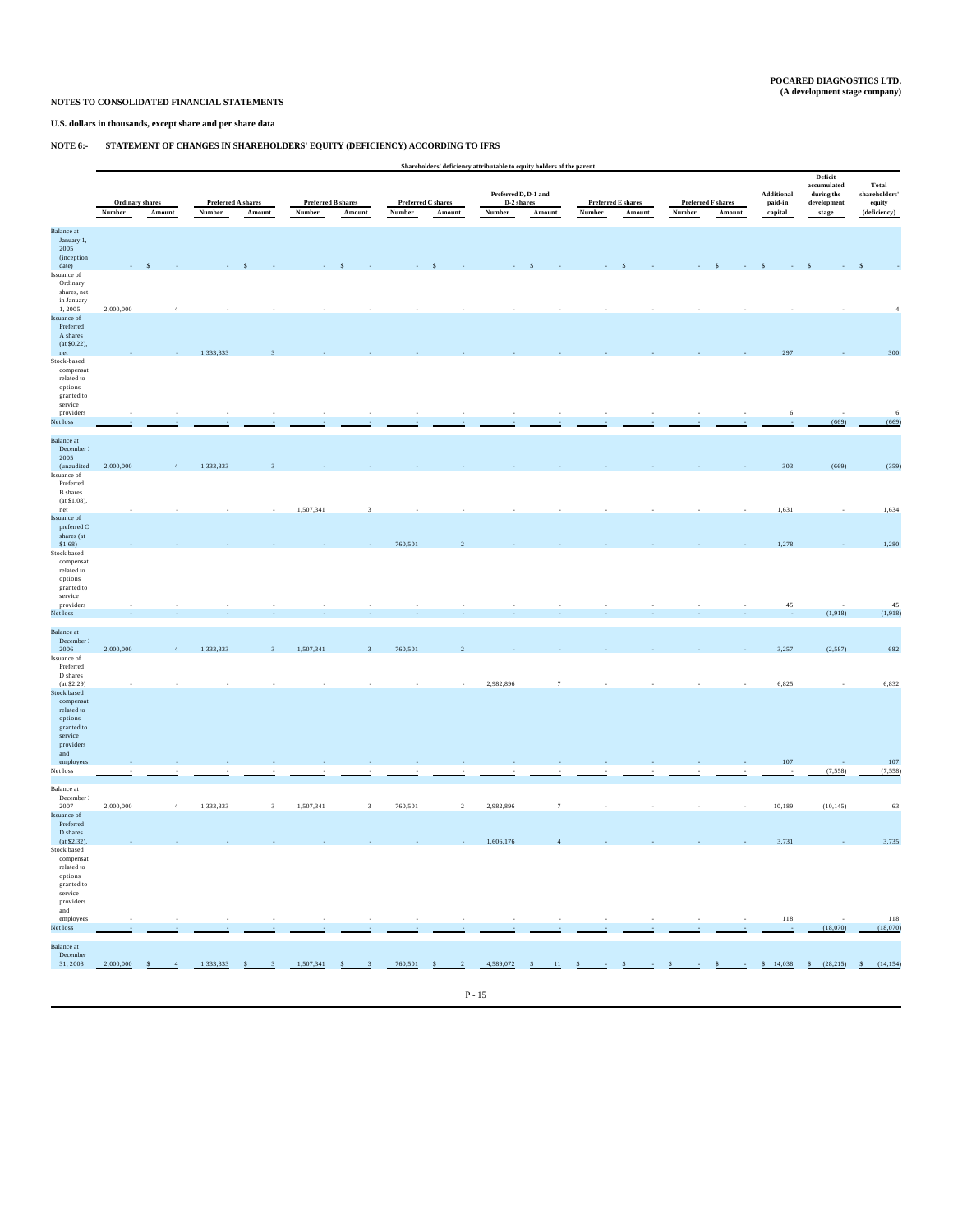## **U.S. dollars in thousands, except share and per share data**

# **NOTE 6:- STATEMENT OF CHANGES IN SHAREHOLDERS' EQUITY (DEFICIENCY) ACCORDING TO IFRS**

|                                                                                                                |           |                 |                    |                              |                    |                                 |             |                    | Shareholders' deficiency attributable to equity holders of the parent |                  |                  |                    |                  |                                               |               |                                                                    |                        |
|----------------------------------------------------------------------------------------------------------------|-----------|-----------------|--------------------|------------------------------|--------------------|---------------------------------|-------------|--------------------|-----------------------------------------------------------------------|------------------|------------------|--------------------|------------------|-----------------------------------------------|---------------|--------------------------------------------------------------------|------------------------|
|                                                                                                                |           |                 |                    |                              |                    |                                 |             |                    | Preferred D, D-1 and                                                  |                  |                  |                    |                  |                                               | Additional    | Deficit<br>accumulated<br>$\boldsymbol{\operatorname{during}}$ the | Total<br>shareholders' |
|                                                                                                                |           | Ordinary shares | Preferred A shares |                              | Preferred B shares |                                 |             | Preferred C shares | D-2 shares                                                            |                  |                  | Preferred E shares |                  | Preferred F shares                            | paid-in       | development                                                        | equity                 |
|                                                                                                                | Number    | Amount          | Number             | Amount                       | Number             | Amount                          | Number      | Amount             | Number                                                                | Amount           | Number           | Amount             | Number           | Amount                                        | capital       | stage                                                              | (deficiency)           |
| <b>Balance</b> at<br>January 1,<br>2005<br>(inception<br>date)                                                 |           | S               |                    |                              |                    |                                 |             |                    |                                                                       |                  |                  |                    |                  |                                               |               |                                                                    |                        |
| Issuance of<br>Ordinary<br>shares, net<br>in January<br>1,2005<br>Issuance of                                  | 2,000,000 | $\overline{A}$  |                    |                              |                    |                                 |             |                    |                                                                       |                  |                  |                    |                  |                                               |               |                                                                    |                        |
| Preferred<br>A shares<br>(at \$0.22),<br>net<br>Stock-based                                                    |           |                 | 1,333,333          |                              |                    |                                 |             |                    |                                                                       |                  |                  |                    |                  |                                               | 297           |                                                                    | 300                    |
| compensat<br>related to<br>options<br>granted to<br>service<br>providers                                       |           |                 |                    |                              |                    |                                 |             |                    |                                                                       |                  |                  |                    |                  |                                               | 6             |                                                                    | $\,$ 6 $\,$            |
| Net loss                                                                                                       |           |                 |                    |                              |                    |                                 |             |                    |                                                                       |                  |                  |                    |                  |                                               |               | (669)                                                              | (669)                  |
| <b>Balance</b> at<br>December<br>2005<br>(unaudited<br>Issuance of<br>Preferred                                | 2,000,000 |                 | 1,333,333          |                              |                    |                                 |             |                    |                                                                       |                  |                  |                    |                  |                                               | 303           | (669)                                                              | (359)                  |
| <b>B</b> shares<br>$(at $1.08)$ ,<br>net<br>Issuance of                                                        |           |                 |                    |                              | 1,507,341          | $\overline{3}$                  |             |                    |                                                                       |                  |                  |                    |                  |                                               | 1,631         |                                                                    | 1,634                  |
| preferred C<br>shares (at<br>$$1.68$ )<br>Stock based                                                          |           |                 |                    |                              |                    |                                 | 760,501     |                    |                                                                       |                  |                  |                    |                  |                                               | 1,278         |                                                                    | 1,280                  |
| compensat<br>related to<br>options<br>granted to<br>service<br>providers<br>Net loss                           |           |                 |                    |                              |                    |                                 |             |                    |                                                                       |                  |                  |                    |                  |                                               | 45            | (1,918)                                                            | 45<br>(1,918)          |
| <b>Balance</b> at<br>December<br>2006<br>Issuance of                                                           | 2,000,000 |                 | 1,333,333          | 3                            | 1,507,341          | 3                               | 760,501     |                    |                                                                       |                  |                  |                    |                  |                                               | 3,257         | (2,587)                                                            | 682                    |
| Preferred<br>D shares<br>(at \$2.29)<br>Stock based                                                            |           |                 |                    |                              |                    |                                 |             |                    | 2,982,896                                                             | $\overline{7}$   |                  |                    |                  |                                               | 6,825         |                                                                    | 6,832                  |
| compensat<br>related to<br>options<br>granted to<br>service<br>$\,$ providers<br>and                           |           |                 |                    |                              |                    |                                 |             |                    |                                                                       |                  |                  |                    |                  |                                               |               |                                                                    |                        |
| employees<br>Net loss                                                                                          |           |                 |                    |                              |                    |                                 |             |                    |                                                                       |                  |                  |                    |                  |                                               | 107           | (7, 558)                                                           | 107<br>(7, 558)        |
| Balance at<br>December                                                                                         |           |                 |                    |                              |                    |                                 |             |                    |                                                                       |                  |                  |                    |                  |                                               |               |                                                                    |                        |
| 2007<br>Issuance of<br>Preferred<br>D shares                                                                   | 2,000,000 | $\overline{4}$  | 1,333,333          | $\overline{\mathbf{3}}$      | 1,507,341          | $\overline{\mathbf{3}}$         | 760,501     | $\,2\,$            | 2,982,896                                                             | $\overline{7}$   |                  |                    |                  |                                               | 10,189        | (10, 145)                                                          | 63                     |
| (at \$2.32),<br>Stock based<br>compensat<br>related to<br>options<br>granted to<br>service<br>providers<br>and |           |                 |                    |                              |                    |                                 |             |                    | 1,606,176                                                             |                  |                  |                    |                  |                                               | 3,731         |                                                                    | 3,735                  |
| employees<br>Net loss                                                                                          |           | ×,              | ÷.                 | $\sim$                       |                    | $\sim$<br>$\sim$                | ×<br>$\sim$ | $\sim$<br>$\sim$   | $\sim$<br>$\rightarrow$                                               | $\sim$<br>$\sim$ | $\sim$<br>$\sim$ | $\sim$             | $\sim$<br>$\sim$ | $\sim$<br>$\sim$                              | 118<br>$\sim$ | (18,070)                                                           | 118<br>(18,070)        |
| <b>Balance</b> at<br>December<br>31, 2008                                                                      | 2,000,000 | $-4$<br>S       | 1,333,333          | S<br>$\overline{\mathbf{3}}$ | 1,507,341          | S<br>$\overline{\phantom{a}}$ 3 | 760,501     | $S = 2$            | 4,589,072                                                             | $S = 11$ $S =$   |                  | $\rightarrow$ $S$  | $\frac{1}{2}$ S  | $\rightarrow$ $S$ $\rightarrow$ $\rightarrow$ | \$14,038      | $S = (28, 215)$                                                    | S<br>(14, 154)         |
|                                                                                                                |           |                 |                    |                              |                    |                                 |             |                    |                                                                       |                  |                  |                    |                  |                                               |               |                                                                    |                        |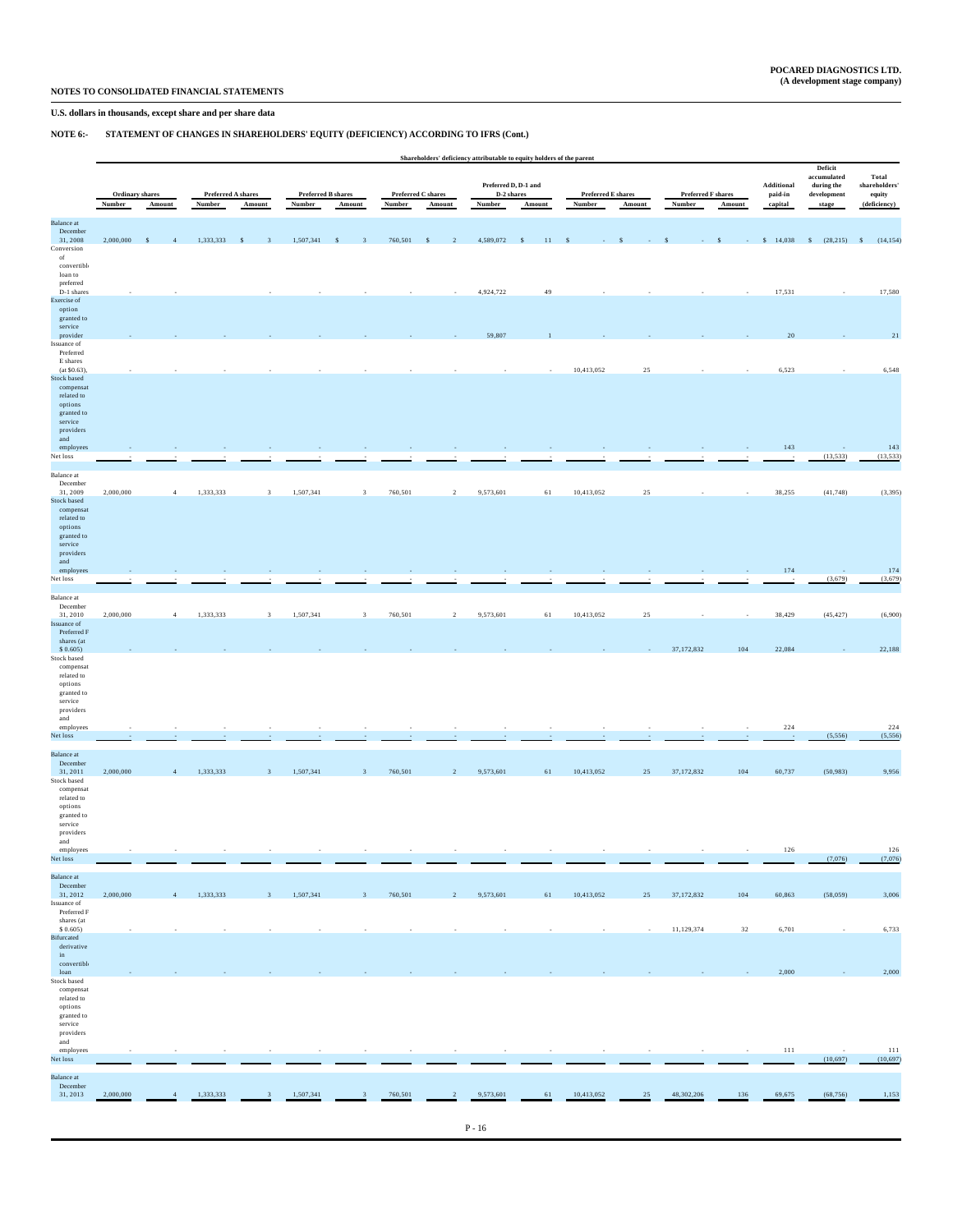# **U.S. dollars in thousands, except share and per share data**

# **NOTE 6:- STATEMENT OF CHANGES IN SHAREHOLDERS' EQUITY (DEFICIENCY) ACCORDING TO IFRS (Cont.)**

|                                                                                                 |                 |                             |                          |                                      |           |                             |                          |                            | Shareholders' deficiency attributable to equity holders of the parent |                    |                           |         |                           |        |                             |                                                                 |                         |
|-------------------------------------------------------------------------------------------------|-----------------|-----------------------------|--------------------------|--------------------------------------|-----------|-----------------------------|--------------------------|----------------------------|-----------------------------------------------------------------------|--------------------|---------------------------|---------|---------------------------|--------|-----------------------------|-----------------------------------------------------------------|-------------------------|
|                                                                                                 |                 |                             |                          |                                      |           |                             |                          |                            |                                                                       |                    |                           |         |                           |        |                             | Deficit<br>accumulated                                          | Total                   |
|                                                                                                 | Ordinary shares |                             |                          | Preferred A shares                   |           | <b>Preferred B shares</b>   |                          | Preferred C shares         | Preferred D, D-1 and<br>D-2 shares                                    |                    | <b>Preferred E shares</b> |         | <b>Preferred F shares</b> |        | $\bf Additional$<br>paid-in | $\boldsymbol{\operatorname{during}}$ the<br>${\bf development}$ | shareholders'<br>equity |
|                                                                                                 | Number          | Amount                      | Number                   | Amount                               | Number    | Amount                      | Number                   | Amount                     | Number                                                                | Amount             | Number                    | Amount  | Number                    | Amount | capital                     | stage                                                           | (deficiency)            |
| <b>Balance</b> at<br>December<br>31, 2008                                                       | 2,000,000       | $\sim$ \$<br>$\overline{4}$ | 1,333,333                | $\sim$ \$<br>$\overline{\mathbf{3}}$ | 1,507,341 | $\sim$ \$<br>$\overline{3}$ | 760,501                  | $\mathbf{s}$<br>$\sqrt{2}$ | 4,589,072                                                             | $\mathbf{s}$<br>11 | S                         |         |                           | \$     | \$14,038                    | \$ (28,215) \$ (14,154)                                         |                         |
| Conversion<br>of<br>convertible<br>loan to                                                      |                 |                             |                          |                                      |           |                             |                          |                            |                                                                       |                    |                           |         |                           |        |                             |                                                                 |                         |
| preferred<br>D-1 shares<br>Exercise of<br>option                                                |                 |                             |                          |                                      |           |                             |                          |                            | 4,924,722                                                             | 49                 |                           |         |                           |        | 17,531                      |                                                                 | 17,580                  |
| granted to<br>service<br>provider<br>Issuance of                                                |                 |                             |                          |                                      |           |                             |                          |                            | 59,807                                                                |                    |                           |         |                           |        | 20                          |                                                                 | 21                      |
| Preferred<br>E shares<br>$(at $0.63)$ .                                                         |                 |                             |                          |                                      |           |                             |                          |                            |                                                                       |                    | 10,413,052                | 25      |                           |        | 6,523                       |                                                                 | 6,548                   |
| Stock based<br>compensat<br>related to<br>options<br>granted to<br>service<br>providers         |                 |                             |                          |                                      |           |                             |                          |                            |                                                                       |                    |                           |         |                           |        |                             |                                                                 |                         |
| and<br>employees<br>Net loss                                                                    |                 |                             |                          |                                      |           |                             |                          |                            |                                                                       |                    |                           |         |                           |        | 143                         | (13, 533)                                                       | 143<br>(13, 533)        |
| Balance at<br>December<br>31, 2009                                                              | 2,000,000       | $\overline{4}$              | 1,333,333                | $\overline{\mathbf{3}}$              | 1,507,341 | $\overline{\mathbf{3}}$     | 760,501                  | $\overline{a}$             | 9,573,601                                                             | 61                 | 10,413,052                | 25      |                           |        | 38,255                      | (41, 748)                                                       | (3, 395)                |
| Stock based<br>compensat<br>related to<br>options<br>granted to<br>service<br>providers         |                 |                             |                          |                                      |           |                             |                          |                            |                                                                       |                    |                           |         |                           |        |                             |                                                                 |                         |
| and<br>employees<br>Net loss                                                                    |                 |                             |                          |                                      |           |                             |                          |                            |                                                                       |                    |                           |         |                           |        | 174                         | n.<br>(3,679)                                                   | 174<br>(3,679)          |
| Balance at<br>December<br>31, 2010                                                              | 2,000,000       | $\overline{4}$              | 1,333,333                | $\overline{\mathbf{3}}$              | 1,507,341 | $\overline{\mathbf{3}}$     | 760,501                  | $\sqrt{2}$                 | 9,573,601                                                             | 61                 | 10,413,052                | 25      |                           |        | 38,429                      | (45, 427)                                                       | (6,900)                 |
| Issuance of<br>Preferred F<br>shares (at<br>\$0.605)                                            |                 |                             |                          |                                      |           |                             |                          |                            |                                                                       |                    |                           |         | 37,172,832                | 104    | 22,084                      |                                                                 | 22,188                  |
| Stock based<br>compensat<br>related to<br>options<br>granted to<br>service<br>providers<br>and  |                 |                             |                          |                                      |           |                             |                          |                            |                                                                       |                    |                           |         |                           |        |                             |                                                                 |                         |
| employees<br>Net loss                                                                           |                 |                             |                          |                                      |           |                             |                          |                            |                                                                       |                    |                           |         |                           |        | 224                         | (5, 556)                                                        | 224<br>(5, 556)         |
| <b>Balance</b> at<br>December<br>31, 2011                                                       | 2,000,000       | $\overline{4}$              | 1,333,333                | $\mathbf{3}$                         | 1,507,341 | $\overline{3}$              | 760,501                  | $\overline{2}$             | 9,573,601                                                             | 61                 | 10,413,052                | 25      | 37,172,832                | 104    | 60,737                      | (50, 983)                                                       | 9,956                   |
| Stock based<br>compensat<br>related to<br>options<br>granted to<br>service<br>providers         |                 |                             |                          |                                      |           |                             |                          |                            |                                                                       |                    |                           |         |                           |        |                             |                                                                 |                         |
| and<br>employees<br>Net loss                                                                    | ×               | ÷,                          | $\overline{\phantom{a}}$ | $\overline{\phantom{a}}$             | $\sim$    | $\ddot{\phantom{a}}$        | $\overline{\phantom{a}}$ | $\sim$                     | ÷,                                                                    | ÷,                 | $\cdot$                   | $\cdot$ | $\epsilon$                | $\sim$ | 126                         | (7,076)                                                         | 126<br>(7,076)          |
| <b>Balance</b> at<br>December<br>31, 2012<br>Issuance of                                        | 2,000,000       | $\sqrt{4}$                  | 1,333,333                | $\overline{\mathbf{3}}$              | 1,507,341 | $\overline{\mathbf{3}}$     | 760,501                  | $\overline{2}$             | 9,573,601                                                             | $61\,$             | 10,413,052                | 25      | 37,172,832                | 104    | 60,863                      | (58,059)                                                        | 3,006                   |
| Preferred F<br>shares (at<br>\$0.605)                                                           |                 |                             |                          |                                      |           |                             |                          |                            |                                                                       |                    |                           |         | 11,129,374                | $32\,$ | 6,701                       |                                                                 | 6,733                   |
| Bifurcated<br>derivative<br>in<br>convertible                                                   |                 |                             |                          |                                      |           |                             |                          |                            |                                                                       |                    |                           |         |                           |        |                             |                                                                 |                         |
| loan<br>Stock based<br>compensat<br>related to<br>options<br>granted to<br>service<br>providers |                 |                             |                          |                                      |           |                             |                          |                            |                                                                       |                    |                           |         |                           |        | 2,000                       |                                                                 | 2,000                   |
| and<br>employees<br>Net loss                                                                    |                 |                             |                          |                                      |           |                             |                          |                            |                                                                       |                    |                           |         |                           |        | $1\,1\,1$                   | (10,697)                                                        | $111$<br>(10,697)       |
| <b>Balance</b> at<br>December<br>31, 2013                                                       | 2,000,000       | $\overline{4}$              | 1,333,333                | $\mathbf{3}$                         | 1,507,341 | $\mathbf{3}$                | 760,501                  | $\overline{2}$             | 9,573,601                                                             | 61                 | 10,413,052                | 25      | 48,302,206                | 136    | 69,675                      | (68, 756)                                                       | 1,153                   |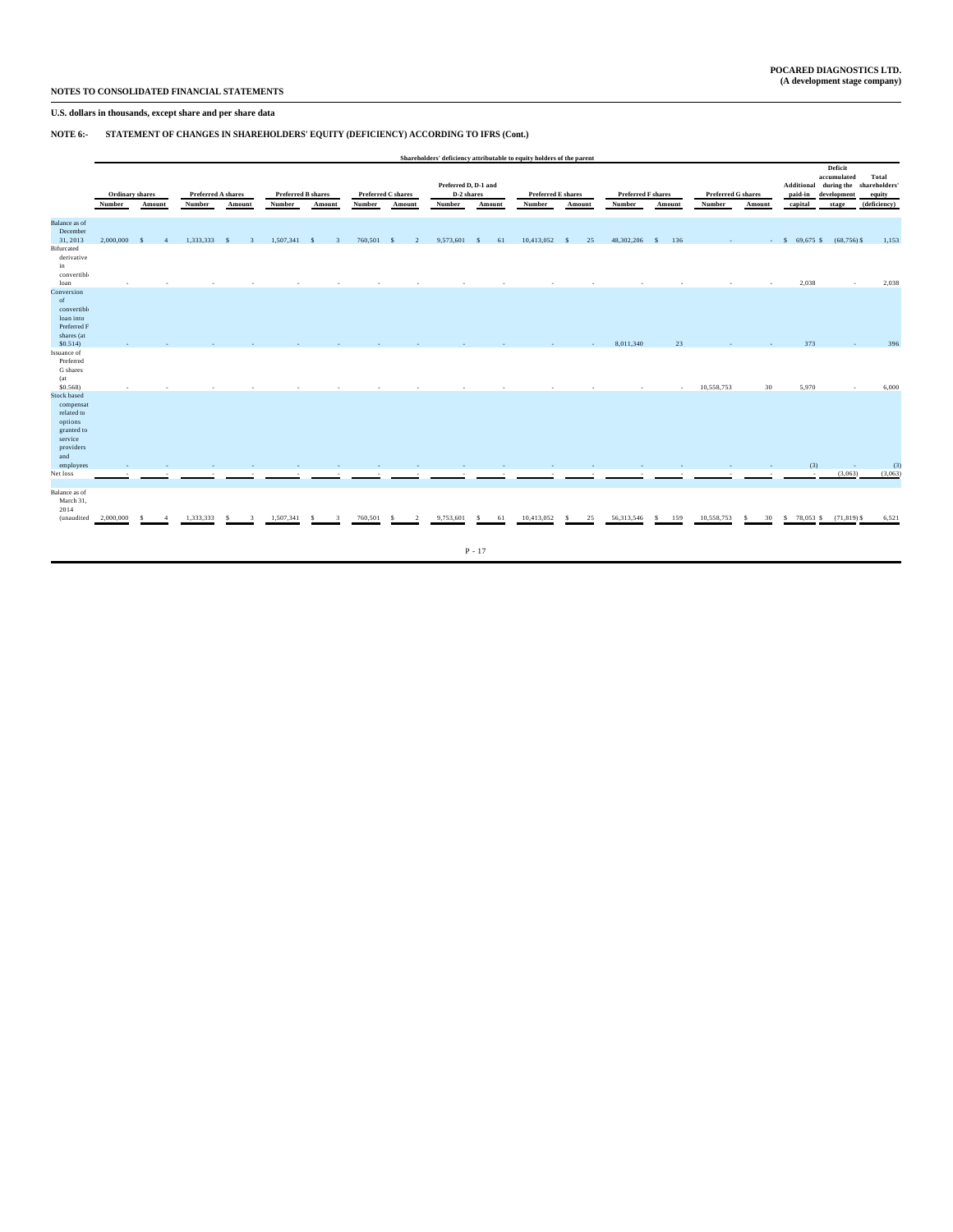# **U.S. dollars in thousands, except share and per share data**

# **NOTE 6:- STATEMENT OF CHANGES IN SHAREHOLDERS' EQUITY (DEFICIENCY) ACCORDING TO IFRS (Cont.)**

|                                                                                                | Shareholders' deficiency attributable to equity holders of the parent |        |                                     |                    |              |                                     |         |                                     |                                              |          |                                     |            |                                     |                     |                                     |         |                                  |                                                              |                                                  |
|------------------------------------------------------------------------------------------------|-----------------------------------------------------------------------|--------|-------------------------------------|--------------------|--------------|-------------------------------------|---------|-------------------------------------|----------------------------------------------|----------|-------------------------------------|------------|-------------------------------------|---------------------|-------------------------------------|---------|----------------------------------|--------------------------------------------------------------|--------------------------------------------------|
|                                                                                                | Ordinary shares<br>Number                                             | Amount | <b>Preferred A shares</b><br>Number | Amount             | Number       | <b>Preferred B shares</b><br>Amount | Number  | <b>Preferred C shares</b><br>Amount | Preferred D, D-1 and<br>D-2 shares<br>Number | Amount   | <b>Preferred E shares</b><br>Number | Amount     | <b>Preferred F shares</b><br>Number | Amount              | <b>Preferred G shares</b><br>Number | Amount  | Additional<br>paid-in<br>capital | Deficit<br>accumulated<br>during the<br>development<br>stage | Total<br>shareholders'<br>equity<br>(deficiency) |
| <b>Balance</b> as of<br>December<br>31, 2013<br>Bifurcated<br>derivative<br>in<br>convertible  | 2,000,000                                                             | -8     | 1,333,333                           | - 8                | 1,507,341 \$ | 3                                   | 760,501 | - 8<br>$\gamma$                     | 9,573,601                                    | -S<br>61 | 10,413,052                          | 25<br>- \$ | 48,302,206                          | 136<br>$\mathbf{s}$ |                                     |         | $-$ \$ 69,675 \$ (68,756) \$     |                                                              | 1,153                                            |
| loan<br>Conversion<br>of<br>convertible<br>loan into<br>Preferred F<br>shares (at              |                                                                       |        |                                     |                    |              |                                     |         |                                     |                                              |          |                                     |            |                                     |                     |                                     | $\sim$  | 2,038                            | $\sim$                                                       | 2,038                                            |
| \$0.514)<br>Issuance of<br>Preferred<br>G shares<br>(at<br>$$0.568$ )                          |                                                                       |        |                                     |                    |              |                                     |         |                                     |                                              |          |                                     |            | 8,011,340                           | 23<br>$\sim$        | 10,558,753                          | 30      | 373<br>5,970                     | . п.                                                         | 396<br>6,000                                     |
| Stock based<br>compensat<br>related to<br>options<br>granted to<br>service<br>providers<br>and |                                                                       |        |                                     |                    |              |                                     |         |                                     |                                              |          |                                     |            |                                     |                     |                                     |         |                                  |                                                              |                                                  |
| employees<br>Net loss                                                                          |                                                                       |        |                                     |                    |              |                                     |         |                                     |                                              |          |                                     |            |                                     |                     |                                     |         | (3)<br>×                         | $\sim$<br>(3,063)                                            | (3)<br>(3,063)                                   |
| Balance as of<br>March 31,<br>2014<br>(unaudited                                               | 2,000,000                                                             |        | 1,333,333                           | $\mathbf{z}$<br>-8 | 1,507,341    | s<br>$\mathbf{R}$                   | 760,501 | $\mathcal{L}$                       | 9,753,601                                    | -S<br>61 | 10,413,052                          | 25<br>-S   | 56,313,546                          | 159<br>s.           | 10,558,753                          | 30<br>s | $$78,053$$ $$(71,819)$ \$        |                                                              | 6,521                                            |
|                                                                                                |                                                                       |        |                                     |                    |              |                                     |         |                                     |                                              | $P - 17$ |                                     |            |                                     |                     |                                     |         |                                  |                                                              |                                                  |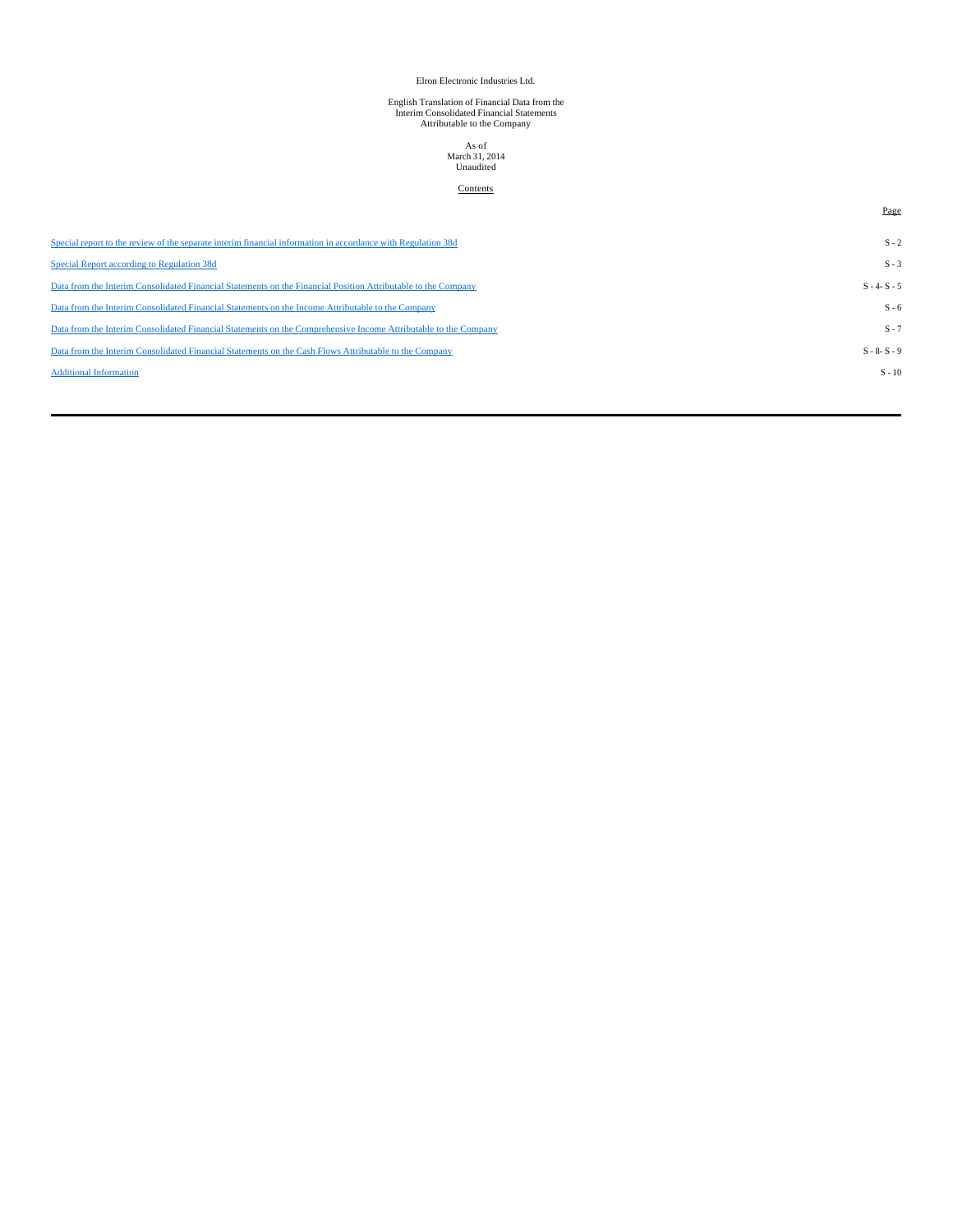## Elron Electronic Industries Ltd.

# English Translation of Financial Data from the Interim Consolidated Financial Statements Attributable to the Company

# As of March 31, 2014 Unaudited

## **Contents**

Page

| Special report to the review of the separate interim financial information in accordance with Regulation 38d    | $S - 2$         |
|-----------------------------------------------------------------------------------------------------------------|-----------------|
| Special Report according to Regulation 38d                                                                      | $S - 3$         |
| Data from the Interim Consolidated Financial Statements on the Financial Position Attributable to the Company   | $S - 4 - S - 5$ |
| Data from the Interim Consolidated Financial Statements on the Income Attributable to the Company               | $S - 6$         |
| Data from the Interim Consolidated Financial Statements on the Comprehensive Income Attributable to the Company | $S - 7$         |
| Data from the Interim Consolidated Financial Statements on the Cash Flows Attributable to the Company           | $S - 8 - S - 9$ |
| <b>Additional Information</b>                                                                                   | $S - 10$        |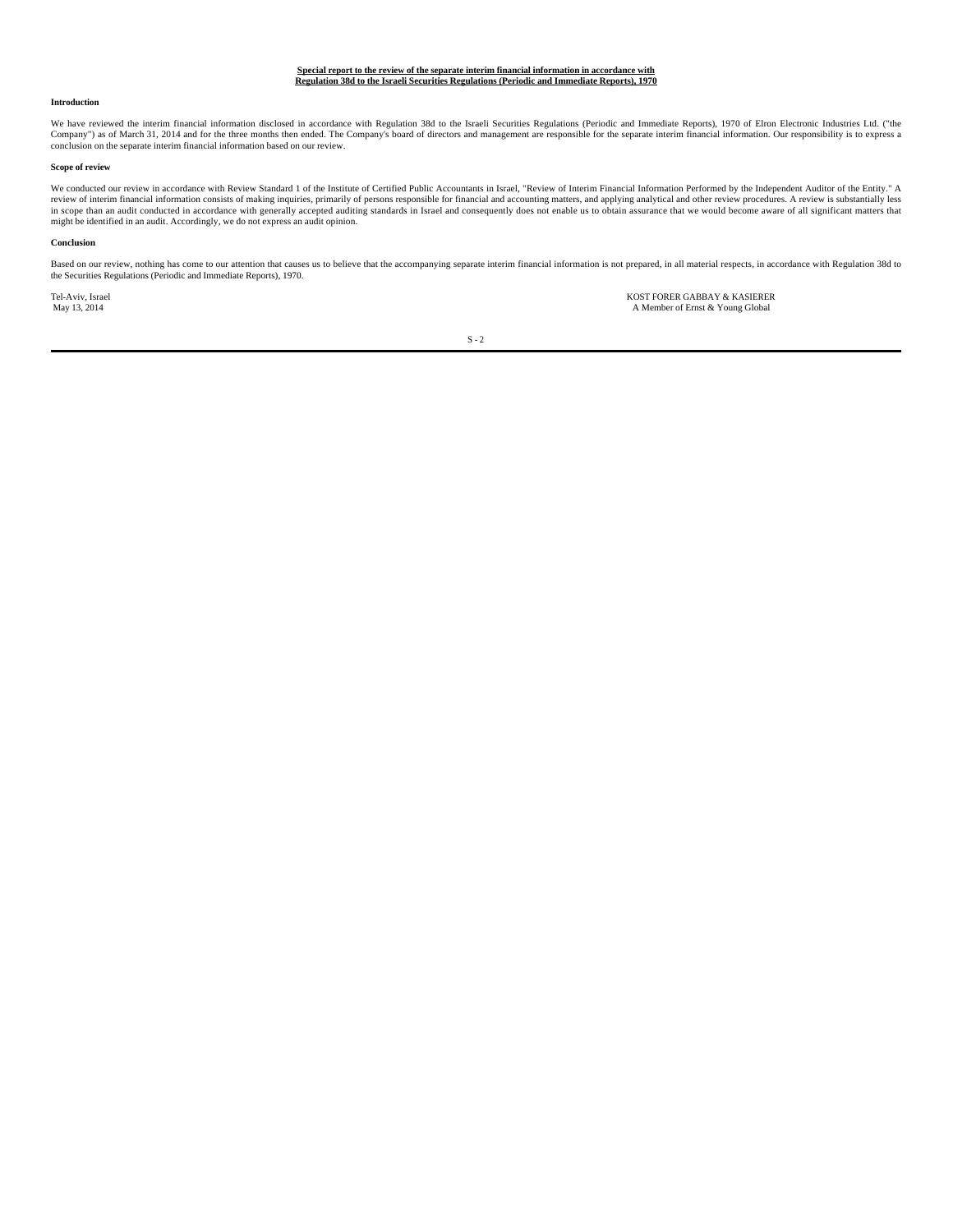#### **Special report to the review of the separate interim financial information in accordance with Regulation 38d to the Israeli Securities Regulations (Periodic and Immediate Reports), 1970**

#### **Introduction**

We have reviewed the interim financial information disclosed in accordance with Regulation 38d to the Israeli Securities Regulations (Periodic and Immediate Reports), 1970 of Elron Electronic Industries Ltd. ("the Company") as of March 31, 2014 and for the three months then ended. The Company's board of directors and management are responsible for the separate interim financial information. Our responsibility is to express a conclusion on the separate interim financial information based on our review.

#### **Scope of review**

We conducted our review in accordance with Review Standard 1 of the Institute of Certified Public Accountants in Israel, "Review of Interim Financial Information Performed by the Independent Auditor of the Entity." A review of interim financial information consists of making inquiries, primarily of persons responsible for financial and accounting matters, and applying analytical and other review procedures. A review is substantially le might be identified in an audit. Accordingly, we do not express an audit opinion.

#### **Conclusion**

Based on our review, nothing has come to our attention that causes us to believe that the accompanying separate interim financial information is not prepared, in all material respects, in accordance with Regulation 38d to the Securities Regulations (Periodic and Immediate Reports), 1970.

Tel-Aviv, Israel KOST FORER GABBAY & KASIERER A Member of Ernst & Young Global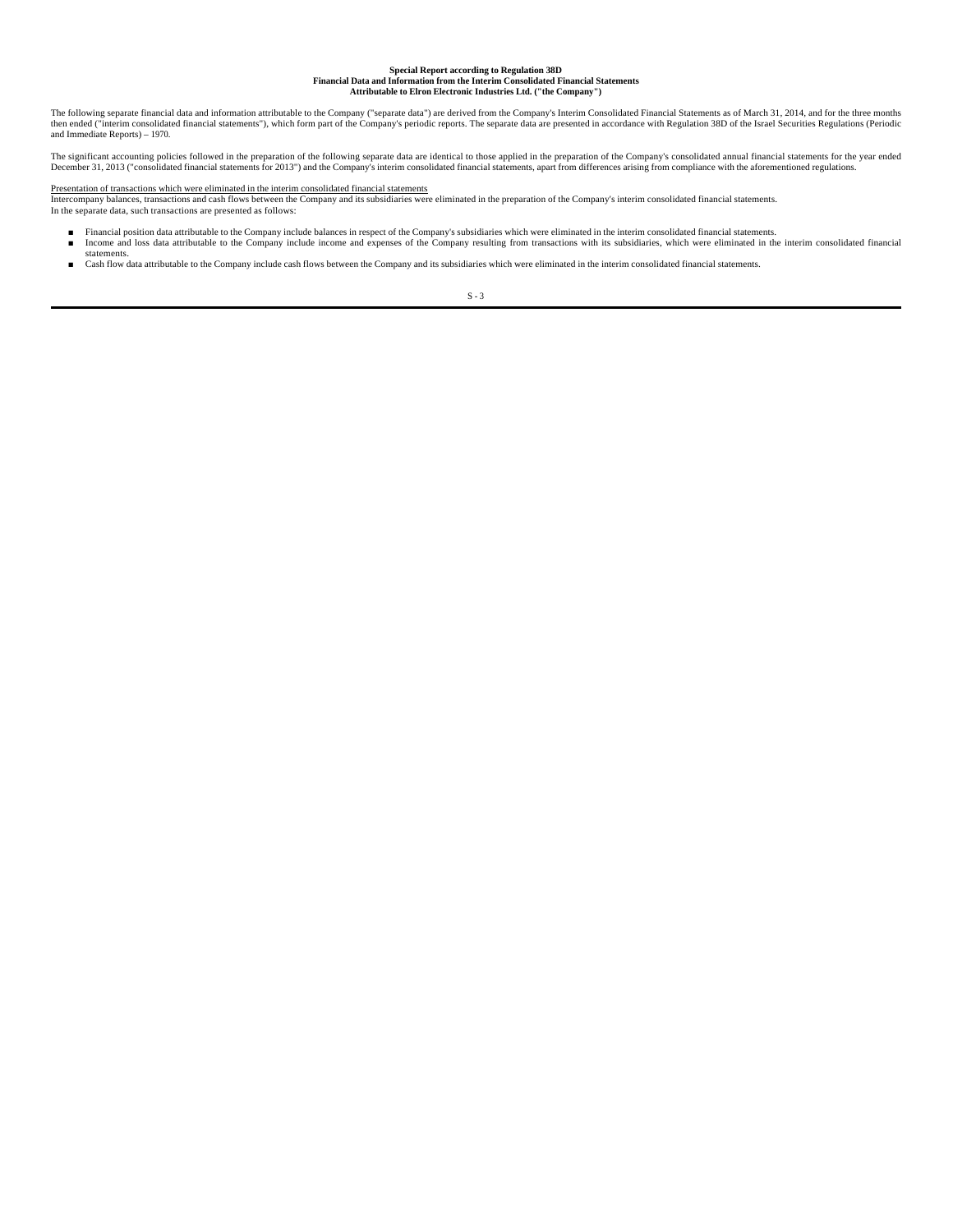# **Special Report according to Regulation 38D Financial Data and Information from the Interim Consolidated Financial Statements Attributable to Elron Electronic Industries Ltd. ("the Company")**

The following separate financial data and information attributable to the Company's separate data") are derived from the Company's Interim Consolidated Financial Statements as of March 31, 2014, and for the three months<br>th and Immediate Reports) – 1970.

The significant accounting policies followed in the preparation of the following separate data are identical to those applied in the preparation of the Company's consolidated annual financial statements for the year ended December 31, 2013 ("consolidated financial statements for 2013") and the Company's interim consolidated financial statements, apart from differences arising from compliance with the aforementioned regulations.

#### Presentation of transactions which were eliminated in the interim consolidated financial statements

Intercompany balances, transactions and cash flows between the Company and its subsidiaries were eliminated in the preparation of the Company's interim consolidated financial statements.<br>In the separate data, such transact

- Financial position data attributable to the Company include balances in respect of the Company's subsidiaries which were eliminated in the interim consolidated financial statements.<br>■ Income and loss data attributable t
- statements.<br>■ Cash flow data attributable to the Company include cash flows between the Company and its subsidiaries which were eliminated in the interim consolidated financial statements.

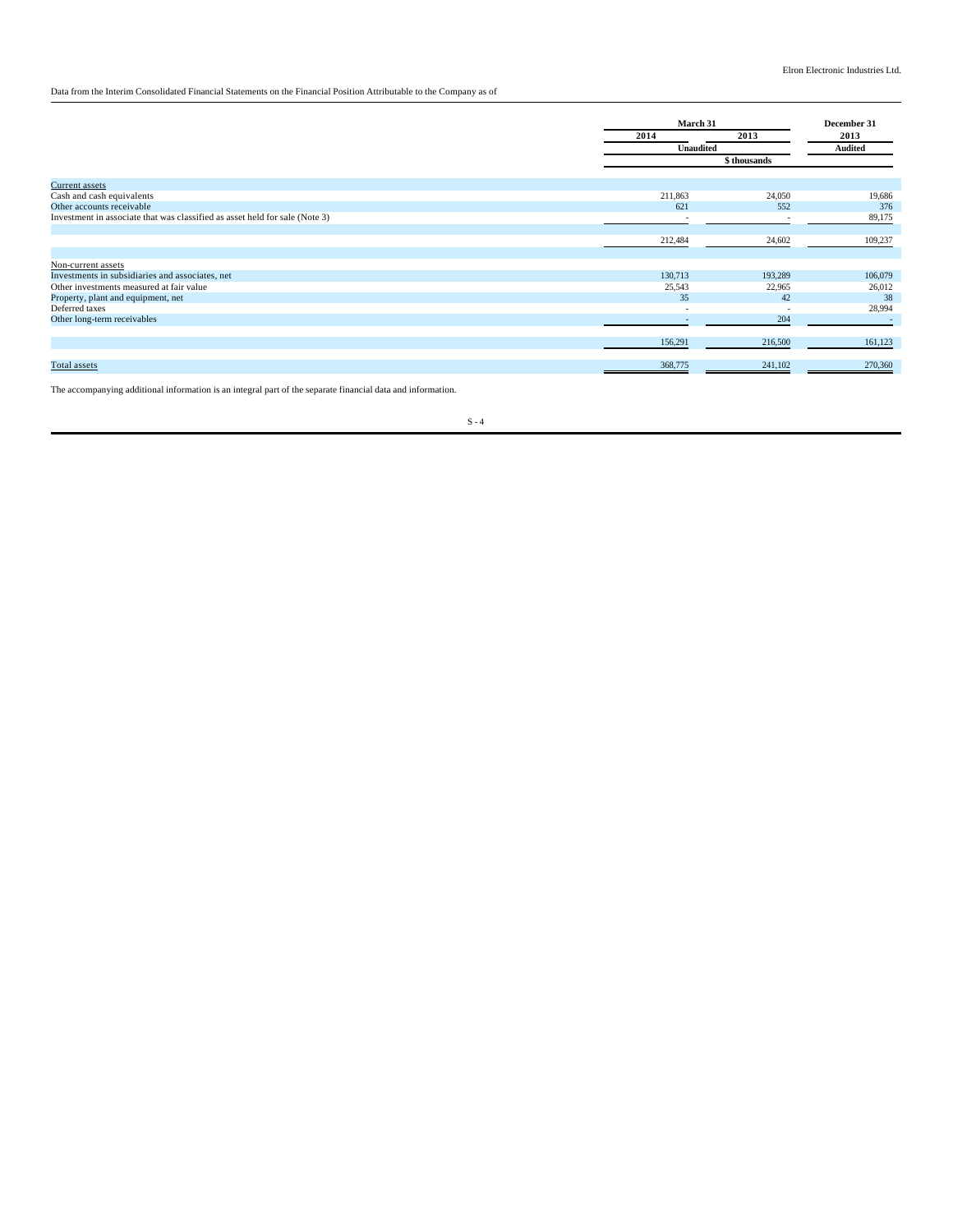Data from the Interim Consolidated Financial Statements on the Financial Position Attributable to the Company as of

|                                                                             | March 31                 |                          | December 31 |
|-----------------------------------------------------------------------------|--------------------------|--------------------------|-------------|
|                                                                             | 2014                     | 2013                     | 2013        |
|                                                                             | <b>Unaudited</b>         |                          | Audited     |
|                                                                             |                          | \$ thousands             |             |
| <b>Current</b> assets                                                       |                          |                          |             |
| Cash and cash equivalents                                                   | 211,863                  | 24,050                   | 19,686      |
| Other accounts receivable                                                   | 621                      | 552                      | 376         |
| Investment in associate that was classified as asset held for sale (Note 3) |                          |                          | 89,175      |
|                                                                             | 212,484                  | 24,602                   | 109,237     |
| Non-current assets                                                          |                          |                          |             |
| Investments in subsidiaries and associates, net                             | 130,713                  | 193,289                  | 106,079     |
| Other investments measured at fair value                                    | 25,543                   | 22,965                   | 26,012      |
| Property, plant and equipment, net                                          | 35                       | 42                       | 38          |
| Deferred taxes                                                              | $\overline{\phantom{0}}$ | $\overline{\phantom{a}}$ | 28,994      |
| Other long-term receivables                                                 | $\overline{\phantom{a}}$ | 204                      | $\sim$      |
|                                                                             | 156,291                  | 216,500                  | 161,123     |
| Total assets                                                                | 368,775                  | 241,102                  | 270,360     |

The accompanying additional information is an integral part of the separate financial data and information.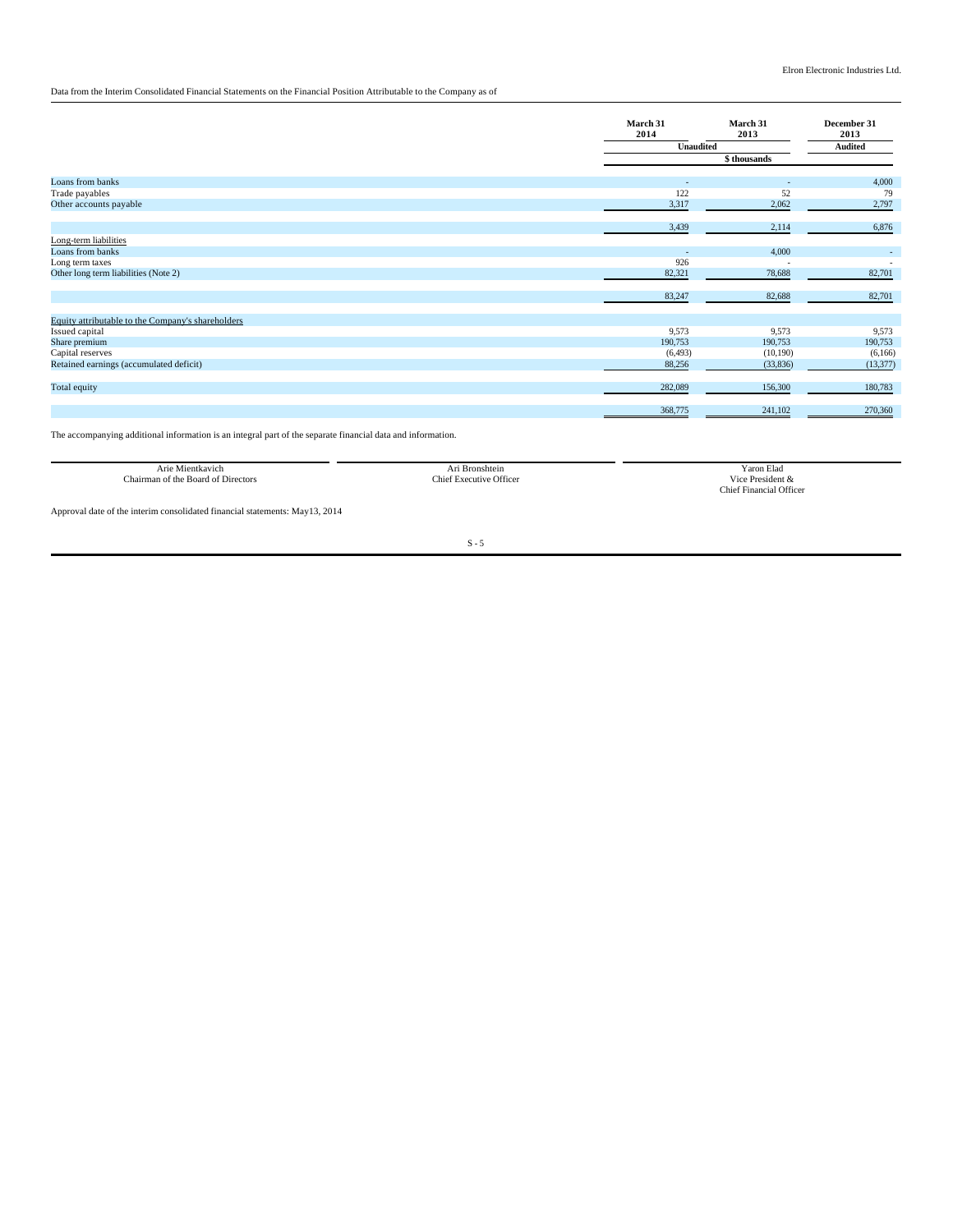## Data from the Interim Consolidated Financial Statements on the Financial Position Attributable to the Company as of

|                                                                     | March 31<br>2014 | March 31<br>2013 | December 31<br>2013 |
|---------------------------------------------------------------------|------------------|------------------|---------------------|
|                                                                     | Unaudited        |                  | Audited             |
|                                                                     |                  | \$ thousands     |                     |
|                                                                     |                  |                  |                     |
| Loans from banks                                                    | ٠<br>122         | ٠                | 4,000               |
| Trade payables<br>Other accounts payable                            | 3,317            | 52<br>2,062      | 79<br>2,797         |
|                                                                     |                  |                  |                     |
|                                                                     | 3,439            | 2,114            | 6,876               |
| Long-term liabilities                                               |                  |                  |                     |
| Loans from banks                                                    | $\sim$           | 4,000            | $\sim$              |
| Long term taxes                                                     | 926              |                  |                     |
| Other long term liabilities (Note 2)                                | 82,321           | 78,688           | 82,701              |
|                                                                     | 83,247           | 82,688           | 82,701              |
|                                                                     |                  |                  |                     |
| Equity attributable to the Company's shareholders<br>Issued capital | 9,573            | 9,573            | 9,573               |
| Share premium                                                       | 190,753          | 190,753          | 190,753             |
| Capital reserves                                                    | (6, 493)         | (10,190)         | (6,166)             |
| Retained earnings (accumulated deficit)                             | 88,256           | (33,836)         | (13, 377)           |
|                                                                     |                  |                  |                     |
| Total equity                                                        | 282,089          | 156,300          | 180,783             |
|                                                                     | 368,775          | 241,102          | 270,360             |
|                                                                     |                  |                  |                     |

The accompanying additional information is an integral part of the separate financial data and information.

| Arie Mientkavich                     | <b>Bronshtein</b>              | í aron Elad                     |
|--------------------------------------|--------------------------------|---------------------------------|
| $-1$<br>an of the Board of Directors | <b>Chief Executive Officer</b> | .<br>President<br>$\sqrt{1}$ ce |
|                                      |                                |                                 |

raton Erad<br>Vice President &<br>Chief Financial Officer

Approval date of the interim consolidated financial statements: May13, 2014

Chairman of the Board of Directors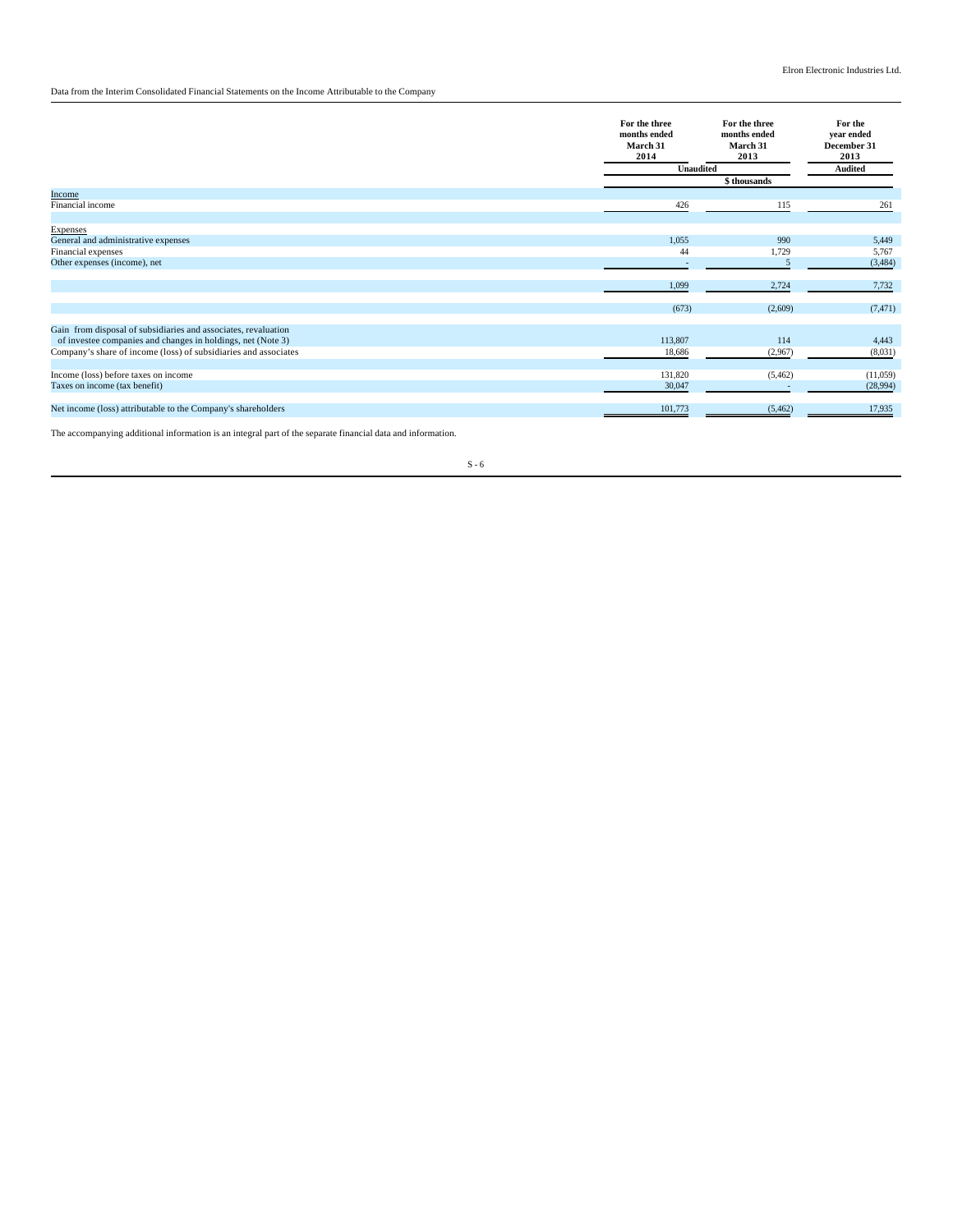## Data from the Interim Consolidated Financial Statements on the Income Attributable to the Company

|                                                                 | For the three<br>months ended<br>March 31<br>2014<br><b>Unaudited</b> | For the three<br>months ended<br>March 31<br>2013 | For the<br>vear ended<br>December 31<br>2013<br><b>Audited</b> |
|-----------------------------------------------------------------|-----------------------------------------------------------------------|---------------------------------------------------|----------------------------------------------------------------|
|                                                                 |                                                                       | \$ thousands                                      |                                                                |
| Income                                                          |                                                                       |                                                   |                                                                |
| Financial income                                                | 426                                                                   | 115                                               | 261                                                            |
| <b>Expenses</b>                                                 |                                                                       |                                                   |                                                                |
| General and administrative expenses                             | 1,055                                                                 | 990                                               | 5,449                                                          |
| Financial expenses                                              | 44                                                                    | 1,729                                             | 5,767                                                          |
| Other expenses (income), net                                    |                                                                       | $\overline{\phantom{0}}$                          | (3, 484)                                                       |
|                                                                 | 1,099                                                                 | 2,724                                             | 7,732                                                          |
|                                                                 | (673)                                                                 | (2,609)                                           | (7, 471)                                                       |
| Gain from disposal of subsidiaries and associates, revaluation  |                                                                       |                                                   |                                                                |
| of investee companies and changes in holdings, net (Note 3)     | 113,807                                                               | 114                                               | 4,443                                                          |
| Company's share of income (loss) of subsidiaries and associates | 18,686                                                                | (2,967)                                           | (8,031)                                                        |
| Income (loss) before taxes on income                            | 131,820                                                               | (5, 462)                                          | (11,059)                                                       |
| Taxes on income (tax benefit)                                   | 30,047                                                                |                                                   | (28,994)                                                       |
| Net income (loss) attributable to the Company's shareholders    | 101,773                                                               | (5, 462)                                          | 17,935                                                         |

The accompanying additional information is an integral part of the separate financial data and information.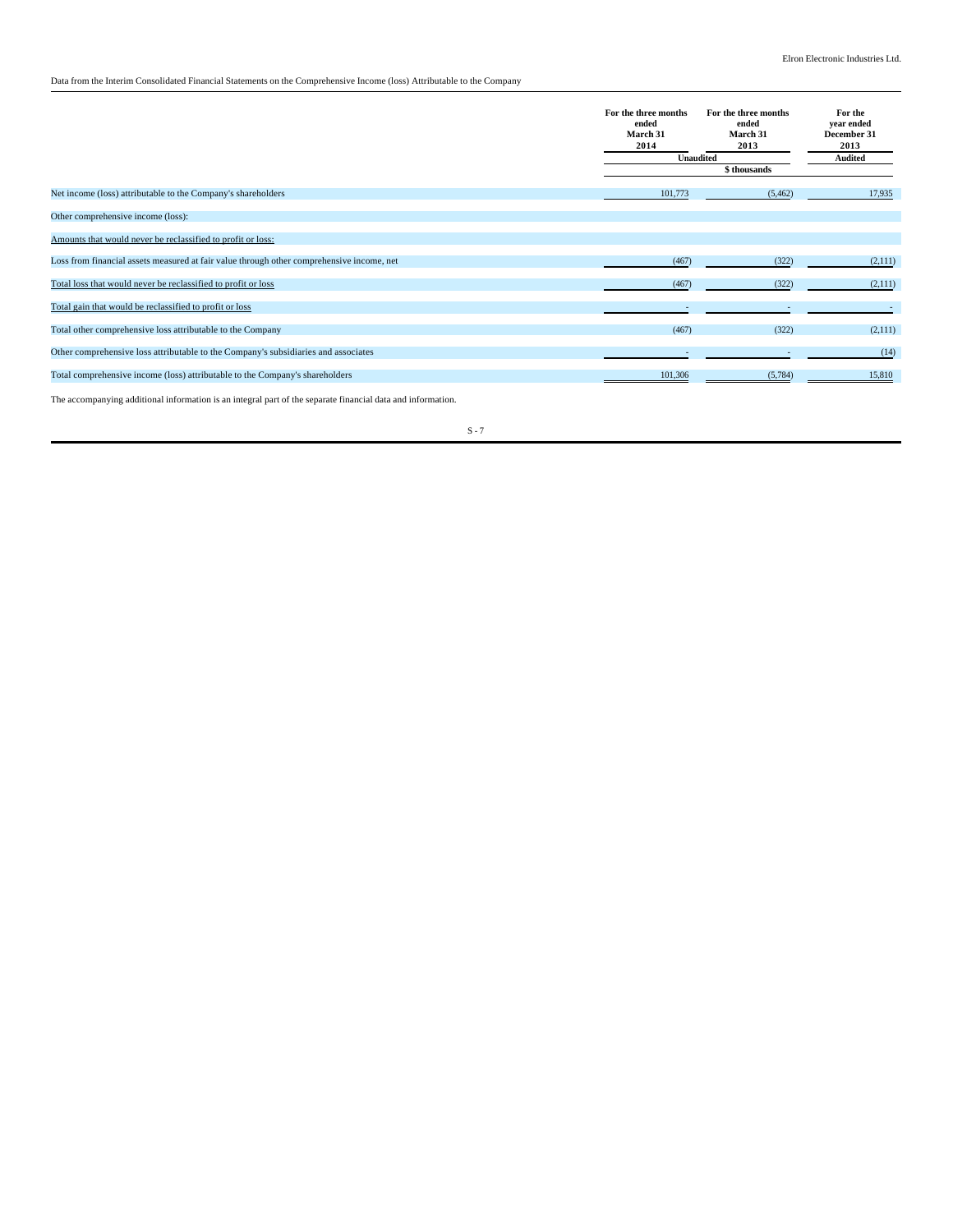Data from the Interim Consolidated Financial Statements on the Comprehensive Income (loss) Attributable to the Company

|                                                                                           | For the three months<br>ended<br>March 31<br>2014 | For the three months<br>ended<br><b>March 31</b><br>2013 | For the<br>vear ended<br>December 31<br>2013 |
|-------------------------------------------------------------------------------------------|---------------------------------------------------|----------------------------------------------------------|----------------------------------------------|
|                                                                                           | Unaudited                                         | Audited                                                  |                                              |
|                                                                                           |                                                   | \$thousands                                              |                                              |
| Net income (loss) attributable to the Company's shareholders                              | 101,773                                           | (5, 462)                                                 | 17,935                                       |
| Other comprehensive income (loss):                                                        |                                                   |                                                          |                                              |
| Amounts that would never be reclassified to profit or loss:                               |                                                   |                                                          |                                              |
| Loss from financial assets measured at fair value through other comprehensive income, net | (467)                                             | (322)                                                    | (2,111)                                      |
| Total loss that would never be reclassified to profit or loss                             | (467)                                             | (322)                                                    | (2,111)                                      |
| Total gain that would be reclassified to profit or loss                                   |                                                   |                                                          |                                              |
| Total other comprehensive loss attributable to the Company                                | (467)                                             | (322)                                                    | (2,111)                                      |
| Other comprehensive loss attributable to the Company's subsidiaries and associates        |                                                   | $\overline{\phantom{a}}$                                 | (14)                                         |
| Total comprehensive income (loss) attributable to the Company's shareholders              | 101,306                                           | (5,784)                                                  | 15,810                                       |

The accompanying additional information is an integral part of the separate financial data and information.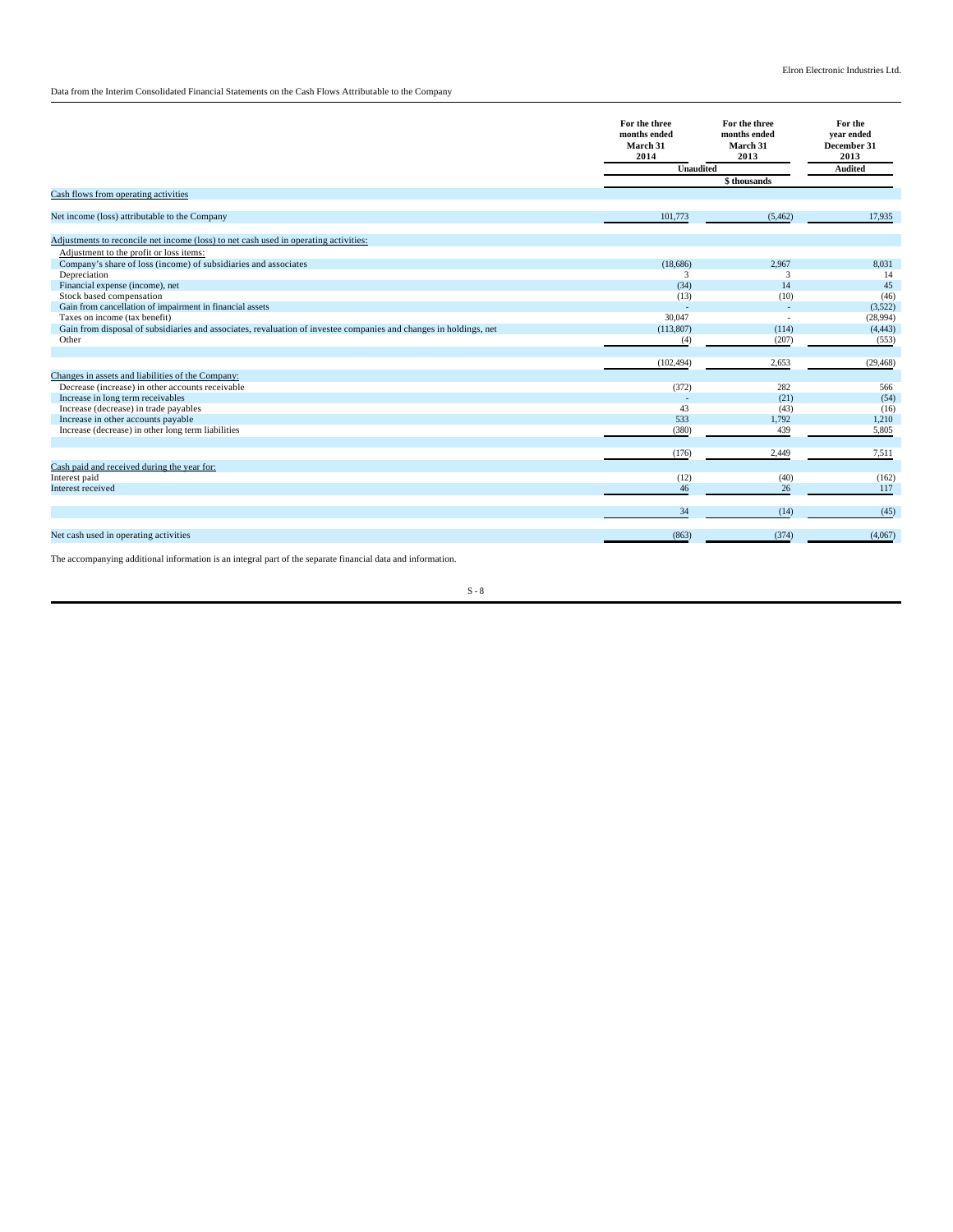Data from the Interim Consolidated Financial Statements on the Cash Flows Attributable to the Company

|                                                                                                                   | For the three<br>months ended<br>March 31<br>2014 | For the three<br>months ended<br>March 31<br>2013 | For the<br>vear ended<br>December 31<br>2013 |
|-------------------------------------------------------------------------------------------------------------------|---------------------------------------------------|---------------------------------------------------|----------------------------------------------|
|                                                                                                                   | <b>Unaudited</b>                                  |                                                   | <b>Audited</b>                               |
|                                                                                                                   |                                                   | \$ thousands                                      |                                              |
| Cash flows from operating activities                                                                              |                                                   |                                                   |                                              |
| Net income (loss) attributable to the Company                                                                     | 101,773                                           | (5, 462)                                          | 17,935                                       |
|                                                                                                                   |                                                   |                                                   |                                              |
| Adjustments to reconcile net income (loss) to net cash used in operating activities:                              |                                                   |                                                   |                                              |
| Adjustment to the profit or loss items:                                                                           |                                                   |                                                   |                                              |
| Company's share of loss (income) of subsidiaries and associates                                                   | (18,686)                                          | 2.967                                             | 8,031                                        |
| Depreciation                                                                                                      | 3                                                 | 3                                                 | 14                                           |
| Financial expense (income), net                                                                                   | (34)                                              | 14                                                | 45                                           |
| Stock based compensation                                                                                          | (13)                                              | (10)                                              | (46)                                         |
| Gain from cancellation of impairment in financial assets                                                          | ÷                                                 | ÷                                                 | (3,522)                                      |
| Taxes on income (tax benefit)                                                                                     | 30,047                                            |                                                   | (28,994)                                     |
| Gain from disposal of subsidiaries and associates, revaluation of investee companies and changes in holdings, net | (113,807)                                         | (114)                                             | (4, 443)                                     |
| Other                                                                                                             | (4)                                               | (207)                                             | (553)                                        |
|                                                                                                                   |                                                   |                                                   |                                              |
|                                                                                                                   | (102, 494)                                        | 2,653                                             | (29, 468)                                    |
| Changes in assets and liabilities of the Company:                                                                 |                                                   |                                                   |                                              |
| Decrease (increase) in other accounts receivable                                                                  | (372)                                             | 282                                               | 566                                          |
| Increase in long term receivables                                                                                 |                                                   | (21)                                              | (54)                                         |
| Increase (decrease) in trade payables                                                                             | 43                                                | (43)                                              | (16)                                         |
| Increase in other accounts payable                                                                                | 533                                               | 1,792                                             | 1,210                                        |
| Increase (decrease) in other long term liabilities                                                                | (380)                                             | 439                                               | 5,805                                        |
|                                                                                                                   |                                                   |                                                   |                                              |
|                                                                                                                   | (176)                                             | 2,449                                             | 7,511                                        |
| Cash paid and received during the year for:                                                                       |                                                   |                                                   |                                              |
| Interest paid                                                                                                     | (12)                                              | (40)                                              | (162)                                        |
| Interest received                                                                                                 | 46                                                | 26                                                | 117                                          |
|                                                                                                                   | 34                                                | (14)                                              | (45)                                         |
| Net cash used in operating activities                                                                             | (863)                                             | (374)                                             | (4,067)                                      |
|                                                                                                                   |                                                   |                                                   |                                              |

The accompanying additional information is an integral part of the separate financial data and information.

 $\mathbf{S}$  -  $\mathbf{8}$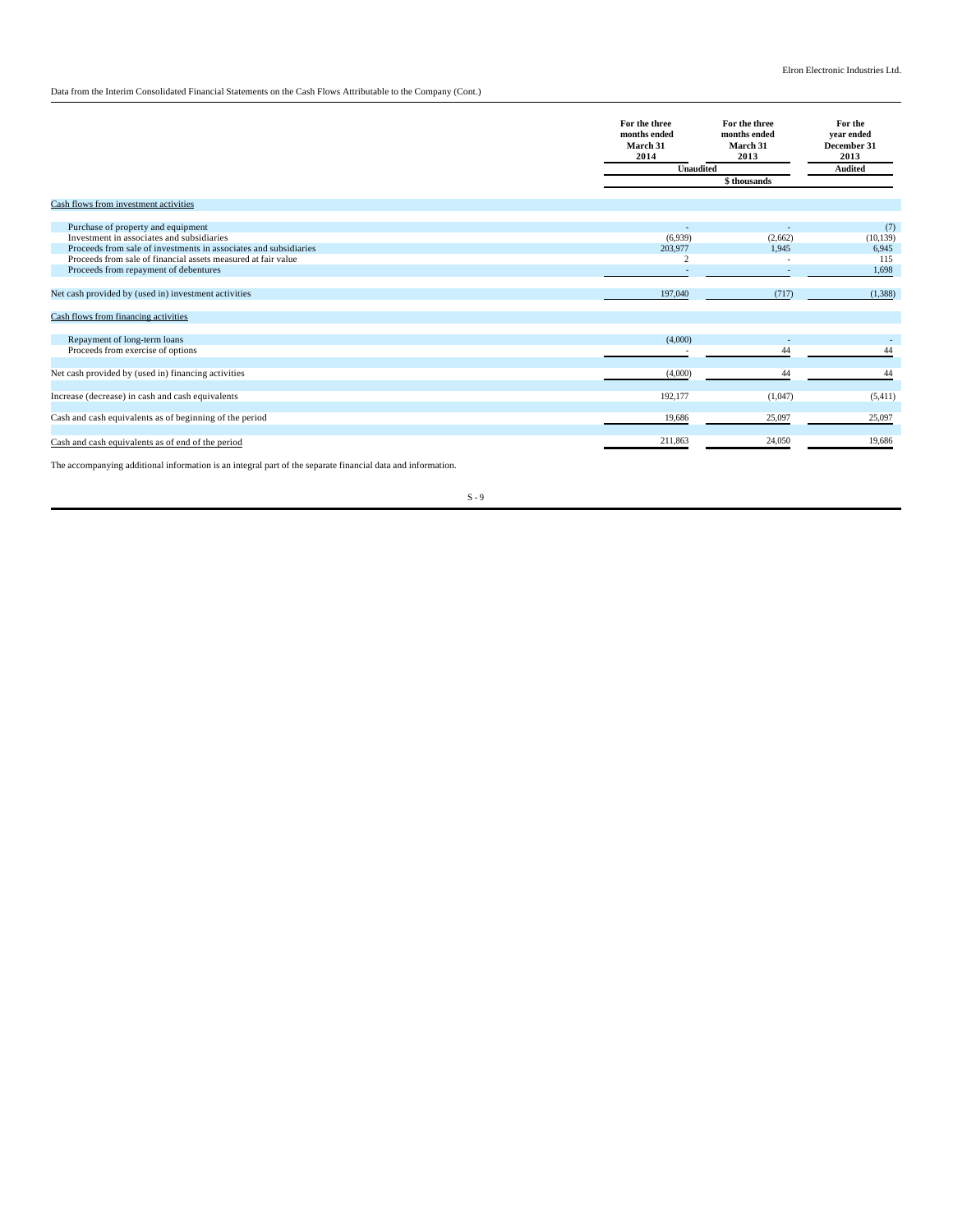# Data from the Interim Consolidated Financial Statements on the Cash Flows Attributable to the Company (Cont.)

|                                                                                                                                                                                                                                                                                                                                                               | For the three<br>months ended<br>March 31<br>2014<br>Unaudited | For the three<br>months ended<br>March 31<br>2013 | For the<br>vear ended<br>December 31<br>2013<br><b>Audited</b> |
|---------------------------------------------------------------------------------------------------------------------------------------------------------------------------------------------------------------------------------------------------------------------------------------------------------------------------------------------------------------|----------------------------------------------------------------|---------------------------------------------------|----------------------------------------------------------------|
|                                                                                                                                                                                                                                                                                                                                                               |                                                                | \$ thousands                                      |                                                                |
| Cash flows from investment activities                                                                                                                                                                                                                                                                                                                         |                                                                |                                                   |                                                                |
| Purchase of property and equipment<br>Investment in associates and subsidiaries<br>Proceeds from sale of investments in associates and subsidiaries<br>Proceeds from sale of financial assets measured at fair value<br>Proceeds from repayment of debentures<br>Net cash provided by (used in) investment activities<br>Cash flows from financing activities | (6,939)<br>203,977<br>$\overline{2}$<br>197,040                | (2,662)<br>1.945<br>(717)                         | (7)<br>(10, 139)<br>6,945<br>115<br>1,698<br>(1,388)           |
| Repayment of long-term loans<br>Proceeds from exercise of options                                                                                                                                                                                                                                                                                             | (4,000)                                                        | 44                                                | 44                                                             |
| Net cash provided by (used in) financing activities                                                                                                                                                                                                                                                                                                           | (4,000)                                                        | 44                                                | 44                                                             |
| Increase (decrease) in cash and cash equivalents<br>Cash and cash equivalents as of beginning of the period                                                                                                                                                                                                                                                   | 192,177<br>19,686                                              | (1,047)<br>25,097                                 | (5,411)<br>25,097                                              |
| Cash and cash equivalents as of end of the period                                                                                                                                                                                                                                                                                                             | 211,863                                                        | 24,050                                            | 19,686                                                         |

The accompanying additional information is an integral part of the separate financial data and information.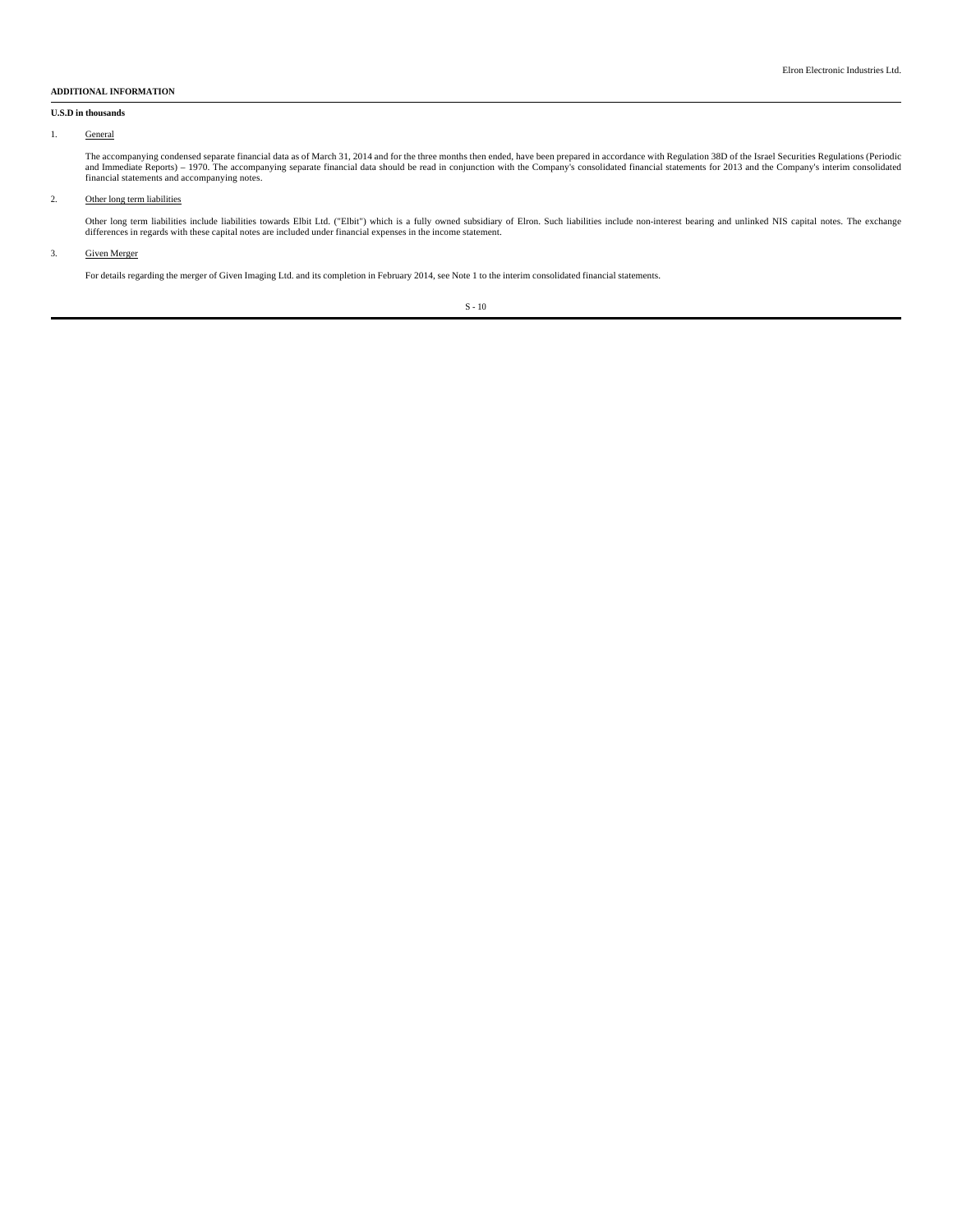### **ADDITIONAL INFORMATION**

## **U.S.D in thousands**

### 1. General

The accompanying condensed separate financial data as of March 31, 2014 and for the three months then ended, have been prepared in accordance with Regulation 38D of the Israel Securities Regulations (Periodic<br>and Immediate

## 2. Other long term liabilities

Other long term liabilities include liabilities towards Elbit Ltd. ("Elbit") which is a fully owned subsidiary of Elron. Such liabilities include non-interest bearing and unlinked NIS capital notes. The exchange differences in regards with these capital notes are included under financial expenses in the income statement.

#### 3. Given Merger

For details regarding the merger of Given Imaging Ltd. and its completion in February 2014, see Note 1 to the interim consolidated financial statements.

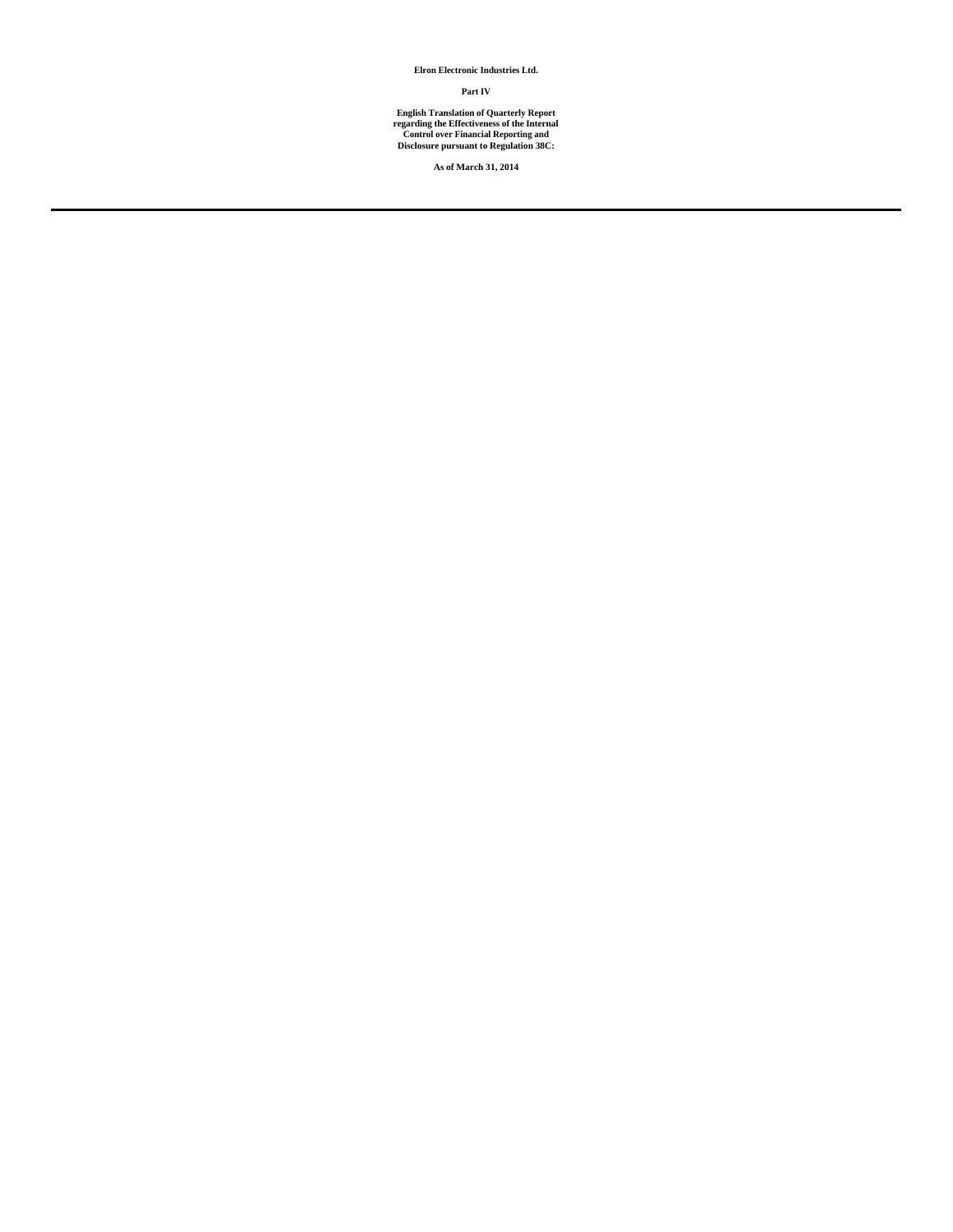**Elron Electronic Industries Ltd.**

**Part IV**

**English Translation of Quarterly Report regarding the Effectiveness of the Internal Control over Financial Reporting and Disclosure pursuant to Regulation 38C:**

**As of March 31, 2014**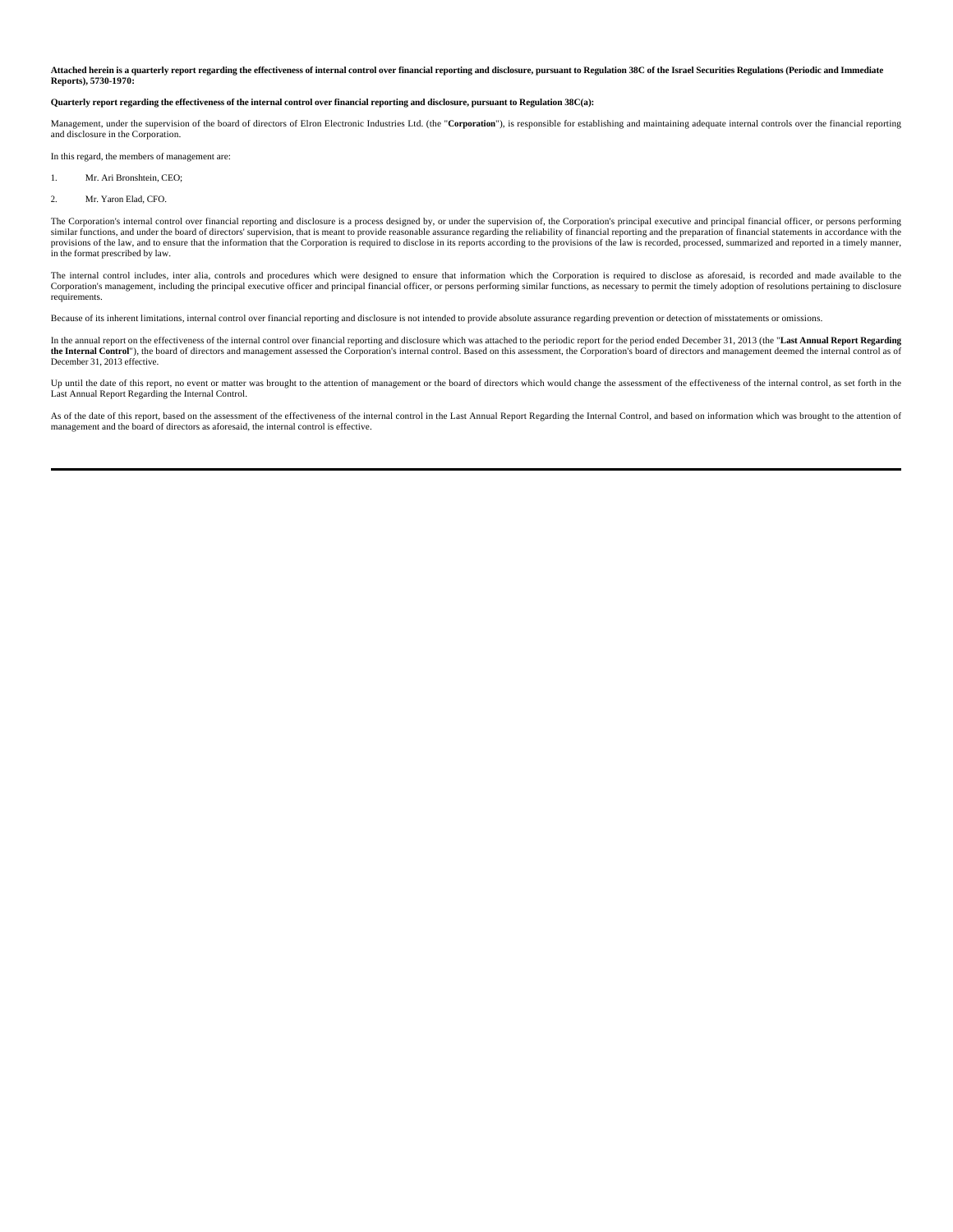#### **Attached herein is a quarterly report regarding the effectiveness of internal control over financial reporting and disclosure, pursuant to Regulation 38C of the Israel Securities Regulations (Periodic and Immediate Reports), 5730-1970:**

#### **Quarterly report regarding the effectiveness of the internal control over financial reporting and disclosure, pursuant to Regulation 38C(a):**

Management, under the supervision of the board of directors of Elron Electronic Industries Ltd. (the "Corporation"), is responsible for establishing and maintaining adequate internal controls over the financial reporting and disclosure in the Corporation.

In this regard, the members of management are:

- 1. Mr. Ari Bronshtein, CEO;
- 2. Mr. Yaron Elad, CFO.

The Corporation's internal control over financial reporting and disclosure is a process designed by, or under the supervision of, the Corporation's principal executive and principal financial officer, or persons performing similar functions, and under the board of directors' supervision, that is meant to provide reasonable assurance regarding the reliability of financial reporting and the preparation of financial statements in accordance wit in the format prescribed by law.

The internal control includes, inter alia, controls and procedures which were designed to ensure that information which the Corporation is required to disclose as aforesaid, is recorded and made available to the Corporation's management, including the principal executive officer and principal financial officer, or persons performing similar functions, as necessary to permit the timely adoption of resolutions pertaining to disclosure requirements.

Because of its inherent limitations, internal control over financial reporting and disclosure is not intended to provide absolute assurance regarding prevention or detection of misstatements or omissions.

In the annual report on the effectiveness of the internal control over financial reporting and disclosure which was attached to the periodic report for the period ended December 31, 2013 (the "Last Annual Report Regarding the Internal Control"), the board of directors and management assessed the Corporation's internal control. Based on this assessment, the Corporation's board of directors and management deemed the internal control as of December 31, 2013 effective.

Up until the date of this report, no event or matter was brought to the attention of management or the board of directors which would change the assessment of the effectiveness of the internal control, as set forth in the Last Annual Report Regarding the Internal Control.

As of the date of this report, based on the assessment of the effectiveness of the internal control in the Last Annual Report Regarding the Internal Control, and based on information which was brought to the attention of management and the board of directors as aforesaid, the internal control is effective.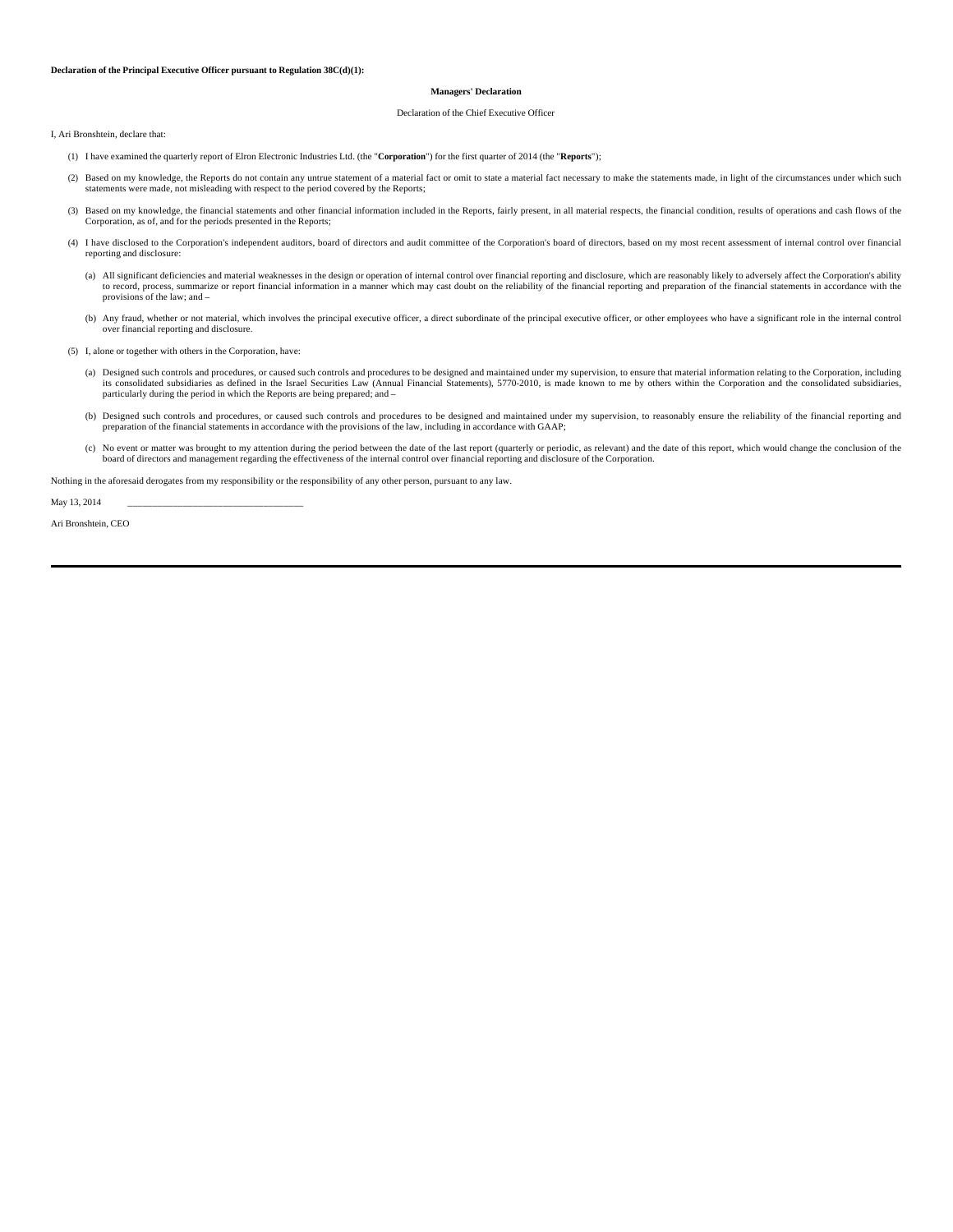## **Declaration of the Principal Executive Officer pursuant to Regulation 38C(d)(1):**

## **Managers' Declaration**

#### Declaration of the Chief Executive Officer

I, Ari Bronshtein, declare that:

- (1) I have examined the quarterly report of Elron Electronic Industries Ltd. (the "**Corporation**") for the first quarter of 2014 (the "**Reports**");
- (2) Based on my knowledge, the Reports do not contain any untrue statement of a material fact or omit to state a material fact necessary to make the statements made, in light of the circumstances under which such statements were made, not misleading with respect to the period covered by the Reports;
- (3) Based on my knowledge, the financial statements and other financial information included in the Reports, fairly present, in all material respects, the financial condition, results of operations and cash flows of the Corporation, as of, and for the periods presented in the Reports;
- (4) I have disclosed to the Corporation's independent auditors, board of directors and audit committee of the Corporation's board of directors, based on my most recent assessment of internal control over financial reporting and disclosure:
	- (a) All significant deficiencies and material weaknesses in the design or operation of internal control over financial reporting and disclosure, which are reasonably likely to adversely affect the Corporation's ability to record, process, summarize or report financial information in a manner which may cast doubt on the reliability of the financial reporting and preparation of the financial statements in accordance with the provisions of the law; and –
	- (b) Any fraud, whether or not material, which involves the principal executive officer, a direct subordinate of the principal executive officer, or other employees who have a significant role in the internal control over financial reporting and disclosure.
- (5) I, alone or together with others in the Corporation, have:
- (a) Designed such controls and procedures, or caused such controls and procedures to be designed and maintained under my supervision, to ensure that material information relating to the Corporation, including its consolida particularly during the period in which the Reports are being prepared; and –
	- (b) Designed such controls and procedures, or caused such controls and procedures to be designed and maintained under my supervision, to reasonably ensure the reliability of the financial reporting and preparation of the financial statements in accordance with the provisions of the law, including in accordance with GAAP;
	- (c) No event or matter was brought to my attention during the period between the date of the last report (quarterly or periodic, as relevant) and the date of this report, which would change the conclusion of the board of directors and management regarding the effectiveness of the internal control over financial reporting and disclosure of the Corporation.

Nothing in the aforesaid derogates from my responsibility or the responsibility of any other person, pursuant to any law.

May 13, 2014

Ari Bronshtein, CEO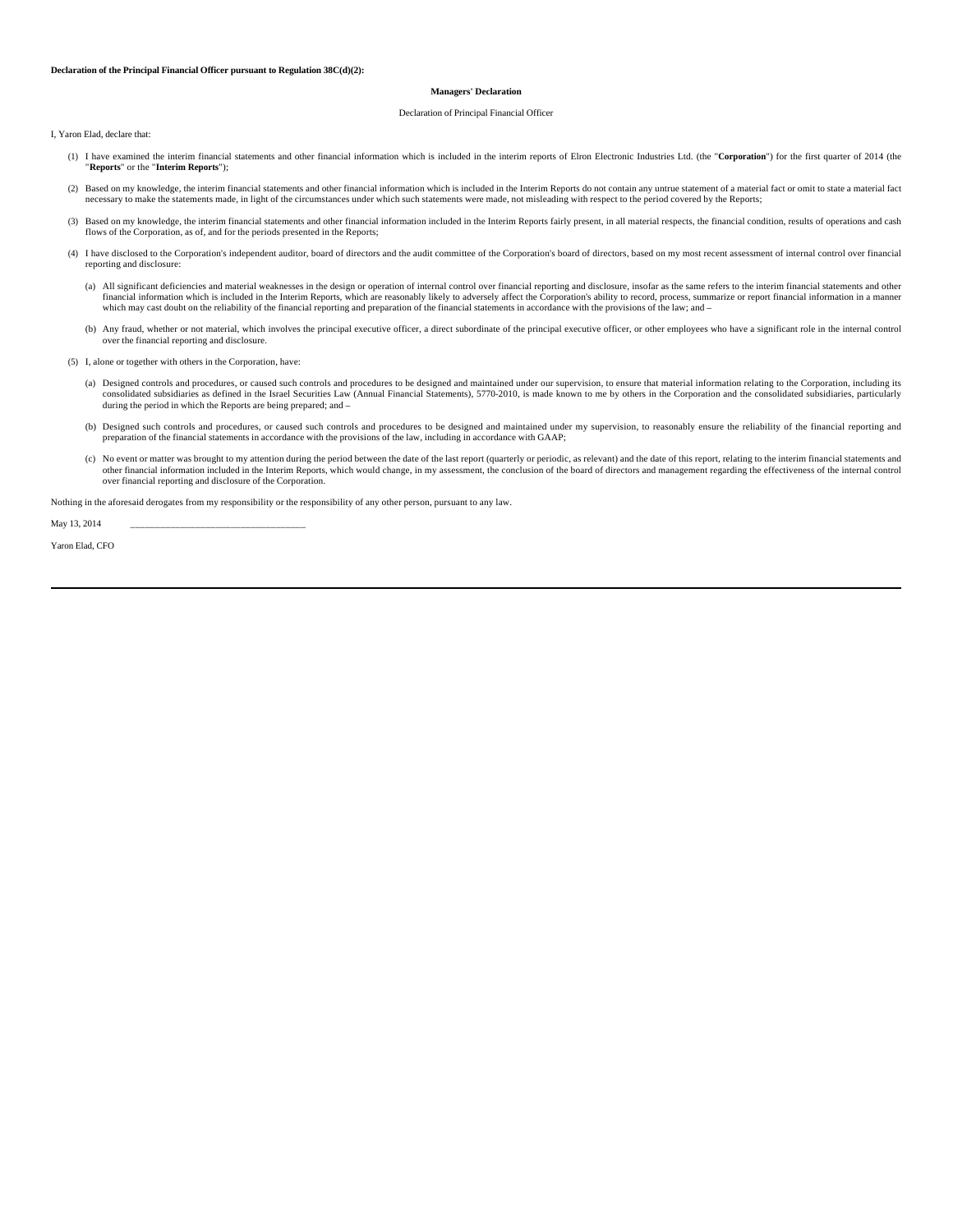### **Declaration of the Principal Financial Officer pursuant to Regulation 38C(d)(2):**

## **Managers' Declaration**

#### Declaration of Principal Financial Officer

I, Yaron Elad, declare that:

- (1) I have examined the interim financial statements and other financial information which is included in the interim reports of Elron Electronic Industries Ltd. (the "**Corporation**") for the first quarter of 2014 (the "**Reports**" or the "**Interim Reports**");
- (2) Based on my knowledge, the interim financial statements and other financial information which is included in the Interim Reports do not contain any untrue statement of a material fact or omit to state a material fact necessary to make the statements made, in light of the circumstances under which such statements were made, not misleading with respect to the period covered by the Reports;
- (3) Based on my knowledge, the interim financial statements and other financial information included in the Interim Reports fairly present, in all material respects, the financial condition, results of operations and cash flows of the Corporation, as of, and for the periods presented in the Reports;
- (4) I have disclosed to the Corporation's independent auditor, board of directors and the audit committee of the Corporation's board of directors, based on my most recent assessment of internal control over financial reporting and disclosure:
- (a) All significant deficiencies and material weaknesses in the design or operation of internal control over financial reporting and disclosure, insofar as the same refers to the interim financial statements and other<br>fina which may cast doubt on the reliability of the financial reporting and preparation of the financial statements in accordance with the provisions of the law; and –
	- (b) Any fraud, whether or not material, which involves the principal executive officer, a direct subordinate of the principal executive officer, or other employees who have a significant role in the internal control over the financial reporting and disclosure.
	- (5) I, alone or together with others in the Corporation, have:
		- (a) Designed controls and procedures, or caused such controls and procedures to be designed and maintained under our supervision, to ensure that material information relating to the Corporation, including its consolidated subsidiaries as defined in the Israel Securities Law (Annual Financial Statements), 5770-2010, is made known to me by others in the Corporation and the consolidated subsidiaries, particularly during the period in which the Reports are being prepared; and –
		- (b) Designed such controls and procedures, or caused such controls and procedures to be designed and maintained under my supervision, to reasonably ensure the reliability of the financial reporting and preparation of the financial statements in accordance with the provisions of the law, including in accordance with GAAP;
		- (c) No event or matter was brought to my attention during the period between the date of the last report (quarterly or periodic, as relevant) and the date of this report, relating to the interim financial statements and other financial information included in the Interim Reports, which would change, in my assessment, the conclusion of the board of directors and management regarding the effectiveness of the internal control<br>over financial

Nothing in the aforesaid derogates from my responsibility or the responsibility of any other person, pursuant to any law.

May 13, 2014

Yaron Elad, CFO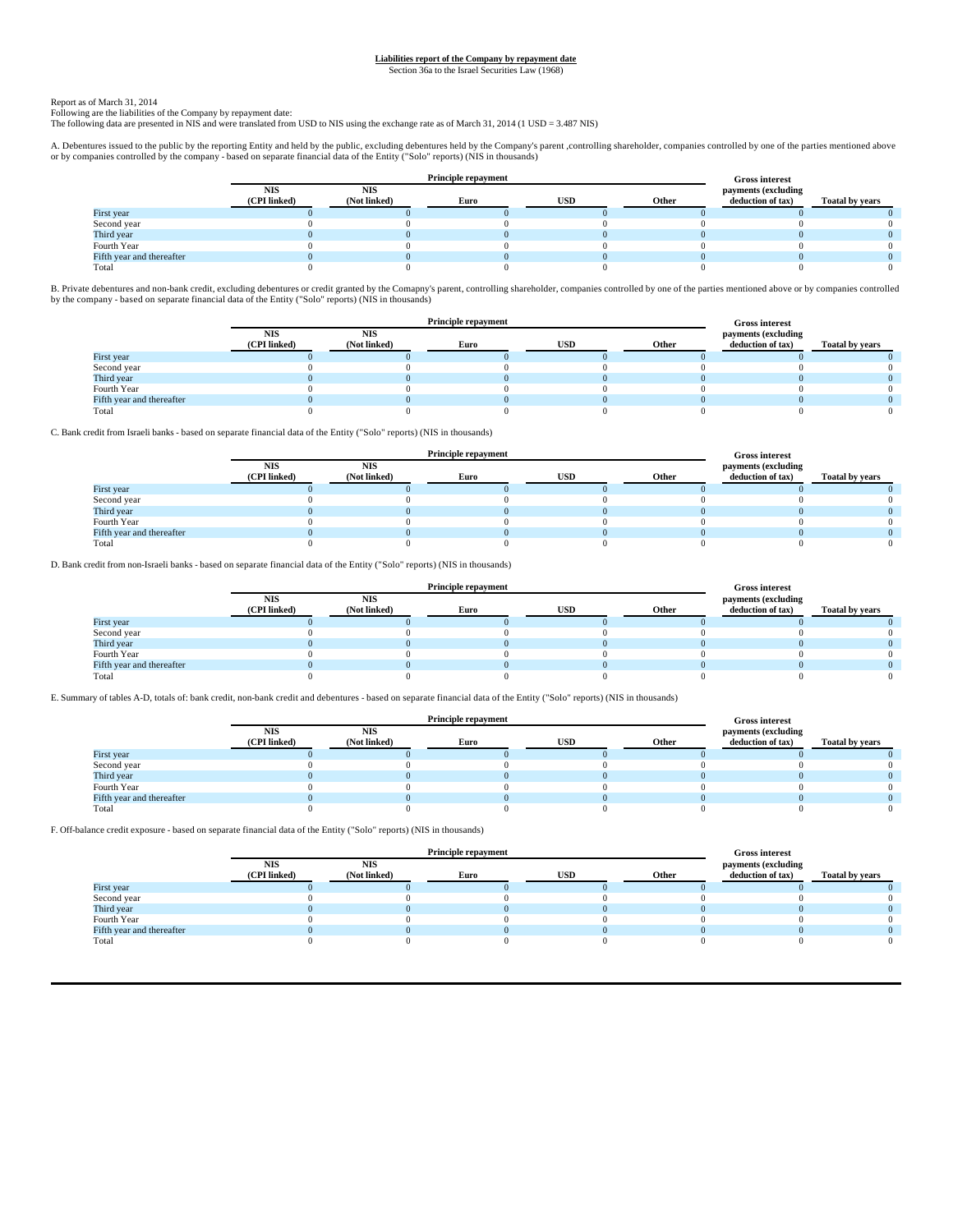# **Liabilities report of the Company by repayment date**

Section 36a to the Israel Securities Law (1968)

## Report as of March 31, 2014

Following are the liabilities of the Company by repayment date: The following data are presented in NIS and were translated from USD to NIS using the exchange rate as of March 31, 2014 (1 USD = 3.487 NIS)

A. Debentures issued to the public by the reporting Entity and held by the public, excluding debentures held by the Company's parent ,controlling shareholder, companies controlled by one of the parties mentioned above<br>or b

|                           |                            |                     |      | <b>Gross interest</b> |       |                                          |                        |
|---------------------------|----------------------------|---------------------|------|-----------------------|-------|------------------------------------------|------------------------|
|                           | <b>NIS</b><br>(CPI linked) | NIS<br>(Not linked) | Euro | <b>USD</b>            | Other | payments (excluding<br>deduction of tax) | <b>Toatal by years</b> |
| First year                |                            |                     |      |                       |       |                                          |                        |
| Second year               |                            |                     |      |                       |       |                                          |                        |
| Third year                |                            |                     |      |                       |       |                                          |                        |
| Fourth Year               |                            |                     |      |                       |       |                                          |                        |
| Fifth year and thereafter |                            |                     |      |                       |       |                                          |                        |
| Total                     |                            |                     |      |                       |       |                                          |                        |

B. Private debentures and non-bank credit, excluding debentures or credit granted by the Comapny's parent, controlling shareholder, companies controlled by one of the parties mentioned above or by companies controlled by the company - based on separate financial data of the Entity ("Solo" reports) (NIS in thousands)

|                           |                            |                     |      | <b>Gross interest</b> |       |                                          |                        |
|---------------------------|----------------------------|---------------------|------|-----------------------|-------|------------------------------------------|------------------------|
|                           | <b>NIS</b><br>(CPI linked) | NIS<br>(Not linked) | Euro | <b>USD</b>            | Other | payments (excluding<br>deduction of tax) | <b>Toatal by years</b> |
| First year                |                            |                     |      |                       |       |                                          |                        |
| Second year               |                            |                     |      |                       |       |                                          |                        |
| Third year                |                            |                     |      |                       |       |                                          |                        |
| Fourth Year               |                            |                     |      |                       |       |                                          |                        |
| Fifth year and thereafter |                            |                     |      |                       |       |                                          |                        |
| Total                     |                            |                     |      |                       |       |                                          |                        |

C. Bank credit from Israeli banks - based on separate financial data of the Entity ("Solo" reports) (NIS in thousands)

|                           |              |              |      | <b>Gross interest</b> |       |                     |                        |
|---------------------------|--------------|--------------|------|-----------------------|-------|---------------------|------------------------|
|                           | <b>NIS</b>   | <b>NIS</b>   |      |                       |       | payments (excluding |                        |
|                           | (CPI linked) | (Not linked) | Euro | USD                   | Other | deduction of tax)   | <b>Toatal by years</b> |
| First year                |              |              |      |                       |       |                     |                        |
| Second year               |              |              |      |                       |       |                     |                        |
| Third year                |              |              |      |                       |       |                     |                        |
| Fourth Year               |              |              |      |                       |       |                     |                        |
| Fifth year and thereafter |              |              |      |                       |       |                     |                        |
| Total                     |              |              |      |                       |       |                     |                        |

D. Bank credit from non-Israeli banks - based on separate financial data of the Entity ("Solo" reports) (NIS in thousands)

|                           |              |              |      | <b>Gross interest</b> |       |                     |                        |
|---------------------------|--------------|--------------|------|-----------------------|-------|---------------------|------------------------|
|                           | <b>NIS</b>   | <b>NIS</b>   |      |                       |       | payments (excluding |                        |
|                           | (CPI linked) | (Not linked) | Euro | USD                   | Other | deduction of tax)   | <b>Toatal by years</b> |
| First year                |              |              |      |                       |       |                     |                        |
| Second year               |              |              |      |                       |       |                     |                        |
| Third year                |              |              |      |                       |       |                     |                        |
| Fourth Year               |              |              |      |                       |       |                     |                        |
| Fifth year and thereafter |              |              |      |                       |       |                     |                        |
| Total                     |              |              |      |                       |       |                     |                        |

E. Summary of tables A-D, totals of: bank credit, non-bank credit and debentures - based on separate financial data of the Entity ("Solo" reports) (NIS in thousands)

|                           |                            |                            |      | <b>Gross interest</b> |       |                                          |                        |
|---------------------------|----------------------------|----------------------------|------|-----------------------|-------|------------------------------------------|------------------------|
|                           | <b>NIS</b><br>(CPI linked) | <b>NIS</b><br>(Not linked) | Euro | <b>USD</b>            | Other | payments (excluding<br>deduction of tax) | <b>Toatal by years</b> |
| First year                |                            |                            |      |                       |       |                                          |                        |
| Second year               |                            |                            |      |                       |       |                                          |                        |
| Third year                |                            |                            |      |                       |       |                                          |                        |
| Fourth Year               |                            |                            |      |                       |       |                                          |                        |
| Fifth year and thereafter |                            |                            |      |                       |       |                                          |                        |
| Total                     |                            |                            |      |                       |       |                                          |                        |

F. Off-balance credit exposure - based on separate financial data of the Entity ("Solo" reports) (NIS in thousands)

|                           |                            | <b>Principle repayment</b> |      | <b>Gross interest</b> |       |                                          |                        |
|---------------------------|----------------------------|----------------------------|------|-----------------------|-------|------------------------------------------|------------------------|
|                           | <b>NIS</b><br>(CPI linked) | <b>NIS</b><br>(Not linked) | Euro | USD                   | Other | payments (excluding<br>deduction of tax) | <b>Toatal by years</b> |
| First year                |                            |                            |      |                       |       |                                          |                        |
| Second year               |                            |                            |      |                       |       |                                          |                        |
| Third year                |                            |                            |      |                       |       |                                          |                        |
| Fourth Year               |                            |                            |      |                       |       |                                          |                        |
| Fifth year and thereafter |                            |                            |      |                       |       |                                          |                        |
| Total                     |                            |                            |      |                       |       |                                          |                        |